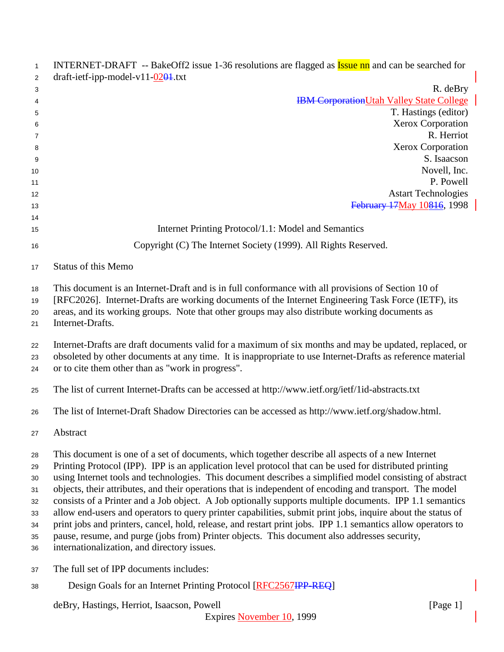| $\mathbf{1}$                                       | INTERNET-DRAFT -- BakeOff2 issue 1-36 resolutions are flagged as <b>Issue nn</b> and can be searched for                                                                                                                                                                                                                                                                                                                                                                                                                                                                                                                                                                                                                                                                                                                                                                                                                      |
|----------------------------------------------------|-------------------------------------------------------------------------------------------------------------------------------------------------------------------------------------------------------------------------------------------------------------------------------------------------------------------------------------------------------------------------------------------------------------------------------------------------------------------------------------------------------------------------------------------------------------------------------------------------------------------------------------------------------------------------------------------------------------------------------------------------------------------------------------------------------------------------------------------------------------------------------------------------------------------------------|
| $\overline{2}$                                     | $draff-ietf-ipp-model-v11-0204.txt$                                                                                                                                                                                                                                                                                                                                                                                                                                                                                                                                                                                                                                                                                                                                                                                                                                                                                           |
| 3                                                  | R. deBry                                                                                                                                                                                                                                                                                                                                                                                                                                                                                                                                                                                                                                                                                                                                                                                                                                                                                                                      |
| 4                                                  | <b>IBM Corporation Utah Valley State College</b>                                                                                                                                                                                                                                                                                                                                                                                                                                                                                                                                                                                                                                                                                                                                                                                                                                                                              |
| 5                                                  | T. Hastings (editor)                                                                                                                                                                                                                                                                                                                                                                                                                                                                                                                                                                                                                                                                                                                                                                                                                                                                                                          |
| 6                                                  | Xerox Corporation<br>R. Herriot                                                                                                                                                                                                                                                                                                                                                                                                                                                                                                                                                                                                                                                                                                                                                                                                                                                                                               |
| 7<br>8                                             | Xerox Corporation                                                                                                                                                                                                                                                                                                                                                                                                                                                                                                                                                                                                                                                                                                                                                                                                                                                                                                             |
| 9                                                  | S. Isaacson                                                                                                                                                                                                                                                                                                                                                                                                                                                                                                                                                                                                                                                                                                                                                                                                                                                                                                                   |
| 10                                                 | Novell, Inc.                                                                                                                                                                                                                                                                                                                                                                                                                                                                                                                                                                                                                                                                                                                                                                                                                                                                                                                  |
| 11                                                 | P. Powell                                                                                                                                                                                                                                                                                                                                                                                                                                                                                                                                                                                                                                                                                                                                                                                                                                                                                                                     |
| 12                                                 | <b>Astart Technologies</b>                                                                                                                                                                                                                                                                                                                                                                                                                                                                                                                                                                                                                                                                                                                                                                                                                                                                                                    |
| 13                                                 | February 17May 10816, 1998                                                                                                                                                                                                                                                                                                                                                                                                                                                                                                                                                                                                                                                                                                                                                                                                                                                                                                    |
| 14                                                 |                                                                                                                                                                                                                                                                                                                                                                                                                                                                                                                                                                                                                                                                                                                                                                                                                                                                                                                               |
| 15                                                 | Internet Printing Protocol/1.1: Model and Semantics                                                                                                                                                                                                                                                                                                                                                                                                                                                                                                                                                                                                                                                                                                                                                                                                                                                                           |
| 16                                                 | Copyright (C) The Internet Society (1999). All Rights Reserved.                                                                                                                                                                                                                                                                                                                                                                                                                                                                                                                                                                                                                                                                                                                                                                                                                                                               |
| 17                                                 | <b>Status of this Memo</b>                                                                                                                                                                                                                                                                                                                                                                                                                                                                                                                                                                                                                                                                                                                                                                                                                                                                                                    |
| 18<br>19<br>20<br>21                               | This document is an Internet-Draft and is in full conformance with all provisions of Section 10 of<br>[RFC2026]. Internet-Drafts are working documents of the Internet Engineering Task Force (IETF), its<br>areas, and its working groups. Note that other groups may also distribute working documents as<br>Internet-Drafts.                                                                                                                                                                                                                                                                                                                                                                                                                                                                                                                                                                                               |
| 22<br>23<br>24                                     | Internet-Drafts are draft documents valid for a maximum of six months and may be updated, replaced, or<br>obsoleted by other documents at any time. It is inappropriate to use Internet-Drafts as reference material<br>or to cite them other than as "work in progress".                                                                                                                                                                                                                                                                                                                                                                                                                                                                                                                                                                                                                                                     |
| 25                                                 | The list of current Internet-Drafts can be accessed at http://www.ietf.org/ietf/1id-abstracts.txt                                                                                                                                                                                                                                                                                                                                                                                                                                                                                                                                                                                                                                                                                                                                                                                                                             |
| 26                                                 | The list of Internet-Draft Shadow Directories can be accessed as http://www.ietf.org/shadow.html.                                                                                                                                                                                                                                                                                                                                                                                                                                                                                                                                                                                                                                                                                                                                                                                                                             |
| 27                                                 | Abstract                                                                                                                                                                                                                                                                                                                                                                                                                                                                                                                                                                                                                                                                                                                                                                                                                                                                                                                      |
| 28<br>29<br>30<br>31<br>32<br>33<br>34<br>35<br>36 | This document is one of a set of documents, which together describe all aspects of a new Internet<br>Printing Protocol (IPP). IPP is an application level protocol that can be used for distributed printing<br>using Internet tools and technologies. This document describes a simplified model consisting of abstract<br>objects, their attributes, and their operations that is independent of encoding and transport. The model<br>consists of a Printer and a Job object. A Job optionally supports multiple documents. IPP 1.1 semantics<br>allow end-users and operators to query printer capabilities, submit print jobs, inquire about the status of<br>print jobs and printers, cancel, hold, release, and restart print jobs. IPP 1.1 semantics allow operators to<br>pause, resume, and purge (jobs from) Printer objects. This document also addresses security,<br>internationalization, and directory issues. |
| 37                                                 | The full set of IPP documents includes:                                                                                                                                                                                                                                                                                                                                                                                                                                                                                                                                                                                                                                                                                                                                                                                                                                                                                       |
| 38                                                 | Design Goals for an Internet Printing Protocol [RFC2567IPP REQ]                                                                                                                                                                                                                                                                                                                                                                                                                                                                                                                                                                                                                                                                                                                                                                                                                                                               |
|                                                    | deBry, Hastings, Herriot, Isaacson, Powell<br>[Page $1$ ]                                                                                                                                                                                                                                                                                                                                                                                                                                                                                                                                                                                                                                                                                                                                                                                                                                                                     |

Expires November 10, 1999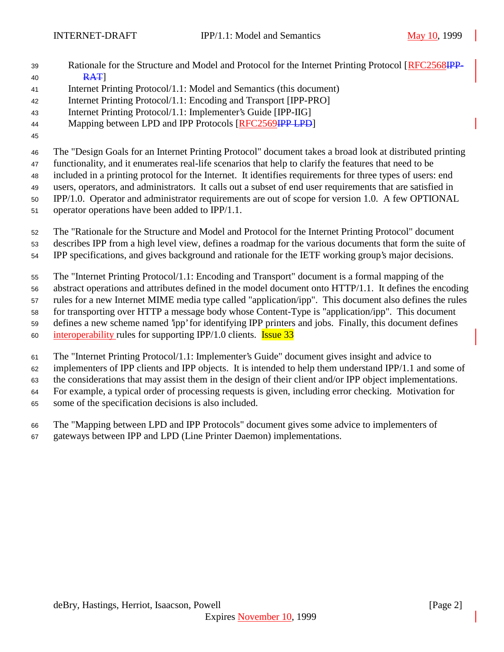- 39 Rationale for the Structure and Model and Protocol for the Internet Printing Protocol [RFC2568IPP-**RAT**
- Internet Printing Protocol/1.1: Model and Semantics (this document)
- Internet Printing Protocol/1.1: Encoding and Transport [IPP-PRO]
- Internet Printing Protocol/1.1: Implementer's Guide [IPP-IIG]
- 44 Mapping between LPD and IPP Protocols [RFC2569IPP LPD]
- 

The "Design Goals for an Internet Printing Protocol" document takes a broad look at distributed printing

functionality, and it enumerates real-life scenarios that help to clarify the features that need to be

included in a printing protocol for the Internet. It identifies requirements for three types of users: end

 users, operators, and administrators. It calls out a subset of end user requirements that are satisfied in IPP/1.0. Operator and administrator requirements are out of scope for version 1.0. A few OPTIONAL

operator operations have been added to IPP/1.1.

The "Rationale for the Structure and Model and Protocol for the Internet Printing Protocol" document

- describes IPP from a high level view, defines a roadmap for the various documents that form the suite of
- IPP specifications, and gives background and rationale for the IETF working group's major decisions.

The "Internet Printing Protocol/1.1: Encoding and Transport" document is a formal mapping of the

abstract operations and attributes defined in the model document onto HTTP/1.1. It defines the encoding

rules for a new Internet MIME media type called "application/ipp". This document also defines the rules

 for transporting over HTTP a message body whose Content-Type is "application/ipp". This document defines a new scheme named 'ipp' for identifying IPP printers and jobs. Finally, this document defines

interoperability rules for supporting IPP/1.0 clients. Issue 33

The "Internet Printing Protocol/1.1: Implementer's Guide" document gives insight and advice to

implementers of IPP clients and IPP objects. It is intended to help them understand IPP/1.1 and some of

the considerations that may assist them in the design of their client and/or IPP object implementations.

For example, a typical order of processing requests is given, including error checking. Motivation for

- some of the specification decisions is also included.
- The "Mapping between LPD and IPP Protocols" document gives some advice to implementers of gateways between IPP and LPD (Line Printer Daemon) implementations.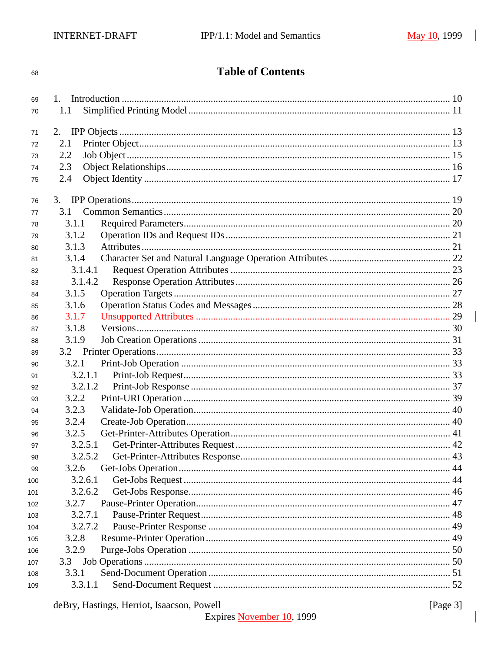## 68

**Table of Contents** 

| 69  |         |  |
|-----|---------|--|
| 70  | 1.1     |  |
|     |         |  |
| 71  |         |  |
| 72  | 2.1     |  |
| 73  | 2.2     |  |
| 74  | 2.3     |  |
| 75  | 2.4     |  |
|     |         |  |
| 76  |         |  |
| 77  | 3.1     |  |
| 78  | 3.1.1   |  |
| 79  | 3.1.2   |  |
| 80  | 3.1.3   |  |
| 81  | 3.1.4   |  |
| 82  | 3.1.4.1 |  |
| 83  | 3.1.4.2 |  |
| 84  | 3.1.5   |  |
| 85  | 3.1.6   |  |
| 86  | 3.1.7   |  |
| 87  | 3.1.8   |  |
| 88  | 3.1.9   |  |
| 89  |         |  |
| 90  | 3.2.1   |  |
| 91  | 3.2.1.1 |  |
| 92  | 3.2.1.2 |  |
| 93  | 3.2.2   |  |
| 94  | 3.2.3   |  |
| 95  | 3.2.4   |  |
| 96  | 3.2.5   |  |
| 97  | 3.2.5.1 |  |
| 98  | 3.2.5.2 |  |
| 99  | 3.2.6   |  |
| 100 | 3.2.6.1 |  |
| 101 | 3.2.6.2 |  |
| 102 | 3.2.7   |  |
| 103 | 3.2.7.1 |  |
| 104 | 3.2.7.2 |  |
| 105 | 3.2.8   |  |
| 106 | 3.2.9   |  |
| 107 | 3.3     |  |
| 108 | 3.3.1   |  |
| 109 | 3.3.1.1 |  |
|     |         |  |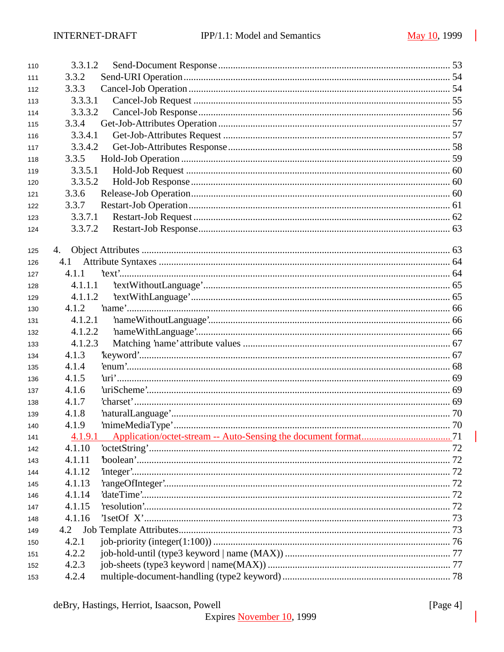| 110 | 3.3.1.2 |  |
|-----|---------|--|
| 111 | 3.3.2   |  |
| 112 | 3.3.3   |  |
| 113 | 3.3.3.1 |  |
| 114 | 3.3.3.2 |  |
| 115 | 3.3.4   |  |
| 116 | 3.3.4.1 |  |
| 117 | 3.3.4.2 |  |
| 118 | 3.3.5   |  |
| 119 | 3.3.5.1 |  |
| 120 | 3.3.5.2 |  |
| 121 | 3.3.6   |  |
| 122 | 3.3.7   |  |
| 123 | 3.3.7.1 |  |
| 124 | 3.3.7.2 |  |
|     |         |  |
| 125 | 4.      |  |
| 126 | 4.1     |  |
| 127 | 4.1.1   |  |
| 128 | 4.1.1.1 |  |
| 129 | 4.1.1.2 |  |
| 130 | 4.1.2   |  |
| 131 | 4.1.2.1 |  |
| 132 | 4.1.2.2 |  |
| 133 | 4.1.2.3 |  |
| 134 | 4.1.3   |  |
| 135 | 4.1.4   |  |
| 136 | 4.1.5   |  |
| 137 | 4.1.6   |  |
| 138 | 4.1.7   |  |
| 139 | 4.1.8   |  |
| 140 | 4.1.9   |  |
| 141 | 4.1.9.1 |  |
| 142 | 4.1.10  |  |
| 143 | 4.1.11  |  |
| 144 | 4.1.12  |  |
| 145 | 4.1.13  |  |
| 146 | 4.1.14  |  |
| 147 | 4.1.15  |  |
| 148 | 4.1.16  |  |
| 149 | 4.2     |  |
| 150 | 4.2.1   |  |
| 151 | 4.2.2   |  |
| 152 | 4.2.3   |  |
| 153 | 4.2.4   |  |
|     |         |  |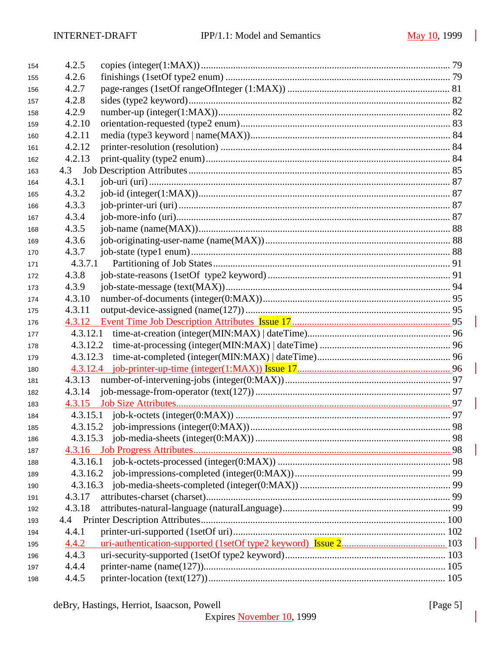| 154 | 4.2.5    |  |
|-----|----------|--|
| 155 | 4.2.6    |  |
| 156 | 4.2.7    |  |
| 157 | 4.2.8    |  |
| 158 | 4.2.9    |  |
| 159 | 4.2.10   |  |
| 160 | 4.2.11   |  |
| 161 | 4.2.12   |  |
| 162 | 4.2.13   |  |
| 163 | 4.3      |  |
| 164 | 4.3.1    |  |
| 165 | 4.3.2    |  |
| 166 | 4.3.3    |  |
| 167 | 4.3.4    |  |
| 168 | 4.3.5    |  |
| 169 | 4.3.6    |  |
| 170 | 4.3.7    |  |
| 171 | 4.3.7.1  |  |
| 172 | 4.3.8    |  |
| 173 | 4.3.9    |  |
| 174 | 4.3.10   |  |
| 175 | 4.3.11   |  |
| 176 |          |  |
| 177 | 4.3.12.1 |  |
| 178 |          |  |
| 179 | 4.3.12.3 |  |
| 180 |          |  |
| 181 | 4.3.13   |  |
| 182 | 4.3.14   |  |
| 183 |          |  |
| 184 |          |  |
| 185 |          |  |
| 186 |          |  |
| 187 |          |  |
| 188 | 4.3.16.1 |  |
| 189 | 4.3.16.2 |  |
| 190 | 4.3.16.3 |  |
| 191 | 4.3.17   |  |
| 192 | 4.3.18   |  |
| 193 | 4.4      |  |
| 194 | 4.4.1    |  |
| 195 | 4.4.2    |  |
| 196 | 4.4.3    |  |
| 197 | 4.4.4    |  |
| 198 | 4.4.5    |  |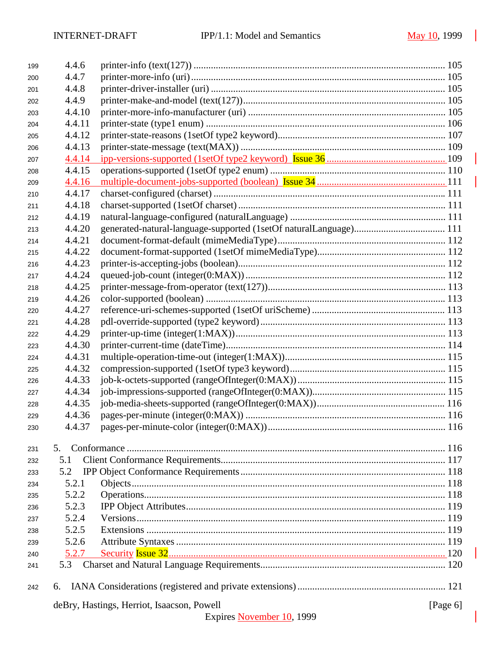| 199 | 4.4.6                                                     |                           |  |  |  |
|-----|-----------------------------------------------------------|---------------------------|--|--|--|
| 200 | 4.4.7                                                     |                           |  |  |  |
| 201 | 4.4.8                                                     |                           |  |  |  |
| 202 | 4.4.9                                                     |                           |  |  |  |
| 203 | 4.4.10                                                    |                           |  |  |  |
| 204 | 4.4.11                                                    |                           |  |  |  |
| 205 | 4.4.12                                                    |                           |  |  |  |
| 206 | 4.4.13                                                    |                           |  |  |  |
| 207 | 4.4.14                                                    |                           |  |  |  |
| 208 | 4.4.15                                                    |                           |  |  |  |
| 209 | 4.4.16                                                    |                           |  |  |  |
| 210 | 4.4.17                                                    |                           |  |  |  |
| 211 | 4.4.18                                                    |                           |  |  |  |
| 212 | 4.4.19                                                    |                           |  |  |  |
| 213 | 4.4.20                                                    |                           |  |  |  |
| 214 | 4.4.21                                                    |                           |  |  |  |
| 215 | 4.4.22                                                    |                           |  |  |  |
| 216 | 4.4.23                                                    |                           |  |  |  |
| 217 | 4.4.24                                                    |                           |  |  |  |
| 218 | 4.4.25                                                    |                           |  |  |  |
| 219 | 4.4.26                                                    |                           |  |  |  |
| 220 | 4.4.27                                                    |                           |  |  |  |
| 221 | 4.4.28                                                    |                           |  |  |  |
| 222 | 4.4.29                                                    |                           |  |  |  |
| 223 | 4.4.30                                                    |                           |  |  |  |
| 224 | 4.4.31                                                    |                           |  |  |  |
| 225 | 4.4.32                                                    |                           |  |  |  |
| 226 | 4.4.33                                                    |                           |  |  |  |
| 227 | 4.4.34                                                    |                           |  |  |  |
| 228 | 4.4.35                                                    |                           |  |  |  |
| 229 | 4.4.36                                                    |                           |  |  |  |
| 230 | 4.4.37                                                    |                           |  |  |  |
|     |                                                           |                           |  |  |  |
| 231 | 5.                                                        |                           |  |  |  |
| 232 | 5.1                                                       |                           |  |  |  |
| 233 | 5.2                                                       |                           |  |  |  |
| 234 | 5.2.1                                                     |                           |  |  |  |
| 235 | 5.2.2                                                     |                           |  |  |  |
| 236 | 5.2.3                                                     |                           |  |  |  |
| 237 | 5.2.4                                                     |                           |  |  |  |
| 238 | 5.2.5                                                     |                           |  |  |  |
| 239 | 5.2.6                                                     |                           |  |  |  |
| 240 | 5.2.7                                                     |                           |  |  |  |
| 241 | 5.3                                                       |                           |  |  |  |
| 242 | 6.                                                        |                           |  |  |  |
|     | deBry, Hastings, Herriot, Isaacson, Powell<br>[Page $6$ ] |                           |  |  |  |
|     |                                                           | Expires November 10, 1999 |  |  |  |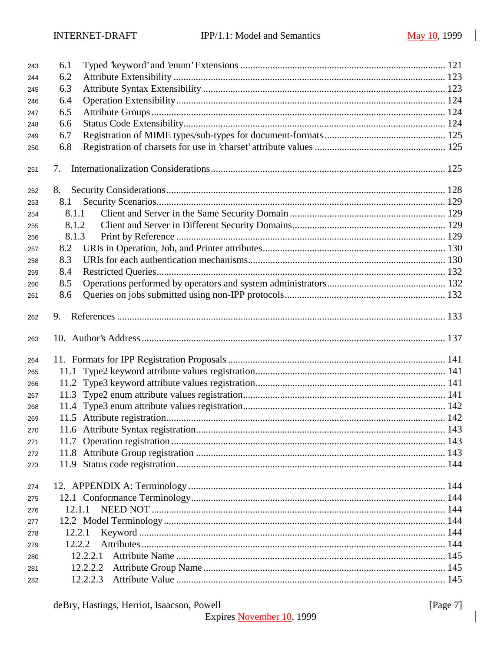| 243 | 6.1      |  |  |
|-----|----------|--|--|
| 244 | 6.2      |  |  |
| 245 | 6.3      |  |  |
| 246 | 6.4      |  |  |
| 247 | 6.5      |  |  |
| 248 | 6.6      |  |  |
| 249 | 6.7      |  |  |
| 250 | 6.8      |  |  |
| 251 | 7.       |  |  |
| 252 | 8.       |  |  |
| 253 | 8.1      |  |  |
| 254 | 8.1.1    |  |  |
| 255 | 8.1.2    |  |  |
| 256 | 8.1.3    |  |  |
| 257 | 8.2      |  |  |
| 258 | 8.3      |  |  |
| 259 | 8.4      |  |  |
| 260 | 8.5      |  |  |
| 261 | 8.6      |  |  |
|     |          |  |  |
| 262 | 9.       |  |  |
| 263 |          |  |  |
| 264 |          |  |  |
| 265 |          |  |  |
| 266 |          |  |  |
| 267 |          |  |  |
| 268 |          |  |  |
| 269 |          |  |  |
| 270 |          |  |  |
| 271 |          |  |  |
| 272 |          |  |  |
| 273 |          |  |  |
| 274 |          |  |  |
| 275 |          |  |  |
| 276 | 12.1.1   |  |  |
| 277 |          |  |  |
| 278 | 12.2.1   |  |  |
| 279 | 12.2.2   |  |  |
| 280 | 12.2.2.1 |  |  |
| 281 | 12.2.2.2 |  |  |
| 282 | 12.2.2.3 |  |  |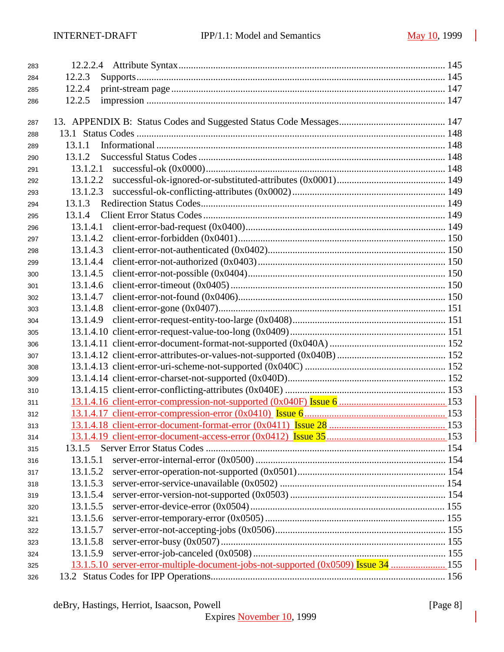| 283 |          |  |
|-----|----------|--|
| 284 | 12.2.3   |  |
| 285 | 12.2.4   |  |
| 286 | 12.2.5   |  |
|     |          |  |
| 287 |          |  |
| 288 |          |  |
| 289 | 13.1.1   |  |
| 290 | 13.1.2   |  |
| 291 | 13.1.2.1 |  |
| 292 | 13.1.2.2 |  |
| 293 | 13.1.2.3 |  |
| 294 | 13.1.3   |  |
| 295 | 13.1.4   |  |
| 296 | 13.1.4.1 |  |
| 297 | 13.1.4.2 |  |
| 298 | 13.1.4.3 |  |
| 299 | 13.1.4.4 |  |
| 300 | 13.1.4.5 |  |
| 301 | 13.1.4.6 |  |
| 302 | 13.1.4.7 |  |
| 303 | 13.1.4.8 |  |
| 304 | 13.1.4.9 |  |
| 305 |          |  |
| 306 |          |  |
| 307 |          |  |
| 308 |          |  |
| 309 |          |  |
| 310 |          |  |
| 311 |          |  |
| 312 |          |  |
| 313 |          |  |
| 314 |          |  |
| 315 | 13.1.5   |  |
| 316 | 13.1.5.1 |  |
| 317 | 13.1.5.2 |  |
| 318 | 13.1.5.3 |  |
| 319 | 13.1.5.4 |  |
| 320 | 13.1.5.5 |  |
| 321 | 13.1.5.6 |  |
| 322 | 13.1.5.7 |  |
| 323 | 13.1.5.8 |  |
| 324 | 13.1.5.9 |  |
| 325 |          |  |
| 326 |          |  |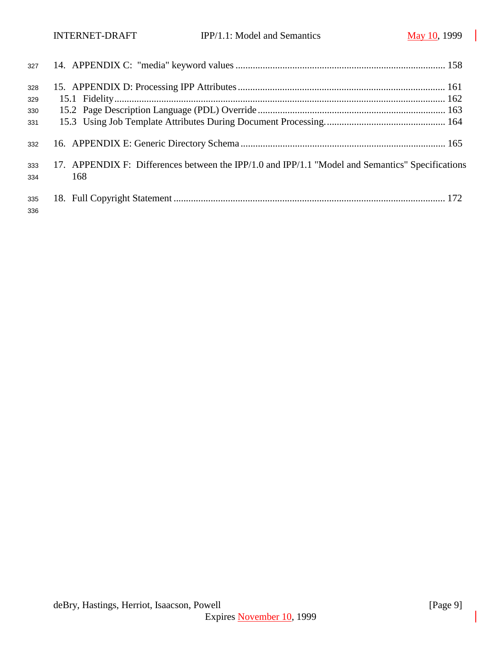| 327        |                                                                                                         |  |
|------------|---------------------------------------------------------------------------------------------------------|--|
| 328        |                                                                                                         |  |
| 329        |                                                                                                         |  |
| 330        |                                                                                                         |  |
| 331        |                                                                                                         |  |
| 332        |                                                                                                         |  |
| 333<br>334 | 17. APPENDIX F: Differences between the IPP/1.0 and IPP/1.1 "Model and Semantics" Specifications<br>168 |  |
| 335<br>336 |                                                                                                         |  |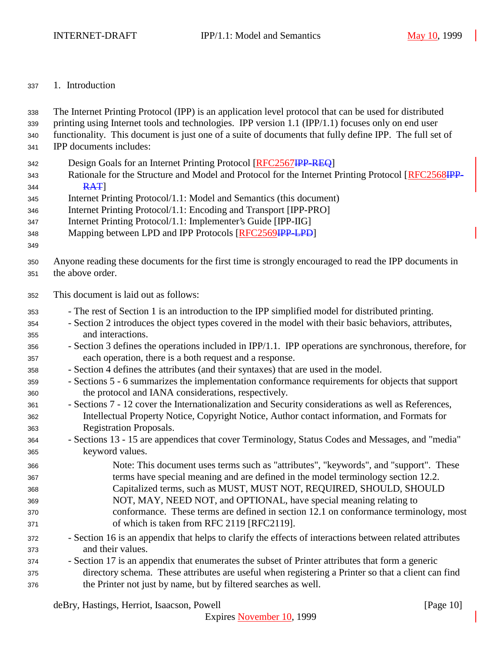## 1. Introduction

| 338<br>339<br>340<br>341 | The Internet Printing Protocol (IPP) is an application level protocol that can be used for distributed<br>printing using Internet tools and technologies. IPP version 1.1 (IPP/1.1) focuses only on end user<br>functionality. This document is just one of a suite of documents that fully define IPP. The full set of<br>IPP documents includes: |
|--------------------------|----------------------------------------------------------------------------------------------------------------------------------------------------------------------------------------------------------------------------------------------------------------------------------------------------------------------------------------------------|
| 342<br>343<br>344        | Design Goals for an Internet Printing Protocol [RFC2567IPP-REQ]<br>Rationale for the Structure and Model and Protocol for the Internet Printing Protocol [RFC2568IPP-<br>RAT                                                                                                                                                                       |
| 345                      | Internet Printing Protocol/1.1: Model and Semantics (this document)                                                                                                                                                                                                                                                                                |
| 346                      | Internet Printing Protocol/1.1: Encoding and Transport [IPP-PRO]                                                                                                                                                                                                                                                                                   |
| 347                      | Internet Printing Protocol/1.1: Implementer's Guide [IPP-IIG]                                                                                                                                                                                                                                                                                      |
| 348<br>349               | Mapping between LPD and IPP Protocols [RFC2569HP-LPD]                                                                                                                                                                                                                                                                                              |
| 350<br>351               | Anyone reading these documents for the first time is strongly encouraged to read the IPP documents in<br>the above order.                                                                                                                                                                                                                          |
| 352                      | This document is laid out as follows:                                                                                                                                                                                                                                                                                                              |
| 353                      | - The rest of Section 1 is an introduction to the IPP simplified model for distributed printing.                                                                                                                                                                                                                                                   |
| 354                      | - Section 2 introduces the object types covered in the model with their basic behaviors, attributes,                                                                                                                                                                                                                                               |
| 355                      | and interactions.                                                                                                                                                                                                                                                                                                                                  |
| 356                      | - Section 3 defines the operations included in IPP/1.1. IPP operations are synchronous, therefore, for                                                                                                                                                                                                                                             |
| 357                      | each operation, there is a both request and a response.                                                                                                                                                                                                                                                                                            |
| 358                      | - Section 4 defines the attributes (and their syntaxes) that are used in the model.                                                                                                                                                                                                                                                                |
| 359                      | - Sections 5 - 6 summarizes the implementation conformance requirements for objects that support                                                                                                                                                                                                                                                   |
| 360                      | the protocol and IANA considerations, respectively.                                                                                                                                                                                                                                                                                                |
| 361                      | - Sections 7 - 12 cover the Internationalization and Security considerations as well as References,<br>Intellectual Property Notice, Copyright Notice, Author contact information, and Formats for                                                                                                                                                 |
| 362<br>363               | <b>Registration Proposals.</b>                                                                                                                                                                                                                                                                                                                     |
| 364                      | - Sections 13 - 15 are appendices that cover Terminology, Status Codes and Messages, and "media"                                                                                                                                                                                                                                                   |
| 365                      | keyword values.                                                                                                                                                                                                                                                                                                                                    |
| 366                      | Note: This document uses terms such as "attributes", "keywords", and "support". These                                                                                                                                                                                                                                                              |
| 367                      | terms have special meaning and are defined in the model terminology section 12.2.                                                                                                                                                                                                                                                                  |
| 368                      | Capitalized terms, such as MUST, MUST NOT, REQUIRED, SHOULD, SHOULD                                                                                                                                                                                                                                                                                |
| 369                      | NOT, MAY, NEED NOT, and OPTIONAL, have special meaning relating to                                                                                                                                                                                                                                                                                 |
| 370                      | conformance. These terms are defined in section 12.1 on conformance terminology, most                                                                                                                                                                                                                                                              |
| 371                      | of which is taken from RFC 2119 [RFC2119].                                                                                                                                                                                                                                                                                                         |
| 372                      | - Section 16 is an appendix that helps to clarify the effects of interactions between related attributes                                                                                                                                                                                                                                           |
| 373                      | and their values.                                                                                                                                                                                                                                                                                                                                  |
| 374                      | - Section 17 is an appendix that enumerates the subset of Printer attributes that form a generic                                                                                                                                                                                                                                                   |
| 375                      | directory schema. These attributes are useful when registering a Printer so that a client can find                                                                                                                                                                                                                                                 |
| 376                      | the Printer not just by name, but by filtered searches as well.                                                                                                                                                                                                                                                                                    |

deBry, Hastings, Herriot, Isaacson, Powell [Page 10]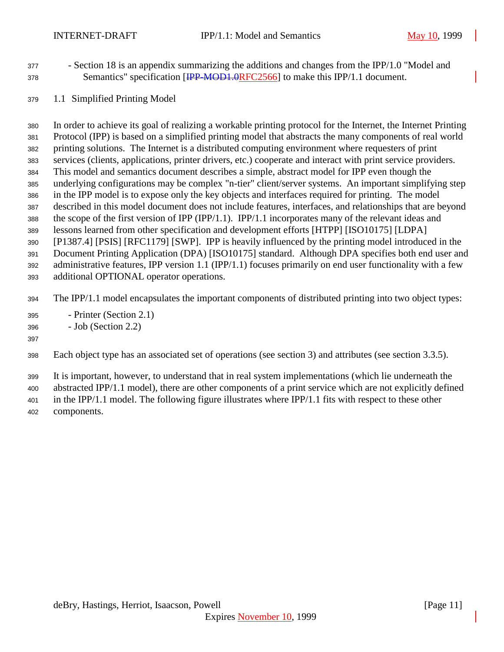- Section 18 is an appendix summarizing the additions and changes from the IPP/1.0 "Model and 378 Semantics" specification [<del>IPP-MOD1.0</del>RFC2566] to make this IPP/1.1 document.
- 1.1 Simplified Printing Model

 In order to achieve its goal of realizing a workable printing protocol for the Internet, the Internet Printing Protocol (IPP) is based on a simplified printing model that abstracts the many components of real world printing solutions. The Internet is a distributed computing environment where requesters of print services (clients, applications, printer drivers, etc.) cooperate and interact with print service providers. This model and semantics document describes a simple, abstract model for IPP even though the underlying configurations may be complex "n-tier" client/server systems. An important simplifying step in the IPP model is to expose only the key objects and interfaces required for printing. The model described in this model document does not include features, interfaces, and relationships that are beyond the scope of the first version of IPP (IPP/1.1). IPP/1.1 incorporates many of the relevant ideas and lessons learned from other specification and development efforts [HTPP] [ISO10175] [LDPA] [P1387.4] [PSIS] [RFC1179] [SWP]. IPP is heavily influenced by the printing model introduced in the Document Printing Application (DPA) [ISO10175] standard. Although DPA specifies both end user and administrative features, IPP version 1.1 (IPP/1.1) focuses primarily on end user functionality with a few additional OPTIONAL operator operations.

The IPP/1.1 model encapsulates the important components of distributed printing into two object types:

- Printer (Section 2.1)
- Job (Section 2.2)

## 

Each object type has an associated set of operations (see section 3) and attributes (see section 3.3.5).

It is important, however, to understand that in real system implementations (which lie underneath the

abstracted IPP/1.1 model), there are other components of a print service which are not explicitly defined

 in the IPP/1.1 model. The following figure illustrates where IPP/1.1 fits with respect to these other components.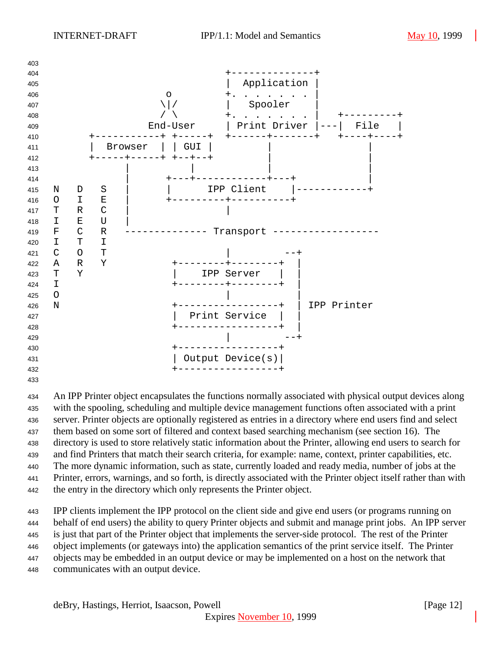

 An IPP Printer object encapsulates the functions normally associated with physical output devices along with the spooling, scheduling and multiple device management functions often associated with a print server. Printer objects are optionally registered as entries in a directory where end users find and select them based on some sort of filtered and context based searching mechanism (see section 16). The directory is used to store relatively static information about the Printer, allowing end users to search for and find Printers that match their search criteria, for example: name, context, printer capabilities, etc. The more dynamic information, such as state, currently loaded and ready media, number of jobs at the Printer, errors, warnings, and so forth, is directly associated with the Printer object itself rather than with the entry in the directory which only represents the Printer object.

 IPP clients implement the IPP protocol on the client side and give end users (or programs running on behalf of end users) the ability to query Printer objects and submit and manage print jobs. An IPP server is just that part of the Printer object that implements the server-side protocol. The rest of the Printer object implements (or gateways into) the application semantics of the print service itself. The Printer objects may be embedded in an output device or may be implemented on a host on the network that communicates with an output device.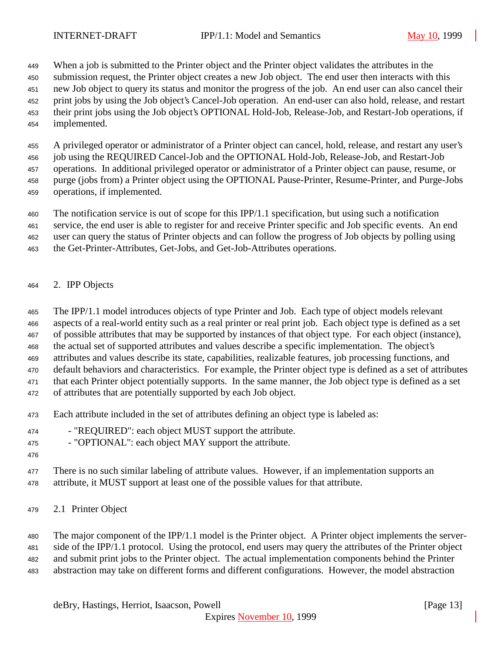When a job is submitted to the Printer object and the Printer object validates the attributes in the

submission request, the Printer object creates a new Job object. The end user then interacts with this

new Job object to query its status and monitor the progress of the job. An end user can also cancel their

- print jobs by using the Job object's Cancel-Job operation. An end-user can also hold, release, and restart their print jobs using the Job object's OPTIONAL Hold-Job, Release-Job, and Restart-Job operations, if
- implemented.
- 

 A privileged operator or administrator of a Printer object can cancel, hold, release, and restart any user's job using the REQUIRED Cancel-Job and the OPTIONAL Hold-Job, Release-Job, and Restart-Job

operations. In additional privileged operator or administrator of a Printer object can pause, resume, or

purge (jobs from) a Printer object using the OPTIONAL Pause-Printer, Resume-Printer, and Purge-Jobs

operations, if implemented.

The notification service is out of scope for this IPP/1.1 specification, but using such a notification

service, the end user is able to register for and receive Printer specific and Job specific events. An end

user can query the status of Printer objects and can follow the progress of Job objects by polling using

- the Get-Printer-Attributes, Get-Jobs, and Get-Job-Attributes operations.
- 2. IPP Objects

The IPP/1.1 model introduces objects of type Printer and Job. Each type of object models relevant

aspects of a real-world entity such as a real printer or real print job. Each object type is defined as a set

of possible attributes that may be supported by instances of that object type. For each object (instance),

the actual set of supported attributes and values describe a specific implementation. The object's

attributes and values describe its state, capabilities, realizable features, job processing functions, and

 default behaviors and characteristics. For example, the Printer object type is defined as a set of attributes that each Printer object potentially supports. In the same manner, the Job object type is defined as a set

- of attributes that are potentially supported by each Job object.
- Each attribute included in the set of attributes defining an object type is labeled as:
- 474 "REQUIRED": each object MUST support the attribute.

- "OPTIONAL": each object MAY support the attribute.

477 There is no such similar labeling of attribute values. However, if an implementation supports an attribute, it MUST support at least one of the possible values for that attribute.

2.1 Printer Object

 The major component of the IPP/1.1 model is the Printer object. A Printer object implements the server- side of the IPP/1.1 protocol. Using the protocol, end users may query the attributes of the Printer object and submit print jobs to the Printer object. The actual implementation components behind the Printer

abstraction may take on different forms and different configurations. However, the model abstraction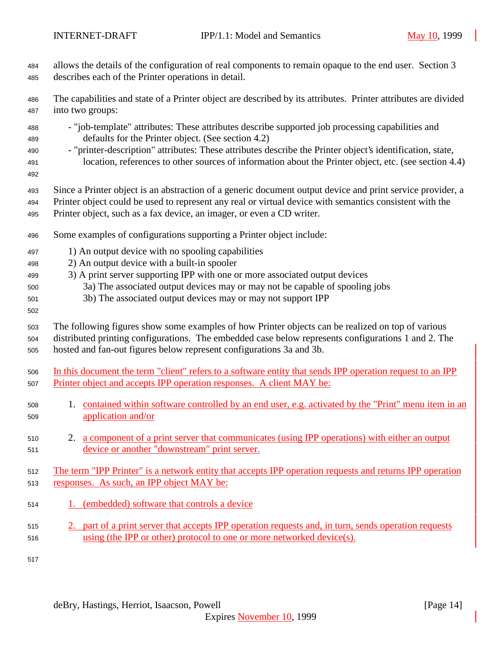allows the details of the configuration of real components to remain opaque to the end user. Section 3

 describes each of the Printer operations in detail. The capabilities and state of a Printer object are described by its attributes. Printer attributes are divided into two groups: - "job-template" attributes: These attributes describe supported job processing capabilities and defaults for the Printer object. (See section 4.2) - "printer-description" attributes: These attributes describe the Printer object's identification, state, location, references to other sources of information about the Printer object, etc. (see section 4.4) Since a Printer object is an abstraction of a generic document output device and print service provider, a Printer object could be used to represent any real or virtual device with semantics consistent with the Printer object, such as a fax device, an imager, or even a CD writer. Some examples of configurations supporting a Printer object include: 1) An output device with no spooling capabilities 2) An output device with a built-in spooler 3) A print server supporting IPP with one or more associated output devices 3a) The associated output devices may or may not be capable of spooling jobs 3b) The associated output devices may or may not support IPP The following figures show some examples of how Printer objects can be realized on top of various distributed printing configurations. The embedded case below represents configurations 1 and 2. The hosted and fan-out figures below represent configurations 3a and 3b. In this document the term "client" refers to a software entity that sends IPP operation request to an IPP 507 Printer object and accepts IPP operation responses. A client MAY be: 1. contained within software controlled by an end user, e.g. activated by the "Print" menu item in an application and/or 2. a component of a print server that communicates (using IPP operations) with either an output device or another "downstream" print server. The term "IPP Printer" is a network entity that accepts IPP operation requests and returns IPP operation responses. As such, an IPP object MAY be: 1. (embedded) software that controls a device 2. part of a print server that accepts IPP operation requests and, in turn, sends operation requests using (the IPP or other) protocol to one or more networked device(s).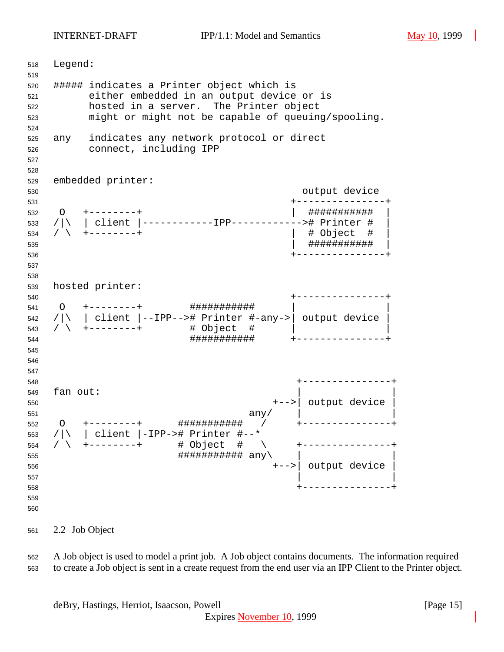INTERNET-DRAFT IPP/1.1: Model and Semantics May 10, 1999

 Legend: ##### indicates a Printer object which is either embedded in an output device or is hosted in a server. The Printer object might or might not be capable of queuing/spooling. any indicates any network protocol or direct connect, including IPP embedded printer: output device +---------------+ O +--------+ | ########### | /|\ | client |------------IPP------------># Printer # | / \ +--------+ | # Object # | | ########### | +---------------+ hosted printer: +---------------+ O +--------+ ########### | | /|\ | client |--IPP--># Printer #-any->| output device | / \ +--------+ # Object # | | ########### +---------------+ +---------------+ fan out: +-->| output device | any/  $\vert$  O +--------+ ########### / +---------------+ /|\ | client |-IPP-># Printer #--\* / \ +--------+ # Object # \ +---------------+  $\#$ # $\#$ # $\#$ # $\#$ # $\#$ # $\#$ # $\#$  $\{$   $\sup$  +-->| output device |  $\vert$  +---------------+ 

2.2 Job Object

 A Job object is used to model a print job. A Job object contains documents. The information required to create a Job object is sent in a create request from the end user via an IPP Client to the Printer object.

deBry, Hastings, Herriot, Isaacson, Powell **Example 20** (Page 15)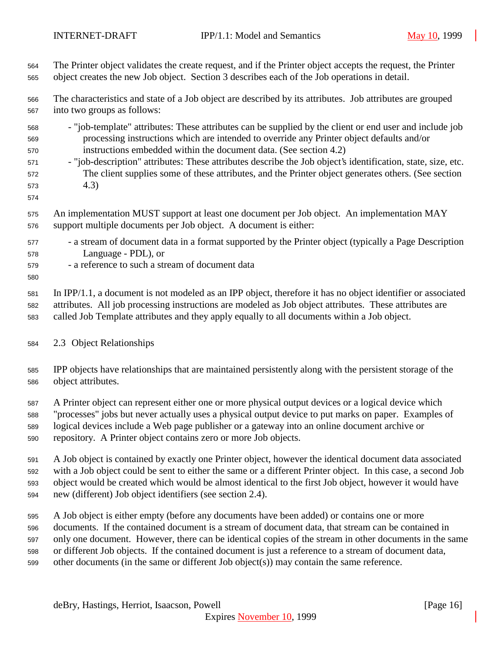The Printer object validates the create request, and if the Printer object accepts the request, the Printer object creates the new Job object. Section 3 describes each of the Job operations in detail. The characteristics and state of a Job object are described by its attributes. Job attributes are grouped into two groups as follows: - "job-template" attributes: These attributes can be supplied by the client or end user and include job processing instructions which are intended to override any Printer object defaults and/or instructions embedded within the document data. (See section 4.2) - "job-description" attributes: These attributes describe the Job object's identification, state, size, etc. The client supplies some of these attributes, and the Printer object generates others. (See section 4.3) An implementation MUST support at least one document per Job object. An implementation MAY support multiple documents per Job object. A document is either: - a stream of document data in a format supported by the Printer object (typically a Page Description Language - PDL), or - a reference to such a stream of document data In IPP/1.1, a document is not modeled as an IPP object, therefore it has no object identifier or associated attributes. All job processing instructions are modeled as Job object attributes. These attributes are called Job Template attributes and they apply equally to all documents within a Job object. 2.3 Object Relationships IPP objects have relationships that are maintained persistently along with the persistent storage of the object attributes. A Printer object can represent either one or more physical output devices or a logical device which "processes" jobs but never actually uses a physical output device to put marks on paper. Examples of logical devices include a Web page publisher or a gateway into an online document archive or repository. A Printer object contains zero or more Job objects. A Job object is contained by exactly one Printer object, however the identical document data associated with a Job object could be sent to either the same or a different Printer object. In this case, a second Job object would be created which would be almost identical to the first Job object, however it would have new (different) Job object identifiers (see section 2.4). A Job object is either empty (before any documents have been added) or contains one or more documents. If the contained document is a stream of document data, that stream can be contained in only one document. However, there can be identical copies of the stream in other documents in the same

or different Job objects. If the contained document is just a reference to a stream of document data,

other documents (in the same or different Job object(s)) may contain the same reference.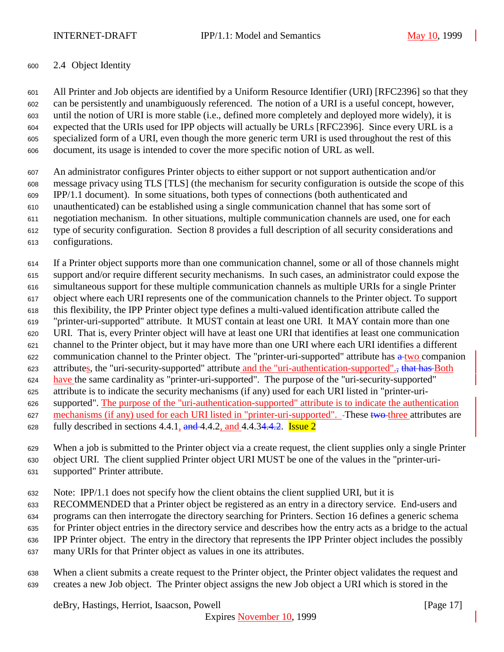## 2.4 Object Identity

 All Printer and Job objects are identified by a Uniform Resource Identifier (URI) [RFC2396] so that they can be persistently and unambiguously referenced. The notion of a URI is a useful concept, however, until the notion of URI is more stable (i.e., defined more completely and deployed more widely), it is expected that the URIs used for IPP objects will actually be URLs [RFC2396]. Since every URL is a specialized form of a URI, even though the more generic term URI is used throughout the rest of this document, its usage is intended to cover the more specific notion of URL as well.

 An administrator configures Printer objects to either support or not support authentication and/or message privacy using TLS [TLS] (the mechanism for security configuration is outside the scope of this IPP/1.1 document). In some situations, both types of connections (both authenticated and unauthenticated) can be established using a single communication channel that has some sort of negotiation mechanism. In other situations, multiple communication channels are used, one for each type of security configuration. Section 8 provides a full description of all security considerations and configurations.

 If a Printer object supports more than one communication channel, some or all of those channels might support and/or require different security mechanisms. In such cases, an administrator could expose the simultaneous support for these multiple communication channels as multiple URIs for a single Printer object where each URI represents one of the communication channels to the Printer object. To support this flexibility, the IPP Printer object type defines a multi-valued identification attribute called the "printer-uri-supported" attribute. It MUST contain at least one URI. It MAY contain more than one URI. That is, every Printer object will have at least one URI that identifies at least one communication channel to the Printer object, but it may have more than one URI where each URI identifies a different 622 communication channel to the Printer object. The "printer-uri-supported" attribute has  $\frac{a + two}{c}$  companion 623 attributes, the "uri-security-supported" attribute and the "uri-authentication-supported"., that has Both have the same cardinality as "printer-uri-supported". The purpose of the "uri-security-supported" attribute is to indicate the security mechanisms (if any) used for each URI listed in "printer-uri- supported". The purpose of the "uri-authentication-supported" attribute is to indicate the authentication 627 mechanisms (if any) used for each URI listed in "printer-uri-supported". -These two three attributes are 628 fully described in sections 4.4.1,  $\frac{1}{2}$  and 4.4.34.4.2. Issue 2

When a job is submitted to the Printer object via a create request, the client supplies only a single Printer

object URI. The client supplied Printer object URI MUST be one of the values in the "printer-uri-

supported" Printer attribute.

Note: IPP/1.1 does not specify how the client obtains the client supplied URI, but it is

RECOMMENDED that a Printer object be registered as an entry in a directory service. End-users and

programs can then interrogate the directory searching for Printers. Section 16 defines a generic schema

for Printer object entries in the directory service and describes how the entry acts as a bridge to the actual

IPP Printer object. The entry in the directory that represents the IPP Printer object includes the possibly

many URIs for that Printer object as values in one its attributes.

 When a client submits a create request to the Printer object, the Printer object validates the request and creates a new Job object. The Printer object assigns the new Job object a URI which is stored in the

deBry, Hastings, Herriot, Isaacson, Powell [Page 17]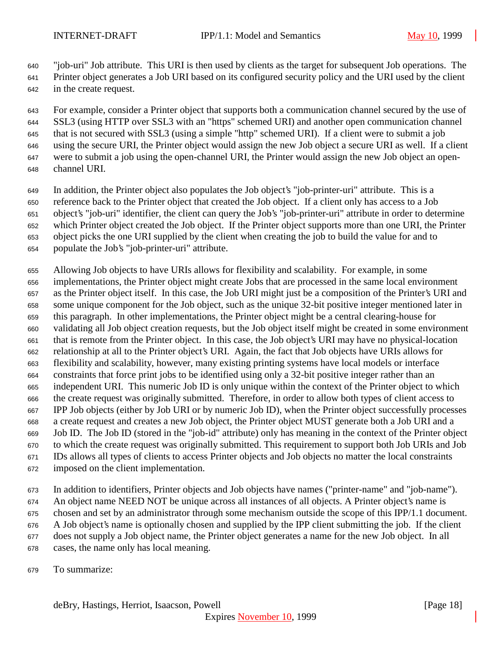"job-uri" Job attribute. This URI is then used by clients as the target for subsequent Job operations. The

 Printer object generates a Job URI based on its configured security policy and the URI used by the client in the create request.

 For example, consider a Printer object that supports both a communication channel secured by the use of SSL3 (using HTTP over SSL3 with an "https" schemed URI) and another open communication channel that is not secured with SSL3 (using a simple "http" schemed URI). If a client were to submit a job using the secure URI, the Printer object would assign the new Job object a secure URI as well. If a client were to submit a job using the open-channel URI, the Printer would assign the new Job object an open-channel URI.

 In addition, the Printer object also populates the Job object's "job-printer-uri" attribute. This is a reference back to the Printer object that created the Job object. If a client only has access to a Job

object's "job-uri" identifier, the client can query the Job's "job-printer-uri" attribute in order to determine

which Printer object created the Job object. If the Printer object supports more than one URI, the Printer

object picks the one URI supplied by the client when creating the job to build the value for and to

populate the Job's "job-printer-uri" attribute.

 Allowing Job objects to have URIs allows for flexibility and scalability. For example, in some implementations, the Printer object might create Jobs that are processed in the same local environment as the Printer object itself. In this case, the Job URI might just be a composition of the Printer's URI and some unique component for the Job object, such as the unique 32-bit positive integer mentioned later in this paragraph. In other implementations, the Printer object might be a central clearing-house for validating all Job object creation requests, but the Job object itself might be created in some environment that is remote from the Printer object. In this case, the Job object's URI may have no physical-location relationship at all to the Printer object's URI. Again, the fact that Job objects have URIs allows for flexibility and scalability, however, many existing printing systems have local models or interface constraints that force print jobs to be identified using only a 32-bit positive integer rather than an independent URI. This numeric Job ID is only unique within the context of the Printer object to which the create request was originally submitted. Therefore, in order to allow both types of client access to IPP Job objects (either by Job URI or by numeric Job ID), when the Printer object successfully processes a create request and creates a new Job object, the Printer object MUST generate both a Job URI and a Job ID. The Job ID (stored in the "job-id" attribute) only has meaning in the context of the Printer object to which the create request was originally submitted. This requirement to support both Job URIs and Job IDs allows all types of clients to access Printer objects and Job objects no matter the local constraints imposed on the client implementation.

 In addition to identifiers, Printer objects and Job objects have names ("printer-name" and "job-name"). An object name NEED NOT be unique across all instances of all objects. A Printer object's name is chosen and set by an administrator through some mechanism outside the scope of this IPP/1.1 document. A Job object's name is optionally chosen and supplied by the IPP client submitting the job. If the client does not supply a Job object name, the Printer object generates a name for the new Job object. In all cases, the name only has local meaning.

To summarize: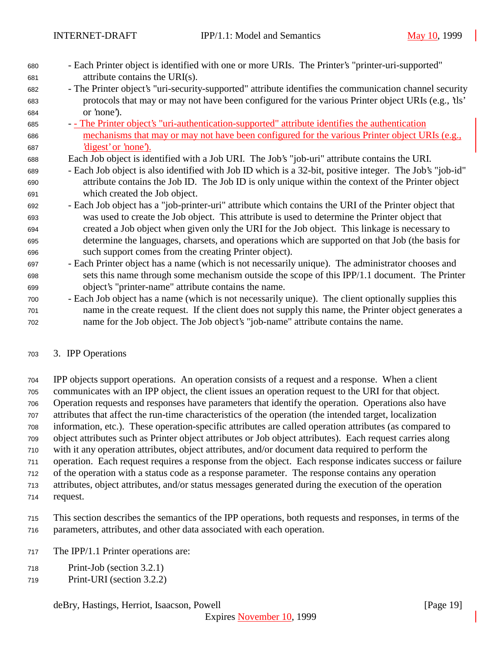- Each Printer object is identified with one or more URIs. The Printer's "printer-uri-supported" attribute contains the URI(s).
- The Printer object's "uri-security-supported" attribute identifies the communication channel security protocols that may or may not have been configured for the various Printer object URIs (e.g., 'tls' or 'none').
- - The Printer object's "uri-authentication-supported" attribute identifies the authentication mechanisms that may or may not have been configured for the various Printer object URIs (e.g., 'digest' or 'none').
- Each Job object is identified with a Job URI. The Job's "job-uri" attribute contains the URI.
- Each Job object is also identified with Job ID which is a 32-bit, positive integer. The Job's "job-id" attribute contains the Job ID. The Job ID is only unique within the context of the Printer object which created the Job object.
- Each Job object has a "job-printer-uri" attribute which contains the URI of the Printer object that was used to create the Job object. This attribute is used to determine the Printer object that created a Job object when given only the URI for the Job object. This linkage is necessary to determine the languages, charsets, and operations which are supported on that Job (the basis for such support comes from the creating Printer object).
- Each Printer object has a name (which is not necessarily unique). The administrator chooses and sets this name through some mechanism outside the scope of this IPP/1.1 document. The Printer object's "printer-name" attribute contains the name.
- Each Job object has a name (which is not necessarily unique). The client optionally supplies this name in the create request. If the client does not supply this name, the Printer object generates a name for the Job object. The Job object's "job-name" attribute contains the name.
- 3. IPP Operations

 IPP objects support operations. An operation consists of a request and a response. When a client communicates with an IPP object, the client issues an operation request to the URI for that object. Operation requests and responses have parameters that identify the operation. Operations also have attributes that affect the run-time characteristics of the operation (the intended target, localization information, etc.). These operation-specific attributes are called operation attributes (as compared to object attributes such as Printer object attributes or Job object attributes). Each request carries along with it any operation attributes, object attributes, and/or document data required to perform the operation. Each request requires a response from the object. Each response indicates success or failure of the operation with a status code as a response parameter. The response contains any operation attributes, object attributes, and/or status messages generated during the execution of the operation

request.

 This section describes the semantics of the IPP operations, both requests and responses, in terms of the parameters, attributes, and other data associated with each operation.

- The IPP/1.1 Printer operations are:
- Print-Job (section 3.2.1)
- Print-URI (section 3.2.2)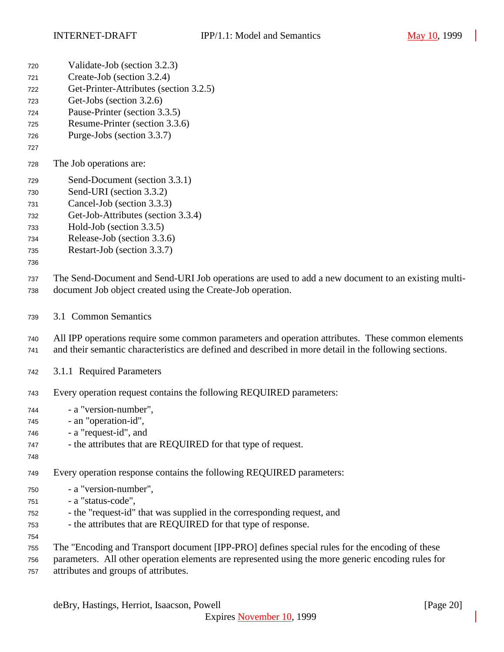- Validate-Job (section 3.2.3)
- Create-Job (section 3.2.4)
- Get-Printer-Attributes (section 3.2.5)
- Get-Jobs (section 3.2.6)
- Pause-Printer (section 3.3.5)
- Resume-Printer (section 3.3.6)
- Purge-Jobs (section 3.3.7)
- 
- The Job operations are:
- Send-Document (section 3.3.1)
- Send-URI (section 3.3.2)
- Cancel-Job (section 3.3.3)
- Get-Job-Attributes (section 3.3.4)
- Hold-Job (section 3.3.5)
- Release-Job (section 3.3.6)
- Restart-Job (section 3.3.7)
- 

 The Send-Document and Send-URI Job operations are used to add a new document to an existing multi-document Job object created using the Create-Job operation.

3.1 Common Semantics

 All IPP operations require some common parameters and operation attributes. These common elements and their semantic characteristics are defined and described in more detail in the following sections.

- 3.1.1 Required Parameters
- Every operation request contains the following REQUIRED parameters:
- a "version-number", - an "operation-id",
- a "request-id", and
- the attributes that are REQUIRED for that type of request.
- 

Every operation response contains the following REQUIRED parameters:

- a "version-number",
- a "status-code",
- the "request-id" that was supplied in the corresponding request, and
- the attributes that are REQUIRED for that type of response.
- 
- The "Encoding and Transport document [IPP-PRO] defines special rules for the encoding of these
- parameters. All other operation elements are represented using the more generic encoding rules for attributes and groups of attributes.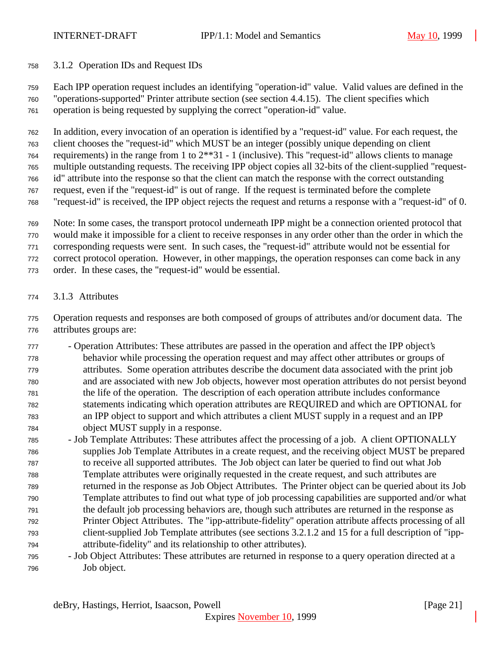3.1.2 Operation IDs and Request IDs

 Each IPP operation request includes an identifying "operation-id" value. Valid values are defined in the "operations-supported" Printer attribute section (see section 4.4.15). The client specifies which

operation is being requested by supplying the correct "operation-id" value.

 In addition, every invocation of an operation is identified by a "request-id" value. For each request, the client chooses the "request-id" which MUST be an integer (possibly unique depending on client requirements) in the range from 1 to 2\*\*31 - 1 (inclusive). This "request-id" allows clients to manage multiple outstanding requests. The receiving IPP object copies all 32-bits of the client-supplied "request- id" attribute into the response so that the client can match the response with the correct outstanding request, even if the "request-id" is out of range. If the request is terminated before the complete

- "request-id" is received, the IPP object rejects the request and returns a response with a "request-id" of 0.
- Note: In some cases, the transport protocol underneath IPP might be a connection oriented protocol that
- would make it impossible for a client to receive responses in any order other than the order in which the

corresponding requests were sent. In such cases, the "request-id" attribute would not be essential for

correct protocol operation. However, in other mappings, the operation responses can come back in any

- order. In these cases, the "request-id" would be essential.
- 3.1.3 Attributes

 Operation requests and responses are both composed of groups of attributes and/or document data. The attributes groups are:

- Operation Attributes: These attributes are passed in the operation and affect the IPP object's behavior while processing the operation request and may affect other attributes or groups of attributes. Some operation attributes describe the document data associated with the print job and are associated with new Job objects, however most operation attributes do not persist beyond the life of the operation. The description of each operation attribute includes conformance statements indicating which operation attributes are REQUIRED and which are OPTIONAL for an IPP object to support and which attributes a client MUST supply in a request and an IPP object MUST supply in a response.
- Job Template Attributes: These attributes affect the processing of a job. A client OPTIONALLY supplies Job Template Attributes in a create request, and the receiving object MUST be prepared to receive all supported attributes. The Job object can later be queried to find out what Job Template attributes were originally requested in the create request, and such attributes are returned in the response as Job Object Attributes. The Printer object can be queried about its Job Template attributes to find out what type of job processing capabilities are supported and/or what the default job processing behaviors are, though such attributes are returned in the response as Printer Object Attributes. The "ipp-attribute-fidelity" operation attribute affects processing of all client-supplied Job Template attributes (see sections 3.2.1.2 and 15 for a full description of "ipp-attribute-fidelity" and its relationship to other attributes).
- Job Object Attributes: These attributes are returned in response to a query operation directed at a Job object.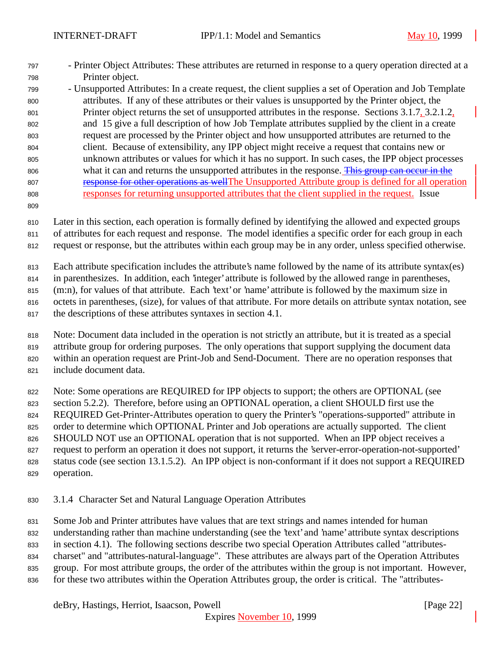- Printer Object Attributes: These attributes are returned in response to a query operation directed at a Printer object.
- Unsupported Attributes: In a create request, the client supplies a set of Operation and Job Template attributes. If any of these attributes or their values is unsupported by the Printer object, the Printer object returns the set of unsupported attributes in the response. Sections 3.1.7, 3.2.1.2, and 15 give a full description of how Job Template attributes supplied by the client in a create request are processed by the Printer object and how unsupported attributes are returned to the client. Because of extensibility, any IPP object might receive a request that contains new or unknown attributes or values for which it has no support. In such cases, the IPP object processes 806 what it can and returns the unsupported attributes in the response. This group can occur in the response for other operations as wellThe Unsupported Attribute group is defined for all operation responses for returning unsupported attributes that the client supplied in the request. Issue
- 

 Later in this section, each operation is formally defined by identifying the allowed and expected groups of attributes for each request and response. The model identifies a specific order for each group in each

request or response, but the attributes within each group may be in any order, unless specified otherwise.

Each attribute specification includes the attribute's name followed by the name of its attribute syntax(es)

in parenthesizes. In addition, each 'integer' attribute is followed by the allowed range in parentheses,

815 (m:n), for values of that attribute. Each 'text' or 'name' attribute is followed by the maximum size in

octets in parentheses, (size), for values of that attribute. For more details on attribute syntax notation, see

the descriptions of these attributes syntaxes in section 4.1.

 Note: Document data included in the operation is not strictly an attribute, but it is treated as a special attribute group for ordering purposes. The only operations that support supplying the document data within an operation request are Print-Job and Send-Document. There are no operation responses that include document data.

822 Note: Some operations are REQUIRED for IPP objects to support; the others are OPTIONAL (see

section 5.2.2). Therefore, before using an OPTIONAL operation, a client SHOULD first use the

REQUIRED Get-Printer-Attributes operation to query the Printer's "operations-supported" attribute in

825 order to determine which OPTIONAL Printer and Job operations are actually supported. The client

826 SHOULD NOT use an OPTIONAL operation that is not supported. When an IPP object receives a

request to perform an operation it does not support, it returns the 'server-error-operation-not-supported'

- status code (see section 13.1.5.2). An IPP object is non-conformant if it does not support a REQUIRED operation.
- 3.1.4 Character Set and Natural Language Operation Attributes

Some Job and Printer attributes have values that are text strings and names intended for human

understanding rather than machine understanding (see the 'text' and 'name' attribute syntax descriptions

in section 4.1). The following sections describe two special Operation Attributes called "attributes-

charset" and "attributes-natural-language". These attributes are always part of the Operation Attributes

- group. For most attribute groups, the order of the attributes within the group is not important. However,
- 836 for these two attributes within the Operation Attributes group, the order is critical. The "attributes-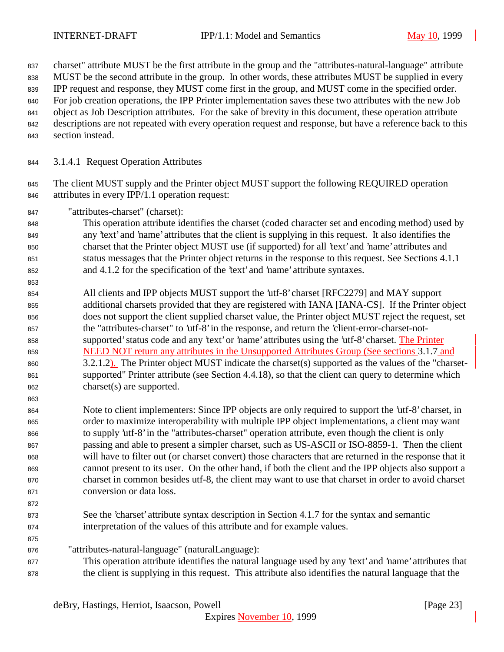charset" attribute MUST be the first attribute in the group and the "attributes-natural-language" attribute

- MUST be the second attribute in the group. In other words, these attributes MUST be supplied in every
- IPP request and response, they MUST come first in the group, and MUST come in the specified order.
- For job creation operations, the IPP Printer implementation saves these two attributes with the new Job
- object as Job Description attributes. For the sake of brevity in this document, these operation attribute descriptions are not repeated with every operation request and response, but have a reference back to this
- 
- section instead.
- 3.1.4.1 Request Operation Attributes
- 845 The client MUST supply and the Printer object MUST support the following REQUIRED operation attributes in every IPP/1.1 operation request:
- "attributes-charset" (charset):
- This operation attribute identifies the charset (coded character set and encoding method) used by any 'text' and 'name' attributes that the client is supplying in this request. It also identifies the charset that the Printer object MUST use (if supported) for all 'text' and 'name' attributes and status messages that the Printer object returns in the response to this request. See Sections 4.1.1 and 4.1.2 for the specification of the 'text' and 'name' attribute syntaxes.
- All clients and IPP objects MUST support the 'utf-8' charset [RFC2279] and MAY support additional charsets provided that they are registered with IANA [IANA-CS]. If the Printer object does not support the client supplied charset value, the Printer object MUST reject the request, set the "attributes-charset" to 'utf-8' in the response, and return the 'client-error-charset-not- supported' status code and any 'text' or 'name' attributes using the 'utf-8' charset. The Printer NEED NOT return any attributes in the Unsupported Attributes Group (See sections 3.1.7 and 3.2.1.2). The Printer object MUST indicate the charset(s) supported as the values of the "charset- supported" Printer attribute (see Section 4.4.18), so that the client can query to determine which charset(s) are supported.
- 

- Note to client implementers: Since IPP objects are only required to support the 'utf-8' charset, in order to maximize interoperability with multiple IPP object implementations, a client may want to supply 'utf-8' in the "attributes-charset" operation attribute, even though the client is only passing and able to present a simpler charset, such as US-ASCII or ISO-8859-1. Then the client will have to filter out (or charset convert) those characters that are returned in the response that it cannot present to its user. On the other hand, if both the client and the IPP objects also support a charset in common besides utf-8, the client may want to use that charset in order to avoid charset conversion or data loss.
- 

- See the 'charset' attribute syntax description in Section 4.1.7 for the syntax and semantic interpretation of the values of this attribute and for example values.
- "attributes-natural-language" (naturalLanguage):
- This operation attribute identifies the natural language used by any 'text' and 'name' attributes that the client is supplying in this request. This attribute also identifies the natural language that the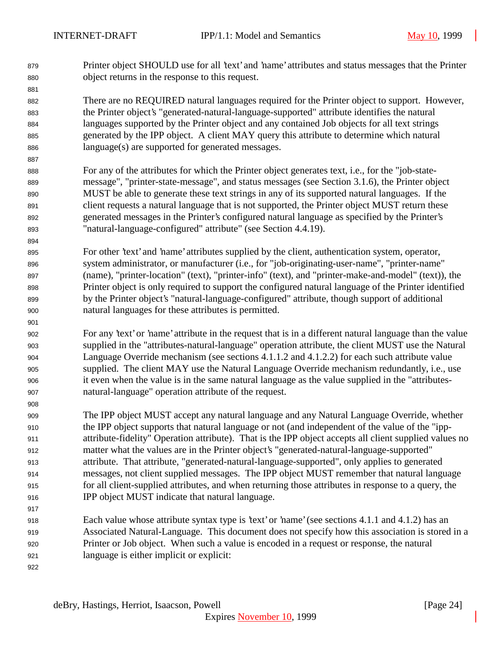Printer object SHOULD use for all 'text' and 'name' attributes and status messages that the Printer object returns in the response to this request.

 There are no REQUIRED natural languages required for the Printer object to support. However, the Printer object's "generated-natural-language-supported" attribute identifies the natural languages supported by the Printer object and any contained Job objects for all text strings generated by the IPP object. A client MAY query this attribute to determine which natural language(s) are supported for generated messages.

 For any of the attributes for which the Printer object generates text, i.e., for the "job-state- message", "printer-state-message", and status messages (see Section 3.1.6), the Printer object MUST be able to generate these text strings in any of its supported natural languages. If the client requests a natural language that is not supported, the Printer object MUST return these generated messages in the Printer's configured natural language as specified by the Printer's "natural-language-configured" attribute" (see Section 4.4.19).

 For other 'text' and 'name' attributes supplied by the client, authentication system, operator, system administrator, or manufacturer (i.e., for "job-originating-user-name", "printer-name" (name), "printer-location" (text), "printer-info" (text), and "printer-make-and-model" (text)), the Printer object is only required to support the configured natural language of the Printer identified by the Printer object's "natural-language-configured" attribute, though support of additional natural languages for these attributes is permitted.

 For any 'text' or 'name' attribute in the request that is in a different natural language than the value supplied in the "attributes-natural-language" operation attribute, the client MUST use the Natural Language Override mechanism (see sections 4.1.1.2 and 4.1.2.2) for each such attribute value supplied. The client MAY use the Natural Language Override mechanism redundantly, i.e., use it even when the value is in the same natural language as the value supplied in the "attributes-natural-language" operation attribute of the request.

 The IPP object MUST accept any natural language and any Natural Language Override, whether the IPP object supports that natural language or not (and independent of the value of the "ipp- attribute-fidelity" Operation attribute). That is the IPP object accepts all client supplied values no matter what the values are in the Printer object's "generated-natural-language-supported" attribute. That attribute, "generated-natural-language-supported", only applies to generated messages, not client supplied messages. The IPP object MUST remember that natural language for all client-supplied attributes, and when returning those attributes in response to a query, the IPP object MUST indicate that natural language.

 Each value whose attribute syntax type is 'text' or 'name' (see sections 4.1.1 and 4.1.2) has an Associated Natural-Language. This document does not specify how this association is stored in a Printer or Job object. When such a value is encoded in a request or response, the natural language is either implicit or explicit: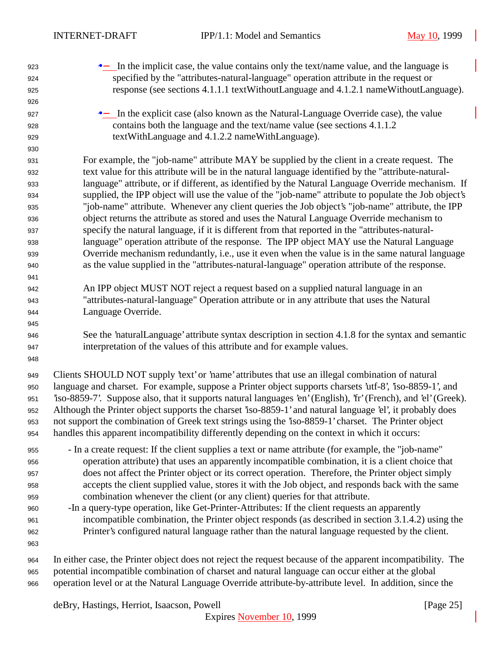•− In the implicit case, the value contains only the text/name value, and the language is specified by the "attributes-natural-language" operation attribute in the request or response (see sections 4.1.1.1 textWithoutLanguage and 4.1.2.1 nameWithoutLanguage). **•** In the explicit case (also known as the Natural-Language Override case), the value contains both the language and the text/name value (see sections 4.1.1.2 textWithLanguage and 4.1.2.2 nameWithLanguage). For example, the "job-name" attribute MAY be supplied by the client in a create request. The text value for this attribute will be in the natural language identified by the "attribute-natural- language" attribute, or if different, as identified by the Natural Language Override mechanism. If supplied, the IPP object will use the value of the "job-name" attribute to populate the Job object's "job-name" attribute. Whenever any client queries the Job object's "job-name" attribute, the IPP object returns the attribute as stored and uses the Natural Language Override mechanism to specify the natural language, if it is different from that reported in the "attributes-natural- language" operation attribute of the response. The IPP object MAY use the Natural Language Override mechanism redundantly, i.e., use it even when the value is in the same natural language as the value supplied in the "attributes-natural-language" operation attribute of the response. An IPP object MUST NOT reject a request based on a supplied natural language in an "attributes-natural-language" Operation attribute or in any attribute that uses the Natural Language Override. See the 'naturalLanguage' attribute syntax description in section 4.1.8 for the syntax and semantic interpretation of the values of this attribute and for example values. Clients SHOULD NOT supply 'text' or 'name' attributes that use an illegal combination of natural language and charset. For example, suppose a Printer object supports charsets 'utf-8', 'iso-8859-1', and 'iso-8859-7'. Suppose also, that it supports natural languages 'en' (English), 'fr' (French), and 'el' (Greek). Although the Printer object supports the charset 'iso-8859-1' and natural language 'el', it probably does not support the combination of Greek text strings using the 'iso-8859-1' charset. The Printer object handles this apparent incompatibility differently depending on the context in which it occurs: - In a create request: If the client supplies a text or name attribute (for example, the "job-name" operation attribute) that uses an apparently incompatible combination, it is a client choice that does not affect the Printer object or its correct operation. Therefore, the Printer object simply accepts the client supplied value, stores it with the Job object, and responds back with the same combination whenever the client (or any client) queries for that attribute. -In a query-type operation, like Get-Printer-Attributes: If the client requests an apparently incompatible combination, the Printer object responds (as described in section 3.1.4.2) using the Printer's configured natural language rather than the natural language requested by the client. In either case, the Printer object does not reject the request because of the apparent incompatibility. The potential incompatible combination of charset and natural language can occur either at the global operation level or at the Natural Language Override attribute-by-attribute level. In addition, since the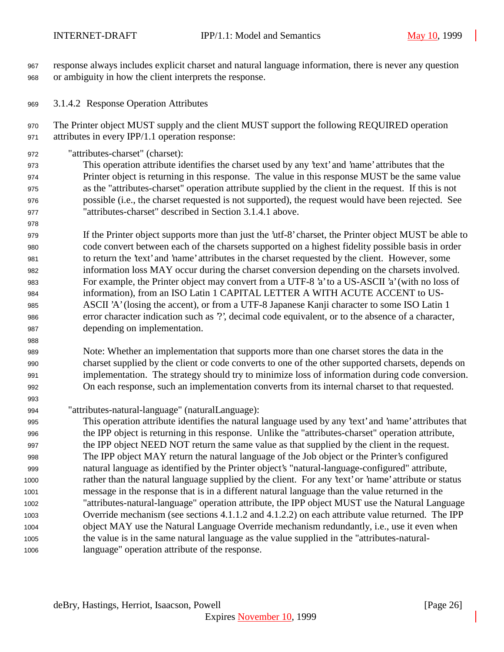response always includes explicit charset and natural language information, there is never any question or ambiguity in how the client interprets the response.

3.1.4.2 Response Operation Attributes

 The Printer object MUST supply and the client MUST support the following REQUIRED operation attributes in every IPP/1.1 operation response:

"attributes-charset" (charset):

 This operation attribute identifies the charset used by any 'text' and 'name' attributes that the Printer object is returning in this response. The value in this response MUST be the same value as the "attributes-charset" operation attribute supplied by the client in the request. If this is not possible (i.e., the charset requested is not supported), the request would have been rejected. See "attributes-charset" described in Section 3.1.4.1 above.

 If the Printer object supports more than just the 'utf-8' charset, the Printer object MUST be able to code convert between each of the charsets supported on a highest fidelity possible basis in order to return the 'text' and 'name' attributes in the charset requested by the client. However, some information loss MAY occur during the charset conversion depending on the charsets involved. For example, the Printer object may convert from a UTF-8 'a' to a US-ASCII 'a' (with no loss of information), from an ISO Latin 1 CAPITAL LETTER A WITH ACUTE ACCENT to US- ASCII 'A' (losing the accent), or from a UTF-8 Japanese Kanji character to some ISO Latin 1 error character indication such as '?', decimal code equivalent, or to the absence of a character, depending on implementation.

 Note: Whether an implementation that supports more than one charset stores the data in the charset supplied by the client or code converts to one of the other supported charsets, depends on implementation. The strategy should try to minimize loss of information during code conversion. On each response, such an implementation converts from its internal charset to that requested.

"attributes-natural-language" (naturalLanguage):

 This operation attribute identifies the natural language used by any 'text' and 'name' attributes that the IPP object is returning in this response. Unlike the "attributes-charset" operation attribute, the IPP object NEED NOT return the same value as that supplied by the client in the request. The IPP object MAY return the natural language of the Job object or the Printer's configured natural language as identified by the Printer object's "natural-language-configured" attribute, rather than the natural language supplied by the client. For any 'text' or 'name' attribute or status message in the response that is in a different natural language than the value returned in the "attributes-natural-language" operation attribute, the IPP object MUST use the Natural Language Override mechanism (see sections 4.1.1.2 and 4.1.2.2) on each attribute value returned. The IPP object MAY use the Natural Language Override mechanism redundantly, i.e., use it even when the value is in the same natural language as the value supplied in the "attributes-natural-language" operation attribute of the response.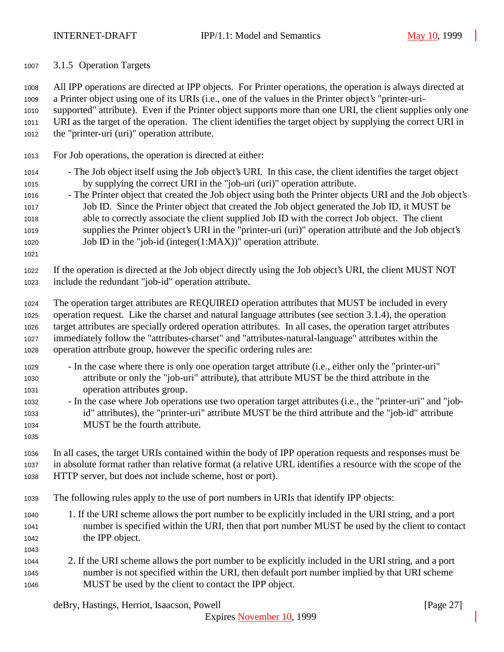3.1.5 Operation Targets

 All IPP operations are directed at IPP objects. For Printer operations, the operation is always directed at a Printer object using one of its URIs (i.e., one of the values in the Printer object's "printer-uri- supported" attribute). Even if the Printer object supports more than one URI, the client supplies only one URI as the target of the operation. The client identifies the target object by supplying the correct URI in the "printer-uri (uri)" operation attribute.

- For Job operations, the operation is directed at either:
- The Job object itself using the Job object's URI. In this case, the client identifies the target object by supplying the correct URI in the "job-uri (uri)" operation attribute.
- The Printer object that created the Job object using both the Printer objects URI and the Job object's Job ID. Since the Printer object that created the Job object generated the Job ID, it MUST be able to correctly associate the client supplied Job ID with the correct Job object. The client supplies the Printer object's URI in the "printer-uri (uri)" operation attribute and the Job object's Job ID in the "job-id (integer(1:MAX))" operation attribute.
- 

 If the operation is directed at the Job object directly using the Job object's URI, the client MUST NOT include the redundant "job-id" operation attribute.

- The operation target attributes are REQUIRED operation attributes that MUST be included in every operation request. Like the charset and natural language attributes (see section 3.1.4), the operation target attributes are specially ordered operation attributes. In all cases, the operation target attributes immediately follow the "attributes-charset" and "attributes-natural-language" attributes within the operation attribute group, however the specific ordering rules are:
- In the case where there is only one operation target attribute (i.e., either only the "printer-uri" attribute or only the "job-uri" attribute), that attribute MUST be the third attribute in the operation attributes group.
- In the case where Job operations use two operation target attributes (i.e., the "printer-uri" and "job- id" attributes), the "printer-uri" attribute MUST be the third attribute and the "job-id" attribute MUST be the fourth attribute.
- 

 In all cases, the target URIs contained within the body of IPP operation requests and responses must be in absolute format rather than relative format (a relative URL identifies a resource with the scope of the HTTP server, but does not include scheme, host or port).

- The following rules apply to the use of port numbers in URIs that identify IPP objects:
- 1. If the URI scheme allows the port number to be explicitly included in the URI string, and a port number is specified within the URI, then that port number MUST be used by the client to contact the IPP object.
- 
- 2. If the URI scheme allows the port number to be explicitly included in the URI string, and a port number is not specified within the URI, then default port number implied by that URI scheme MUST be used by the client to contact the IPP object.

deBry, Hastings, Herriot, Isaacson, Powell [Page 27]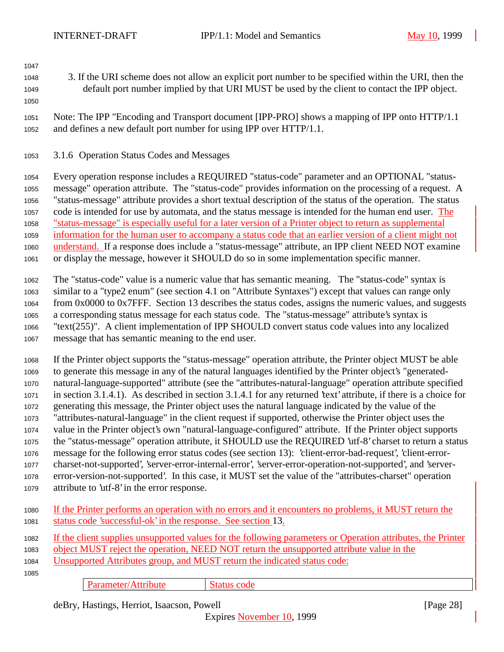- 
- 3. If the URI scheme does not allow an explicit port number to be specified within the URI, then the default port number implied by that URI MUST be used by the client to contact the IPP object.
- 

 Note: The IPP "Encoding and Transport document [IPP-PRO] shows a mapping of IPP onto HTTP/1.1 and defines a new default port number for using IPP over HTTP/1.1.

3.1.6 Operation Status Codes and Messages

 Every operation response includes a REQUIRED "status-code" parameter and an OPTIONAL "status- message" operation attribute. The "status-code" provides information on the processing of a request. A "status-message" attribute provides a short textual description of the status of the operation. The status code is intended for use by automata, and the status message is intended for the human end user. The "status-message" is especially useful for a later version of a Printer object to return as supplemental information for the human user to accompany a status code that an earlier version of a client might not understand. If a response does include a "status-message" attribute, an IPP client NEED NOT examine or display the message, however it SHOULD do so in some implementation specific manner.

 The "status-code" value is a numeric value that has semantic meaning. The "status-code" syntax is similar to a "type2 enum" (see section 4.1 on "Attribute Syntaxes") except that values can range only from 0x0000 to 0x7FFF. Section 13 describes the status codes, assigns the numeric values, and suggests a corresponding status message for each status code. The "status-message" attribute's syntax is "text(255)". A client implementation of IPP SHOULD convert status code values into any localized message that has semantic meaning to the end user.

 If the Printer object supports the "status-message" operation attribute, the Printer object MUST be able to generate this message in any of the natural languages identified by the Printer object's "generated- natural-language-supported" attribute (see the "attributes-natural-language" operation attribute specified in section 3.1.4.1). As described in section 3.1.4.1 for any returned 'text' attribute, if there is a choice for generating this message, the Printer object uses the natural language indicated by the value of the "attributes-natural-language" in the client request if supported, otherwise the Printer object uses the value in the Printer object's own "natural-language-configured" attribute. If the Printer object supports the "status-message" operation attribute, it SHOULD use the REQUIRED 'utf-8' charset to return a status message for the following error status codes (see section 13): 'client-error-bad-request', 'client-error- charset-not-supported', 'server-error-internal-error', 'server-error-operation-not-supported', and 'server- error-version-not-supported'. In this case, it MUST set the value of the "attributes-charset" operation attribute to 'utf-8' in the error response.

| 1080 If the Printer performs an operation with no errors and it encounters no problems, it MUST return the |
|------------------------------------------------------------------------------------------------------------|
| 1081 status code 'successful-ok' in the response. See section 13.                                          |

 If the client supplies unsupported values for the following parameters or Operation attributes, the Printer object MUST reject the operation, NEED NOT return the unsupported attribute value in the Unsupported Attributes group, and MUST return the indicated status code: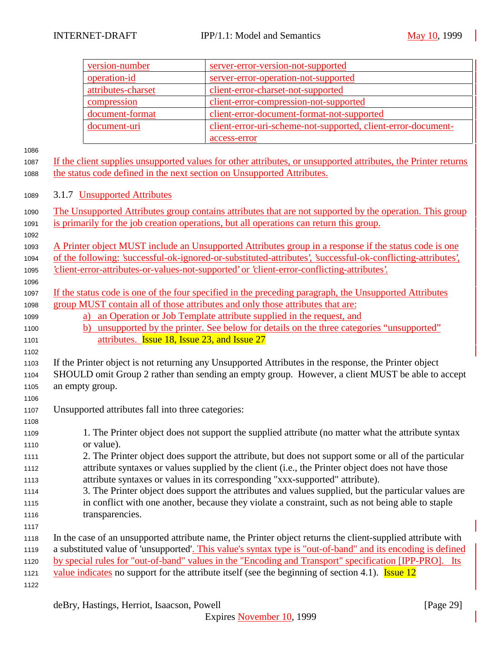|              | version-number                                                                                                                                                                                                        | server-error-version-not-supported                                                                             |  |
|--------------|-----------------------------------------------------------------------------------------------------------------------------------------------------------------------------------------------------------------------|----------------------------------------------------------------------------------------------------------------|--|
|              | operation-id                                                                                                                                                                                                          | server-error-operation-not-supported                                                                           |  |
|              | attributes-charset                                                                                                                                                                                                    | client-error-charset-not-supported                                                                             |  |
|              | compression                                                                                                                                                                                                           | client-error-compression-not-supported                                                                         |  |
|              | document-format                                                                                                                                                                                                       | client-error-document-format-not-supported                                                                     |  |
|              | document-uri                                                                                                                                                                                                          | client-error-uri-scheme-not-supported, client-error-document-                                                  |  |
|              |                                                                                                                                                                                                                       | access-error                                                                                                   |  |
| 1086         |                                                                                                                                                                                                                       |                                                                                                                |  |
| 1087         |                                                                                                                                                                                                                       | If the client supplies unsupported values for other attributes, or unsupported attributes, the Printer returns |  |
| 1088         | the status code defined in the next section on Unsupported Attributes.                                                                                                                                                |                                                                                                                |  |
|              |                                                                                                                                                                                                                       |                                                                                                                |  |
| 1089         | 3.1.7 Unsupported Attributes                                                                                                                                                                                          |                                                                                                                |  |
| 1090         |                                                                                                                                                                                                                       | The Unsupported Attributes group contains attributes that are not supported by the operation. This group       |  |
| 1091         |                                                                                                                                                                                                                       | is primarily for the job creation operations, but all operations can return this group.                        |  |
| 1092         |                                                                                                                                                                                                                       |                                                                                                                |  |
| 1093         |                                                                                                                                                                                                                       | A Printer object MUST include an Unsupported Attributes group in a response if the status code is one          |  |
| 1094         |                                                                                                                                                                                                                       | of the following: 'successful-ok-ignored-or-substituted-attributes', 'successful-ok-conflicting-attributes',   |  |
| 1095         |                                                                                                                                                                                                                       | 'client-error-attributes-or-values-not-supported' or 'client-error-conflicting-attributes'.                    |  |
| 1096         |                                                                                                                                                                                                                       | If the status code is one of the four specified in the preceding paragraph, the Unsupported Attributes         |  |
| 1097         |                                                                                                                                                                                                                       | group MUST contain all of those attributes and only those attributes that are:                                 |  |
| 1098<br>1099 | a)                                                                                                                                                                                                                    | an Operation or Job Template attribute supplied in the request, and                                            |  |
| 1100         | b)                                                                                                                                                                                                                    | unsupported by the printer. See below for details on the three categories "unsupported"                        |  |
| 1101         | attributes. <b>Issue 18, Issue 23, and Issue 27</b>                                                                                                                                                                   |                                                                                                                |  |
| 1102         |                                                                                                                                                                                                                       |                                                                                                                |  |
| 1103         |                                                                                                                                                                                                                       | If the Printer object is not returning any Unsupported Attributes in the response, the Printer object          |  |
| 1104         |                                                                                                                                                                                                                       | SHOULD omit Group 2 rather than sending an empty group. However, a client MUST be able to accept               |  |
| 1105         | an empty group.                                                                                                                                                                                                       |                                                                                                                |  |
| 1106         |                                                                                                                                                                                                                       |                                                                                                                |  |
| 1107         | Unsupported attributes fall into three categories:                                                                                                                                                                    |                                                                                                                |  |
| 1108         |                                                                                                                                                                                                                       |                                                                                                                |  |
| 1109         |                                                                                                                                                                                                                       | 1. The Printer object does not support the supplied attribute (no matter what the attribute syntax             |  |
| 1110         | or value).                                                                                                                                                                                                            |                                                                                                                |  |
| 1111         |                                                                                                                                                                                                                       | 2. The Printer object does support the attribute, but does not support some or all of the particular           |  |
| 1112         |                                                                                                                                                                                                                       | attribute syntaxes or values supplied by the client (i.e., the Printer object does not have those              |  |
| 1113         | attribute syntaxes or values in its corresponding "xxx-supported" attribute).                                                                                                                                         |                                                                                                                |  |
| 1114         | 3. The Printer object does support the attributes and values supplied, but the particular values are                                                                                                                  |                                                                                                                |  |
| 1115         |                                                                                                                                                                                                                       | in conflict with one another, because they violate a constraint, such as not being able to staple              |  |
| 1116         | transparencies.                                                                                                                                                                                                       |                                                                                                                |  |
| 1117         |                                                                                                                                                                                                                       |                                                                                                                |  |
| 1118         | In the case of an unsupported attribute name, the Printer object returns the client-supplied attribute with                                                                                                           |                                                                                                                |  |
| 1119         | a substituted value of 'unsupported'. This value's syntax type is "out-of-band" and its encoding is defined<br>by special rules for "out-of-band" values in the "Encoding and Transport" specification [IPP-PRO]. Its |                                                                                                                |  |
| 1120         |                                                                                                                                                                                                                       |                                                                                                                |  |
| 1121<br>1122 | value indicates no support for the attribute itself (see the beginning of section 4.1). <b>Issue 12</b>                                                                                                               |                                                                                                                |  |
|              |                                                                                                                                                                                                                       |                                                                                                                |  |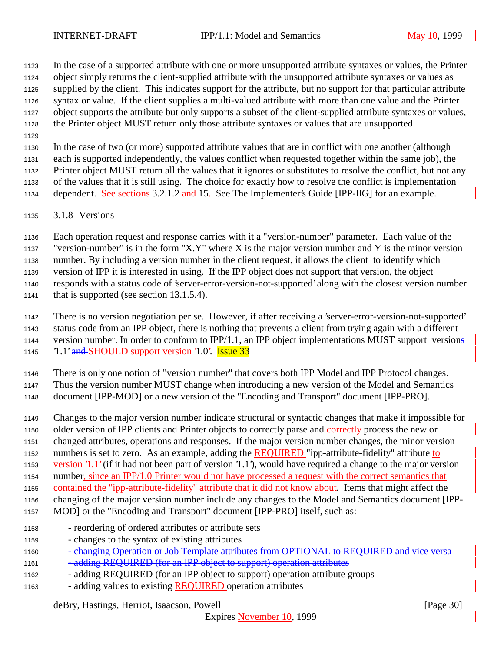In the case of a supported attribute with one or more unsupported attribute syntaxes or values, the Printer object simply returns the client-supplied attribute with the unsupported attribute syntaxes or values as supplied by the client. This indicates support for the attribute, but no support for that particular attribute syntax or value. If the client supplies a multi-valued attribute with more than one value and the Printer object supports the attribute but only supports a subset of the client-supplied attribute syntaxes or values, the Printer object MUST return only those attribute syntaxes or values that are unsupported.

 In the case of two (or more) supported attribute values that are in conflict with one another (although each is supported independently, the values conflict when requested together within the same job), the Printer object MUST return all the values that it ignores or substitutes to resolve the conflict, but not any of the values that it is still using. The choice for exactly how to resolve the conflict is implementation

dependent. See sections 3.2.1.2 and 15. See The Implementer's Guide [IPP-IIG] for an example.

3.1.8 Versions

 Each operation request and response carries with it a "version-number" parameter. Each value of the "version-number" is in the form "X.Y" where X is the major version number and Y is the minor version number. By including a version number in the client request, it allows the client to identify which version of IPP it is interested in using. If the IPP object does not support that version, the object responds with a status code of 'server-error-version-not-supported' along with the closest version number

that is supported (see section 13.1.5.4).

 There is no version negotiation per se. However, if after receiving a 'server-error-version-not-supported' status code from an IPP object, there is nothing that prevents a client from trying again with a different version number. In order to conform to IPP/1.1, an IPP object implementations MUST support versions  $\text{1.1'}$  and SHOULD support version  $\text{1.0'}$ . Issue 33

There is only one notion of "version number" that covers both IPP Model and IPP Protocol changes.

Thus the version number MUST change when introducing a new version of the Model and Semantics

document [IPP-MOD] or a new version of the "Encoding and Transport" document [IPP-PRO].

Changes to the major version number indicate structural or syntactic changes that make it impossible for

older version of IPP clients and Printer objects to correctly parse and correctly process the new or

changed attributes, operations and responses. If the major version number changes, the minor version

numbers is set to zero. As an example, adding the REQUIRED "ipp-attribute-fidelity" attribute to

version '1.1' (if it had not been part of version '1.1'), would have required a change to the major version

number, since an IPP/1.0 Printer would not have processed a request with the correct semantics that

contained the "ipp-attribute-fidelity" attribute that it did not know about. Items that might affect the

changing of the major version number include any changes to the Model and Semantics document [IPP-

- MOD] or the "Encoding and Transport" document [IPP-PRO] itself, such as:
- reordering of ordered attributes or attribute sets
- changes to the syntax of existing attributes
- 1160 changing Operation or Job Template attributes from OPTIONAL to REQUIRED and vice versa
- 1161 adding REQUIRED (for an IPP object to support) operation attributes
- adding REQUIRED (for an IPP object to support) operation attribute groups
- adding values to existing REQUIRED operation attributes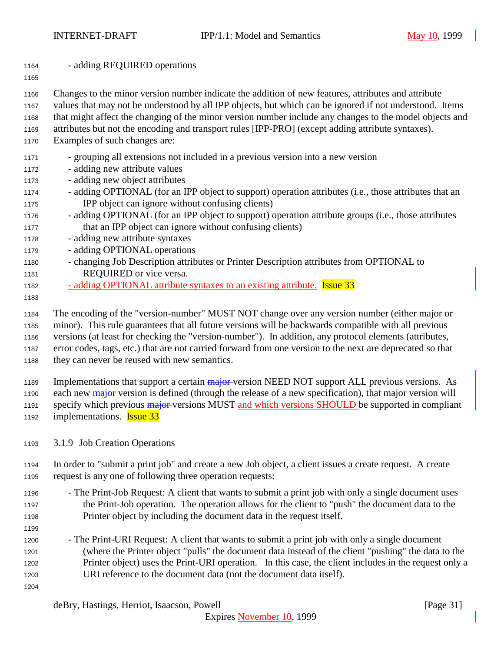- adding REQUIRED operations
- 

Changes to the minor version number indicate the addition of new features, attributes and attribute

- values that may not be understood by all IPP objects, but which can be ignored if not understood. Items
- that might affect the changing of the minor version number include any changes to the model objects and
- attributes but not the encoding and transport rules [IPP-PRO] (except adding attribute syntaxes).
- Examples of such changes are:
- grouping all extensions not included in a previous version into a new version
- adding new attribute values
- adding new object attributes
- adding OPTIONAL (for an IPP object to support) operation attributes (i.e., those attributes that an IPP object can ignore without confusing clients)
- adding OPTIONAL (for an IPP object to support) operation attribute groups (i.e., those attributes that an IPP object can ignore without confusing clients)
- adding new attribute syntaxes
- adding OPTIONAL operations
- changing Job Description attributes or Printer Description attributes from OPTIONAL to REQUIRED or vice versa.
- <sup>-</sup> adding OPTIONAL attribute syntaxes to an existing attribute. **Issue 33**
- 

The encoding of the "version-number" MUST NOT change over any version number (either major or

minor). This rule guarantees that all future versions will be backwards compatible with all previous

versions (at least for checking the "version-number"). In addition, any protocol elements (attributes,

 error codes, tags, etc.) that are not carried forward from one version to the next are deprecated so that they can never be reused with new semantics.

1189 Implementations that support a certain major version NEED NOT support ALL previous versions. As

- 1190 each new major version is defined (through the release of a new specification), that major version will
- 1191 specify which previous major versions MUST and which versions SHOULD be supported in compliant
- 1192 implementations. **Issue 33**
- 3.1.9 Job Creation Operations
- In order to "submit a print job" and create a new Job object, a client issues a create request. A create request is any one of following three operation requests:
- The Print-Job Request: A client that wants to submit a print job with only a single document uses the Print-Job operation. The operation allows for the client to "push" the document data to the Printer object by including the document data in the request itself.
- The Print-URI Request: A client that wants to submit a print job with only a single document (where the Printer object "pulls" the document data instead of the client "pushing" the data to the Printer object) uses the Print-URI operation. In this case, the client includes in the request only a URI reference to the document data (not the document data itself).
-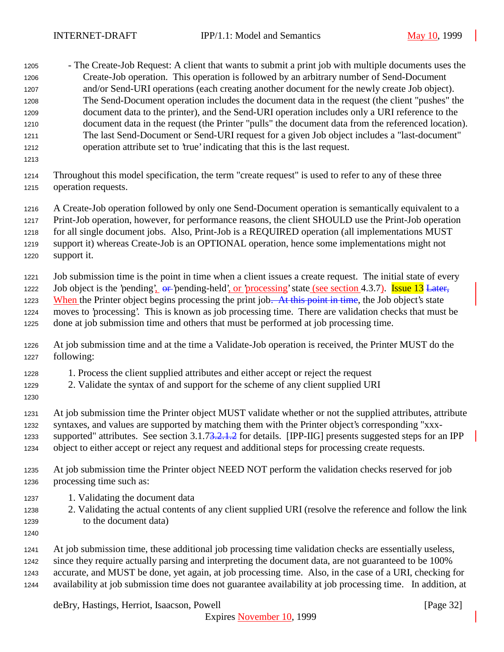| 1205<br>1206<br>1207<br>1208<br>1209<br>1210<br>1211<br>1212<br>1213 | - The Create-Job Request: A client that wants to submit a print job with multiple documents uses the<br>Create-Job operation. This operation is followed by an arbitrary number of Send-Document<br>and/or Send-URI operations (each creating another document for the newly create Job object).<br>The Send-Document operation includes the document data in the request (the client "pushes" the<br>document data to the printer), and the Send-URI operation includes only a URI reference to the<br>document data in the request (the Printer "pulls" the document data from the referenced location).<br>The last Send-Document or Send-URI request for a given Job object includes a "last-document"<br>operation attribute set to 'true' indicating that this is the last request. |
|----------------------------------------------------------------------|-------------------------------------------------------------------------------------------------------------------------------------------------------------------------------------------------------------------------------------------------------------------------------------------------------------------------------------------------------------------------------------------------------------------------------------------------------------------------------------------------------------------------------------------------------------------------------------------------------------------------------------------------------------------------------------------------------------------------------------------------------------------------------------------|
| 1214                                                                 | Throughout this model specification, the term "create request" is used to refer to any of these three                                                                                                                                                                                                                                                                                                                                                                                                                                                                                                                                                                                                                                                                                     |
| 1215                                                                 | operation requests.                                                                                                                                                                                                                                                                                                                                                                                                                                                                                                                                                                                                                                                                                                                                                                       |
| 1216                                                                 | A Create-Job operation followed by only one Send-Document operation is semantically equivalent to a                                                                                                                                                                                                                                                                                                                                                                                                                                                                                                                                                                                                                                                                                       |
| 1217                                                                 | Print-Job operation, however, for performance reasons, the client SHOULD use the Print-Job operation                                                                                                                                                                                                                                                                                                                                                                                                                                                                                                                                                                                                                                                                                      |
| 1218                                                                 | for all single document jobs. Also, Print-Job is a REQUIRED operation (all implementations MUST                                                                                                                                                                                                                                                                                                                                                                                                                                                                                                                                                                                                                                                                                           |
| 1219                                                                 | support it) whereas Create-Job is an OPTIONAL operation, hence some implementations might not                                                                                                                                                                                                                                                                                                                                                                                                                                                                                                                                                                                                                                                                                             |
| 1220                                                                 | support it.                                                                                                                                                                                                                                                                                                                                                                                                                                                                                                                                                                                                                                                                                                                                                                               |
| 1221                                                                 | Job submission time is the point in time when a client issues a create request. The initial state of every                                                                                                                                                                                                                                                                                                                                                                                                                                                                                                                                                                                                                                                                                |
| 1222                                                                 | Job object is the 'pending'. or 'pending-held', or 'processing' state (see section 4.3.7). Issue 13 Later,                                                                                                                                                                                                                                                                                                                                                                                                                                                                                                                                                                                                                                                                                |
| 1223                                                                 | When the Printer object begins processing the print job. At this point in time, the Job object's state                                                                                                                                                                                                                                                                                                                                                                                                                                                                                                                                                                                                                                                                                    |
| 1224                                                                 | moves to 'processing'. This is known as job processing time. There are validation checks that must be                                                                                                                                                                                                                                                                                                                                                                                                                                                                                                                                                                                                                                                                                     |
| 1225                                                                 | done at job submission time and others that must be performed at job processing time.                                                                                                                                                                                                                                                                                                                                                                                                                                                                                                                                                                                                                                                                                                     |
| 1226                                                                 | At job submission time and at the time a Validate-Job operation is received, the Printer MUST do the                                                                                                                                                                                                                                                                                                                                                                                                                                                                                                                                                                                                                                                                                      |
| 1227                                                                 | following:                                                                                                                                                                                                                                                                                                                                                                                                                                                                                                                                                                                                                                                                                                                                                                                |
| 1228<br>1229<br>1230                                                 | 1. Process the client supplied attributes and either accept or reject the request<br>2. Validate the syntax of and support for the scheme of any client supplied URI                                                                                                                                                                                                                                                                                                                                                                                                                                                                                                                                                                                                                      |
| 1231                                                                 | At job submission time the Printer object MUST validate whether or not the supplied attributes, attribute                                                                                                                                                                                                                                                                                                                                                                                                                                                                                                                                                                                                                                                                                 |
| 1232                                                                 | syntaxes, and values are supported by matching them with the Printer object's corresponding "xxx-                                                                                                                                                                                                                                                                                                                                                                                                                                                                                                                                                                                                                                                                                         |
| 1233                                                                 | supported" attributes. See section 3.1.73.2.1.2 for details. [IPP-IIG] presents suggested steps for an IPP                                                                                                                                                                                                                                                                                                                                                                                                                                                                                                                                                                                                                                                                                |
| 1234                                                                 | object to either accept or reject any request and additional steps for processing create requests.                                                                                                                                                                                                                                                                                                                                                                                                                                                                                                                                                                                                                                                                                        |
| 1235                                                                 | At job submission time the Printer object NEED NOT perform the validation checks reserved for job                                                                                                                                                                                                                                                                                                                                                                                                                                                                                                                                                                                                                                                                                         |
| 1236                                                                 | processing time such as:                                                                                                                                                                                                                                                                                                                                                                                                                                                                                                                                                                                                                                                                                                                                                                  |
| 1237<br>1238<br>1239<br>1240                                         | 1. Validating the document data<br>2. Validating the actual contents of any client supplied URI (resolve the reference and follow the link<br>to the document data)                                                                                                                                                                                                                                                                                                                                                                                                                                                                                                                                                                                                                       |
| 1241                                                                 | At job submission time, these additional job processing time validation checks are essentially useless,                                                                                                                                                                                                                                                                                                                                                                                                                                                                                                                                                                                                                                                                                   |
| 1242                                                                 | since they require actually parsing and interpreting the document data, are not guaranteed to be 100%                                                                                                                                                                                                                                                                                                                                                                                                                                                                                                                                                                                                                                                                                     |
| 1243                                                                 | accurate, and MUST be done, yet again, at job processing time. Also, in the case of a URI, checking for                                                                                                                                                                                                                                                                                                                                                                                                                                                                                                                                                                                                                                                                                   |
| 1244                                                                 | availability at job submission time does not guarantee availability at job processing time. In addition, at                                                                                                                                                                                                                                                                                                                                                                                                                                                                                                                                                                                                                                                                               |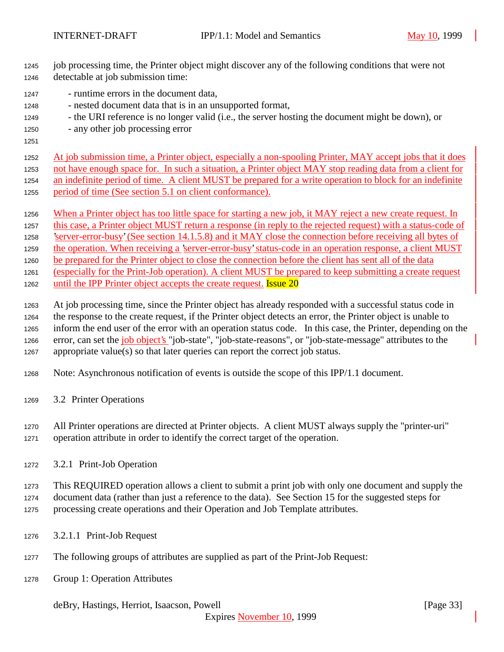- job processing time, the Printer object might discover any of the following conditions that were not detectable at job submission time:
- runtime errors in the document data,
- nested document data that is in an unsupported format,
- the URI reference is no longer valid (i.e., the server hosting the document might be down), or
- any other job processing error
- 

 At job submission time, a Printer object, especially a non-spooling Printer, MAY accept jobs that it does not have enough space for. In such a situation, a Printer object MAY stop reading data from a client for an indefinite period of time. A client MUST be prepared for a write operation to block for an indefinite period of time (See section 5.1 on client conformance).

- When a Printer object has too little space for starting a new job, it MAY reject a new create request. In
- this case, a Printer object MUST return a response (in reply to the rejected request) with a status-code of

 'server-error-busy' (See section 14.1.5.8) and it MAY close the connection before receiving all bytes of the operation. When receiving a 'server-error-busy' status-code in an operation response, a client MUST

be prepared for the Printer object to close the connection before the client has sent all of the data

 (especially for the Print-Job operation). A client MUST be prepared to keep submitting a create request 1262 until the IPP Printer object accepts the create request. **Issue 20** 

 At job processing time, since the Printer object has already responded with a successful status code in the response to the create request, if the Printer object detects an error, the Printer object is unable to inform the end user of the error with an operation status code. In this case, the Printer, depending on the 1266 error, can set the job object's "job-state", "job-state-reasons", or "job-state-message" attributes to the appropriate value(s) so that later queries can report the correct job status.

- Note: Asynchronous notification of events is outside the scope of this IPP/1.1 document.
- 3.2 Printer Operations

 All Printer operations are directed at Printer objects. A client MUST always supply the "printer-uri" operation attribute in order to identify the correct target of the operation.

3.2.1 Print-Job Operation

 This REQUIRED operation allows a client to submit a print job with only one document and supply the document data (rather than just a reference to the data). See Section 15 for the suggested steps for

processing create operations and their Operation and Job Template attributes.

- 3.2.1.1 Print-Job Request
- The following groups of attributes are supplied as part of the Print-Job Request:
- Group 1: Operation Attributes

deBry, Hastings, Herriot, Isaacson, Powell [Page 33]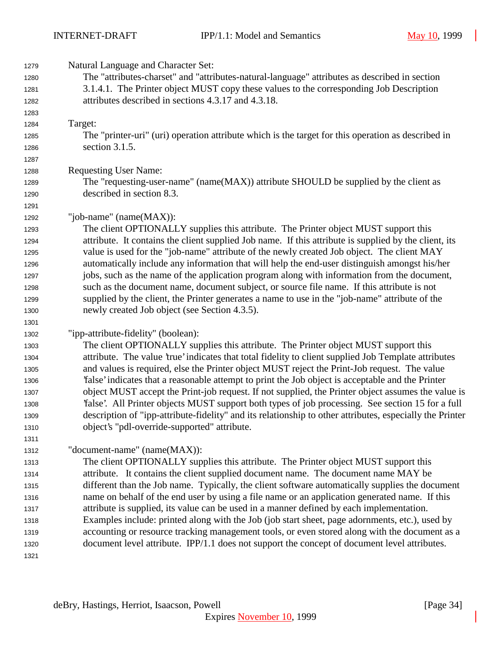| 1279 | Natural Language and Character Set:                                                                      |
|------|----------------------------------------------------------------------------------------------------------|
| 1280 | The "attributes-charset" and "attributes-natural-language" attributes as described in section            |
| 1281 | 3.1.4.1. The Printer object MUST copy these values to the corresponding Job Description                  |
| 1282 | attributes described in sections 4.3.17 and 4.3.18.                                                      |
| 1283 |                                                                                                          |
| 1284 | Target:                                                                                                  |
| 1285 | The "printer-uri" (uri) operation attribute which is the target for this operation as described in       |
| 1286 | section 3.1.5.                                                                                           |
| 1287 |                                                                                                          |
| 1288 | <b>Requesting User Name:</b>                                                                             |
| 1289 | The "requesting-user-name" (name(MAX)) attribute SHOULD be supplied by the client as                     |
| 1290 | described in section 8.3.                                                                                |
| 1291 |                                                                                                          |
| 1292 | "job-name" (name(MAX)):                                                                                  |
| 1293 | The client OPTIONALLY supplies this attribute. The Printer object MUST support this                      |
| 1294 | attribute. It contains the client supplied Job name. If this attribute is supplied by the client, its    |
| 1295 | value is used for the "job-name" attribute of the newly created Job object. The client MAY               |
| 1296 | automatically include any information that will help the end-user distinguish amongst his/her            |
| 1297 | jobs, such as the name of the application program along with information from the document,              |
| 1298 | such as the document name, document subject, or source file name. If this attribute is not               |
| 1299 | supplied by the client, the Printer generates a name to use in the "job-name" attribute of the           |
| 1300 | newly created Job object (see Section 4.3.5).                                                            |
| 1301 |                                                                                                          |
| 1302 | "ipp-attribute-fidelity" (boolean):                                                                      |
| 1303 | The client OPTIONALLY supplies this attribute. The Printer object MUST support this                      |
| 1304 | attribute. The value 'true' indicates that total fidelity to client supplied Job Template attributes     |
| 1305 | and values is required, else the Printer object MUST reject the Print-Job request. The value             |
| 1306 | 'false' indicates that a reasonable attempt to print the Job object is acceptable and the Printer        |
| 1307 | object MUST accept the Print-job request. If not supplied, the Printer object assumes the value is       |
| 1308 | Talse'. All Printer objects MUST support both types of job processing. See section 15 for a full         |
| 1309 | description of "ipp-attribute-fidelity" and its relationship to other attributes, especially the Printer |
| 1310 | object's "pdl-override-supported" attribute.                                                             |
| 1311 |                                                                                                          |
| 1312 | "document-name" (name(MAX)):                                                                             |
| 1313 | The client OPTIONALLY supplies this attribute. The Printer object MUST support this                      |
| 1314 | attribute. It contains the client supplied document name. The document name MAY be                       |
| 1315 | different than the Job name. Typically, the client software automatically supplies the document          |
| 1316 | name on behalf of the end user by using a file name or an application generated name. If this            |
| 1317 | attribute is supplied, its value can be used in a manner defined by each implementation.                 |
| 1318 | Examples include: printed along with the Job (job start sheet, page adornments, etc.), used by           |
| 1319 | accounting or resource tracking management tools, or even stored along with the document as a            |
| 1320 | document level attribute. IPP/1.1 does not support the concept of document level attributes.             |
| 1321 |                                                                                                          |
|      |                                                                                                          |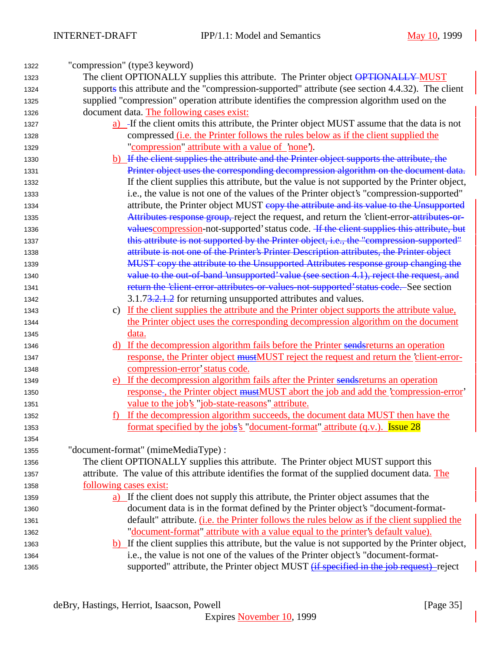| 1322 | "compression" (type3 keyword)                                                                       |
|------|-----------------------------------------------------------------------------------------------------|
| 1323 | The client OPTIONALLY supplies this attribute. The Printer object OPTIONALLY MUST                   |
| 1324 | supports this attribute and the "compression-supported" attribute (see section 4.4.32). The client  |
| 1325 | supplied "compression" operation attribute identifies the compression algorithm used on the         |
| 1326 | document data. The following cases exist:                                                           |
| 1327 | a) -If the client omits this attribute, the Printer object MUST assume that the data is not         |
| 1328 | compressed <i>(i.e. the Printer follows the rules below as if the client supplied the</i>           |
| 1329 | "compression" attribute with a value of 'none').                                                    |
| 1330 | b) If the client supplies the attribute and the Printer object supports the attribute, the          |
| 1331 | Printer object uses the corresponding decompression algorithm on the document data.                 |
| 1332 | If the client supplies this attribute, but the value is not supported by the Printer object,        |
| 1333 | i.e., the value is not one of the values of the Printer object's "compression-supported"            |
| 1334 | attribute, the Printer object MUST copy the attribute and its value to the Unsupported              |
| 1335 | Attributes response group, reject the request, and return the 'client-error-attributes-or-          |
| 1336 | values compression-not-supported' status code. If the client supplies this attribute, but           |
| 1337 | this attribute is not supported by the Printer object, i.e., the "compression-supported"            |
| 1338 | attribute is not one of the Printer's Printer Description attributes, the Printer object            |
| 1339 | MUST copy the attribute to the Unsupported Attributes response group changing the                   |
| 1340 | value to the out-of-band 'unsupported' value (see section 4.1), reject the request, and             |
| 1341 | return the 'client-error-attributes-or-values-not-supported' status code. See section               |
| 1342 | 3.1.73.2.1.2 for returning unsupported attributes and values.                                       |
| 1343 | c) If the client supplies the attribute and the Printer object supports the attribute value,        |
| 1344 | the Printer object uses the corresponding decompression algorithm on the document                   |
| 1345 | data.                                                                                               |
| 1346 | d) If the decompression algorithm fails before the Printer sends returns an operation               |
| 1347 | response, the Printer object mustMUST reject the request and return the 'client-error-              |
| 1348 | compression-error' status code.                                                                     |
| 1349 | If the decompression algorithm fails after the Printer sends returns an operation<br>e)             |
| 1350 | response-, the Printer object mustMUST abort the job and add the 'compression-error'                |
| 1351 | value to the job's "job-state-reasons" attribute.                                                   |
| 1352 | If the decompression algorithm succeeds, the document data MUST then have the                       |
| 1353 | <u>format specified by the jobs's "document-format" attribute (q.v.). Issue 28</u>                  |
| 1354 |                                                                                                     |
| 1355 | "document-format" (mimeMediaType) :                                                                 |
| 1356 | The client OPTIONALLY supplies this attribute. The Printer object MUST support this                 |
| 1357 | attribute. The value of this attribute identifies the format of the supplied document data. The     |
| 1358 | following cases exist:                                                                              |
| 1359 | a) If the client does not supply this attribute, the Printer object assumes that the                |
| 1360 | document data is in the format defined by the Printer object's "document-format-                    |
| 1361 | default" attribute. ( <i>i.e.</i> the Printer follows the rules below as if the client supplied the |
| 1362 | "document-format" attribute with a value equal to the printer's default value).                     |
| 1363 | b) If the client supplies this attribute, but the value is not supported by the Printer object,     |
| 1364 | i.e., the value is not one of the values of the Printer object's "document-format-                  |
| 1365 | supported" attribute, the Printer object MUST <i>(if specified in the job request)</i> -reject      |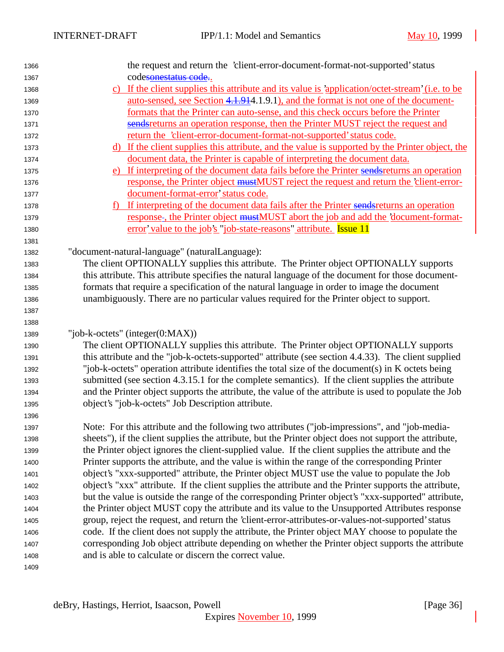| 1366 | the request and return the 'client-error-document-format-not-supported' status                         |
|------|--------------------------------------------------------------------------------------------------------|
| 1367 | codesonestatus code                                                                                    |
| 1368 | c) If the client supplies this attribute and its value is 'application/octet-stream' (i.e. to be       |
| 1369 | auto-sensed, see Section 4.1.914.1.9.1), and the format is not one of the document-                    |
| 1370 | formats that the Printer can auto-sense, and this check occurs before the Printer                      |
| 1371 | sendsreturns an operation response, then the Printer MUST reject the request and                       |
| 1372 | return the 'client-error-document-format-not-supported' status code.                                   |
| 1373 | d) If the client supplies this attribute, and the value is supported by the Printer object, the        |
| 1374 | document data, the Printer is capable of interpreting the document data.                               |
| 1375 | e) If interpreting of the document data fails before the Printer sends returns an operation            |
| 1376 | response, the Printer object mustMUST reject the request and return the 'client-error-                 |
| 1377 | document-format-error' status code.                                                                    |
| 1378 | If interpreting of the document data fails after the Printer sends returns an operation<br>$f$ )       |
| 1379 | response-, the Printer object mustMUST abort the job and add the document-format-                      |
| 1380 | <u>error' value to the job's "job-state-reasons" attribute.</u> <b>Issue 11</b>                        |
| 1381 |                                                                                                        |
| 1382 | "document-natural-language" (naturalLanguage):                                                         |
| 1383 | The client OPTIONALLY supplies this attribute. The Printer object OPTIONALLY supports                  |
| 1384 | this attribute. This attribute specifies the natural language of the document for those document-      |
| 1385 | formats that require a specification of the natural language in order to image the document            |
| 1386 | unambiguously. There are no particular values required for the Printer object to support.              |
| 1387 |                                                                                                        |
| 1388 |                                                                                                        |
| 1389 | "job-k-octets" (integer $(0:MAX)$ )                                                                    |
| 1390 | The client OPTIONALLY supplies this attribute. The Printer object OPTIONALLY supports                  |
| 1391 | this attribute and the "job-k-octets-supported" attribute (see section 4.4.33). The client supplied    |
| 1392 | "job-k-octets" operation attribute identifies the total size of the document(s) in K octets being      |
| 1393 | submitted (see section 4.3.15.1 for the complete semantics). If the client supplies the attribute      |
| 1394 | and the Printer object supports the attribute, the value of the attribute is used to populate the Job  |
| 1395 | object's "job-k-octets" Job Description attribute.                                                     |
| 1396 |                                                                                                        |
| 1397 | Note: For this attribute and the following two attributes ("job-impressions", and "job-media-          |
| 1398 | sheets"), if the client supplies the attribute, but the Printer object does not support the attribute, |
| 1399 | the Printer object ignores the client-supplied value. If the client supplies the attribute and the     |
| 1400 | Printer supports the attribute, and the value is within the range of the corresponding Printer         |
| 1401 | object's "xxx-supported" attribute, the Printer object MUST use the value to populate the Job          |
| 1402 | object's "xxx" attribute. If the client supplies the attribute and the Printer supports the attribute, |
| 1403 | but the value is outside the range of the corresponding Printer object's "xxx-supported" attribute,    |
| 1404 | the Printer object MUST copy the attribute and its value to the Unsupported Attributes response        |
| 1405 | group, reject the request, and return the 'client-error-attributes-or-values-not-supported' status     |
| 1406 | code. If the client does not supply the attribute, the Printer object MAY choose to populate the       |
| 1407 | corresponding Job object attribute depending on whether the Printer object supports the attribute      |
| 1408 | and is able to calculate or discern the correct value.                                                 |
| 1409 |                                                                                                        |
|      |                                                                                                        |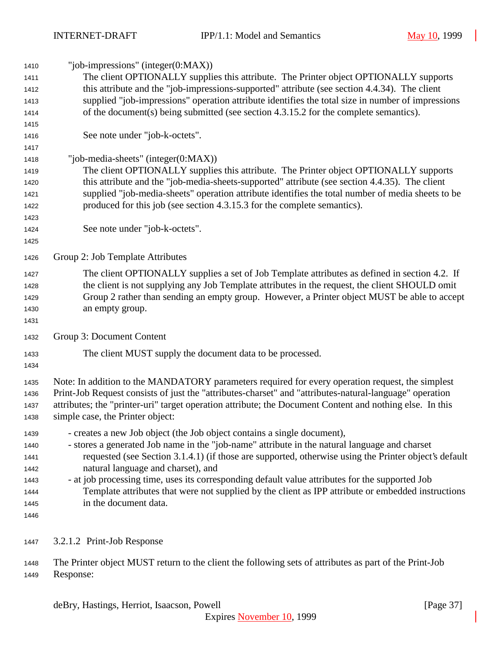| 1410 | "job-impressions" (integer $(0:MAX)$ )                                                                   |  |  |  |
|------|----------------------------------------------------------------------------------------------------------|--|--|--|
| 1411 | The client OPTIONALLY supplies this attribute. The Printer object OPTIONALLY supports                    |  |  |  |
| 1412 | this attribute and the "job-impressions-supported" attribute (see section 4.4.34). The client            |  |  |  |
| 1413 | supplied "job-impressions" operation attribute identifies the total size in number of impressions        |  |  |  |
| 1414 | of the document(s) being submitted (see section 4.3.15.2 for the complete semantics).                    |  |  |  |
| 1415 |                                                                                                          |  |  |  |
| 1416 | See note under "job-k-octets".                                                                           |  |  |  |
| 1417 |                                                                                                          |  |  |  |
| 1418 | "job-media-sheets" (integer $(0:MAX)$ )                                                                  |  |  |  |
| 1419 | The client OPTIONALLY supplies this attribute. The Printer object OPTIONALLY supports                    |  |  |  |
| 1420 | this attribute and the "job-media-sheets-supported" attribute (see section 4.4.35). The client           |  |  |  |
| 1421 | supplied "job-media-sheets" operation attribute identifies the total number of media sheets to be        |  |  |  |
| 1422 | produced for this job (see section 4.3.15.3 for the complete semantics).                                 |  |  |  |
| 1423 |                                                                                                          |  |  |  |
| 1424 | See note under "job-k-octets".                                                                           |  |  |  |
| 1425 |                                                                                                          |  |  |  |
| 1426 | Group 2: Job Template Attributes                                                                         |  |  |  |
| 1427 | The client OPTIONALLY supplies a set of Job Template attributes as defined in section 4.2. If            |  |  |  |
| 1428 | the client is not supplying any Job Template attributes in the request, the client SHOULD omit           |  |  |  |
| 1429 | Group 2 rather than sending an empty group. However, a Printer object MUST be able to accept             |  |  |  |
| 1430 | an empty group.                                                                                          |  |  |  |
| 1431 |                                                                                                          |  |  |  |
| 1432 | Group 3: Document Content                                                                                |  |  |  |
| 1433 | The client MUST supply the document data to be processed.                                                |  |  |  |
| 1434 |                                                                                                          |  |  |  |
|      |                                                                                                          |  |  |  |
| 1435 | Note: In addition to the MANDATORY parameters required for every operation request, the simplest         |  |  |  |
| 1436 | Print-Job Request consists of just the "attributes-charset" and "attributes-natural-language" operation  |  |  |  |
| 1437 | attributes; the "printer-uri" target operation attribute; the Document Content and nothing else. In this |  |  |  |
| 1438 | simple case, the Printer object:                                                                         |  |  |  |
| 1439 | - creates a new Job object (the Job object contains a single document),                                  |  |  |  |
| 1440 | - stores a generated Job name in the "job-name" attribute in the natural language and charset            |  |  |  |
| 1441 | requested (see Section 3.1.4.1) (if those are supported, otherwise using the Printer object's default    |  |  |  |
| 1442 | natural language and charset), and                                                                       |  |  |  |
| 1443 | - at job processing time, uses its corresponding default value attributes for the supported Job          |  |  |  |
| 1444 | Template attributes that were not supplied by the client as IPP attribute or embedded instructions       |  |  |  |
| 1445 | in the document data.                                                                                    |  |  |  |
| 1446 |                                                                                                          |  |  |  |
| 1447 | 3.2.1.2 Print-Job Response                                                                               |  |  |  |
| 1448 | The Printer object MUST return to the client the following sets of attributes as part of the Print-Job   |  |  |  |
| 1449 | Response:                                                                                                |  |  |  |

deBry, Hastings, Herriot, Isaacson, Powell [Page 37]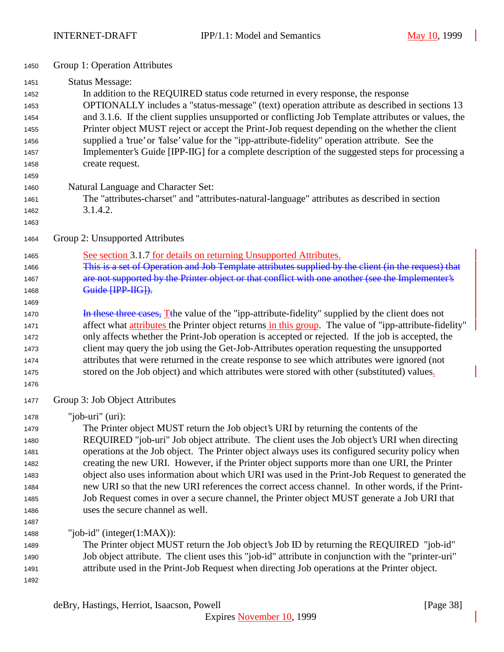| 1450         | Group 1: Operation Attributes                                                                                 |
|--------------|---------------------------------------------------------------------------------------------------------------|
| 1451         | <b>Status Message:</b>                                                                                        |
| 1452         | In addition to the REQUIRED status code returned in every response, the response                              |
| 1453         | OPTIONALLY includes a "status-message" (text) operation attribute as described in sections 13                 |
| 1454         | and 3.1.6. If the client supplies unsupported or conflicting Job Template attributes or values, the           |
| 1455         | Printer object MUST reject or accept the Print-Job request depending on the whether the client                |
| 1456         | supplied a 'true' or 'false' value for the "ipp-attribute-fidelity" operation attribute. See the              |
| 1457         | Implementer's Guide [IPP-IIG] for a complete description of the suggested steps for processing a              |
| 1458         | create request.                                                                                               |
| 1459         |                                                                                                               |
| 1460         | Natural Language and Character Set:                                                                           |
| 1461         | The "attributes-charset" and "attributes-natural-language" attributes as described in section                 |
| 1462         | 3.1.4.2.                                                                                                      |
| 1463         |                                                                                                               |
| 1464         | Group 2: Unsupported Attributes                                                                               |
| 1465         | See section 3.1.7 for details on returning Unsupported Attributes.                                            |
| 1466         | This is a set of Operation and Job Template attributes supplied by the client (in the request) that           |
| 1467         | are not supported by the Printer object or that conflict with one another (see the Implementer's              |
| 1468         | Guide [IPP-IIG]).                                                                                             |
| 1469         |                                                                                                               |
| 1470         | In these three cases, Tthe value of the "ipp-attribute-fidelity" supplied by the client does not              |
| 1471         | affect what <i>attributes</i> the Printer object returns in this group. The value of "ipp-attribute-fidelity" |
| 1472         | only affects whether the Print-Job operation is accepted or rejected. If the job is accepted, the             |
| 1473         | client may query the job using the Get-Job-Attributes operation requesting the unsupported                    |
| 1474         | attributes that were returned in the create response to see which attributes were ignored (not                |
| 1475         | stored on the Job object) and which attributes were stored with other (substituted) values.                   |
| 1476         |                                                                                                               |
| 1477         | Group 3: Job Object Attributes                                                                                |
| 1478         | "job-uri" $(i)$ :                                                                                             |
| 1479         | The Printer object MUST return the Job object's URI by returning the contents of the                          |
| 1480         | REQUIRED "job-uri" Job object attribute. The client uses the Job object's URI when directing                  |
| 1481         | operations at the Job object. The Printer object always uses its configured security policy when              |
| 1482         | creating the new URI. However, if the Printer object supports more than one URI, the Printer                  |
| 1483         | object also uses information about which URI was used in the Print-Job Request to generated the               |
| 1484         | new URI so that the new URI references the correct access channel. In other words, if the Print-              |
| 1485         | Job Request comes in over a secure channel, the Printer object MUST generate a Job URI that                   |
| 1486         | uses the secure channel as well.                                                                              |
| 1487         | "job-id" (integer $(1:MAX)$ ):                                                                                |
| 1488         | The Printer object MUST return the Job object's Job ID by returning the REQUIRED "job-id"                     |
| 1489         | Job object attribute. The client uses this "job-id" attribute in conjunction with the "printer-uri"           |
| 1490<br>1491 | attribute used in the Print-Job Request when directing Job operations at the Printer object.                  |
| 1492         |                                                                                                               |
|              |                                                                                                               |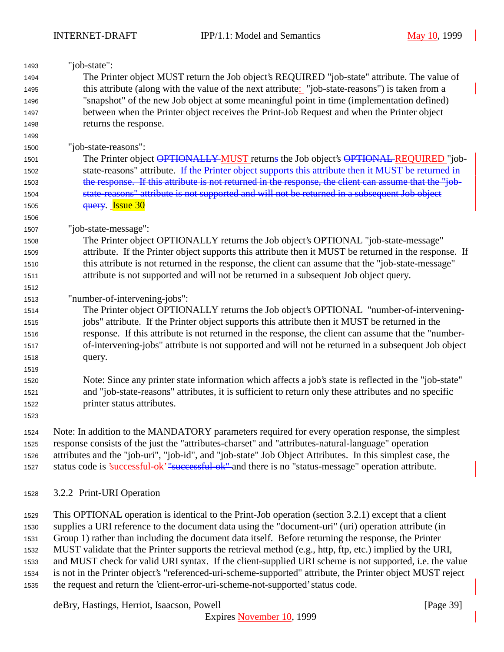| 1493 | "job-state":                                                                                                |
|------|-------------------------------------------------------------------------------------------------------------|
| 1494 | The Printer object MUST return the Job object's REQUIRED "job-state" attribute. The value of                |
| 1495 | this attribute (along with the value of the next attribute: "job-state-reasons") is taken from a            |
| 1496 | "snapshot" of the new Job object at some meaningful point in time (implementation defined)                  |
| 1497 | between when the Printer object receives the Print-Job Request and when the Printer object                  |
| 1498 | returns the response.                                                                                       |
| 1499 |                                                                                                             |
| 1500 | "job-state-reasons":                                                                                        |
| 1501 | The Printer object OPTIONALLY MUST returns the Job object's OPTIONAL REQUIRED "job-                         |
| 1502 | state-reasons" attribute. If the Printer object supports this attribute then it MUST be returned in         |
| 1503 | the response. If this attribute is not returned in the response, the client can assume that the "job-       |
| 1504 | state-reasons" attribute is not supported and will not be returned in a subsequent Job object               |
| 1505 | query. Issue 30                                                                                             |
| 1506 |                                                                                                             |
| 1507 | "job-state-message":                                                                                        |
| 1508 | The Printer object OPTIONALLY returns the Job object's OPTIONAL "job-state-message"                         |
| 1509 | attribute. If the Printer object supports this attribute then it MUST be returned in the response. If       |
| 1510 | this attribute is not returned in the response, the client can assume that the "job-state-message"          |
| 1511 | attribute is not supported and will not be returned in a subsequent Job object query.                       |
| 1512 |                                                                                                             |
| 1513 | "number-of-intervening-jobs":                                                                               |
| 1514 | The Printer object OPTIONALLY returns the Job object's OPTIONAL "number-of-intervening-                     |
| 1515 | jobs" attribute. If the Printer object supports this attribute then it MUST be returned in the              |
| 1516 | response. If this attribute is not returned in the response, the client can assume that the "number-        |
| 1517 | of-intervening-jobs" attribute is not supported and will not be returned in a subsequent Job object         |
| 1518 | query.                                                                                                      |
| 1519 |                                                                                                             |
| 1520 | Note: Since any printer state information which affects a job's state is reflected in the "job-state"       |
| 1521 | and "job-state-reasons" attributes, it is sufficient to return only these attributes and no specific        |
| 1522 | printer status attributes.                                                                                  |
| 1523 |                                                                                                             |
| 1524 | Note: In addition to the MANDATORY parameters required for every operation response, the simplest           |
| 1525 | response consists of the just the "attributes-charset" and "attributes-natural-language" operation          |
| 1526 | attributes and the "job-uri", "job-id", and "job-state" Job Object Attributes. In this simplest case, the   |
| 1527 | status code is <u>'successful-ok' "successful-ok"</u> and there is no "status-message" operation attribute. |

3.2.2 Print-URI Operation

 This OPTIONAL operation is identical to the Print-Job operation (section 3.2.1) except that a client supplies a URI reference to the document data using the "document-uri" (uri) operation attribute (in Group 1) rather than including the document data itself. Before returning the response, the Printer MUST validate that the Printer supports the retrieval method (e.g., http, ftp, etc.) implied by the URI, and MUST check for valid URI syntax. If the client-supplied URI scheme is not supported, i.e. the value is not in the Printer object's "referenced-uri-scheme-supported" attribute, the Printer object MUST reject the request and return the 'client-error-uri-scheme-not-supported' status code.

deBry, Hastings, Herriot, Isaacson, Powell [Page 39]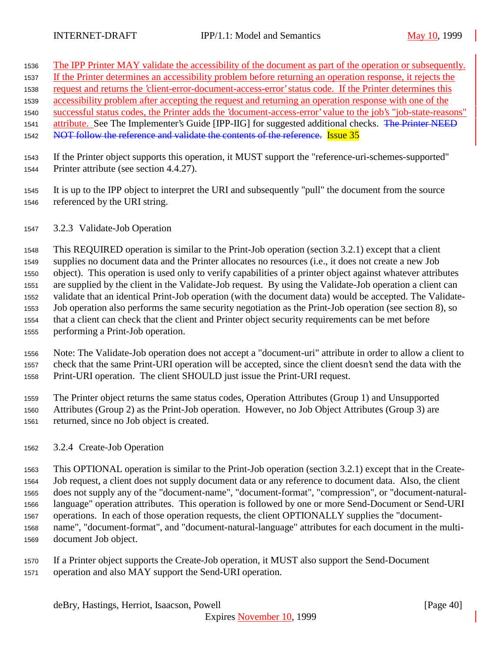- The IPP Printer MAY validate the accessibility of the document as part of the operation or subsequently.
- If the Printer determines an accessibility problem before returning an operation response, it rejects the
- request and returns the 'client-error-document-access-error' status code. If the Printer determines this
- accessibility problem after accepting the request and returning an operation response with one of the
- successful status codes, the Printer adds the 'document-access-error' value to the job's "job-state-reasons" 1541 attribute. See The Implementer's Guide [IPP-IIG] for suggested additional checks. The Printer NEED
- 1542 NOT follow the reference and validate the contents of the reference. Issue 35
- If the Printer object supports this operation, it MUST support the "reference-uri-schemes-supported" Printer attribute (see section 4.4.27).
- It is up to the IPP object to interpret the URI and subsequently "pull" the document from the source referenced by the URI string.
- 3.2.3 Validate-Job Operation

 This REQUIRED operation is similar to the Print-Job operation (section 3.2.1) except that a client supplies no document data and the Printer allocates no resources (i.e., it does not create a new Job object). This operation is used only to verify capabilities of a printer object against whatever attributes are supplied by the client in the Validate-Job request. By using the Validate-Job operation a client can validate that an identical Print-Job operation (with the document data) would be accepted. The Validate- Job operation also performs the same security negotiation as the Print-Job operation (see section 8), so that a client can check that the client and Printer object security requirements can be met before performing a Print-Job operation.

 Note: The Validate-Job operation does not accept a "document-uri" attribute in order to allow a client to check that the same Print-URI operation will be accepted, since the client doesn't send the data with the Print-URI operation. The client SHOULD just issue the Print-URI request.

 The Printer object returns the same status codes, Operation Attributes (Group 1) and Unsupported Attributes (Group 2) as the Print-Job operation. However, no Job Object Attributes (Group 3) are returned, since no Job object is created.

3.2.4 Create-Job Operation

 This OPTIONAL operation is similar to the Print-Job operation (section 3.2.1) except that in the Create- Job request, a client does not supply document data or any reference to document data. Also, the client does not supply any of the "document-name", "document-format", "compression", or "document-natural- language" operation attributes. This operation is followed by one or more Send-Document or Send-URI operations. In each of those operation requests, the client OPTIONALLY supplies the "document- name", "document-format", and "document-natural-language" attributes for each document in the multi-document Job object.

 If a Printer object supports the Create-Job operation, it MUST also support the Send-Document operation and also MAY support the Send-URI operation.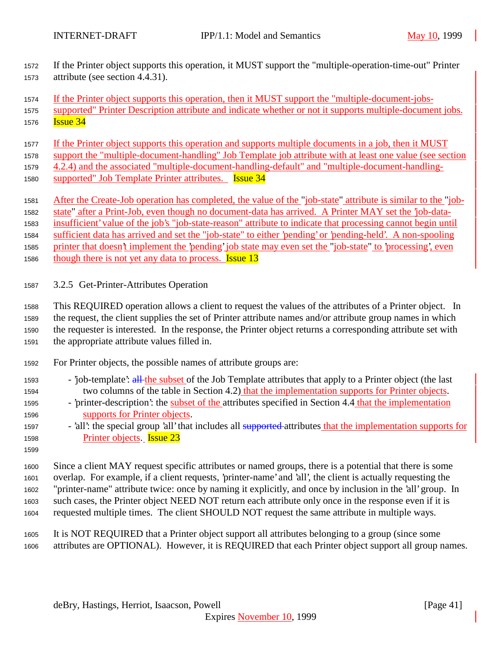- If the Printer object supports this operation, it MUST support the "multiple-operation-time-out" Printer attribute (see section 4.4.31).
- If the Printer object supports this operation, then it MUST support the "multiple-document-jobs-
- supported" Printer Description attribute and indicate whether or not it supports multiple-document jobs. **Issue 34**
- If the Printer object supports this operation and supports multiple documents in a job, then it MUST
- support the "multiple-document-handling" Job Template job attribute with at least one value (see section
- 4.2.4) and the associated "multiple-document-handling-default" and "multiple-document-handling-
- supported" Job Template Printer attributes. Issue 34
- 1581 After the Create-Job operation has completed, the value of the "job-state" attribute is similar to the "job-
- state" after a Print-Job, even though no document-data has arrived. A Printer MAY set the 'job-data-
- insufficient' value of the job's "job-state-reason" attribute to indicate that processing cannot begin until
- sufficient data has arrived and set the "job-state" to either 'pending' or 'pending-held'. A non-spooling
- printer that doesn't implement the 'pending' job state may even set the "job-state" to 'processing', even
- 1586 though there is not yet any data to process. **Issue 13**
- 3.2.5 Get-Printer-Attributes Operation
- This REQUIRED operation allows a client to request the values of the attributes of a Printer object. In the request, the client supplies the set of Printer attribute names and/or attribute group names in which the requester is interested. In the response, the Printer object returns a corresponding attribute set with the appropriate attribute values filled in.
- For Printer objects, the possible names of attribute groups are:
- 'job-template': all the subset of the Job Template attributes that apply to a Printer object (the last two columns of the table in Section 4.2) that the implementation supports for Printer objects.
- 'printer-description': the subset of the attributes specified in Section 4.4 that the implementation supports for Printer objects.
- 1597 'all': the special group 'all' that includes all supported attributes that the implementation supports for Printer objects. Issue 23
- 

 Since a client MAY request specific attributes or named groups, there is a potential that there is some overlap. For example, if a client requests, 'printer-name' and 'all', the client is actually requesting the "printer-name" attribute twice: once by naming it explicitly, and once by inclusion in the 'all' group. In such cases, the Printer object NEED NOT return each attribute only once in the response even if it is requested multiple times. The client SHOULD NOT request the same attribute in multiple ways.

 It is NOT REQUIRED that a Printer object support all attributes belonging to a group (since some attributes are OPTIONAL). However, it is REQUIRED that each Printer object support all group names.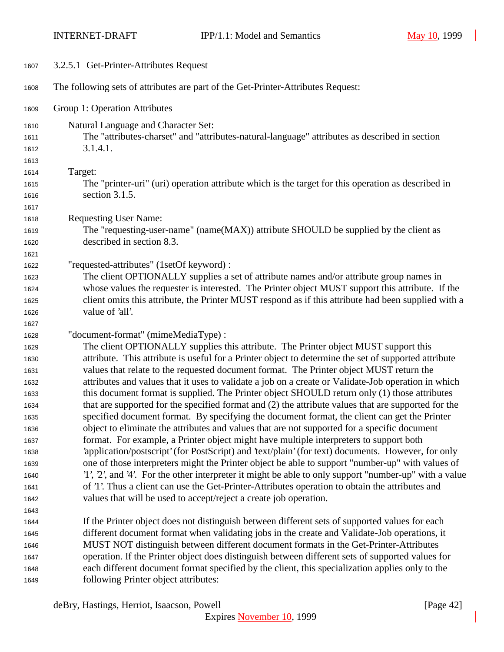| 1607 | 3.2.5.1 Get-Printer-Attributes Request                                                                 |
|------|--------------------------------------------------------------------------------------------------------|
| 1608 | The following sets of attributes are part of the Get-Printer-Attributes Request:                       |
| 1609 | Group 1: Operation Attributes                                                                          |
| 1610 | Natural Language and Character Set:                                                                    |
| 1611 | The "attributes-charset" and "attributes-natural-language" attributes as described in section          |
| 1612 | 3.1.4.1.                                                                                               |
| 1613 |                                                                                                        |
| 1614 | Target:                                                                                                |
| 1615 | The "printer-uri" (uri) operation attribute which is the target for this operation as described in     |
| 1616 | section 3.1.5.                                                                                         |
| 1617 |                                                                                                        |
| 1618 | <b>Requesting User Name:</b>                                                                           |
| 1619 | The "requesting-user-name" (name(MAX)) attribute SHOULD be supplied by the client as                   |
| 1620 | described in section 8.3.                                                                              |
| 1621 |                                                                                                        |
| 1622 | "requested-attributes" (1setOf keyword) :                                                              |
| 1623 | The client OPTIONALLY supplies a set of attribute names and/or attribute group names in                |
| 1624 | whose values the requester is interested. The Printer object MUST support this attribute. If the       |
| 1625 | client omits this attribute, the Printer MUST respond as if this attribute had been supplied with a    |
| 1626 | value of 'all'.                                                                                        |
| 1627 |                                                                                                        |
| 1628 | "document-format" (mimeMediaType) :                                                                    |
| 1629 | The client OPTIONALLY supplies this attribute. The Printer object MUST support this                    |
| 1630 | attribute. This attribute is useful for a Printer object to determine the set of supported attribute   |
| 1631 | values that relate to the requested document format. The Printer object MUST return the                |
| 1632 | attributes and values that it uses to validate a job on a create or Validate-Job operation in which    |
| 1633 | this document format is supplied. The Printer object SHOULD return only (1) those attributes           |
| 1634 | that are supported for the specified format and (2) the attribute values that are supported for the    |
| 1635 | specified document format. By specifying the document format, the client can get the Printer           |
| 1636 | object to eliminate the attributes and values that are not supported for a specific document           |
| 1637 | format. For example, a Printer object might have multiple interpreters to support both                 |
| 1638 | 'application/postscript' (for PostScript) and 'text/plain' (for text) documents. However, for only     |
| 1639 | one of those interpreters might the Printer object be able to support "number-up" with values of       |
| 1640 | '1', '2', and '4'. For the other interpreter it might be able to only support "number-up" with a value |
| 1641 | of '1'. Thus a client can use the Get-Printer-Attributes operation to obtain the attributes and        |
| 1642 | values that will be used to accept/reject a create job operation.                                      |
| 1643 |                                                                                                        |
| 1644 | If the Printer object does not distinguish between different sets of supported values for each         |
| 1645 | different document format when validating jobs in the create and Validate-Job operations, it           |
| 1646 | MUST NOT distinguish between different document formats in the Get-Printer-Attributes                  |
| 1647 | operation. If the Printer object does distinguish between different sets of supported values for       |
| 1648 | each different document format specified by the client, this specialization applies only to the        |
| 1649 | following Printer object attributes:                                                                   |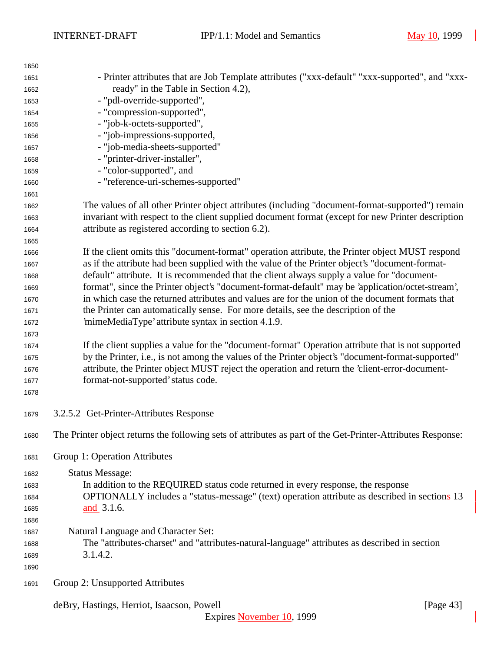| 1650 |                                                                                                             |  |  |  |
|------|-------------------------------------------------------------------------------------------------------------|--|--|--|
| 1651 | - Printer attributes that are Job Template attributes ("xxx-default" "xxx-supported", and "xxx-             |  |  |  |
| 1652 | ready" in the Table in Section 4.2),                                                                        |  |  |  |
| 1653 | - "pdl-override-supported",                                                                                 |  |  |  |
| 1654 | - "compression-supported",                                                                                  |  |  |  |
| 1655 | - "job-k-octets-supported",                                                                                 |  |  |  |
| 1656 | - "job-impressions-supported,                                                                               |  |  |  |
| 1657 | - "job-media-sheets-supported"                                                                              |  |  |  |
| 1658 | - "printer-driver-installer",                                                                               |  |  |  |
| 1659 | - "color-supported", and                                                                                    |  |  |  |
| 1660 | - "reference-uri-schemes-supported"                                                                         |  |  |  |
| 1661 |                                                                                                             |  |  |  |
| 1662 | The values of all other Printer object attributes (including "document-format-supported") remain            |  |  |  |
| 1663 | invariant with respect to the client supplied document format (except for new Printer description           |  |  |  |
| 1664 | attribute as registered according to section 6.2).                                                          |  |  |  |
| 1665 |                                                                                                             |  |  |  |
| 1666 | If the client omits this "document-format" operation attribute, the Printer object MUST respond             |  |  |  |
| 1667 | as if the attribute had been supplied with the value of the Printer object's "document-format-              |  |  |  |
| 1668 | default" attribute. It is recommended that the client always supply a value for "document-                  |  |  |  |
| 1669 | format", since the Printer object's "document-format-default" may be 'application/octet-stream',            |  |  |  |
| 1670 | in which case the returned attributes and values are for the union of the document formats that             |  |  |  |
| 1671 | the Printer can automatically sense. For more details, see the description of the                           |  |  |  |
| 1672 | 'mimeMediaType' attribute syntax in section 4.1.9.                                                          |  |  |  |
| 1673 |                                                                                                             |  |  |  |
| 1674 | If the client supplies a value for the "document-format" Operation attribute that is not supported          |  |  |  |
| 1675 | by the Printer, i.e., is not among the values of the Printer object's "document-format-supported"           |  |  |  |
| 1676 | attribute, the Printer object MUST reject the operation and return the 'client-error-document-              |  |  |  |
| 1677 | format-not-supported' status code.                                                                          |  |  |  |
| 1678 |                                                                                                             |  |  |  |
| 1679 | 3.2.5.2 Get-Printer-Attributes Response                                                                     |  |  |  |
| 1680 | The Printer object returns the following sets of attributes as part of the Get-Printer-Attributes Response: |  |  |  |
|      |                                                                                                             |  |  |  |
| 1681 | Group 1: Operation Attributes                                                                               |  |  |  |
| 1682 | <b>Status Message:</b>                                                                                      |  |  |  |
| 1683 | In addition to the REQUIRED status code returned in every response, the response                            |  |  |  |
| 1684 | OPTIONALLY includes a "status-message" (text) operation attribute as described in sections 13               |  |  |  |
| 1685 | and 3.1.6.                                                                                                  |  |  |  |
| 1686 |                                                                                                             |  |  |  |
| 1687 | Natural Language and Character Set:                                                                         |  |  |  |
| 1688 | The "attributes-charset" and "attributes-natural-language" attributes as described in section               |  |  |  |
| 1689 | 3.1.4.2.                                                                                                    |  |  |  |
| 1690 |                                                                                                             |  |  |  |
| 1691 | Group 2: Unsupported Attributes                                                                             |  |  |  |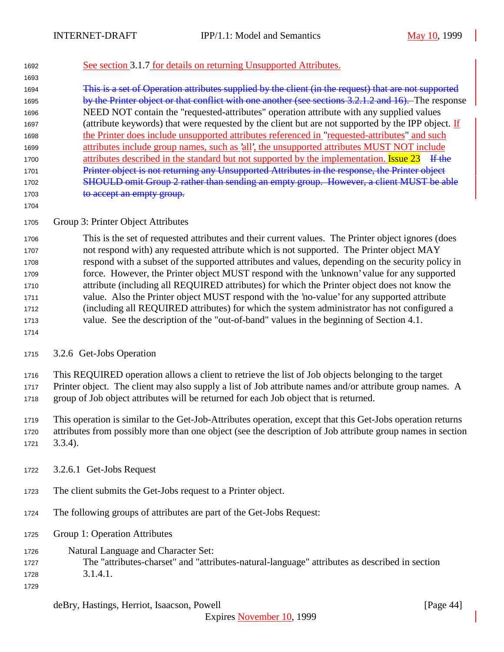## See section 3.1.7 for details on returning Unsupported Attributes.

 This is a set of Operation attributes supplied by the client (in the request) that are not supported 1695 by the Printer object or that conflict with one another (see sections 3.2.1.2 and 16). The response NEED NOT contain the "requested-attributes" operation attribute with any supplied values (attribute keywords) that were requested by the client but are not supported by the IPP object. If the Printer does include unsupported attributes referenced in "requested-attributes" and such attributes include group names, such as 'all', the unsupported attributes MUST NOT include 1700 attributes described in the standard but not supported by the implementation. **Issue 23** If the 1701 Printer object is not returning any Unsupported Attributes in the response, the Printer object 1702 SHOULD omit Group 2 rather than sending an empty group. However, a client MUST be able 1703 to accept an empty group.

## Group 3: Printer Object Attributes

 This is the set of requested attributes and their current values. The Printer object ignores (does not respond with) any requested attribute which is not supported. The Printer object MAY respond with a subset of the supported attributes and values, depending on the security policy in force. However, the Printer object MUST respond with the 'unknown' value for any supported attribute (including all REQUIRED attributes) for which the Printer object does not know the value. Also the Printer object MUST respond with the 'no-value' for any supported attribute (including all REQUIRED attributes) for which the system administrator has not configured a value. See the description of the "out-of-band" values in the beginning of Section 4.1.

## 3.2.6 Get-Jobs Operation

This REQUIRED operation allows a client to retrieve the list of Job objects belonging to the target

Printer object. The client may also supply a list of Job attribute names and/or attribute group names. A

group of Job object attributes will be returned for each Job object that is returned.

 This operation is similar to the Get-Job-Attributes operation, except that this Get-Jobs operation returns attributes from possibly more than one object (see the description of Job attribute group names in section 3.3.4).

- 3.2.6.1 Get-Jobs Request
- The client submits the Get-Jobs request to a Printer object.
- The following groups of attributes are part of the Get-Jobs Request:
- Group 1: Operation Attributes
- Natural Language and Character Set:
- The "attributes-charset" and "attributes-natural-language" attributes as described in section 3.1.4.1.
- 

Expires November 10, 1999

deBry, Hastings, Herriot, Isaacson, Powell [Page 44]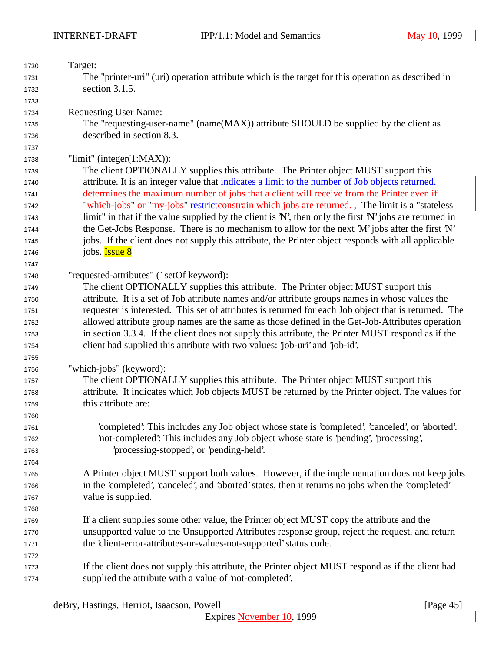| 1730 | Target:                                                                                                 |  |  |  |
|------|---------------------------------------------------------------------------------------------------------|--|--|--|
| 1731 | The "printer-uri" (uri) operation attribute which is the target for this operation as described in      |  |  |  |
| 1732 | section 3.1.5.                                                                                          |  |  |  |
| 1733 |                                                                                                         |  |  |  |
| 1734 | <b>Requesting User Name:</b>                                                                            |  |  |  |
| 1735 | The "requesting-user-name" (name(MAX)) attribute SHOULD be supplied by the client as                    |  |  |  |
| 1736 | described in section 8.3.                                                                               |  |  |  |
| 1737 |                                                                                                         |  |  |  |
| 1738 | "limit" (integer $(1:MAX)$ ):                                                                           |  |  |  |
| 1739 | The client OPTIONALLY supplies this attribute. The Printer object MUST support this                     |  |  |  |
| 1740 | attribute. It is an integer value that indicates a limit to the number of Job objects returned.         |  |  |  |
| 1741 | determines the maximum number of jobs that a client will receive from the Printer even if               |  |  |  |
| 1742 | "which-jobs" or "my-jobs" restrictionstrain which jobs are returned. -- The limit is a "stateless"      |  |  |  |
| 1743 | limit" in that if the value supplied by the client is 'N', then only the first 'N' jobs are returned in |  |  |  |
| 1744 | the Get-Jobs Response. There is no mechanism to allow for the next 'M' jobs after the first 'N'         |  |  |  |
| 1745 | jobs. If the client does not supply this attribute, the Printer object responds with all applicable     |  |  |  |
| 1746 | jobs. <b>Issue 8</b>                                                                                    |  |  |  |
| 1747 |                                                                                                         |  |  |  |
| 1748 | "requested-attributes" (1setOf keyword):                                                                |  |  |  |
| 1749 | The client OPTIONALLY supplies this attribute. The Printer object MUST support this                     |  |  |  |
| 1750 | attribute. It is a set of Job attribute names and/or attribute groups names in whose values the         |  |  |  |
| 1751 | requester is interested. This set of attributes is returned for each Job object that is returned. The   |  |  |  |
| 1752 | allowed attribute group names are the same as those defined in the Get-Job-Attributes operation         |  |  |  |
| 1753 | in section 3.3.4. If the client does not supply this attribute, the Printer MUST respond as if the      |  |  |  |
| 1754 | client had supplied this attribute with two values: 'job-uri' and 'job-id'.                             |  |  |  |
| 1755 |                                                                                                         |  |  |  |
| 1756 | "which-jobs" (keyword):                                                                                 |  |  |  |
| 1757 | The client OPTIONALLY supplies this attribute. The Printer object MUST support this                     |  |  |  |
| 1758 | attribute. It indicates which Job objects MUST be returned by the Printer object. The values for        |  |  |  |
| 1759 | this attribute are:                                                                                     |  |  |  |
| 1760 |                                                                                                         |  |  |  |
| 1761 | 'completed': This includes any Job object whose state is 'completed', 'canceled', or 'aborted'.         |  |  |  |
| 1762 | 'not-completed': This includes any Job object whose state is 'pending', 'processing',                   |  |  |  |
| 1763 | processing-stopped', or 'pending-held'.                                                                 |  |  |  |
| 1764 |                                                                                                         |  |  |  |
| 1765 | A Printer object MUST support both values. However, if the implementation does not keep jobs            |  |  |  |
| 1766 | in the 'completed', 'canceled', and 'aborted' states, then it returns no jobs when the 'completed'      |  |  |  |
| 1767 | value is supplied.                                                                                      |  |  |  |
| 1768 |                                                                                                         |  |  |  |
| 1769 | If a client supplies some other value, the Printer object MUST copy the attribute and the               |  |  |  |
| 1770 | unsupported value to the Unsupported Attributes response group, reject the request, and return          |  |  |  |
| 1771 | the 'client-error-attributes-or-values-not-supported' status code.                                      |  |  |  |
| 1772 |                                                                                                         |  |  |  |
| 1773 | If the client does not supply this attribute, the Printer object MUST respond as if the client had      |  |  |  |
| 1774 | supplied the attribute with a value of 'not-completed'.                                                 |  |  |  |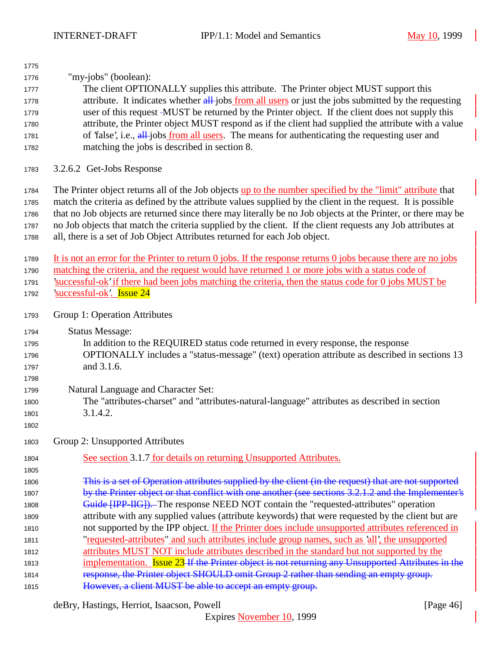| 1775 |                                                                                                                             |  |  |  |
|------|-----------------------------------------------------------------------------------------------------------------------------|--|--|--|
| 1776 | "my-jobs" (boolean):                                                                                                        |  |  |  |
| 1777 | The client OPTIONALLY supplies this attribute. The Printer object MUST support this                                         |  |  |  |
| 1778 | attribute. It indicates whether all-jobs from all users or just the jobs submitted by the requesting                        |  |  |  |
| 1779 | user of this request -MUST be returned by the Printer object. If the client does not supply this                            |  |  |  |
| 1780 | attribute, the Printer object MUST respond as if the client had supplied the attribute with a value                         |  |  |  |
| 1781 | of 'false', i.e., all-jobs from all users. The means for authenticating the requesting user and                             |  |  |  |
| 1782 | matching the jobs is described in section 8.                                                                                |  |  |  |
| 1783 | 3.2.6.2 Get-Jobs Response                                                                                                   |  |  |  |
| 1784 | The Printer object returns all of the Job objects up to the number specified by the "limit" attribute that                  |  |  |  |
| 1785 | match the criteria as defined by the attribute values supplied by the client in the request. It is possible                 |  |  |  |
| 1786 | that no Job objects are returned since there may literally be no Job objects at the Printer, or there may be                |  |  |  |
| 1787 | no Job objects that match the criteria supplied by the client. If the client requests any Job attributes at                 |  |  |  |
| 1788 | all, there is a set of Job Object Attributes returned for each Job object.                                                  |  |  |  |
| 1789 | It is not an error for the Printer to return $\theta$ jobs. If the response returns $\theta$ jobs because there are no jobs |  |  |  |
| 1790 | matching the criteria, and the request would have returned 1 or more jobs with a status code of                             |  |  |  |
| 1791 | successful-ok' if there had been jobs matching the criteria, then the status code for 0 jobs MUST be                        |  |  |  |
| 1792 | <u>'successful-ok'.</u> Issue 24                                                                                            |  |  |  |
| 1793 | Group 1: Operation Attributes                                                                                               |  |  |  |
| 1794 | <b>Status Message:</b>                                                                                                      |  |  |  |
| 1795 | In addition to the REQUIRED status code returned in every response, the response                                            |  |  |  |
| 1796 | OPTIONALLY includes a "status-message" (text) operation attribute as described in sections 13                               |  |  |  |
| 1797 | and 3.1.6.                                                                                                                  |  |  |  |
| 1798 |                                                                                                                             |  |  |  |
| 1799 | Natural Language and Character Set:                                                                                         |  |  |  |
| 1800 | The "attributes-charset" and "attributes-natural-language" attributes as described in section                               |  |  |  |
| 1801 | 3.1.4.2.                                                                                                                    |  |  |  |
| 1802 |                                                                                                                             |  |  |  |
| 1803 | Group 2: Unsupported Attributes                                                                                             |  |  |  |
| 1804 | See section 3.1.7 for details on returning Unsupported Attributes.                                                          |  |  |  |
| 1805 |                                                                                                                             |  |  |  |
| 1806 | This is a set of Operation attributes supplied by the client (in the request) that are not supported                        |  |  |  |
| 1807 | by the Printer object or that conflict with one another (see sections 3.2.1.2 and the Implementer's                         |  |  |  |
| 1808 | Guide [IPP-IIG]). The response NEED NOT contain the "requested-attributes" operation                                        |  |  |  |
| 1809 | attribute with any supplied values (attribute keywords) that were requested by the client but are                           |  |  |  |
| 1810 | not supported by the IPP object. If the Printer does include unsupported attributes referenced in                           |  |  |  |
| 1811 | "requested-attributes" and such attributes include group names, such as 'all', the unsupported                              |  |  |  |
| 1812 | attributes MUST NOT include attributes described in the standard but not supported by the                                   |  |  |  |
| 1813 | implementation. Issue 23 If the Printer object is not returning any Unsupported Attributes in the                           |  |  |  |
| 1814 | response, the Printer object SHOULD omit Group 2 rather than sending an empty group.                                        |  |  |  |
| 1815 | However, a client MUST be able to accept an empty group.                                                                    |  |  |  |
|      |                                                                                                                             |  |  |  |

deBry, Hastings, Herriot, Isaacson, Powell [Page 46]

Expires November 10, 1999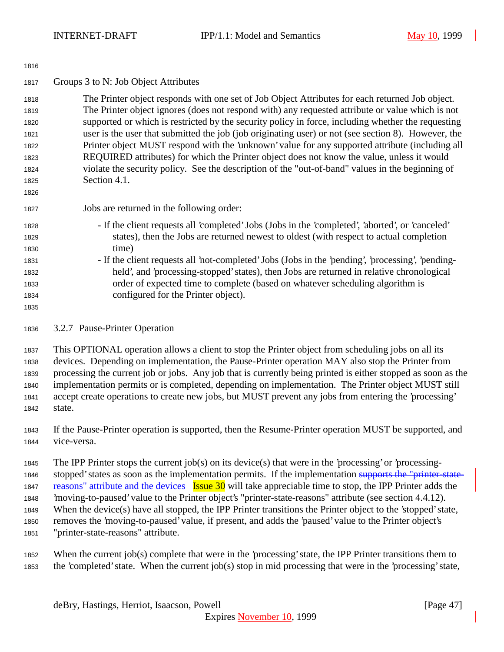| 1010 |                                                                                                     |
|------|-----------------------------------------------------------------------------------------------------|
| 1817 | Groups 3 to N: Job Object Attributes                                                                |
| 1818 | The Printer object responds with one set of Job Object Attributes for each returned Job object.     |
| 1819 | The Printer object ignores (does not respond with) any requested attribute or value which is not    |
| 1820 | supported or which is restricted by the security policy in force, including whether the requesting  |
| 1821 | user is the user that submitted the job (job originating user) or not (see section 8). However, the |
| 1822 | Printer object MUST respond with the 'unknown' value for any supported attribute (including all     |
| 1823 | REQUIRED attributes) for which the Printer object does not know the value, unless it would          |
| 1824 | violate the security policy. See the description of the "out-of-band" values in the beginning of    |
| 1825 | Section 4.1.                                                                                        |
| 1826 |                                                                                                     |
| 1827 | Jobs are returned in the following order:                                                           |
| 1828 | - If the client requests all 'completed' Jobs (Jobs in the 'completed', 'aborted', or 'canceled'    |
| 1829 | states), then the Jobs are returned newest to oldest (with respect to actual completion             |
| 1830 | time)                                                                                               |
| 1831 | - If the client requests all 'not-completed' Jobs (Jobs in the 'pending', 'processing', 'pending-   |
| 1832 | held', and 'processing-stopped' states), then Jobs are returned in relative chronological           |
| 1833 | order of expected time to complete (based on whatever scheduling algorithm is                       |
| 1834 | configured for the Printer object).                                                                 |
| 1835 |                                                                                                     |
| 1836 | 3.2.7 Pause-Printer Operation                                                                       |
|      |                                                                                                     |

 This OPTIONAL operation allows a client to stop the Printer object from scheduling jobs on all its devices. Depending on implementation, the Pause-Printer operation MAY also stop the Printer from processing the current job or jobs. Any job that is currently being printed is either stopped as soon as the implementation permits or is completed, depending on implementation. The Printer object MUST still accept create operations to create new jobs, but MUST prevent any jobs from entering the 'processing' state.

 If the Pause-Printer operation is supported, then the Resume-Printer operation MUST be supported, and vice-versa.

 The IPP Printer stops the current job(s) on its device(s) that were in the 'processing' or 'processing-1846 stopped' states as soon as the implementation permits. If the implementation supports the "printer-state-1847 reasons" attribute and the devices Issue 30 will take appreciable time to stop, the IPP Printer adds the 'moving-to-paused' value to the Printer object's "printer-state-reasons" attribute (see section 4.4.12). When the device(s) have all stopped, the IPP Printer transitions the Printer object to the 'stopped' state, removes the 'moving-to-paused' value, if present, and adds the 'paused' value to the Printer object's "printer-state-reasons" attribute.

 When the current job(s) complete that were in the 'processing' state, the IPP Printer transitions them to the 'completed' state. When the current job(s) stop in mid processing that were in the 'processing' state,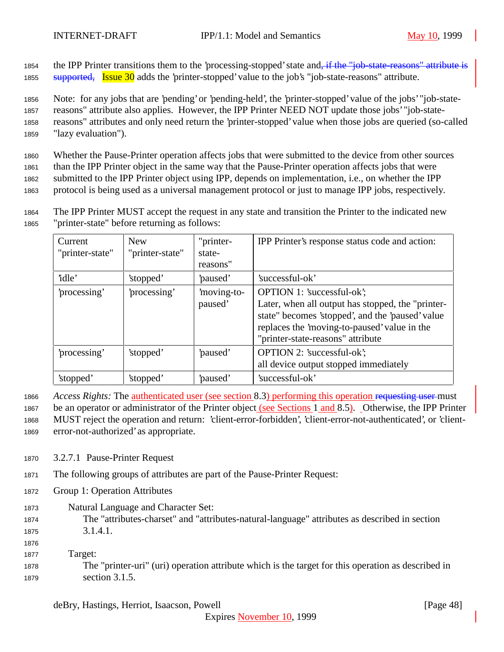1854 the IPP Printer transitions them to the 'processing-stopped' state and<del>, if the "job-state-reasons" attribute is</del> 1855 supported, Issue 30 adds the 'printer-stopped' value to the job's "job-state-reasons" attribute.

 Note: for any jobs that are 'pending' or 'pending-held', the 'printer-stopped' value of the jobs' "job-state- reasons" attribute also applies. However, the IPP Printer NEED NOT update those jobs' "job-state- reasons" attributes and only need return the 'printer-stopped' value when those jobs are queried (so-called "lazy evaluation").

 Whether the Pause-Printer operation affects jobs that were submitted to the device from other sources than the IPP Printer object in the same way that the Pause-Printer operation affects jobs that were submitted to the IPP Printer object using IPP, depends on implementation, i.e., on whether the IPP protocol is being used as a universal management protocol or just to manage IPP jobs, respectively.

<sup>1864</sup> The IPP Printer MUST accept the request in any state and transition the Printer to the indicated new <sup>1865</sup> "printer-state" before returning as follows:

| Current<br>"printer-state" | <b>New</b><br>"printer-state" | "printer-<br>state-<br>reasons" | IPP Printer's response status code and action:                                                                                                                                                                           |
|----------------------------|-------------------------------|---------------------------------|--------------------------------------------------------------------------------------------------------------------------------------------------------------------------------------------------------------------------|
| 'idle'                     | 'stopped'                     | 'paused'                        | 'successful-ok'                                                                                                                                                                                                          |
| processing'                | processing'                   | moving-to-<br>paused'           | OPTION 1: 'successful-ok';<br>Later, when all output has stopped, the "printer-<br>state" becomes 'stopped', and the 'paused' value<br>replaces the 'moving-to-paused' value in the<br>"printer-state-reasons" attribute |
| processing'                | 'stopped'                     | paused'                         | <b>OPTION 2: 'successful-ok';</b><br>all device output stopped immediately                                                                                                                                               |
| 'stopped'                  | 'stopped'                     | 'paused'                        | 'successful-ok'                                                                                                                                                                                                          |

<sup>1866</sup> *Access Rights:* The authenticated user (see section 8.3) performing this operation requesting user must

<sup>1867</sup> be an operator or administrator of the Printer object (see Sections 1 and 8.5). Otherwise, the IPP Printer

<sup>1868</sup> MUST reject the operation and return: 'client-error-forbidden', 'client-error-not-authenticated', or 'client-<sup>1869</sup> error-not-authorized' as appropriate.

- <sup>1870</sup> 3.2.7.1 Pause-Printer Request
- <sup>1871</sup> The following groups of attributes are part of the Pause-Printer Request:
- <sup>1872</sup> Group 1: Operation Attributes
- <sup>1873</sup> Natural Language and Character Set: <sup>1874</sup> The "attributes-charset" and "attributes-natural-language" attributes as described in section <sup>1875</sup> 3.1.4.1.
- 1876 <sup>1877</sup> Target:
- <sup>1878</sup> The "printer-uri" (uri) operation attribute which is the target for this operation as described in <sup>1879</sup> section 3.1.5.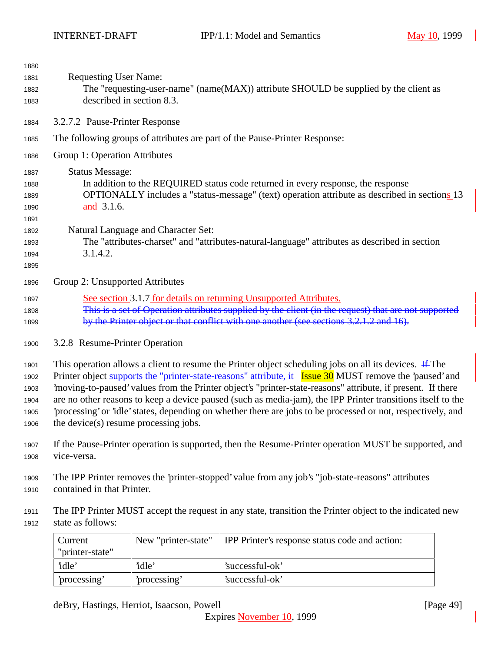| 1880         |                                                                                                                  |
|--------------|------------------------------------------------------------------------------------------------------------------|
| 1881         | <b>Requesting User Name:</b>                                                                                     |
| 1882         | The "requesting-user-name" (name(MAX)) attribute SHOULD be supplied by the client as                             |
| 1883         | described in section 8.3.                                                                                        |
| 1884         | 3.2.7.2 Pause-Printer Response                                                                                   |
| 1885         | The following groups of attributes are part of the Pause-Printer Response:                                       |
| 1886         | Group 1: Operation Attributes                                                                                    |
| 1887         | <b>Status Message:</b>                                                                                           |
| 1888         | In addition to the REQUIRED status code returned in every response, the response                                 |
| 1889         | OPTIONALLY includes a "status-message" (text) operation attribute as described in sections 13                    |
| 1890         | and 3.1.6.                                                                                                       |
| 1891         |                                                                                                                  |
| 1892         | Natural Language and Character Set:                                                                              |
| 1893         | The "attributes-charset" and "attributes-natural-language" attributes as described in section                    |
| 1894<br>1895 | 3.1.4.2.                                                                                                         |
| 1896         | Group 2: Unsupported Attributes                                                                                  |
|              |                                                                                                                  |
| 1897         | See section 3.1.7 for details on returning Unsupported Attributes.                                               |
| 1898         | This is a set of Operation attributes supplied by the client (in the request) that are not supported             |
| 1899         | by the Printer object or that conflict with one another (see sections 3.2.1.2 and 16).                           |
| 1900         | 3.2.8 Resume-Printer Operation                                                                                   |
| 1901         | This operation allows a client to resume the Printer object scheduling jobs on all its devices. $\text{If }$ The |
| 1902         | Printer object supports the "printer-state-reasons" attribute, it Issue 30 MUST remove the 'paused' and          |
| 1903         | 'moving-to-paused' values from the Printer object's "printer-state-reasons" attribute, if present. If there      |
| 1904         | are no other reasons to keep a device paused (such as media-jam), the IPP Printer transitions itself to the      |
| 1905         | 'processing' or 'idle' states, depending on whether there are jobs to be processed or not, respectively, and     |
| 1906         | the device(s) resume processing jobs.                                                                            |
|              |                                                                                                                  |

- If the Pause-Printer operation is supported, then the Resume-Printer operation MUST be supported, and vice-versa.
- The IPP Printer removes the 'printer-stopped' value from any job's "job-state-reasons" attributes contained in that Printer.
- The IPP Printer MUST accept the request in any state, transition the Printer object to the indicated new state as follows:

| Current         | New "printer-state" | <b>IPP</b> Printer's response status code and action: |
|-----------------|---------------------|-------------------------------------------------------|
| "printer-state" |                     |                                                       |
| 'idle'          | 'idle'              | 'successful-ok'                                       |
| processing'     | processing'         | 'successful-ok'                                       |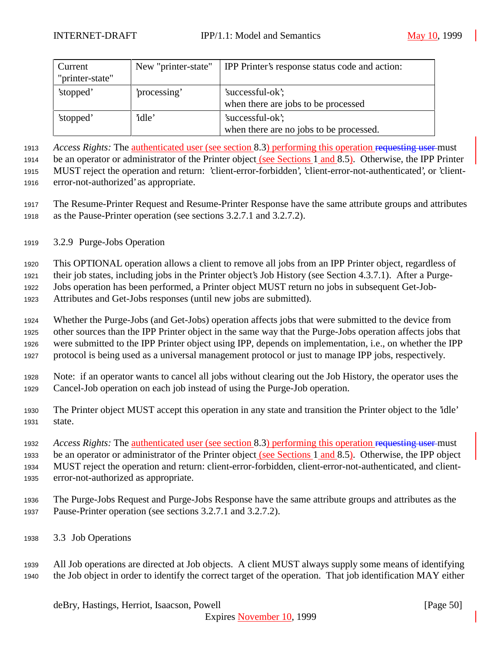| Current<br>"printer-state" | New "printer-state" | <b>IPP</b> Printer's response status code and action:       |
|----------------------------|---------------------|-------------------------------------------------------------|
| 'stopped'                  | processing'         | 'successful-ok';<br>when there are jobs to be processed     |
| 'stopped'                  | 'idle'              | 'successful-ok';<br>when there are no jobs to be processed. |

 *Access Rights:* The authenticated user (see section 8.3) performing this operation requesting user must be an operator or administrator of the Printer object (see Sections 1 and 8.5). Otherwise, the IPP Printer

 MUST reject the operation and return: 'client-error-forbidden', 'client-error-not-authenticated', or 'client-error-not-authorized' as appropriate.

- The Resume-Printer Request and Resume-Printer Response have the same attribute groups and attributes as the Pause-Printer operation (see sections 3.2.7.1 and 3.2.7.2).
- 3.2.9 Purge-Jobs Operation

This OPTIONAL operation allows a client to remove all jobs from an IPP Printer object, regardless of

their job states, including jobs in the Printer object's Job History (see Section 4.3.7.1). After a Purge-

Jobs operation has been performed, a Printer object MUST return no jobs in subsequent Get-Job-

Attributes and Get-Jobs responses (until new jobs are submitted).

 Whether the Purge-Jobs (and Get-Jobs) operation affects jobs that were submitted to the device from other sources than the IPP Printer object in the same way that the Purge-Jobs operation affects jobs that were submitted to the IPP Printer object using IPP, depends on implementation, i.e., on whether the IPP protocol is being used as a universal management protocol or just to manage IPP jobs, respectively.

 Note: if an operator wants to cancel all jobs without clearing out the Job History, the operator uses the Cancel-Job operation on each job instead of using the Purge-Job operation.

 The Printer object MUST accept this operation in any state and transition the Printer object to the 'idle' state.

 *Access Rights:* The authenticated user (see section 8.3) performing this operation requesting user must be an operator or administrator of the Printer object (see Sections 1 and 8.5). Otherwise, the IPP object MUST reject the operation and return: client-error-forbidden, client-error-not-authenticated, and client-error-not-authorized as appropriate.

- The Purge-Jobs Request and Purge-Jobs Response have the same attribute groups and attributes as the Pause-Printer operation (see sections 3.2.7.1 and 3.2.7.2).
- 3.3 Job Operations
- All Job operations are directed at Job objects. A client MUST always supply some means of identifying the Job object in order to identify the correct target of the operation. That job identification MAY either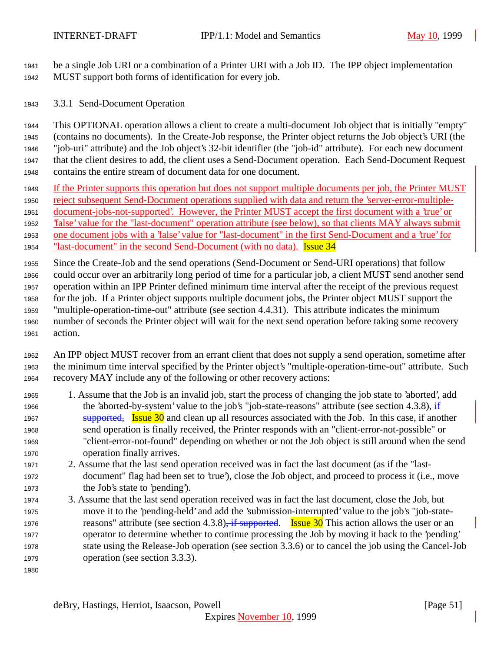be a single Job URI or a combination of a Printer URI with a Job ID. The IPP object implementation MUST support both forms of identification for every job.

3.3.1 Send-Document Operation

 This OPTIONAL operation allows a client to create a multi-document Job object that is initially "empty" (contains no documents). In the Create-Job response, the Printer object returns the Job object's URI (the "job-uri" attribute) and the Job object's 32-bit identifier (the "job-id" attribute). For each new document that the client desires to add, the client uses a Send-Document operation. Each Send-Document Request contains the entire stream of document data for one document.

- If the Printer supports this operation but does not support multiple documents per job, the Printer MUST
- reject subsequent Send-Document operations supplied with data and return the 'server-error-multiple-
- document-jobs-not-supported'. However, the Printer MUST accept the first document with a 'true' or

'false' value for the "last-document" operation attribute (see below), so that clients MAY always submit

one document jobs with a 'false' value for "last-document" in the first Send-Document and a 'true' for

1954 "last-document" in the second Send-Document (with no data). **Issue 34** 

 Since the Create-Job and the send operations (Send-Document or Send-URI operations) that follow could occur over an arbitrarily long period of time for a particular job, a client MUST send another send operation within an IPP Printer defined minimum time interval after the receipt of the previous request for the job. If a Printer object supports multiple document jobs, the Printer object MUST support the "multiple-operation-time-out" attribute (see section 4.4.31). This attribute indicates the minimum number of seconds the Printer object will wait for the next send operation before taking some recovery action.

 An IPP object MUST recover from an errant client that does not supply a send operation, sometime after the minimum time interval specified by the Printer object's "multiple-operation-time-out" attribute. Such recovery MAY include any of the following or other recovery actions:

- 1. Assume that the Job is an invalid job, start the process of changing the job state to 'aborted', add 1966 the 'aborted-by-system' value to the job's "job-state-reasons" attribute (see section 4.3.8), if 1967 supported, Issue and clean up all resources associated with the Job. In this case, if another send operation is finally received, the Printer responds with an "client-error-not-possible" or "client-error-not-found" depending on whether or not the Job object is still around when the send operation finally arrives.
- 2. Assume that the last send operation received was in fact the last document (as if the "last- document" flag had been set to 'true'), close the Job object, and proceed to process it (i.e., move the Job's state to 'pending').
- 3. Assume that the last send operation received was in fact the last document, close the Job, but move it to the 'pending-held' and add the 'submission-interrupted' value to the job's "job-state-1976 reasons" attribute (see section 4.3.8), if supported. Issue 30 This action allows the user or an operator to determine whether to continue processing the Job by moving it back to the 'pending' state using the Release-Job operation (see section 3.3.6) or to cancel the job using the Cancel-Job operation (see section 3.3.3).
-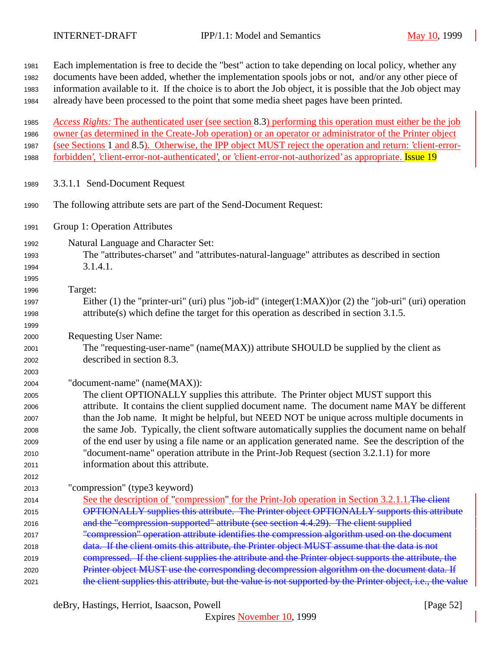| 1981 | Each implementation is free to decide the "best" action to take depending on local policy, whether any        |  |  |  |
|------|---------------------------------------------------------------------------------------------------------------|--|--|--|
| 1982 | documents have been added, whether the implementation spools jobs or not, and/or any other piece of           |  |  |  |
| 1983 | information available to it. If the choice is to abort the Job object, it is possible that the Job object may |  |  |  |
| 1984 | already have been processed to the point that some media sheet pages have been printed.                       |  |  |  |
| 1985 | Access Rights: The authenticated user (see section 8.3) performing this operation must either be the job      |  |  |  |
| 1986 | owner (as determined in the Create-Job operation) or an operator or administrator of the Printer object       |  |  |  |
| 1987 | (see Sections 1 and 8.5). Otherwise, the IPP object MUST reject the operation and return: 'client-error-      |  |  |  |
| 1988 | forbidden', 'client-error-not-authenticated', or 'client-error-not-authorized' as appropriate. Issue 19       |  |  |  |
| 1989 | 3.3.1.1 Send-Document Request                                                                                 |  |  |  |
| 1990 | The following attribute sets are part of the Send-Document Request:                                           |  |  |  |
| 1991 | Group 1: Operation Attributes                                                                                 |  |  |  |
| 1992 | Natural Language and Character Set:                                                                           |  |  |  |
| 1993 | The "attributes-charset" and "attributes-natural-language" attributes as described in section                 |  |  |  |
| 1994 | 3.1.4.1.                                                                                                      |  |  |  |
| 1995 |                                                                                                               |  |  |  |
| 1996 | Target:                                                                                                       |  |  |  |
| 1997 | Either (1) the "printer-uri" (uri) plus "job-id" (integer(1:MAX)) or (2) the "job-uri" (uri) operation        |  |  |  |
| 1998 | $attribute(s)$ which define the target for this operation as described in section 3.1.5.                      |  |  |  |
| 1999 |                                                                                                               |  |  |  |
| 2000 | <b>Requesting User Name:</b>                                                                                  |  |  |  |
| 2001 | The "requesting-user-name" (name(MAX)) attribute SHOULD be supplied by the client as                          |  |  |  |
| 2002 | described in section 8.3.                                                                                     |  |  |  |
| 2003 |                                                                                                               |  |  |  |
| 2004 | "document-name" (name(MAX)):                                                                                  |  |  |  |
| 2005 | The client OPTIONALLY supplies this attribute. The Printer object MUST support this                           |  |  |  |
| 2006 | attribute. It contains the client supplied document name. The document name MAY be different                  |  |  |  |
| 2007 | than the Job name. It might be helpful, but NEED NOT be unique across multiple documents in                   |  |  |  |
| 2008 | the same Job. Typically, the client software automatically supplies the document name on behalf               |  |  |  |
| 2009 | of the end user by using a file name or an application generated name. See the description of the             |  |  |  |
| 2010 | "document-name" operation attribute in the Print-Job Request (section 3.2.1.1) for more                       |  |  |  |
| 2011 | information about this attribute.                                                                             |  |  |  |
| 2012 |                                                                                                               |  |  |  |
| 2013 | "compression" (type3 keyword)                                                                                 |  |  |  |
| 2014 | See the description of "compression" for the Print-Job operation in Section 3.2.1.1. The client               |  |  |  |
| 2015 | OPTIONALLY supplies this attribute. The Printer object OPTIONALLY supports this attribute                     |  |  |  |
| 2016 | and the "compression-supported" attribute (see section 4.4.29). The client supplied                           |  |  |  |
| 2017 | "compression" operation attribute identifies the compression algorithm used on the document                   |  |  |  |
| 2018 | data. If the client omits this attribute, the Printer object MUST assume that the data is not                 |  |  |  |
| 2019 | compressed. If the client supplies the attribute and the Printer object supports the attribute, the           |  |  |  |
| 2020 | Printer object MUST use the corresponding decompression algorithm on the document data. If                    |  |  |  |
| 2021 | the client supplies this attribute, but the value is not supported by the Printer object, i.e., the value     |  |  |  |

deBry, Hastings, Herriot, Isaacson, Powell [Page 52]

Expires November 10, 1999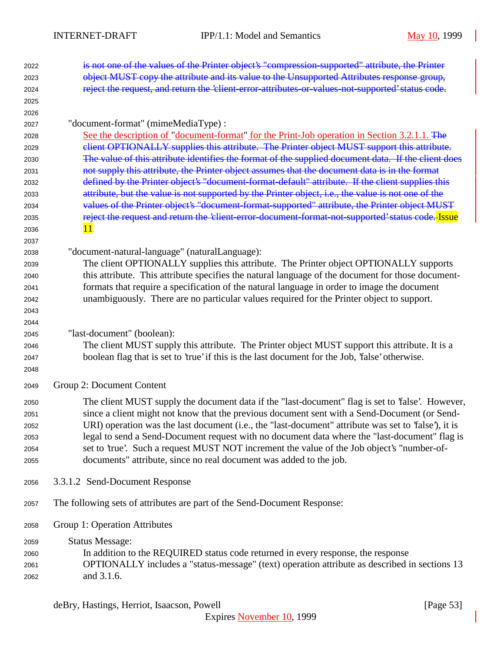| 2022 | is not one of the values of the Printer object's "compression-supported" attribute, the Printer                                                                                                      |  |  |
|------|------------------------------------------------------------------------------------------------------------------------------------------------------------------------------------------------------|--|--|
| 2023 | object MUST copy the attribute and its value to the Unsupported Attributes response group,                                                                                                           |  |  |
| 2024 | reject the request, and return the 'client-error-attributes-or-values-not-supported' status code.                                                                                                    |  |  |
| 2025 |                                                                                                                                                                                                      |  |  |
| 2026 |                                                                                                                                                                                                      |  |  |
| 2027 | "document-format" (mimeMediaType) :                                                                                                                                                                  |  |  |
| 2028 | See the description of "document-format" for the Print-Job operation in Section 3.2.1.1. The                                                                                                         |  |  |
| 2029 | elient OPTIONALLY supplies this attribute. The Printer object MUST support this attribute.                                                                                                           |  |  |
| 2030 | The value of this attribute identifies the format of the supplied document data. If the client does<br>not supply this attribute, the Printer object assumes that the document data is in the format |  |  |
| 2031 | defined by the Printer object's "document-format-default" attribute. If the client supplies this                                                                                                     |  |  |
| 2032 |                                                                                                                                                                                                      |  |  |
| 2033 | attribute, but the value is not supported by the Printer object, i.e., the value is not one of the                                                                                                   |  |  |
| 2034 | values of the Printer object's "document-format-supported" attribute, the Printer object MUST                                                                                                        |  |  |
| 2035 | reject the request and return the 'client-error-document-format-not-supported' status code. Issue                                                                                                    |  |  |
| 2036 | 11                                                                                                                                                                                                   |  |  |
| 2037 |                                                                                                                                                                                                      |  |  |
| 2038 | "document-natural-language" (naturalLanguage):                                                                                                                                                       |  |  |
| 2039 | The client OPTIONALLY supplies this attribute. The Printer object OPTIONALLY supports                                                                                                                |  |  |
| 2040 | this attribute. This attribute specifies the natural language of the document for those document-                                                                                                    |  |  |
| 2041 | formats that require a specification of the natural language in order to image the document                                                                                                          |  |  |
| 2042 | unambiguously. There are no particular values required for the Printer object to support.                                                                                                            |  |  |
| 2043 |                                                                                                                                                                                                      |  |  |
| 2044 |                                                                                                                                                                                                      |  |  |
| 2045 | "last-document" (boolean):                                                                                                                                                                           |  |  |
| 2046 | The client MUST supply this attribute. The Printer object MUST support this attribute. It is a                                                                                                       |  |  |
| 2047 | boolean flag that is set to 'true' if this is the last document for the Job, 'false' otherwise.                                                                                                      |  |  |
| 2048 |                                                                                                                                                                                                      |  |  |
| 2049 | Group 2: Document Content                                                                                                                                                                            |  |  |
| 2050 | The client MUST supply the document data if the "last-document" flag is set to 'false'. However,                                                                                                     |  |  |
| 2051 | since a client might not know that the previous document sent with a Send-Document (or Send-                                                                                                         |  |  |
| 2052 | URI) operation was the last document (i.e., the "last-document" attribute was set to 'false'), it is                                                                                                 |  |  |
| 2053 | legal to send a Send-Document request with no document data where the "last-document" flag is                                                                                                        |  |  |
| 2054 | set to 'true'. Such a request MUST NOT increment the value of the Job object's "number-of-                                                                                                           |  |  |
| 2055 | documents" attribute, since no real document was added to the job.                                                                                                                                   |  |  |
| 2056 | 3.3.1.2 Send-Document Response                                                                                                                                                                       |  |  |
| 2057 | The following sets of attributes are part of the Send-Document Response:                                                                                                                             |  |  |
| 2058 | Group 1: Operation Attributes                                                                                                                                                                        |  |  |
| 2059 | <b>Status Message:</b>                                                                                                                                                                               |  |  |
| 2060 | In addition to the REQUIRED status code returned in every response, the response                                                                                                                     |  |  |
| 2061 | OPTIONALLY includes a "status-message" (text) operation attribute as described in sections 13                                                                                                        |  |  |
| 2062 | and 3.1.6.                                                                                                                                                                                           |  |  |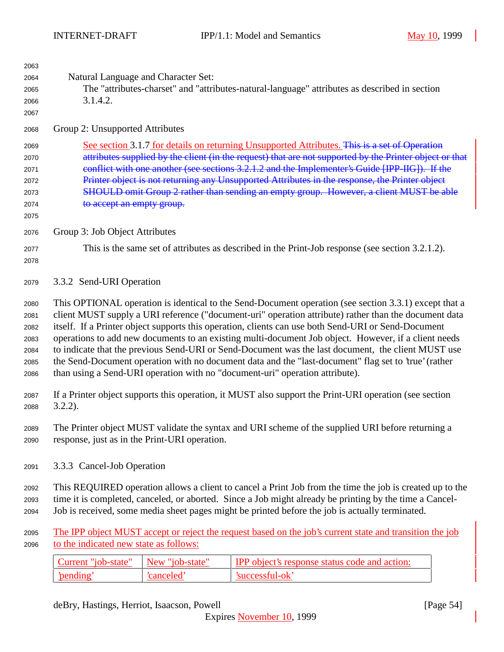| 2063<br>2064<br>2065<br>2066<br>2067                 | Natural Language and Character Set:<br>The "attributes-charset" and "attributes-natural-language" attributes as described in section<br>3.1.4.2.                                                                                                                                                                                                                                                                                                                                                                                                                                                                                                                                                                            |                 |                                                                                                          |
|------------------------------------------------------|-----------------------------------------------------------------------------------------------------------------------------------------------------------------------------------------------------------------------------------------------------------------------------------------------------------------------------------------------------------------------------------------------------------------------------------------------------------------------------------------------------------------------------------------------------------------------------------------------------------------------------------------------------------------------------------------------------------------------------|-----------------|----------------------------------------------------------------------------------------------------------|
| 2068                                                 | Group 2: Unsupported Attributes                                                                                                                                                                                                                                                                                                                                                                                                                                                                                                                                                                                                                                                                                             |                 |                                                                                                          |
| 2069<br>2070<br>2071<br>2072<br>2073<br>2074<br>2075 | See section 3.1.7 for details on returning Unsupported Attributes. This is a set of Operation<br>attributes supplied by the client (in the request) that are not supported by the Printer object or that<br>conflict with one another (see sections 3.2.1.2 and the Implementer's Guide [IPP-IIG]). If the<br>Printer object is not returning any Unsupported Attributes in the response, the Printer object<br>SHOULD omit Group 2 rather than sending an empty group. However, a client MUST be able<br>to accept an empty group.                                                                                                                                                                                         |                 |                                                                                                          |
| 2076                                                 | Group 3: Job Object Attributes                                                                                                                                                                                                                                                                                                                                                                                                                                                                                                                                                                                                                                                                                              |                 |                                                                                                          |
| 2077<br>2078                                         | This is the same set of attributes as described in the Print-Job response (see section 3.2.1.2).                                                                                                                                                                                                                                                                                                                                                                                                                                                                                                                                                                                                                            |                 |                                                                                                          |
| 2079                                                 | 3.3.2 Send-URI Operation                                                                                                                                                                                                                                                                                                                                                                                                                                                                                                                                                                                                                                                                                                    |                 |                                                                                                          |
| 2080<br>2081<br>2082<br>2083<br>2084<br>2085<br>2086 | This OPTIONAL operation is identical to the Send-Document operation (see section 3.3.1) except that a<br>client MUST supply a URI reference ("document-uri" operation attribute) rather than the document data<br>itself. If a Printer object supports this operation, clients can use both Send-URI or Send-Document<br>operations to add new documents to an existing multi-document Job object. However, if a client needs<br>to indicate that the previous Send-URI or Send-Document was the last document, the client MUST use<br>the Send-Document operation with no document data and the "last-document" flag set to 'true' (rather<br>than using a Send-URI operation with no "document-uri" operation attribute). |                 |                                                                                                          |
| 2087<br>2088                                         | If a Printer object supports this operation, it MUST also support the Print-URI operation (see section<br>$3.2.2$ ).                                                                                                                                                                                                                                                                                                                                                                                                                                                                                                                                                                                                        |                 |                                                                                                          |
| 2089<br>2090                                         | The Printer object MUST validate the syntax and URI scheme of the supplied URI before returning a<br>response, just as in the Print-URI operation.                                                                                                                                                                                                                                                                                                                                                                                                                                                                                                                                                                          |                 |                                                                                                          |
| 2091                                                 | 3.3.3 Cancel-Job Operation                                                                                                                                                                                                                                                                                                                                                                                                                                                                                                                                                                                                                                                                                                  |                 |                                                                                                          |
| 2092<br>2093<br>2094                                 | This REQUIRED operation allows a client to cancel a Print Job from the time the job is created up to the<br>time it is completed, canceled, or aborted. Since a Job might already be printing by the time a Cancel-<br>Job is received, some media sheet pages might be printed before the job is actually terminated.                                                                                                                                                                                                                                                                                                                                                                                                      |                 |                                                                                                          |
| 2095<br>2096                                         | to the indicated new state as follows:                                                                                                                                                                                                                                                                                                                                                                                                                                                                                                                                                                                                                                                                                      |                 | The IPP object MUST accept or reject the request based on the job's current state and transition the job |
|                                                      | Current "job-state"                                                                                                                                                                                                                                                                                                                                                                                                                                                                                                                                                                                                                                                                                                         | New "job-state" | IPP object's response status code and action:                                                            |
|                                                      | 'pending'                                                                                                                                                                                                                                                                                                                                                                                                                                                                                                                                                                                                                                                                                                                   | 'canceled'      | 'successful-ok'                                                                                          |
|                                                      |                                                                                                                                                                                                                                                                                                                                                                                                                                                                                                                                                                                                                                                                                                                             |                 |                                                                                                          |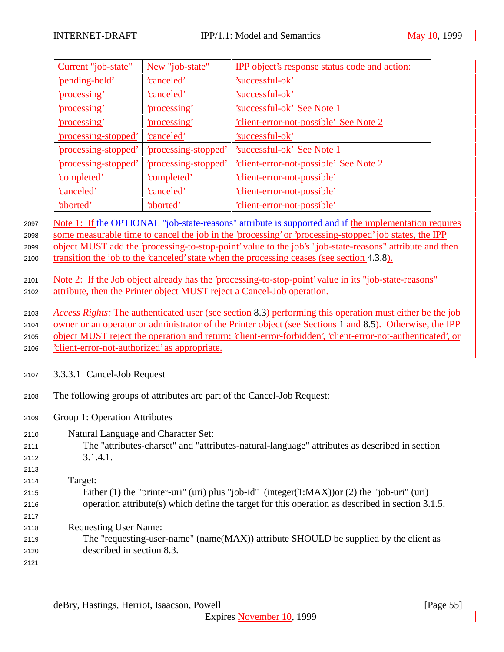| Current "job-state"         | New "job-state"           | <b>IPP</b> object's response status code and action: |
|-----------------------------|---------------------------|------------------------------------------------------|
| 'pending-held'              | canceled'                 | 'successful-ok'                                      |
| <u>'processing'</u>         | <u>'canceled'</u>         | 'successful-ok'                                      |
| <u>'processing'</u>         | 'processing'              | <b>Successful-ok' See Note 1</b>                     |
| 'processing'                | 'processing'              | <u>'client-error-not-possible' See Note 2</u>        |
| <u>'processing-stopped'</u> | canceled'                 | 'successful-ok'                                      |
| 'processing-stopped'        | 'processing-stopped'      | 'successful-ok' See Note 1                           |
| <u>'processing-stopped'</u> | <u>processing-stopped</u> | <u>'client-error-not-possible' See Note 2</u>        |
| 'completed'                 | <u>'completed'</u>        | <u>'client-error-not-possible'</u>                   |
| <u>'canceled'</u>           | <u>'canceled'</u>         | 'client-error-not-possible'                          |
| <u>'aborted'</u>            | 'aborted'                 | <u>'client-error-not-possible'</u>                   |

2097 Note 1: If the OPTIONAL "job-state-reasons" attribute is supported and if the implementation requires <sup>2098</sup> some measurable time to cancel the job in the 'processing' or 'processing-stopped' job states, the IPP <sup>2099</sup> object MUST add the 'processing-to-stop-point' value to the job's "job-state-reasons" attribute and then 2100 transition the job to the 'canceled' state when the processing ceases (see section 4.3.8).

<sup>2101</sup> Note 2: If the Job object already has the 'processing-to-stop-point' value in its "job-state-reasons" <sup>2102</sup> attribute, then the Printer object MUST reject a Cancel-Job operation.

<sup>2103</sup> *Access Rights:* The authenticated user (see section 8.3) performing this operation must either be the job <sup>2104</sup> owner or an operator or administrator of the Printer object (see Sections 1 and 8.5). Otherwise, the IPP <sup>2105</sup> object MUST reject the operation and return: 'client-error-forbidden', 'client-error-not-authenticated', or

<sup>2106</sup> 'client-error-not-authorized' as appropriate.

- <sup>2107</sup> 3.3.3.1 Cancel-Job Request
- <sup>2108</sup> The following groups of attributes are part of the Cancel-Job Request:
- <sup>2109</sup> Group 1: Operation Attributes
- <sup>2110</sup> Natural Language and Character Set:
- <sup>2111</sup> The "attributes-charset" and "attributes-natural-language" attributes as described in section <sup>2112</sup> 3.1.4.1.

| 2113  |                                                                                                  |
|-------|--------------------------------------------------------------------------------------------------|
| 2114  | Target:                                                                                          |
| 2115  | Either (1) the "printer-uri" (uri) plus "job-id" (integer(1:MAX)) or (2) the "job-uri" (uri)     |
| 2116  | operation attribute(s) which define the target for this operation as described in section 3.1.5. |
| 2117  |                                                                                                  |
| 0.110 | Doquesting Hear Name                                                                             |

- <sup>2118</sup> Requesting User Name: <sup>2119</sup> The "requesting-user-name" (name(MAX)) attribute SHOULD be supplied by the client as <sup>2120</sup> described in section 8.3.
- 2121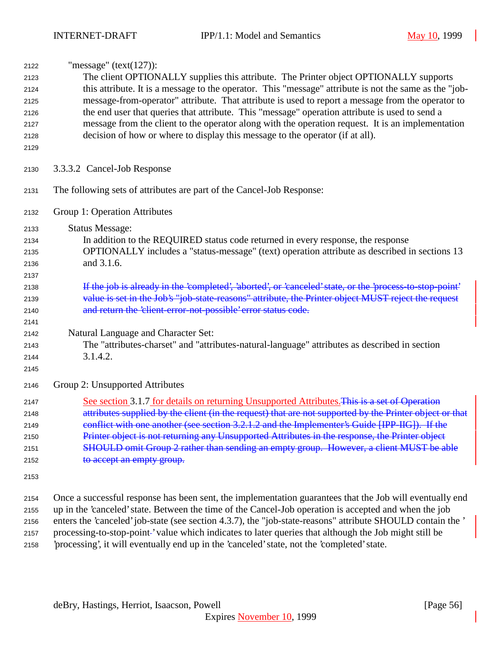| 2122 | "message" (text(127)):                                                                                      |
|------|-------------------------------------------------------------------------------------------------------------|
| 2123 | The client OPTIONALLY supplies this attribute. The Printer object OPTIONALLY supports                       |
| 2124 | this attribute. It is a message to the operator. This "message" attribute is not the same as the "job-      |
| 2125 | message-from-operator" attribute. That attribute is used to report a message from the operator to           |
| 2126 | the end user that queries that attribute. This "message" operation attribute is used to send a              |
| 2127 | message from the client to the operator along with the operation request. It is an implementation           |
| 2128 | decision of how or where to display this message to the operator (if at all).                               |
| 2129 |                                                                                                             |
| 2130 | 3.3.3.2 Cancel-Job Response                                                                                 |
| 2131 | The following sets of attributes are part of the Cancel-Job Response:                                       |
| 2132 | Group 1: Operation Attributes                                                                               |
| 2133 | <b>Status Message:</b>                                                                                      |
| 2134 | In addition to the REQUIRED status code returned in every response, the response                            |
| 2135 | OPTIONALLY includes a "status-message" (text) operation attribute as described in sections 13               |
| 2136 | and 3.1.6.                                                                                                  |
| 2137 |                                                                                                             |
| 2138 | If the job is already in the 'completed', 'aborted', or 'canceled' state, or the 'process to stop point'    |
| 2139 | value is set in the Job's "job-state-reasons" attribute, the Printer object MUST reject the request         |
| 2140 | and return the 'client-error-not-possible' error status code.                                               |
| 2141 |                                                                                                             |
| 2142 | Natural Language and Character Set:                                                                         |
| 2143 | The "attributes-charset" and "attributes-natural-language" attributes as described in section               |
| 2144 | 3.1.4.2.                                                                                                    |
| 2145 |                                                                                                             |
| 2146 | Group 2: Unsupported Attributes                                                                             |
| 2147 | See section 3.1.7 for details on returning Unsupported Attributes. This is a set of Operation               |
| 2148 | attributes supplied by the client (in the request) that are not supported by the Printer object or that     |
| 2149 | conflict with one another (see section 3.2.1.2 and the Implementer's Guide [IPP-IIG]). If the               |
| 2150 | Printer object is not returning any Unsupported Attributes in the response, the Printer object              |
| 2151 | SHOULD omit Group 2 rather than sending an empty group. However, a client MUST be able                      |
| 2152 | to accept an empty group.                                                                                   |
| 2153 |                                                                                                             |
| 2154 | Once a successful response has been sent, the implementation guarantees that the Job will eventually end    |
| 2155 | up in the 'canceled' state. Between the time of the Cancel-Job operation is accepted and when the job       |
| 2156 | enters the 'canceled' job-state (see section 4.3.7), the "job-state-reasons" attribute SHOULD contain the ' |
| 2157 | processing-to-stop-point-'value which indicates to later queries that although the Job might still be       |

'processing', it will eventually end up in the 'canceled' state, not the 'completed' state.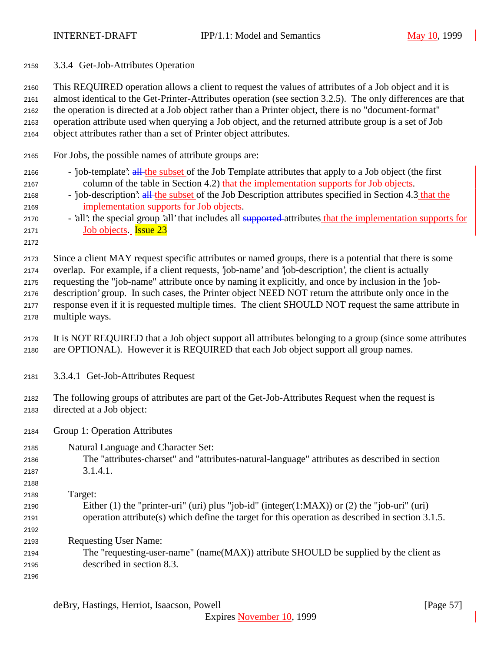| 2159 |  | 3.3.4 Get-Job-Attributes Operation |  |
|------|--|------------------------------------|--|
|------|--|------------------------------------|--|

 This REQUIRED operation allows a client to request the values of attributes of a Job object and it is almost identical to the Get-Printer-Attributes operation (see section 3.2.5). The only differences are that the operation is directed at a Job object rather than a Printer object, there is no "document-format"

 operation attribute used when querying a Job object, and the returned attribute group is a set of Job object attributes rather than a set of Printer object attributes.

For Jobs, the possible names of attribute groups are:

- 2166 'job-template': all the subset of the Job Template attributes that apply to a Job object (the first 2167 column of the table in Section 4.2) that the implementation supports for Job objects.
- 2168 'job-description': all the subset of the Job Description attributes specified in Section 4.3 that the implementation supports for Job objects.
- 2170 'all': the special group 'all' that includes all supported attributes that the implementation supports for Job objects. Issue 23
- 

Since a client MAY request specific attributes or named groups, there is a potential that there is some

overlap. For example, if a client requests, 'job-name' and 'job-description', the client is actually

- requesting the "job-name" attribute once by naming it explicitly, and once by inclusion in the 'job- description' group. In such cases, the Printer object NEED NOT return the attribute only once in the response even if it is requested multiple times. The client SHOULD NOT request the same attribute in
- multiple ways.
- It is NOT REQUIRED that a Job object support all attributes belonging to a group (since some attributes are OPTIONAL). However it is REQUIRED that each Job object support all group names.
- 3.3.4.1 Get-Job-Attributes Request
- The following groups of attributes are part of the Get-Job-Attributes Request when the request is directed at a Job object:
- Group 1: Operation Attributes
- Natural Language and Character Set:
- The "attributes-charset" and "attributes-natural-language" attributes as described in section 3.1.4.1.
- Target:
- Either (1) the "printer-uri" (uri) plus "job-id" (integer(1:MAX)) or (2) the "job-uri" (uri) operation attribute(s) which define the target for this operation as described in section 3.1.5.
- Requesting User Name:
- The "requesting-user-name" (name(MAX)) attribute SHOULD be supplied by the client as described in section 8.3.
-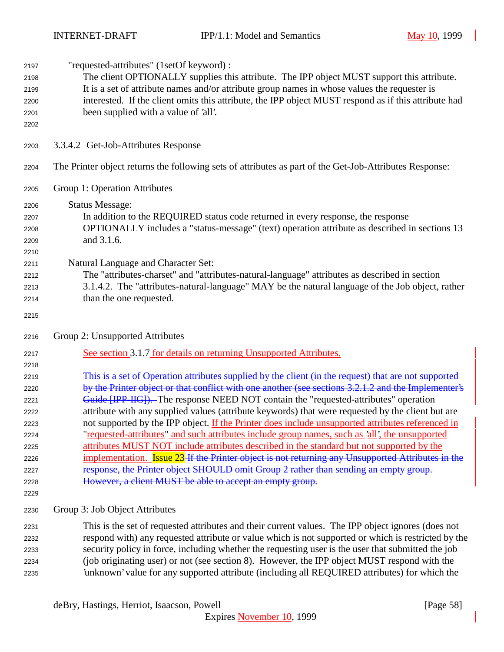| 2197 | "requested-attributes" (1setOf keyword) :                                                               |
|------|---------------------------------------------------------------------------------------------------------|
| 2198 | The client OPTIONALLY supplies this attribute. The IPP object MUST support this attribute.              |
| 2199 | It is a set of attribute names and/or attribute group names in whose values the requester is            |
| 2200 | interested. If the client omits this attribute, the IPP object MUST respond as if this attribute had    |
| 2201 | been supplied with a value of 'all'.                                                                    |
|      |                                                                                                         |
| 2202 |                                                                                                         |
| 2203 | 3.3.4.2 Get-Job-Attributes Response                                                                     |
| 2204 | The Printer object returns the following sets of attributes as part of the Get-Job-Attributes Response: |
| 2205 | Group 1: Operation Attributes                                                                           |
| 2206 | <b>Status Message:</b>                                                                                  |
| 2207 | In addition to the REQUIRED status code returned in every response, the response                        |
| 2208 | OPTIONALLY includes a "status-message" (text) operation attribute as described in sections 13           |
| 2209 | and 3.1.6.                                                                                              |
| 2210 |                                                                                                         |
| 2211 | Natural Language and Character Set:                                                                     |
| 2212 | The "attributes-charset" and "attributes-natural-language" attributes as described in section           |
| 2213 | 3.1.4.2. The "attributes-natural-language" MAY be the natural language of the Job object, rather        |
| 2214 | than the one requested.                                                                                 |
|      |                                                                                                         |
| 2215 |                                                                                                         |
| 2216 | Group 2: Unsupported Attributes                                                                         |
| 2217 | See section 3.1.7 for details on returning Unsupported Attributes.                                      |
| 2218 |                                                                                                         |
| 2219 | This is a set of Operation attributes supplied by the client (in the request) that are not supported    |
| 2220 | by the Printer object or that conflict with one another (see sections 3.2.1.2 and the Implementer's     |
| 2221 | <b>Guide [IPP IIG]).</b> The response NEED NOT contain the "requested-attributes" operation             |
| 2222 | attribute with any supplied values (attribute keywords) that were requested by the client but are       |
| 2223 | not supported by the IPP object. If the Printer does include unsupported attributes referenced in       |
| 2224 | "requested-attributes" and such attributes include group names, such as 'all', the unsupported          |
| 2225 | attributes MUST NOT include attributes described in the standard but not supported by the               |
| 2226 | implementation. Issue 23-If the Printer object is not returning any Unsupported Attributes in the       |
| 2227 | response, the Printer object SHOULD omit Group 2 rather than sending an empty group.                    |
|      | However, a client MUST be able to accept an empty group.                                                |
| 2228 |                                                                                                         |
| 2229 |                                                                                                         |
| 2230 | Group 3: Job Object Attributes                                                                          |
| 2231 | This is the set of requested attributes and their current values. The IPP object ignores (does not      |
| 2232 | respond with) any requested attribute or value which is not supported or which is restricted by the     |
| 2233 | security policy in force, including whether the requesting user is the user that submitted the job      |
| 2234 | (job originating user) or not (see section 8). However, the IPP object MUST respond with the            |
|      |                                                                                                         |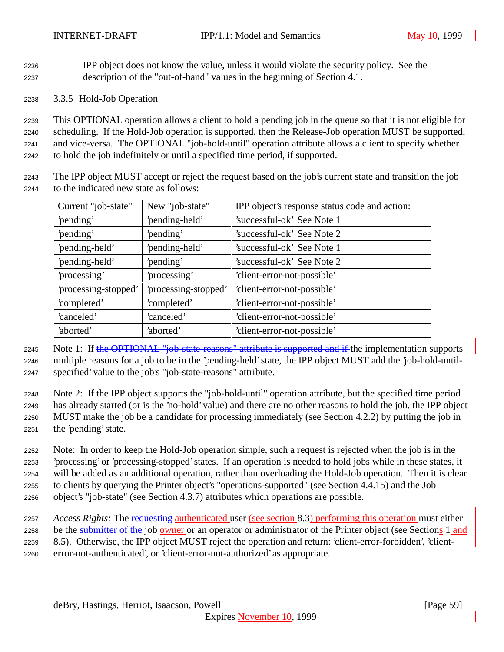IPP object does not know the value, unless it would violate the security policy. See the description of the "out-of-band" values in the beginning of Section 4.1.

3.3.5 Hold-Job Operation

 This OPTIONAL operation allows a client to hold a pending job in the queue so that it is not eligible for scheduling. If the Hold-Job operation is supported, then the Release-Job operation MUST be supported, and vice-versa. The OPTIONAL "job-hold-until" operation attribute allows a client to specify whether to hold the job indefinitely or until a specified time period, if supported.

 The IPP object MUST accept or reject the request based on the job's current state and transition the job to the indicated new state as follows:

| Current "job-state"  | New "job-state"      | IPP object's response status code and action: |
|----------------------|----------------------|-----------------------------------------------|
| 'pending'            | 'pending-held'       | 'successful-ok' See Note 1                    |
| 'pending'            | 'pending'            | 'successful-ok' See Note 2                    |
| 'pending-held'       | 'pending-held'       | 'successful-ok' See Note 1                    |
| 'pending-held'       | 'pending'            | 'successful-ok' See Note 2                    |
| processing'          | processing'          | 'client-error-not-possible'                   |
| 'processing-stopped' | 'processing-stopped' | 'client-error-not-possible'                   |
| 'completed'          | 'completed'          | 'client-error-not-possible'                   |
| 'canceled'           | 'canceled'           | 'client-error-not-possible'                   |
| 'aborted'            | 'aborted'            | 'client-error-not-possible'                   |

2245 Note 1: If the OPTIONAL "job-state-reasons" attribute is supported and if the implementation supports multiple reasons for a job to be in the 'pending-held' state, the IPP object MUST add the 'job-hold-until-specified' value to the job's "job-state-reasons" attribute.

 Note 2: If the IPP object supports the "job-hold-until" operation attribute, but the specified time period has already started (or is the 'no-hold' value) and there are no other reasons to hold the job, the IPP object MUST make the job be a candidate for processing immediately (see Section 4.2.2) by putting the job in the 'pending' state.

 Note: In order to keep the Hold-Job operation simple, such a request is rejected when the job is in the 'processing' or 'processing-stopped' states. If an operation is needed to hold jobs while in these states, it will be added as an additional operation, rather than overloading the Hold-Job operation. Then it is clear to clients by querying the Printer object's "operations-supported" (see Section 4.4.15) and the Job object's "job-state" (see Section 4.3.7) attributes which operations are possible.

 *Access Rights:* The requesting authenticated user (see section 8.3) performing this operation must either 2258 be the submitter of the job owner or an operator or administrator of the Printer object (see Sections 1 and 8.5). Otherwise, the IPP object MUST reject the operation and return: 'client-error-forbidden', 'client-error-not-authenticated', or 'client-error-not-authorized' as appropriate.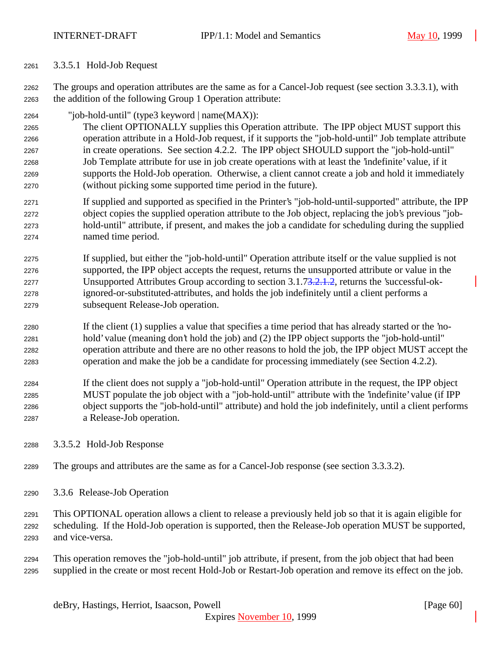3.3.5.1 Hold-Job Request

 The groups and operation attributes are the same as for a Cancel-Job request (see section 3.3.3.1), with the addition of the following Group 1 Operation attribute:

- "job-hold-until" (type3 keyword | name(MAX)):
- The client OPTIONALLY supplies this Operation attribute. The IPP object MUST support this operation attribute in a Hold-Job request, if it supports the "job-hold-until" Job template attribute in create operations. See section 4.2.2. The IPP object SHOULD support the "job-hold-until" Job Template attribute for use in job create operations with at least the 'indefinite' value, if it supports the Hold-Job operation. Otherwise, a client cannot create a job and hold it immediately (without picking some supported time period in the future).
- If supplied and supported as specified in the Printer's "job-hold-until-supported" attribute, the IPP object copies the supplied operation attribute to the Job object, replacing the job's previous "job- hold-until" attribute, if present, and makes the job a candidate for scheduling during the supplied named time period.
- If supplied, but either the "job-hold-until" Operation attribute itself or the value supplied is not supported, the IPP object accepts the request, returns the unsupported attribute or value in the Unsupported Attributes Group according to section 3.1.73.2.1.2, returns the 'successful-ok- ignored-or-substituted-attributes, and holds the job indefinitely until a client performs a subsequent Release-Job operation.
- If the client (1) supplies a value that specifies a time period that has already started or the 'no- hold' value (meaning don't hold the job) and (2) the IPP object supports the "job-hold-until" operation attribute and there are no other reasons to hold the job, the IPP object MUST accept the operation and make the job be a candidate for processing immediately (see Section 4.2.2).
- If the client does not supply a "job-hold-until" Operation attribute in the request, the IPP object MUST populate the job object with a "job-hold-until" attribute with the 'indefinite' value (if IPP object supports the "job-hold-until" attribute) and hold the job indefinitely, until a client performs a Release-Job operation.
- 3.3.5.2 Hold-Job Response
- The groups and attributes are the same as for a Cancel-Job response (see section 3.3.3.2).
- 3.3.6 Release-Job Operation
- This OPTIONAL operation allows a client to release a previously held job so that it is again eligible for scheduling. If the Hold-Job operation is supported, then the Release-Job operation MUST be supported, and vice-versa.
- This operation removes the "job-hold-until" job attribute, if present, from the job object that had been supplied in the create or most recent Hold-Job or Restart-Job operation and remove its effect on the job.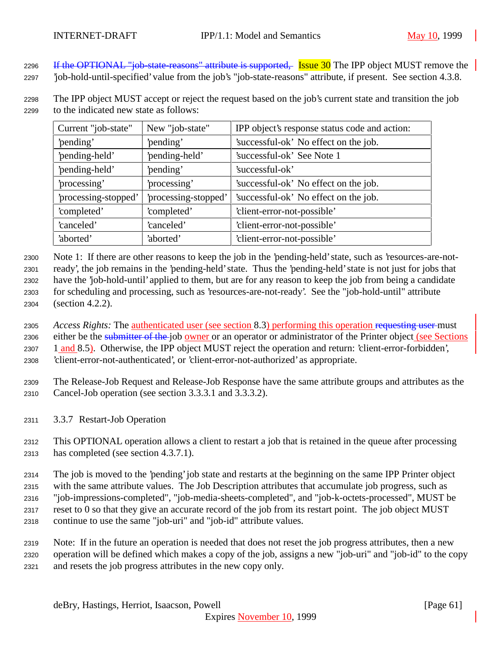2296 If the OPTIONAL "job-state-reasons" attribute is supported, Issue 30 The IPP object MUST remove the

'job-hold-until-specified' value from the job's "job-state-reasons" attribute, if present. See section 4.3.8.

 The IPP object MUST accept or reject the request based on the job's current state and transition the job to the indicated new state as follows:

| Current "job-state"  | New "job-state"      | IPP object's response status code and action: |
|----------------------|----------------------|-----------------------------------------------|
| 'pending'            | 'pending'            | 'successful-ok' No effect on the job.         |
| 'pending-held'       | 'pending-held'       | 'successful-ok' See Note 1                    |
| 'pending-held'       | 'pending'            | 'successful-ok'                               |
| processing'          | 'processing'         | 'successful-ok' No effect on the job.         |
| 'processing-stopped' | 'processing-stopped' | 'successful-ok' No effect on the job.         |
| 'completed'          | 'completed'          | 'client-error-not-possible'                   |
| 'canceled'           | 'canceled'           | 'client-error-not-possible'                   |
| 'aborted'            | 'aborted'            | 'client-error-not-possible'                   |

 Note 1: If there are other reasons to keep the job in the 'pending-held' state, such as 'resources-are-not- ready', the job remains in the 'pending-held' state. Thus the 'pending-held' state is not just for jobs that have the 'job-hold-until' applied to them, but are for any reason to keep the job from being a candidate for scheduling and processing, such as 'resources-are-not-ready'. See the "job-hold-until" attribute (section 4.2.2).

 *Access Rights:* The authenticated user (see section 8.3) performing this operation requesting user must 2306 either be the submitter of the job owner or an operator or administrator of the Printer object (see Sections 2307 1 and 8.5). Otherwise, the IPP object MUST reject the operation and return: 'client-error-forbidden', 'client-error-not-authenticated', or 'client-error-not-authorized' as appropriate.

- The Release-Job Request and Release-Job Response have the same attribute groups and attributes as the Cancel-Job operation (see section 3.3.3.1 and 3.3.3.2).
- 3.3.7 Restart-Job Operation

 This OPTIONAL operation allows a client to restart a job that is retained in the queue after processing has completed (see section 4.3.7.1).

 The job is moved to the 'pending' job state and restarts at the beginning on the same IPP Printer object with the same attribute values. The Job Description attributes that accumulate job progress, such as "job-impressions-completed", "job-media-sheets-completed", and "job-k-octets-processed", MUST be reset to 0 so that they give an accurate record of the job from its restart point. The job object MUST continue to use the same "job-uri" and "job-id" attribute values.

 Note: If in the future an operation is needed that does not reset the job progress attributes, then a new operation will be defined which makes a copy of the job, assigns a new "job-uri" and "job-id" to the copy and resets the job progress attributes in the new copy only.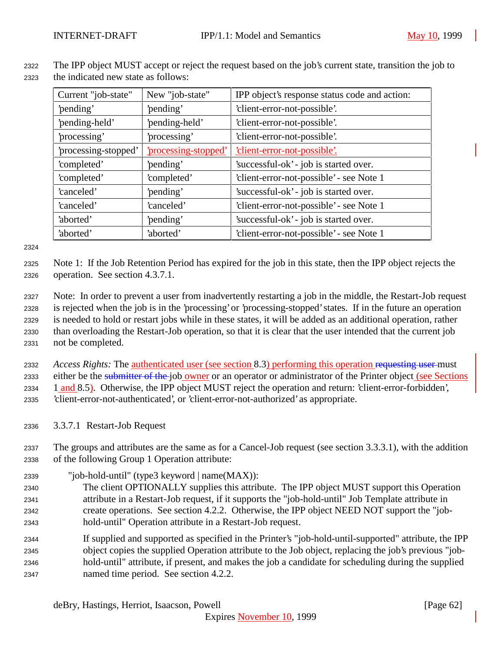<sup>2322</sup> The IPP object MUST accept or reject the request based on the job's current state, transition the job to <sup>2323</sup> the indicated new state as follows:

| Current "job-state"  | New "job-state"      | IPP object's response status code and action: |
|----------------------|----------------------|-----------------------------------------------|
| 'pending'            | 'pending'            | 'client-error-not-possible'.                  |
| 'pending-held'       | 'pending-held'       | 'client-error-not-possible'.                  |
| processing'          | processing'          | 'client-error-not-possible'.                  |
| 'processing-stopped' | 'processing-stopped' | 'client-error-not-possible'.                  |
| 'completed'          | 'pending'            | 'successful-ok' - job is started over.        |
| 'completed'          | 'completed'          | 'client-error-not-possible' - see Note 1      |
| 'canceled'           | 'pending'            | 'successful-ok' - job is started over.        |
| 'canceled'           | 'canceled'           | 'client-error-not-possible' - see Note 1      |
| 'aborted'            | 'pending'            | 'successful-ok' - job is started over.        |
| 'aborted'            | 'aborted'            | 'client-error-not-possible' - see Note 1      |

2324

<sup>2325</sup> Note 1: If the Job Retention Period has expired for the job in this state, then the IPP object rejects the <sup>2326</sup> operation. See section 4.3.7.1.

 Note: In order to prevent a user from inadvertently restarting a job in the middle, the Restart-Job request is rejected when the job is in the 'processing' or 'processing-stopped' states. If in the future an operation is needed to hold or restart jobs while in these states, it will be added as an additional operation, rather than overloading the Restart-Job operation, so that it is clear that the user intended that the current job not be completed.

<sup>2332</sup> *Access Rights:* The authenticated user (see section 8.3) performing this operation requesting user must 2333 either be the submitter of the job owner or an operator or administrator of the Printer object (see Sections 2334 1 and 8.5). Otherwise, the IPP object MUST reject the operation and return: 'client-error-forbidden', <sup>2335</sup> 'client-error-not-authenticated', or 'client-error-not-authorized' as appropriate.

<sup>2336</sup> 3.3.7.1 Restart-Job Request

<sup>2337</sup> The groups and attributes are the same as for a Cancel-Job request (see section 3.3.3.1), with the addition <sup>2338</sup> of the following Group 1 Operation attribute:

<sup>2339</sup> "job-hold-until" (type3 keyword | name(MAX)):

 The client OPTIONALLY supplies this attribute. The IPP object MUST support this Operation attribute in a Restart-Job request, if it supports the "job-hold-until" Job Template attribute in create operations. See section 4.2.2. Otherwise, the IPP object NEED NOT support the "job-hold-until" Operation attribute in a Restart-Job request.

 If supplied and supported as specified in the Printer's "job-hold-until-supported" attribute, the IPP object copies the supplied Operation attribute to the Job object, replacing the job's previous "job- hold-until" attribute, if present, and makes the job a candidate for scheduling during the supplied named time period. See section 4.2.2.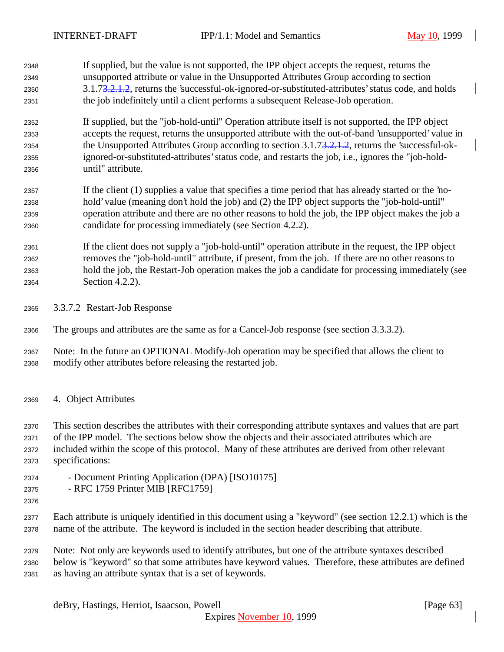If supplied, but the value is not supported, the IPP object accepts the request, returns the unsupported attribute or value in the Unsupported Attributes Group according to section 3.1.73.2.1.2, returns the 'successful-ok-ignored-or-substituted-attributes' status code, and holds the job indefinitely until a client performs a subsequent Release-Job operation.

 If supplied, but the "job-hold-until" Operation attribute itself is not supported, the IPP object accepts the request, returns the unsupported attribute with the out-of-band 'unsupported' value in 2354 the Unsupported Attributes Group according to section 3.1.7<del>3.2.1.2</del>, returns the 'successful-ok- ignored-or-substituted-attributes' status code, and restarts the job, i.e., ignores the "job-hold-until" attribute.

 If the client (1) supplies a value that specifies a time period that has already started or the 'no- hold' value (meaning don't hold the job) and (2) the IPP object supports the "job-hold-until" operation attribute and there are no other reasons to hold the job, the IPP object makes the job a candidate for processing immediately (see Section 4.2.2).

 If the client does not supply a "job-hold-until" operation attribute in the request, the IPP object removes the "job-hold-until" attribute, if present, from the job. If there are no other reasons to hold the job, the Restart-Job operation makes the job a candidate for processing immediately (see Section 4.2.2).

3.3.7.2 Restart-Job Response

The groups and attributes are the same as for a Cancel-Job response (see section 3.3.3.2).

 Note: In the future an OPTIONAL Modify-Job operation may be specified that allows the client to modify other attributes before releasing the restarted job.

4. Object Attributes

 This section describes the attributes with their corresponding attribute syntaxes and values that are part of the IPP model. The sections below show the objects and their associated attributes which are included within the scope of this protocol. Many of these attributes are derived from other relevant specifications:

- Document Printing Application (DPA) [ISO10175]
- RFC 1759 Printer MIB [RFC1759]
- 

 Each attribute is uniquely identified in this document using a "keyword" (see section 12.2.1) which is the name of the attribute. The keyword is included in the section header describing that attribute.

Note: Not only are keywords used to identify attributes, but one of the attribute syntaxes described

 below is "keyword" so that some attributes have keyword values. Therefore, these attributes are defined as having an attribute syntax that is a set of keywords.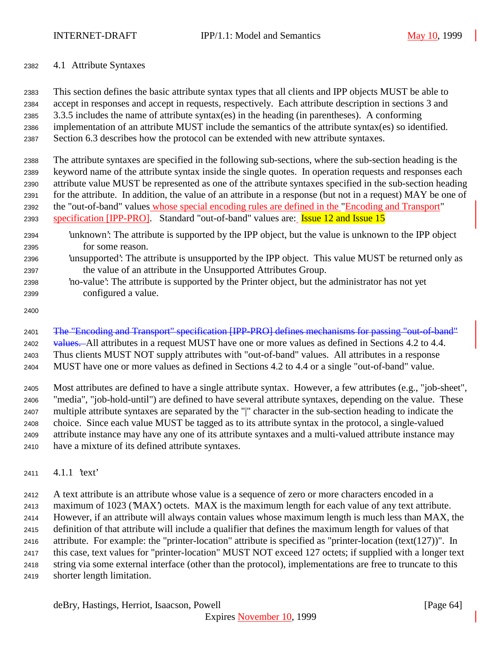## 4.1 Attribute Syntaxes

 This section defines the basic attribute syntax types that all clients and IPP objects MUST be able to accept in responses and accept in requests, respectively. Each attribute description in sections 3 and 3.3.5 includes the name of attribute syntax(es) in the heading (in parentheses). A conforming implementation of an attribute MUST include the semantics of the attribute syntax(es) so identified. Section 6.3 describes how the protocol can be extended with new attribute syntaxes.

 The attribute syntaxes are specified in the following sub-sections, where the sub-section heading is the keyword name of the attribute syntax inside the single quotes. In operation requests and responses each attribute value MUST be represented as one of the attribute syntaxes specified in the sub-section heading for the attribute. In addition, the value of an attribute in a response (but not in a request) MAY be one of the "out-of-band" values whose special encoding rules are defined in the "Encoding and Transport" 2393 specification [IPP-PRO]. Standard "out-of-band" values are: **Issue 12 and Issue 15** 

- 'unknown': The attribute is supported by the IPP object, but the value is unknown to the IPP object for some reason.
- 'unsupported': The attribute is unsupported by the IPP object. This value MUST be returned only as the value of an attribute in the Unsupported Attributes Group.
- 'no-value': The attribute is supported by the Printer object, but the administrator has not yet configured a value.
- 

The "Encoding and Transport" specification [IPP-PRO] defines mechanisms for passing "out-of-band"

2402 values. All attributes in a request MUST have one or more values as defined in Sections 4.2 to 4.4. Thus clients MUST NOT supply attributes with "out-of-band" values. All attributes in a response

MUST have one or more values as defined in Sections 4.2 to 4.4 or a single "out-of-band" value.

 Most attributes are defined to have a single attribute syntax. However, a few attributes (e.g., "job-sheet", "media", "job-hold-until") are defined to have several attribute syntaxes, depending on the value. These multiple attribute syntaxes are separated by the "|" character in the sub-section heading to indicate the choice. Since each value MUST be tagged as to its attribute syntax in the protocol, a single-valued attribute instance may have any one of its attribute syntaxes and a multi-valued attribute instance may have a mixture of its defined attribute syntaxes.

4.1.1 'text'

 A text attribute is an attribute whose value is a sequence of zero or more characters encoded in a maximum of 1023 ('MAX') octets. MAX is the maximum length for each value of any text attribute. However, if an attribute will always contain values whose maximum length is much less than MAX, the definition of that attribute will include a qualifier that defines the maximum length for values of that attribute. For example: the "printer-location" attribute is specified as "printer-location (text(127))". In this case, text values for "printer-location" MUST NOT exceed 127 octets; if supplied with a longer text string via some external interface (other than the protocol), implementations are free to truncate to this shorter length limitation.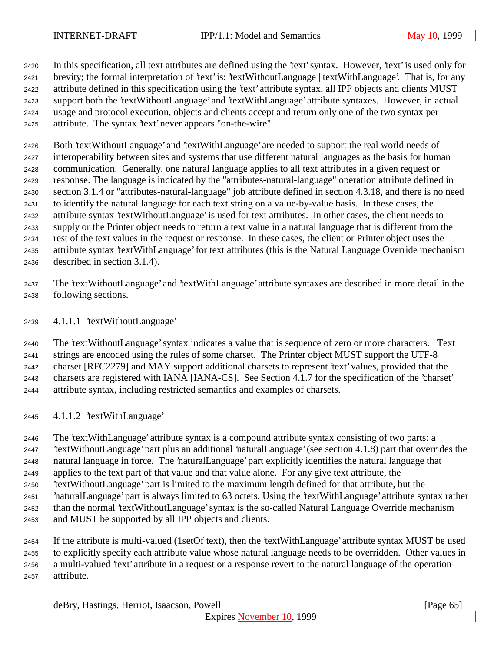In this specification, all text attributes are defined using the 'text' syntax. However, 'text' is used only for brevity; the formal interpretation of 'text' is: 'textWithoutLanguage | textWithLanguage'. That is, for any attribute defined in this specification using the 'text' attribute syntax, all IPP objects and clients MUST support both the 'textWithoutLanguage' and 'textWithLanguage' attribute syntaxes. However, in actual usage and protocol execution, objects and clients accept and return only one of the two syntax per attribute. The syntax 'text' never appears "on-the-wire".

 Both 'textWithoutLanguage' and 'textWithLanguage' are needed to support the real world needs of interoperability between sites and systems that use different natural languages as the basis for human communication. Generally, one natural language applies to all text attributes in a given request or response. The language is indicated by the "attributes-natural-language" operation attribute defined in section 3.1.4 or "attributes-natural-language" job attribute defined in section 4.3.18, and there is no need to identify the natural language for each text string on a value-by-value basis. In these cases, the attribute syntax 'textWithoutLanguage' is used for text attributes. In other cases, the client needs to supply or the Printer object needs to return a text value in a natural language that is different from the rest of the text values in the request or response. In these cases, the client or Printer object uses the attribute syntax 'textWithLanguage' for text attributes (this is the Natural Language Override mechanism described in section 3.1.4).

- The 'textWithoutLanguage' and 'textWithLanguage' attribute syntaxes are described in more detail in the following sections.
- 4.1.1.1 'textWithoutLanguage'

 The 'textWithoutLanguage' syntax indicates a value that is sequence of zero or more characters. Text strings are encoded using the rules of some charset. The Printer object MUST support the UTF-8 charset [RFC2279] and MAY support additional charsets to represent 'text' values, provided that the charsets are registered with IANA [IANA-CS]. See Section 4.1.7 for the specification of the 'charset' attribute syntax, including restricted semantics and examples of charsets.

4.1.1.2 'textWithLanguage'

 The 'textWithLanguage' attribute syntax is a compound attribute syntax consisting of two parts: a 'textWithoutLanguage' part plus an additional 'naturalLanguage' (see section 4.1.8) part that overrides the natural language in force. The 'naturalLanguage' part explicitly identifies the natural language that applies to the text part of that value and that value alone. For any give text attribute, the 'textWithoutLanguage' part is limited to the maximum length defined for that attribute, but the 'naturalLanguage' part is always limited to 63 octets. Using the 'textWithLanguage' attribute syntax rather than the normal 'textWithoutLanguage' syntax is the so-called Natural Language Override mechanism and MUST be supported by all IPP objects and clients.

 If the attribute is multi-valued (1setOf text), then the 'textWithLanguage' attribute syntax MUST be used to explicitly specify each attribute value whose natural language needs to be overridden. Other values in a multi-valued 'text' attribute in a request or a response revert to the natural language of the operation attribute.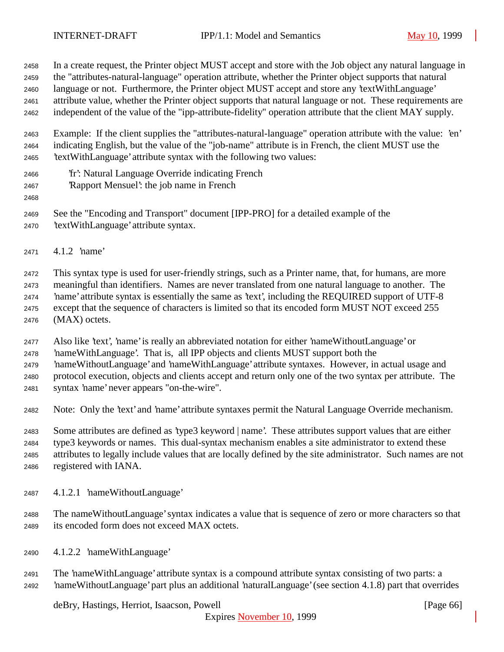In a create request, the Printer object MUST accept and store with the Job object any natural language in the "attributes-natural-language" operation attribute, whether the Printer object supports that natural language or not. Furthermore, the Printer object MUST accept and store any 'textWithLanguage' attribute value, whether the Printer object supports that natural language or not. These requirements are independent of the value of the "ipp-attribute-fidelity" operation attribute that the client MAY supply.

 Example: If the client supplies the "attributes-natural-language" operation attribute with the value: 'en' indicating English, but the value of the "job-name" attribute is in French, the client MUST use the 'textWithLanguage' attribute syntax with the following two values:

- 'fr': Natural Language Override indicating French
- 'Rapport Mensuel': the job name in French
- 
- See the "Encoding and Transport" document [IPP-PRO] for a detailed example of the
- 'textWithLanguage' attribute syntax.
- 4.1.2 'name'

 This syntax type is used for user-friendly strings, such as a Printer name, that, for humans, are more meaningful than identifiers. Names are never translated from one natural language to another. The 'name' attribute syntax is essentially the same as 'text', including the REQUIRED support of UTF-8 except that the sequence of characters is limited so that its encoded form MUST NOT exceed 255 (MAX) octets.

Also like 'text', 'name' is really an abbreviated notation for either 'nameWithoutLanguage' or

'nameWithLanguage'. That is, all IPP objects and clients MUST support both the

'nameWithoutLanguage' and 'nameWithLanguage' attribute syntaxes. However, in actual usage and

protocol execution, objects and clients accept and return only one of the two syntax per attribute. The

- syntax 'name' never appears "on-the-wire".
- Note: Only the 'text' and 'name' attribute syntaxes permit the Natural Language Override mechanism.

 Some attributes are defined as 'type3 keyword | name'. These attributes support values that are either type3 keywords or names. This dual-syntax mechanism enables a site administrator to extend these attributes to legally include values that are locally defined by the site administrator. Such names are not registered with IANA.

- 4.1.2.1 'nameWithoutLanguage'
- The nameWithoutLanguage' syntax indicates a value that is sequence of zero or more characters so that its encoded form does not exceed MAX octets.
- 4.1.2.2 'nameWithLanguage'
- The 'nameWithLanguage' attribute syntax is a compound attribute syntax consisting of two parts: a 'nameWithoutLanguage' part plus an additional 'naturalLanguage' (see section 4.1.8) part that overrides

deBry, Hastings, Herriot, Isaacson, Powell [Page 66]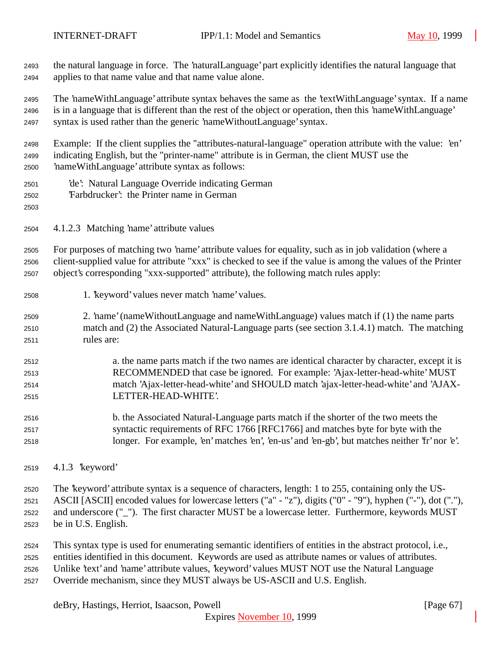the natural language in force. The 'naturalLanguage' part explicitly identifies the natural language that applies to that name value and that name value alone.

 The 'nameWithLanguage' attribute syntax behaves the same as the 'textWithLanguage' syntax. If a name is in a language that is different than the rest of the object or operation, then this 'nameWithLanguage' syntax is used rather than the generic 'nameWithoutLanguage' syntax.

 Example: If the client supplies the "attributes-natural-language" operation attribute with the value: 'en' indicating English, but the "printer-name" attribute is in German, the client MUST use the 'nameWithLanguage' attribute syntax as follows:

| 2501 | 'de': Natural Language Override indicating German |
|------|---------------------------------------------------|
| 2502 | 'Farbdrucker': the Printer name in German         |

4.1.2.3 Matching 'name' attribute values

 For purposes of matching two 'name' attribute values for equality, such as in job validation (where a client-supplied value for attribute "xxx" is checked to see if the value is among the values of the Printer object's corresponding "xxx-supported" attribute), the following match rules apply:

- 1. 'keyword' values never match 'name' values.
- 2. 'name' (nameWithoutLanguage and nameWithLanguage) values match if (1) the name parts match and (2) the Associated Natural-Language parts (see section 3.1.4.1) match. The matching rules are:
- a. the name parts match if the two names are identical character by character, except it is RECOMMENDED that case be ignored. For example: 'Ajax-letter-head-white' MUST match 'Ajax-letter-head-white' and SHOULD match 'ajax-letter-head-white' and 'AJAX-LETTER-HEAD-WHITE'.
- b. the Associated Natural-Language parts match if the shorter of the two meets the syntactic requirements of RFC 1766 [RFC1766] and matches byte for byte with the longer. For example, 'en' matches 'en', 'en-us' and 'en-gb', but matches neither 'fr' nor 'e'.
- 4.1.3 'keyword'
- The 'keyword' attribute syntax is a sequence of characters, length: 1 to 255, containing only the US- ASCII [ASCII] encoded values for lowercase letters ("a" - "z"), digits ("0" - "9"), hyphen ("-"), dot ("."), and underscore ("\_"). The first character MUST be a lowercase letter. Furthermore, keywords MUST be in U.S. English.
- This syntax type is used for enumerating semantic identifiers of entities in the abstract protocol, i.e., entities identified in this document. Keywords are used as attribute names or values of attributes. Unlike 'text' and 'name' attribute values, 'keyword' values MUST NOT use the Natural Language
- Override mechanism, since they MUST always be US-ASCII and U.S. English.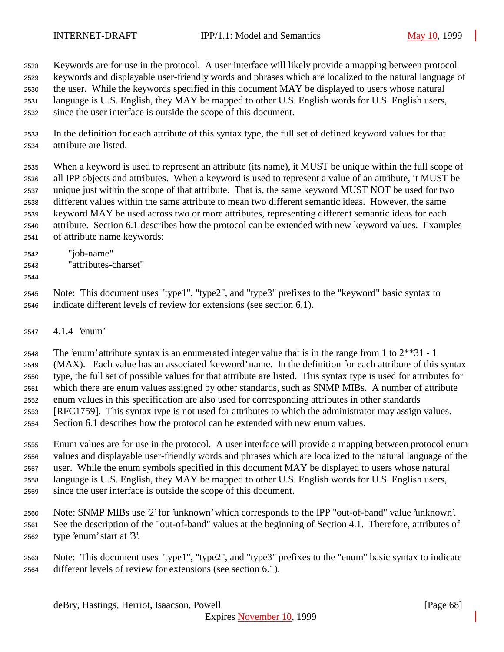Keywords are for use in the protocol. A user interface will likely provide a mapping between protocol keywords and displayable user-friendly words and phrases which are localized to the natural language of the user. While the keywords specified in this document MAY be displayed to users whose natural language is U.S. English, they MAY be mapped to other U.S. English words for U.S. English users, since the user interface is outside the scope of this document.

- In the definition for each attribute of this syntax type, the full set of defined keyword values for that attribute are listed.
- When a keyword is used to represent an attribute (its name), it MUST be unique within the full scope of all IPP objects and attributes. When a keyword is used to represent a value of an attribute, it MUST be unique just within the scope of that attribute. That is, the same keyword MUST NOT be used for two different values within the same attribute to mean two different semantic ideas. However, the same keyword MAY be used across two or more attributes, representing different semantic ideas for each attribute. Section 6.1 describes how the protocol can be extended with new keyword values. Examples of attribute name keywords:
- "job-name"
- "attributes-charset"
- 

 Note: This document uses "type1", "type2", and "type3" prefixes to the "keyword" basic syntax to indicate different levels of review for extensions (see section 6.1).

4.1.4 'enum'

2548 The 'enum' attribute syntax is an enumerated integer value that is in the range from 1 to  $2^{**}31 - 1$  (MAX). Each value has an associated 'keyword' name. In the definition for each attribute of this syntax type, the full set of possible values for that attribute are listed. This syntax type is used for attributes for which there are enum values assigned by other standards, such as SNMP MIBs. A number of attribute enum values in this specification are also used for corresponding attributes in other standards [RFC1759]. This syntax type is not used for attributes to which the administrator may assign values. Section 6.1 describes how the protocol can be extended with new enum values.

 Enum values are for use in the protocol. A user interface will provide a mapping between protocol enum values and displayable user-friendly words and phrases which are localized to the natural language of the user. While the enum symbols specified in this document MAY be displayed to users whose natural language is U.S. English, they MAY be mapped to other U.S. English words for U.S. English users, since the user interface is outside the scope of this document.

- Note: SNMP MIBs use '2' for 'unknown' which corresponds to the IPP "out-of-band" value 'unknown'. See the description of the "out-of-band" values at the beginning of Section 4.1. Therefore, attributes of type 'enum' start at '3'.
- Note: This document uses "type1", "type2", and "type3" prefixes to the "enum" basic syntax to indicate different levels of review for extensions (see section 6.1).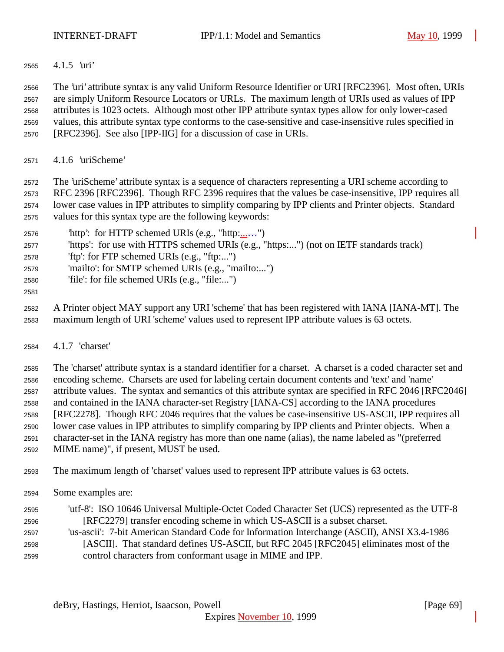4.1.5 'uri'

 The 'uri' attribute syntax is any valid Uniform Resource Identifier or URI [RFC2396]. Most often, URIs are simply Uniform Resource Locators or URLs. The maximum length of URIs used as values of IPP attributes is 1023 octets. Although most other IPP attribute syntax types allow for only lower-cased values, this attribute syntax type conforms to the case-sensitive and case-insensitive rules specified in [RFC2396]. See also [IPP-IIG] for a discussion of case in URIs.

4.1.6 'uriScheme'

 The 'uriScheme' attribute syntax is a sequence of characters representing a URI scheme according to RFC 2396 [RFC2396]. Though RFC 2396 requires that the values be case-insensitive, IPP requires all lower case values in IPP attributes to simplify comparing by IPP clients and Printer objects. Standard values for this syntax type are the following keywords:

- 2576  $\text{http':}$  for HTTP schemed URIs (e.g., "http: $\dots$ ")
- 'https': for use with HTTPS schemed URIs (e.g., "https:...") (not on IETF standards track)
- 'ftp': for FTP schemed URIs (e.g., "ftp:...")
- 'mailto': for SMTP schemed URIs (e.g., "mailto:...")
- 'file': for file schemed URIs (e.g., "file:...")
- 

 A Printer object MAY support any URI 'scheme' that has been registered with IANA [IANA-MT]. The maximum length of URI 'scheme' values used to represent IPP attribute values is 63 octets.

4.1.7 'charset'

 The 'charset' attribute syntax is a standard identifier for a charset. A charset is a coded character set and encoding scheme. Charsets are used for labeling certain document contents and 'text' and 'name' attribute values. The syntax and semantics of this attribute syntax are specified in RFC 2046 [RFC2046] and contained in the IANA character-set Registry [IANA-CS] according to the IANA procedures [RFC2278]. Though RFC 2046 requires that the values be case-insensitive US-ASCII, IPP requires all lower case values in IPP attributes to simplify comparing by IPP clients and Printer objects. When a character-set in the IANA registry has more than one name (alias), the name labeled as "(preferred MIME name)", if present, MUST be used.

- The maximum length of 'charset' values used to represent IPP attribute values is 63 octets.
- Some examples are:
- 'utf-8': ISO 10646 Universal Multiple-Octet Coded Character Set (UCS) represented as the UTF-8 [RFC2279] transfer encoding scheme in which US-ASCII is a subset charset. 'us-ascii': 7-bit American Standard Code for Information Interchange (ASCII), ANSI X3.4-1986
- [ASCII]. That standard defines US-ASCII, but RFC 2045 [RFC2045] eliminates most of the control characters from conformant usage in MIME and IPP.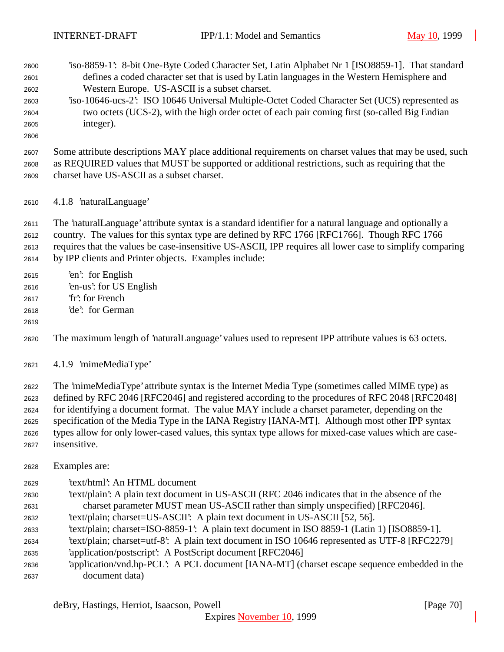- 'iso-8859-1': 8-bit One-Byte Coded Character Set, Latin Alphabet Nr 1 [ISO8859-1]. That standard defines a coded character set that is used by Latin languages in the Western Hemisphere and Western Europe. US-ASCII is a subset charset. 'iso-10646-ucs-2': ISO 10646 Universal Multiple-Octet Coded Character Set (UCS) represented as
- two octets (UCS-2), with the high order octet of each pair coming first (so-called Big Endian integer).
- 

 Some attribute descriptions MAY place additional requirements on charset values that may be used, such as REQUIRED values that MUST be supported or additional restrictions, such as requiring that the charset have US-ASCII as a subset charset.

4.1.8 'naturalLanguage'

The 'naturalLanguage' attribute syntax is a standard identifier for a natural language and optionally a

- country. The values for this syntax type are defined by RFC 1766 [RFC1766]. Though RFC 1766
- requires that the values be case-insensitive US-ASCII, IPP requires all lower case to simplify comparing by IPP clients and Printer objects. Examples include:
- 'en': for English
- 'en-us': for US English
- 'fr': for French
- 'de': for German
- 
- The maximum length of 'naturalLanguage' values used to represent IPP attribute values is 63 octets.
- 4.1.9 'mimeMediaType'

 The 'mimeMediaType' attribute syntax is the Internet Media Type (sometimes called MIME type) as defined by RFC 2046 [RFC2046] and registered according to the procedures of RFC 2048 [RFC2048] for identifying a document format. The value MAY include a charset parameter, depending on the specification of the Media Type in the IANA Registry [IANA-MT]. Although most other IPP syntax types allow for only lower-cased values, this syntax type allows for mixed-case values which are case-insensitive.

- Examples are:
- 'text/html': An HTML document
- 'text/plain': A plain text document in US-ASCII (RFC 2046 indicates that in the absence of the charset parameter MUST mean US-ASCII rather than simply unspecified) [RFC2046].
- 'text/plain; charset=US-ASCII': A plain text document in US-ASCII [52, 56].
- 'text/plain; charset=ISO-8859-1': A plain text document in ISO 8859-1 (Latin 1) [ISO8859-1].
- 'text/plain; charset=utf-8': A plain text document in ISO 10646 represented as UTF-8 [RFC2279]
- 'application/postscript': A PostScript document [RFC2046]
- 'application/vnd.hp-PCL': A PCL document [IANA-MT] (charset escape sequence embedded in the document data)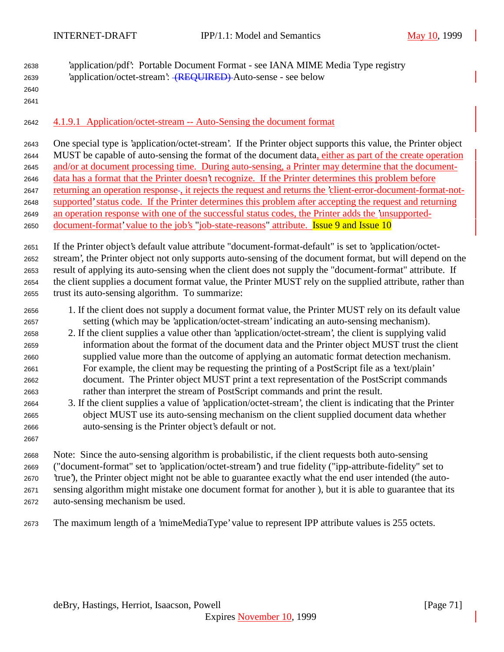- 'application/pdf': Portable Document Format see IANA MIME Media Type registry 'application/octet-stream': (REQUIRED) Auto-sense - see below
- 

4.1.9.1 Application/octet-stream -- Auto-Sensing the document format

 One special type is 'application/octet-stream'. If the Printer object supports this value, the Printer object MUST be capable of auto-sensing the format of the document data, either as part of the create operation and/or at document processing time. During auto-sensing, a Printer may determine that the document- data has a format that the Printer doesn't recognize. If the Printer determines this problem before 2647 returning an operation response, it rejects the request and returns the 'client-error-document-format-not- supported'status code. If the Printer determines this problem after accepting the request and returning an operation response with one of the successful status codes, the Printer adds the 'unsupported-2650 document-format' value to the job's "job-state-reasons" attribute. **Issue 9 and Issue 10** 

 If the Printer object's default value attribute "document-format-default" is set to 'application/octet- stream', the Printer object not only supports auto-sensing of the document format, but will depend on the result of applying its auto-sensing when the client does not supply the "document-format" attribute. If the client supplies a document format value, the Printer MUST rely on the supplied attribute, rather than trust its auto-sensing algorithm. To summarize:

- 1. If the client does not supply a document format value, the Printer MUST rely on its default value setting (which may be 'application/octet-stream' indicating an auto-sensing mechanism).
- 2. If the client supplies a value other than 'application/octet-stream', the client is supplying valid information about the format of the document data and the Printer object MUST trust the client supplied value more than the outcome of applying an automatic format detection mechanism. For example, the client may be requesting the printing of a PostScript file as a 'text/plain' document. The Printer object MUST print a text representation of the PostScript commands rather than interpret the stream of PostScript commands and print the result.
- 3. If the client supplies a value of 'application/octet-stream', the client is indicating that the Printer object MUST use its auto-sensing mechanism on the client supplied document data whether auto-sensing is the Printer object's default or not.
- Note: Since the auto-sensing algorithm is probabilistic, if the client requests both auto-sensing ("document-format" set to 'application/octet-stream') and true fidelity ("ipp-attribute-fidelity" set to 'true'), the Printer object might not be able to guarantee exactly what the end user intended (the auto- sensing algorithm might mistake one document format for another ), but it is able to guarantee that its auto-sensing mechanism be used.
- The maximum length of a 'mimeMediaType' value to represent IPP attribute values is 255 octets.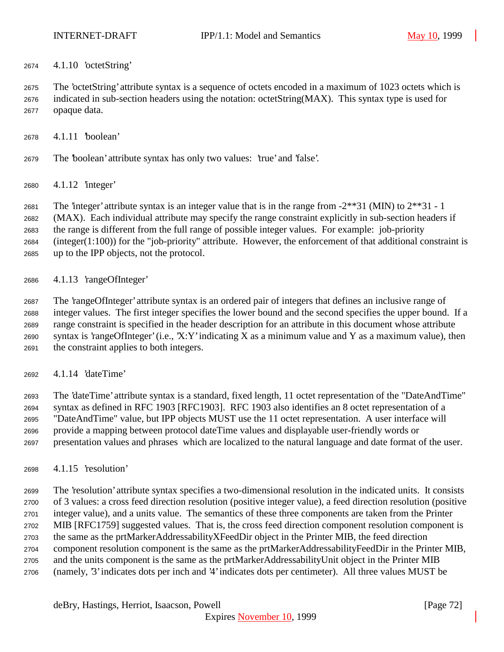4.1.10 'octetString'

 The 'octetString' attribute syntax is a sequence of octets encoded in a maximum of 1023 octets which is indicated in sub-section headers using the notation: octetString(MAX). This syntax type is used for opaque data.

- 4.1.11 'boolean'
- The 'boolean' attribute syntax has only two values: 'true' and 'false'.
- 4.1.12 'integer'

The 'integer' attribute syntax is an integer value that is in the range from -2\*\*31 (MIN) to 2\*\*31 - 1

(MAX). Each individual attribute may specify the range constraint explicitly in sub-section headers if

the range is different from the full range of possible integer values. For example: job-priority

 (integer(1:100)) for the "job-priority" attribute. However, the enforcement of that additional constraint is up to the IPP objects, not the protocol.

4.1.13 'rangeOfInteger'

 The 'rangeOfInteger' attribute syntax is an ordered pair of integers that defines an inclusive range of integer values. The first integer specifies the lower bound and the second specifies the upper bound. If a range constraint is specified in the header description for an attribute in this document whose attribute syntax is 'rangeOfInteger' (i.e., 'X:Y' indicating X as a minimum value and Y as a maximum value), then the constraint applies to both integers.

4.1.14 'dateTime'

 The 'dateTime' attribute syntax is a standard, fixed length, 11 octet representation of the "DateAndTime" syntax as defined in RFC 1903 [RFC1903]. RFC 1903 also identifies an 8 octet representation of a "DateAndTime" value, but IPP objects MUST use the 11 octet representation. A user interface will provide a mapping between protocol dateTime values and displayable user-friendly words or presentation values and phrases which are localized to the natural language and date format of the user.

4.1.15 'resolution'

 The 'resolution' attribute syntax specifies a two-dimensional resolution in the indicated units. It consists of 3 values: a cross feed direction resolution (positive integer value), a feed direction resolution (positive integer value), and a units value. The semantics of these three components are taken from the Printer MIB [RFC1759] suggested values. That is, the cross feed direction component resolution component is the same as the prtMarkerAddressabilityXFeedDir object in the Printer MIB, the feed direction component resolution component is the same as the prtMarkerAddressabilityFeedDir in the Printer MIB, and the units component is the same as the prtMarkerAddressabilityUnit object in the Printer MIB (namely, '3' indicates dots per inch and '4' indicates dots per centimeter). All three values MUST be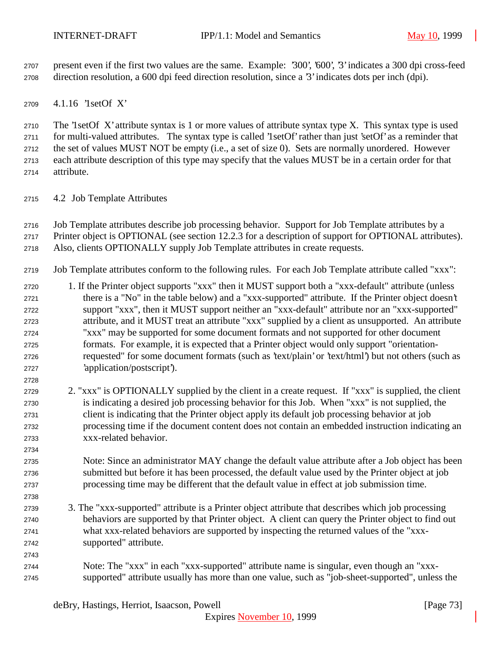present even if the first two values are the same. Example: '300', '600', '3' indicates a 300 dpi cross-feed direction resolution, a 600 dpi feed direction resolution, since a '3' indicates dots per inch (dpi).

4.1.16 '1setOf X'

 The '1setOf X' attribute syntax is 1 or more values of attribute syntax type X. This syntax type is used for multi-valued attributes. The syntax type is called '1setOf' rather than just 'setOf' as a reminder that the set of values MUST NOT be empty (i.e., a set of size 0). Sets are normally unordered. However each attribute description of this type may specify that the values MUST be in a certain order for that attribute.

- 4.2 Job Template Attributes
- Job Template attributes describe job processing behavior. Support for Job Template attributes by a
- Printer object is OPTIONAL (see section 12.2.3 for a description of support for OPTIONAL attributes). Also, clients OPTIONALLY supply Job Template attributes in create requests.
- Job Template attributes conform to the following rules. For each Job Template attribute called "xxx":
- 1. If the Printer object supports "xxx" then it MUST support both a "xxx-default" attribute (unless there is a "No" in the table below) and a "xxx-supported" attribute. If the Printer object doesn't support "xxx", then it MUST support neither an "xxx-default" attribute nor an "xxx-supported" attribute, and it MUST treat an attribute "xxx" supplied by a client as unsupported. An attribute "xxx" may be supported for some document formats and not supported for other document formats. For example, it is expected that a Printer object would only support "orientation- requested" for some document formats (such as 'text/plain' or 'text/html') but not others (such as 'application/postscript').
- 2. "xxx" is OPTIONALLY supplied by the client in a create request. If "xxx" is supplied, the client is indicating a desired job processing behavior for this Job. When "xxx" is not supplied, the client is indicating that the Printer object apply its default job processing behavior at job processing time if the document content does not contain an embedded instruction indicating an xxx-related behavior.
- Note: Since an administrator MAY change the default value attribute after a Job object has been submitted but before it has been processed, the default value used by the Printer object at job processing time may be different that the default value in effect at job submission time.
- 3. The "xxx-supported" attribute is a Printer object attribute that describes which job processing behaviors are supported by that Printer object. A client can query the Printer object to find out what xxx-related behaviors are supported by inspecting the returned values of the "xxx-supported" attribute.
- Note: The "xxx" in each "xxx-supported" attribute name is singular, even though an "xxx-supported" attribute usually has more than one value, such as "job-sheet-supported", unless the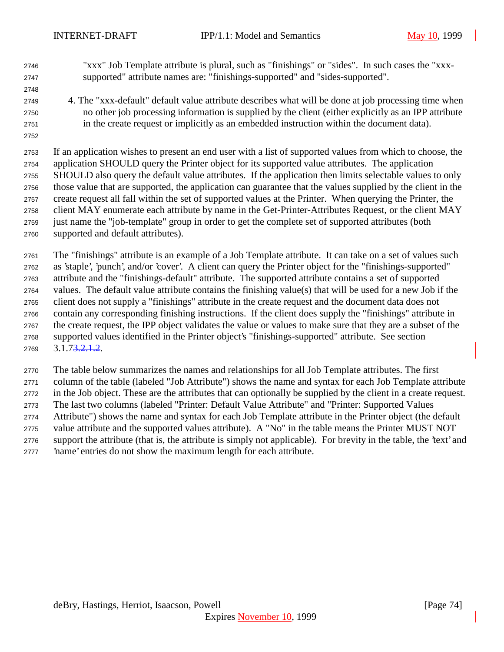"xxx" Job Template attribute is plural, such as "finishings" or "sides". In such cases the "xxx-supported" attribute names are: "finishings-supported" and "sides-supported".

- 
- 4. The "xxx-default" default value attribute describes what will be done at job processing time when no other job processing information is supplied by the client (either explicitly as an IPP attribute in the create request or implicitly as an embedded instruction within the document data).
- 

 If an application wishes to present an end user with a list of supported values from which to choose, the application SHOULD query the Printer object for its supported value attributes. The application SHOULD also query the default value attributes. If the application then limits selectable values to only those value that are supported, the application can guarantee that the values supplied by the client in the create request all fall within the set of supported values at the Printer. When querying the Printer, the client MAY enumerate each attribute by name in the Get-Printer-Attributes Request, or the client MAY just name the "job-template" group in order to get the complete set of supported attributes (both supported and default attributes).

 The "finishings" attribute is an example of a Job Template attribute. It can take on a set of values such as 'staple', 'punch', and/or 'cover'. A client can query the Printer object for the "finishings-supported" attribute and the "finishings-default" attribute. The supported attribute contains a set of supported values. The default value attribute contains the finishing value(s) that will be used for a new Job if the client does not supply a "finishings" attribute in the create request and the document data does not contain any corresponding finishing instructions. If the client does supply the "finishings" attribute in the create request, the IPP object validates the value or values to make sure that they are a subset of the supported values identified in the Printer object's "finishings-supported" attribute. See section  $2769 \qquad 3.1.73 \quad 2.1.2.$ 

 The table below summarizes the names and relationships for all Job Template attributes. The first column of the table (labeled "Job Attribute") shows the name and syntax for each Job Template attribute in the Job object. These are the attributes that can optionally be supplied by the client in a create request. The last two columns (labeled "Printer: Default Value Attribute" and "Printer: Supported Values Attribute") shows the name and syntax for each Job Template attribute in the Printer object (the default value attribute and the supported values attribute). A "No" in the table means the Printer MUST NOT support the attribute (that is, the attribute is simply not applicable). For brevity in the table, the 'text' and 'name' entries do not show the maximum length for each attribute.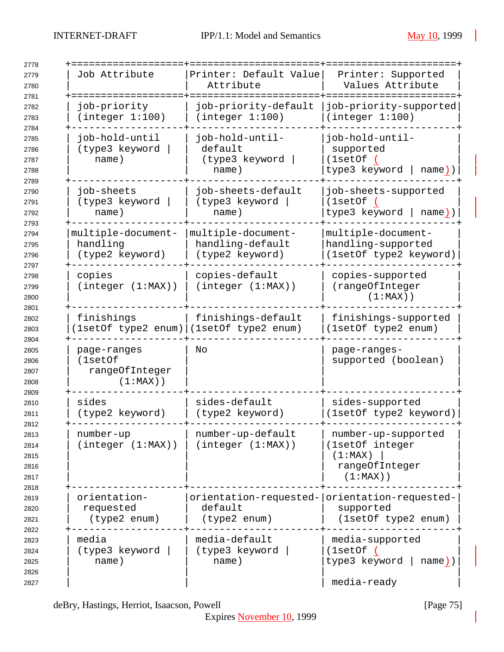| 2778<br>2779                                 | Job Attribute                                           | Printer: Default Value                                       | Printer: Supported                                                                 |
|----------------------------------------------|---------------------------------------------------------|--------------------------------------------------------------|------------------------------------------------------------------------------------|
| 2780                                         |                                                         | Attribute                                                    | Values Attribute                                                                   |
| 2781<br>2782<br>2783                         | job-priority<br>(integer 1:100)                         | job-priority-default<br>(integer 1:100)                      | job-priority-supported<br>(integer 1:100)                                          |
| 2784<br>2785<br>2786<br>2787<br>2788         | job-hold-until<br>(type3 keyword<br>name)               | job-hold-until-<br>default<br>(type3 keyword<br>name)        | job-hold-until-<br>supported<br>(1setOf)<br>type3 keyword<br>name))                |
| 2789<br>2790<br>2791<br>2792                 | job-sheets<br>(type3 keyword<br>name)                   | job-sheets-default<br>(type3 keyword<br>name)                | job-sheets-supported<br>(1setOf)<br>type3 keyword   name))                         |
| 2793<br>2794<br>2795<br>2796<br>2797         | multiple-document-<br>handling<br>(type2 keyword)       | multiple-document-<br>handling-default<br>(type2 keyword)    | multiple-document-<br>handling-supported<br>(1setOf type2 keyword)                 |
| 2798<br>2799<br>2800<br>2801                 | copies<br>(integer (1:MAX))                             | copies-default<br>(integer (1:MAX))                          | copies-supported<br>(rangeOfInteger<br>$(1:MAX)$ )                                 |
| 2802<br>2803                                 | finishings                                              | finishings-default<br>1setOf type2 enum) (1setOf type2 enum) | finishings-supported<br>(1setOf type2 enum)                                        |
| 2804<br>2805<br>2806<br>2807<br>2808         | page-ranges<br>(1setOf<br>rangeOfInteger<br>$(1:MAX)$ ) | Νo                                                           | page-ranges-<br>supported (boolean)                                                |
| 2809<br>2810<br>2811                         | sides<br>(type2 keyword)                                | sides-default<br>(type2 keyword)                             | sides-supported<br>(1setOf type2 keyword)                                          |
| 2812<br>2813<br>2814<br>2815<br>2816<br>2817 | number-up<br>(integer (1:MAX))                          | number-up-default<br>(integer (1:MAX))                       | number-up-supported<br>(1setOf integer<br>(1:MAX)<br>rangeOfInteger<br>$(1:MAX)$ ) |
| 2818<br>2819<br>2820<br>2821                 | orientation-<br>requested<br>(type2 enum)               | default<br>(type2 enum)                                      | orientation-requested- orientation-requested-<br>supported<br>(1setOf type2 enum)  |
| 2822<br>2823<br>2824<br>2825<br>2826<br>2827 | media<br>(type3 keyword<br>name)                        | media-default<br>(type3 keyword<br>name)                     | media-supported<br>(1setOf)<br>type3 keyword  <br>$name)$ )<br>media-ready         |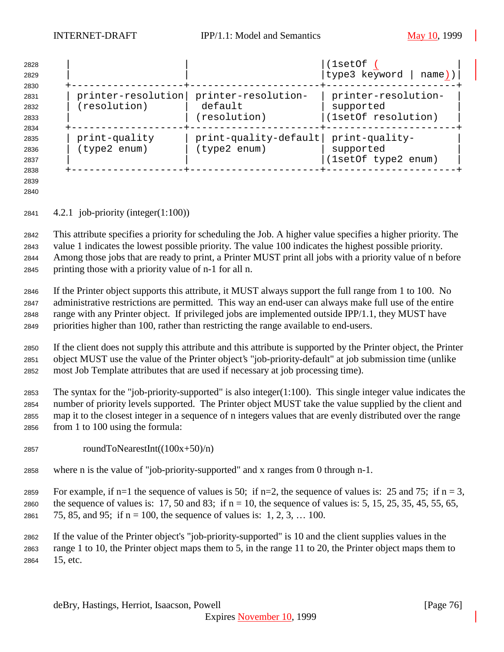| 2828<br>2829                         |                                    |                                                | (1setOf<br>type3 keyword  <br>  name)) $ $              |
|--------------------------------------|------------------------------------|------------------------------------------------|---------------------------------------------------------|
| 2830<br>2831<br>2832<br>2833         | printer-resolution<br>(resolution) | printer-resolution-<br>default<br>(resolution) | printer-resolution-<br>supported<br>(1setOf resolution) |
| 2834<br>2835<br>2836<br>2837<br>2838 | print-quality<br>(type2 enum)      | print-quality-default<br>(type2 enum)          | print-quality-<br>supported<br>(1setOf type2 enum)      |

 

4.2.1 job-priority (integer(1:100))

 This attribute specifies a priority for scheduling the Job. A higher value specifies a higher priority. The value 1 indicates the lowest possible priority. The value 100 indicates the highest possible priority. Among those jobs that are ready to print, a Printer MUST print all jobs with a priority value of n before printing those with a priority value of n-1 for all n.

 If the Printer object supports this attribute, it MUST always support the full range from 1 to 100. No administrative restrictions are permitted. This way an end-user can always make full use of the entire range with any Printer object. If privileged jobs are implemented outside IPP/1.1, they MUST have priorities higher than 100, rather than restricting the range available to end-users.

 If the client does not supply this attribute and this attribute is supported by the Printer object, the Printer object MUST use the value of the Printer object's "job-priority-default" at job submission time (unlike most Job Template attributes that are used if necessary at job processing time).

 The syntax for the "job-priority-supported" is also integer(1:100). This single integer value indicates the number of priority levels supported. The Printer object MUST take the value supplied by the client and map it to the closest integer in a sequence of n integers values that are evenly distributed over the range from 1 to 100 using the formula:

- 2857 roundToNearestInt( $(100x+50)/n$ )
- where n is the value of "job-priority-supported" and x ranges from 0 through n-1.

2859 For example, if n=1 the sequence of values is 50; if n=2, the sequence of values is: 25 and 75; if n = 3,

2860 the sequence of values is: 17, 50 and 83; if  $n = 10$ , the sequence of values is: 5, 15, 25, 35, 45, 55, 65,

2861 75, 85, and 95; if  $n = 100$ , the sequence of values is: 1, 2, 3, ... 100.

 If the value of the Printer object's "job-priority-supported" is 10 and the client supplies values in the range 1 to 10, the Printer object maps them to 5, in the range 11 to 20, the Printer object maps them to 15, etc.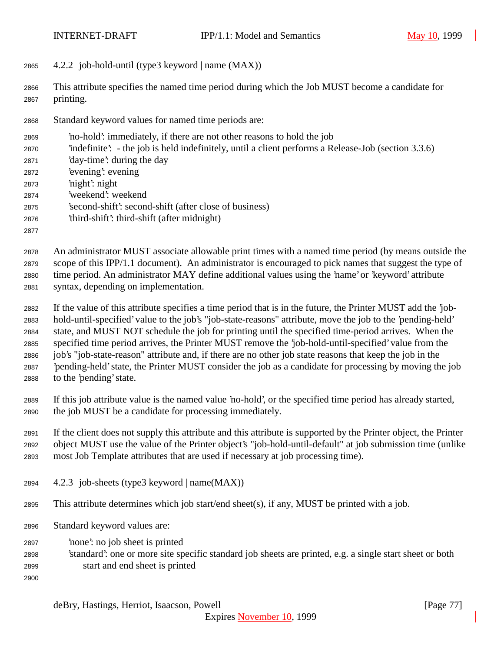4.2.2 job-hold-until (type3 keyword | name (MAX))

 This attribute specifies the named time period during which the Job MUST become a candidate for printing.

- Standard keyword values for named time periods are:
- 'no-hold': immediately, if there are not other reasons to hold the job
- 'indefinite': the job is held indefinitely, until a client performs a Release-Job (section 3.3.6)
- 'day-time': during the day
- 'evening': evening
- 'night': night
- 'weekend': weekend
- 'second-shift': second-shift (after close of business)
- 'third-shift': third-shift (after midnight)
- 

 An administrator MUST associate allowable print times with a named time period (by means outside the scope of this IPP/1.1 document). An administrator is encouraged to pick names that suggest the type of time period. An administrator MAY define additional values using the 'name' or 'keyword' attribute syntax, depending on implementation.

 If the value of this attribute specifies a time period that is in the future, the Printer MUST add the 'job- hold-until-specified' value to the job's "job-state-reasons" attribute, move the job to the 'pending-held' state, and MUST NOT schedule the job for printing until the specified time-period arrives. When the specified time period arrives, the Printer MUST remove the 'job-hold-until-specified' value from the job's "job-state-reason" attribute and, if there are no other job state reasons that keep the job in the 'pending-held' state, the Printer MUST consider the job as a candidate for processing by moving the job to the 'pending' state.

 If this job attribute value is the named value 'no-hold', or the specified time period has already started, the job MUST be a candidate for processing immediately.

 If the client does not supply this attribute and this attribute is supported by the Printer object, the Printer object MUST use the value of the Printer object's "job-hold-until-default" at job submission time (unlike most Job Template attributes that are used if necessary at job processing time).

- 4.2.3 job-sheets (type3 keyword | name(MAX))
- This attribute determines which job start/end sheet(s), if any, MUST be printed with a job.
- Standard keyword values are:
- 'none': no job sheet is printed
- 'standard': one or more site specific standard job sheets are printed, e.g. a single start sheet or both start and end sheet is printed
-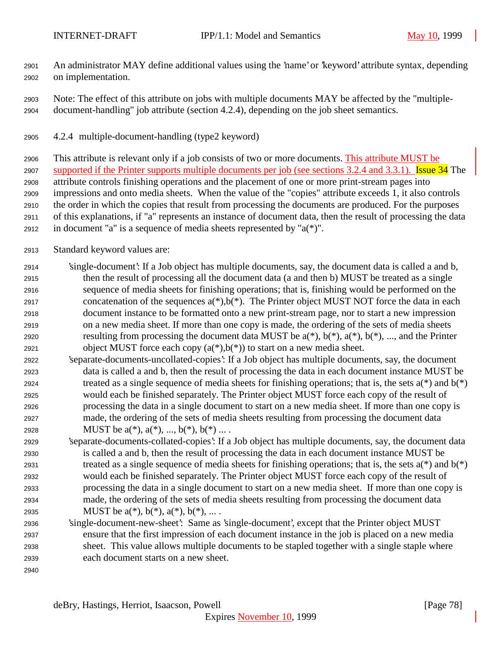An administrator MAY define additional values using the 'name' or 'keyword' attribute syntax, depending on implementation.

- Note: The effect of this attribute on jobs with multiple documents MAY be affected by the "multiple-document-handling" job attribute (section 4.2.4), depending on the job sheet semantics.
- 4.2.4 multiple-document-handling (type2 keyword)

 This attribute is relevant only if a job consists of two or more documents. This attribute MUST be 2907 supported if the Printer supports multiple documents per job (see sections 3.2.4 and 3.3.1). Issue 34 The attribute controls finishing operations and the placement of one or more print-stream pages into impressions and onto media sheets. When the value of the "copies" attribute exceeds 1, it also controls the order in which the copies that result from processing the documents are produced. For the purposes of this explanations, if "a" represents an instance of document data, then the result of processing the data 2912 in document "a" is a sequence of media sheets represented by " $a(*)$ ".

- Standard keyword values are:
- 'single-document': If a Job object has multiple documents, say, the document data is called a and b, then the result of processing all the document data (a and then b) MUST be treated as a single sequence of media sheets for finishing operations; that is, finishing would be performed on the 2917 concatenation of the sequences  $a(*)$ ,  $b(*)$ . The Printer object MUST NOT force the data in each document instance to be formatted onto a new print-stream page, nor to start a new impression on a new media sheet. If more than one copy is made, the ordering of the sets of media sheets 2920 resulting from processing the document data MUST be  $a(*)$ ,  $b(*)$ ,  $a(*)$ ,  $b(*)$ , ..., and the Printer 2921 object MUST force each copy  $(a(*),b(*))$  to start on a new media sheet.
- 'separate-documents-uncollated-copies': If a Job object has multiple documents, say, the document data is called a and b, then the result of processing the data in each document instance MUST be 2924 treated as a single sequence of media sheets for finishing operations; that is, the sets  $a(*)$  and  $b(*)$  would each be finished separately. The Printer object MUST force each copy of the result of processing the data in a single document to start on a new media sheet. If more than one copy is made, the ordering of the sets of media sheets resulting from processing the document data 2928 MUST be  $a(*), a(*), ..., b(*), b(*)...$ .
- 'separate-documents-collated-copies': If a Job object has multiple documents, say, the document data is called a and b, then the result of processing the data in each document instance MUST be 2931 treated as a single sequence of media sheets for finishing operations; that is, the sets  $a(*)$  and  $b(*)$  would each be finished separately. The Printer object MUST force each copy of the result of processing the data in a single document to start on a new media sheet. If more than one copy is made, the ordering of the sets of media sheets resulting from processing the document data 2935 MUST be  $a(*), b(*), a(*), b(*), ...$ .
- 'single-document-new-sheet': Same as 'single-document', except that the Printer object MUST ensure that the first impression of each document instance in the job is placed on a new media sheet. This value allows multiple documents to be stapled together with a single staple where each document starts on a new sheet.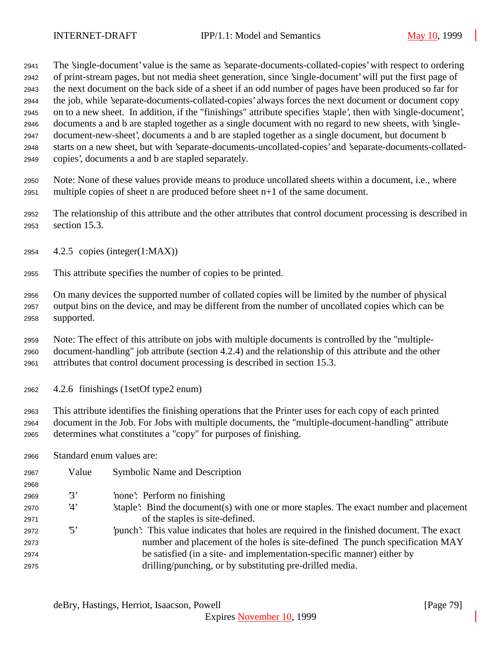The 'single-document' value is the same as 'separate-documents-collated-copies' with respect to ordering of print-stream pages, but not media sheet generation, since 'single-document' will put the first page of the next document on the back side of a sheet if an odd number of pages have been produced so far for the job, while 'separate-documents-collated-copies' always forces the next document or document copy on to a new sheet. In addition, if the "finishings" attribute specifies 'staple', then with 'single-document', documents a and b are stapled together as a single document with no regard to new sheets, with 'single- document-new-sheet', documents a and b are stapled together as a single document, but document b starts on a new sheet, but with 'separate-documents-uncollated-copies' and 'separate-documents-collated-copies', documents a and b are stapled separately.

 Note: None of these values provide means to produce uncollated sheets within a document, i.e., where multiple copies of sheet n are produced before sheet n+1 of the same document.

 The relationship of this attribute and the other attributes that control document processing is described in section 15.3.

- 4.2.5 copies (integer(1:MAX))
- This attribute specifies the number of copies to be printed.

 On many devices the supported number of collated copies will be limited by the number of physical output bins on the device, and may be different from the number of uncollated copies which can be supported.

 Note: The effect of this attribute on jobs with multiple documents is controlled by the "multiple- document-handling" job attribute (section 4.2.4) and the relationship of this attribute and the other attributes that control document processing is described in section 15.3.

4.2.6 finishings (1setOf type2 enum)

 This attribute identifies the finishing operations that the Printer uses for each copy of each printed document in the Job. For Jobs with multiple documents, the "multiple-document-handling" attribute determines what constitutes a "copy" for purposes of finishing.

Standard enum values are:

| 2967 | Value      | <b>Symbolic Name and Description</b>                                                     |
|------|------------|------------------------------------------------------------------------------------------|
| 2968 |            |                                                                                          |
| 2969 | 3'         | 'none': Perform no finishing                                                             |
| 2970 | 4'         | staple. Bind the document (s) with one or more staples. The exact number and placement   |
| 2971 |            | of the staples is site-defined.                                                          |
| 2972 | $\cdot$ 5' | punch': This value indicates that holes are required in the finished document. The exact |
| 2973 |            | number and placement of the holes is site-defined. The punch specification MAY           |
| 2974 |            | be satisfied (in a site- and implementation-specific manner) either by                   |
| 2975 |            | drilling/punching, or by substituting pre-drilled media.                                 |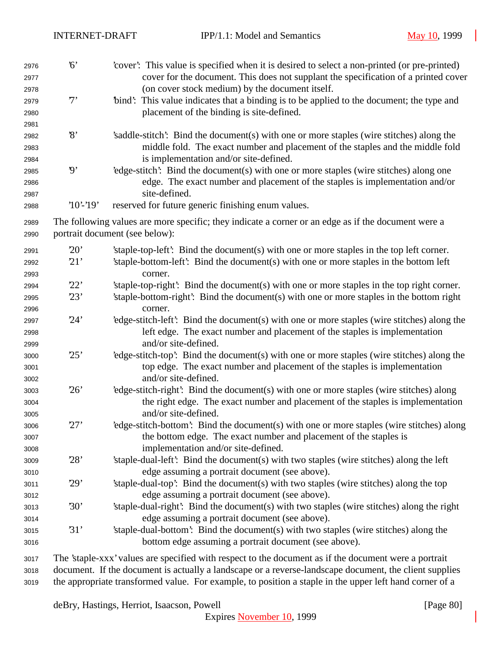| 2976<br>2977<br>2978<br>2979<br>2980 | 6'<br>7'                 | 'cover': This value is specified when it is desired to select a non-printed (or pre-printed)<br>cover for the document. This does not supplant the specification of a printed cover<br>(on cover stock medium) by the document itself.<br>"bind": This value indicates that a binding is to be applied to the document; the type and<br>placement of the binding is site-defined. |
|--------------------------------------|--------------------------|-----------------------------------------------------------------------------------------------------------------------------------------------------------------------------------------------------------------------------------------------------------------------------------------------------------------------------------------------------------------------------------|
| 2981<br>2982<br>2983<br>2984         | $\mathcal{S}$            | 's addle-stitch': Bind the document(s) with one or more staples (wire stitches) along the<br>middle fold. The exact number and placement of the staples and the middle fold<br>is implementation and/or site-defined.                                                                                                                                                             |
| 2985<br>2986<br>2987                 | $\boldsymbol{\vartheta}$ | 'edge-stitch': Bind the document(s) with one or more staples (wire stitches) along one<br>edge. The exact number and placement of the staples is implementation and/or<br>site-defined.                                                                                                                                                                                           |
| 2988                                 | $'10'-19'$               | reserved for future generic finishing enum values.                                                                                                                                                                                                                                                                                                                                |
| 2989<br>2990                         |                          | The following values are more specific; they indicate a corner or an edge as if the document were a<br>portrait document (see below):                                                                                                                                                                                                                                             |
| 2991<br>2992<br>2993                 | 20'<br>21'               | 'staple-top-left': Bind the document(s) with one or more staples in the top left corner.<br>'staple-bottom-left': Bind the document(s) with one or more staples in the bottom left<br>corner.                                                                                                                                                                                     |
| 2994                                 | 22'                      | 'staple-top-right': Bind the document(s) with one or more staples in the top right corner.                                                                                                                                                                                                                                                                                        |
| 2995<br>2996                         | 23'                      | 'staple-bottom-right': Bind the document(s) with one or more staples in the bottom right<br>corner.                                                                                                                                                                                                                                                                               |
| 2997<br>2998<br>2999                 | 24'                      | 'edge-stitch-left': Bind the document(s) with one or more staples (wire stitches) along the<br>left edge. The exact number and placement of the staples is implementation<br>and/or site-defined.                                                                                                                                                                                 |
| 3000<br>3001<br>3002                 | 25'                      | 'edge-stitch-top': Bind the document(s) with one or more staples (wire stitches) along the<br>top edge. The exact number and placement of the staples is implementation<br>and/or site-defined.                                                                                                                                                                                   |
| 3003<br>3004<br>3005                 | 26'                      | 'edge-stitch-right': Bind the document(s) with one or more staples (wire stitches) along<br>the right edge. The exact number and placement of the staples is implementation<br>and/or site-defined.                                                                                                                                                                               |
| 3006<br>3007<br>3008                 | 27'                      | 'edge-stitch-bottom': Bind the document(s) with one or more staples (wire stitches) along<br>the bottom edge. The exact number and placement of the staples is<br>implementation and/or site-defined.                                                                                                                                                                             |
| 3009<br>3010                         | 28'                      | 'staple-dual-left': Bind the document(s) with two staples (wire stitches) along the left<br>edge assuming a portrait document (see above).                                                                                                                                                                                                                                        |
| 3011<br>3012                         | 29'                      | 'staple-dual-top': Bind the document(s) with two staples (wire stitches) along the top<br>edge assuming a portrait document (see above).                                                                                                                                                                                                                                          |
| 3013<br>3014                         | 30'                      | 'staple-dual-right': Bind the document(s) with two staples (wire stitches) along the right<br>edge assuming a portrait document (see above).                                                                                                                                                                                                                                      |
| 3015<br>3016                         | 31'                      | 'staple-dual-bottom': Bind the document(s) with two staples (wire stitches) along the<br>bottom edge assuming a portrait document (see above).                                                                                                                                                                                                                                    |
| 3017                                 |                          | The 'staple-xxx' values are specified with respect to the document as if the document were a portrait                                                                                                                                                                                                                                                                             |

 document. If the document is actually a landscape or a reverse-landscape document, the client supplies the appropriate transformed value. For example, to position a staple in the upper left hand corner of a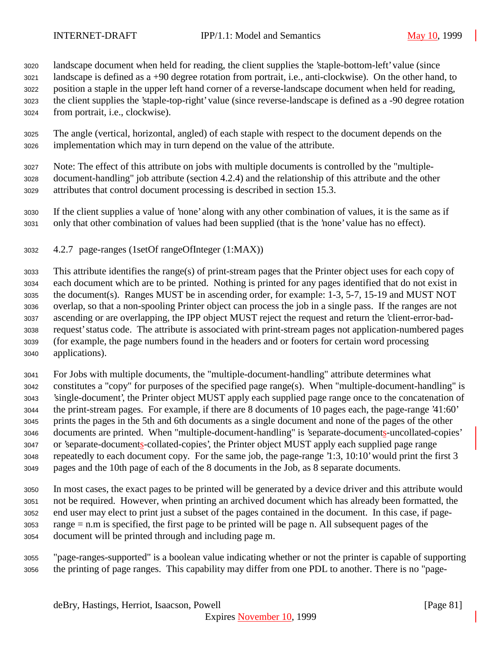landscape document when held for reading, the client supplies the 'staple-bottom-left' value (since

 landscape is defined as a +90 degree rotation from portrait, i.e., anti-clockwise). On the other hand, to position a staple in the upper left hand corner of a reverse-landscape document when held for reading, the client supplies the 'staple-top-right' value (since reverse-landscape is defined as a -90 degree rotation from portrait, i.e., clockwise).

 The angle (vertical, horizontal, angled) of each staple with respect to the document depends on the implementation which may in turn depend on the value of the attribute.

 Note: The effect of this attribute on jobs with multiple documents is controlled by the "multiple- document-handling" job attribute (section 4.2.4) and the relationship of this attribute and the other attributes that control document processing is described in section 15.3.

 If the client supplies a value of 'none' along with any other combination of values, it is the same as if only that other combination of values had been supplied (that is the 'none' value has no effect).

4.2.7 page-ranges (1setOf rangeOfInteger (1:MAX))

 This attribute identifies the range(s) of print-stream pages that the Printer object uses for each copy of each document which are to be printed. Nothing is printed for any pages identified that do not exist in the document(s). Ranges MUST be in ascending order, for example: 1-3, 5-7, 15-19 and MUST NOT overlap, so that a non-spooling Printer object can process the job in a single pass. If the ranges are not ascending or are overlapping, the IPP object MUST reject the request and return the 'client-error-bad- request' status code. The attribute is associated with print-stream pages not application-numbered pages (for example, the page numbers found in the headers and or footers for certain word processing applications).

 For Jobs with multiple documents, the "multiple-document-handling" attribute determines what constitutes a "copy" for purposes of the specified page range(s). When "multiple-document-handling" is 'single-document', the Printer object MUST apply each supplied page range once to the concatenation of the print-stream pages. For example, if there are 8 documents of 10 pages each, the page-range '41:60' prints the pages in the 5th and 6th documents as a single document and none of the pages of the other documents are printed. When "multiple-document-handling" is 'separate-documents-uncollated-copies' or 'separate-documents-collated-copies', the Printer object MUST apply each supplied page range repeatedly to each document copy. For the same job, the page-range '1:3, 10:10' would print the first 3 pages and the 10th page of each of the 8 documents in the Job, as 8 separate documents.

 In most cases, the exact pages to be printed will be generated by a device driver and this attribute would not be required. However, when printing an archived document which has already been formatted, the end user may elect to print just a subset of the pages contained in the document. In this case, if page- range = n.m is specified, the first page to be printed will be page n. All subsequent pages of the document will be printed through and including page m.

 "page-ranges-supported" is a boolean value indicating whether or not the printer is capable of supporting the printing of page ranges. This capability may differ from one PDL to another. There is no "page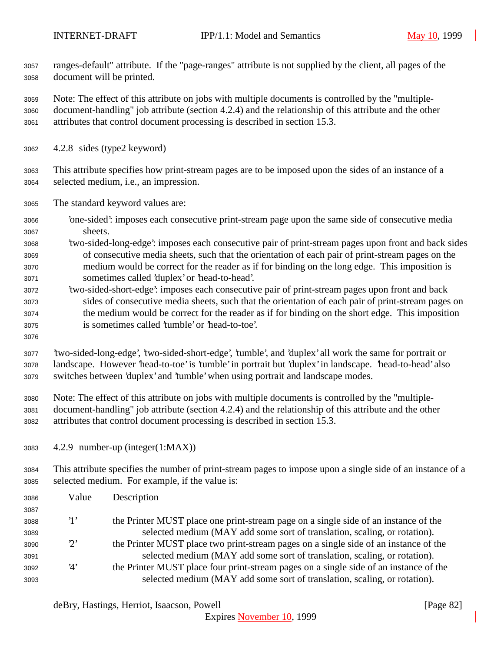ranges-default" attribute. If the "page-ranges" attribute is not supplied by the client, all pages of the document will be printed.

 Note: The effect of this attribute on jobs with multiple documents is controlled by the "multiple- document-handling" job attribute (section 4.2.4) and the relationship of this attribute and the other attributes that control document processing is described in section 15.3.

- 4.2.8 sides (type2 keyword)
- This attribute specifies how print-stream pages are to be imposed upon the sides of an instance of a selected medium, i.e., an impression.
- The standard keyword values are:
- 'one-sided': imposes each consecutive print-stream page upon the same side of consecutive media sheets.
- 'two-sided-long-edge': imposes each consecutive pair of print-stream pages upon front and back sides of consecutive media sheets, such that the orientation of each pair of print-stream pages on the medium would be correct for the reader as if for binding on the long edge. This imposition is sometimes called 'duplex' or 'head-to-head'.
- 'two-sided-short-edge': imposes each consecutive pair of print-stream pages upon front and back sides of consecutive media sheets, such that the orientation of each pair of print-stream pages on the medium would be correct for the reader as if for binding on the short edge. This imposition is sometimes called 'tumble' or 'head-to-toe'.
- 

 'two-sided-long-edge', 'two-sided-short-edge', 'tumble', and 'duplex' all work the same for portrait or landscape. However 'head-to-toe' is 'tumble' in portrait but 'duplex' in landscape. 'head-to-head' also switches between 'duplex' and 'tumble' when using portrait and landscape modes.

- Note: The effect of this attribute on jobs with multiple documents is controlled by the "multiple- document-handling" job attribute (section 4.2.4) and the relationship of this attribute and the other attributes that control document processing is described in section 15.3.
- 4.2.9 number-up (integer(1:MAX))

 This attribute specifies the number of print-stream pages to impose upon a single side of an instance of a selected medium. For example, if the value is:

| 3086 | Value       | Description                                                                           |
|------|-------------|---------------------------------------------------------------------------------------|
| 3087 |             |                                                                                       |
| 3088 | $\cdot_1$ , | the Printer MUST place one print-stream page on a single side of an instance of the   |
| 3089 |             | selected medium (MAY add some sort of translation, scaling, or rotation).             |
| 3090 | $2^{\circ}$ | the Printer MUST place two print-stream pages on a single side of an instance of the  |
| 3091 |             | selected medium (MAY add some sort of translation, scaling, or rotation).             |
| 3092 | '4'         | the Printer MUST place four print-stream pages on a single side of an instance of the |
| 3093 |             | selected medium (MAY add some sort of translation, scaling, or rotation).             |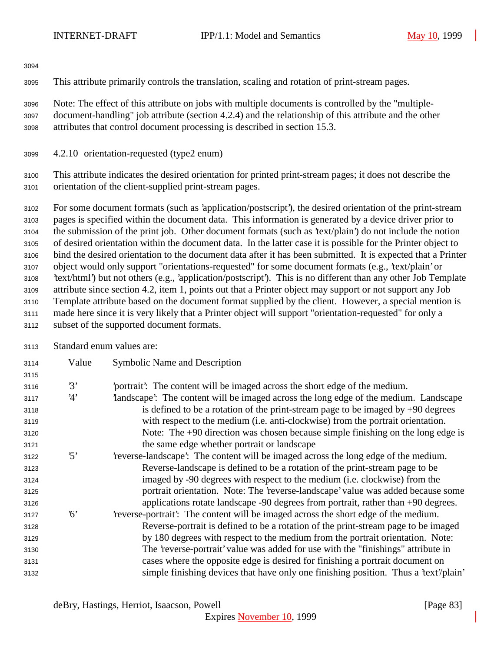This attribute primarily controls the translation, scaling and rotation of print-stream pages.

 Note: The effect of this attribute on jobs with multiple documents is controlled by the "multiple- document-handling" job attribute (section 4.2.4) and the relationship of this attribute and the other attributes that control document processing is described in section 15.3.

4.2.10 orientation-requested (type2 enum)

 This attribute indicates the desired orientation for printed print-stream pages; it does not describe the orientation of the client-supplied print-stream pages.

 For some document formats (such as 'application/postscript'), the desired orientation of the print-stream pages is specified within the document data. This information is generated by a device driver prior to the submission of the print job. Other document formats (such as 'text/plain') do not include the notion of desired orientation within the document data. In the latter case it is possible for the Printer object to bind the desired orientation to the document data after it has been submitted. It is expected that a Printer object would only support "orientations-requested" for some document formats (e.g., 'text/plain' or 'text/html') but not others (e.g., 'application/postscript'). This is no different than any other Job Template attribute since section 4.2, item 1, points out that a Printer object may support or not support any Job Template attribute based on the document format supplied by the client. However, a special mention is made here since it is very likely that a Printer object will support "orientation-requested" for only a subset of the supported document formats.

Standard enum values are:

| 3114 | Value                   | Symbolic Name and Description                                                        |
|------|-------------------------|--------------------------------------------------------------------------------------|
| 3115 |                         |                                                                                      |
| 3116 | 3'                      | portrait? The content will be imaged across the short edge of the medium.            |
| 3117 | 4'                      | landscape': The content will be imaged across the long edge of the medium. Landscape |
| 3118 |                         | is defined to be a rotation of the print-stream page to be imaged by $+90$ degrees   |
| 3119 |                         | with respect to the medium (i.e. anti-clockwise) from the portrait orientation.      |
| 3120 |                         | Note: The $+90$ direction was chosen because simple finishing on the long edge is    |
| 3121 |                         | the same edge whether portrait or landscape                                          |
| 3122 | $\mathfrak{B}^{\prime}$ | 'reverse-landscape': The content will be imaged across the long edge of the medium.  |
| 3123 |                         | Reverse-landscape is defined to be a rotation of the print-stream page to be         |
| 3124 |                         | imaged by -90 degrees with respect to the medium (i.e. clockwise) from the           |
| 3125 |                         | portrait orientation. Note: The 'reverse-landscape' value was added because some     |
| 3126 |                         | applications rotate landscape -90 degrees from portrait, rather than +90 degrees.    |
| 3127 | 6'                      | reverse-portrait. The content will be imaged across the short edge of the medium.    |
| 3128 |                         | Reverse-portrait is defined to be a rotation of the print-stream page to be imaged   |
| 3129 |                         | by 180 degrees with respect to the medium from the portrait orientation. Note:       |
| 3130 |                         | The 'reverse-portrait' value was added for use with the "finishings" attribute in    |
| 3131 |                         | cases where the opposite edge is desired for finishing a portrait document on        |
| 3132 |                         | simple finishing devices that have only one finishing position. Thus a 'text'/plain' |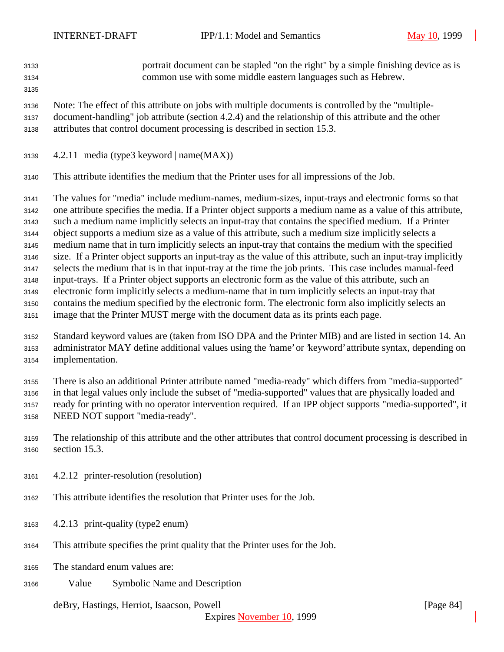portrait document can be stapled "on the right" by a simple finishing device as is common use with some middle eastern languages such as Hebrew. 

 Note: The effect of this attribute on jobs with multiple documents is controlled by the "multiple- document-handling" job attribute (section 4.2.4) and the relationship of this attribute and the other attributes that control document processing is described in section 15.3.

- 4.2.11 media (type3 keyword | name $(MAX)$ )
- This attribute identifies the medium that the Printer uses for all impressions of the Job.

 The values for "media" include medium-names, medium-sizes, input-trays and electronic forms so that one attribute specifies the media. If a Printer object supports a medium name as a value of this attribute, such a medium name implicitly selects an input-tray that contains the specified medium. If a Printer object supports a medium size as a value of this attribute, such a medium size implicitly selects a medium name that in turn implicitly selects an input-tray that contains the medium with the specified size. If a Printer object supports an input-tray as the value of this attribute, such an input-tray implicitly selects the medium that is in that input-tray at the time the job prints. This case includes manual-feed input-trays. If a Printer object supports an electronic form as the value of this attribute, such an electronic form implicitly selects a medium-name that in turn implicitly selects an input-tray that contains the medium specified by the electronic form. The electronic form also implicitly selects an image that the Printer MUST merge with the document data as its prints each page.

 Standard keyword values are (taken from ISO DPA and the Printer MIB) and are listed in section 14. An administrator MAY define additional values using the 'name' or 'keyword' attribute syntax, depending on implementation.

 There is also an additional Printer attribute named "media-ready" which differs from "media-supported" in that legal values only include the subset of "media-supported" values that are physically loaded and ready for printing with no operator intervention required. If an IPP object supports "media-supported", it

- NEED NOT support "media-ready".
- The relationship of this attribute and the other attributes that control document processing is described in section 15.3.
- 4.2.12 printer-resolution (resolution)
- This attribute identifies the resolution that Printer uses for the Job.
- 4.2.13 print-quality (type2 enum)
- This attribute specifies the print quality that the Printer uses for the Job.
- The standard enum values are:
- Value Symbolic Name and Description

deBry, Hastings, Herriot, Isaacson, Powell [Page 84]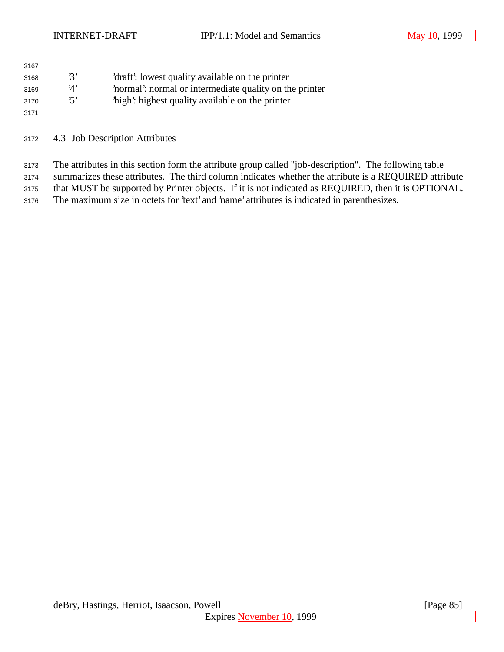| 3167 |      |                                                       |
|------|------|-------------------------------------------------------|
| 3168 | י גי | 'draft': lowest quality available on the printer      |
| 3169 | '1'  | normal: normal or intermediate quality on the printer |
| 3170 | י די | high: highest quality available on the printer        |
| 3171 |      |                                                       |

4.3 Job Description Attributes

 The attributes in this section form the attribute group called "job-description". The following table summarizes these attributes. The third column indicates whether the attribute is a REQUIRED attribute

that MUST be supported by Printer objects. If it is not indicated as REQUIRED, then it is OPTIONAL.

The maximum size in octets for 'text' and 'name' attributes is indicated in parenthesizes.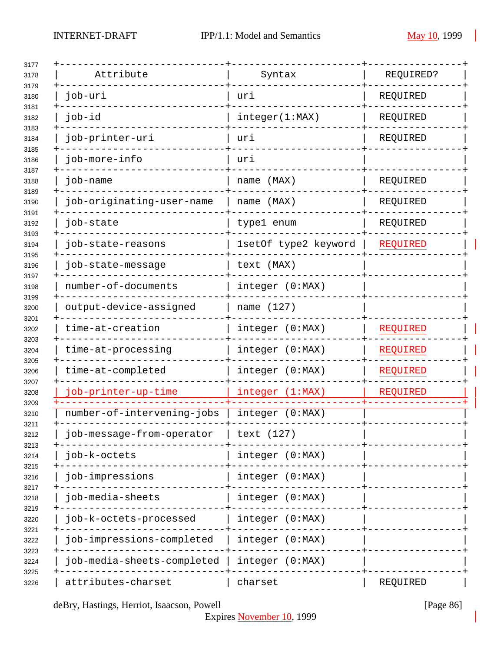| Attribute                  | Syntax               | REQUIRED?       |
|----------------------------|----------------------|-----------------|
| job-uri                    | uri                  | REQUIRED        |
| job-id                     | integer(1:MAX)       | REQUIRED        |
| job-printer-uri            | uri                  | REQUIRED        |
| job-more-info              | uri                  |                 |
| job-name                   | name (MAX)           | REQUIRED        |
| job-originating-user-name  | name (MAX)           | REQUIRED        |
| job-state                  | type1 enum           | REQUIRED        |
| job-state-reasons          | 1setOf type2 keyword | REQUIRED        |
| job-state-message          | text (MAX)           |                 |
| number-of-documents        | integer (0:MAX)      |                 |
| output-device-assigned     | name (127)           |                 |
| time-at-creation           | integer (0:MAX)      | REQUIRED        |
| time-at-processing         | integer (0:MAX)      | <b>REQUIRED</b> |
| time-at-completed          | integer (0:MAX)      | REQUIRED        |
| job-printer-up-time        | integer (1:MAX)      | REQUIRED        |
| number-of-intervening-jobs | integer (0:MAX)      |                 |
| job-message-from-operator  | text (127)           |                 |
| job-k-octets               | integer (0:MAX)      |                 |
| job-impressions            | integer (0:MAX)      |                 |
| job-media-sheets           | integer (0:MAX)      |                 |
| job-k-octets-processed     | integer (0:MAX)      |                 |
| job-impressions-completed  | integer (0:MAX)      |                 |
| job-media-sheets-completed | integer (0:MAX)      |                 |
| attributes-charset         | charset              | REQUIRED        |

deBry, Hastings, Herriot, Isaacson, Powell [Page 86]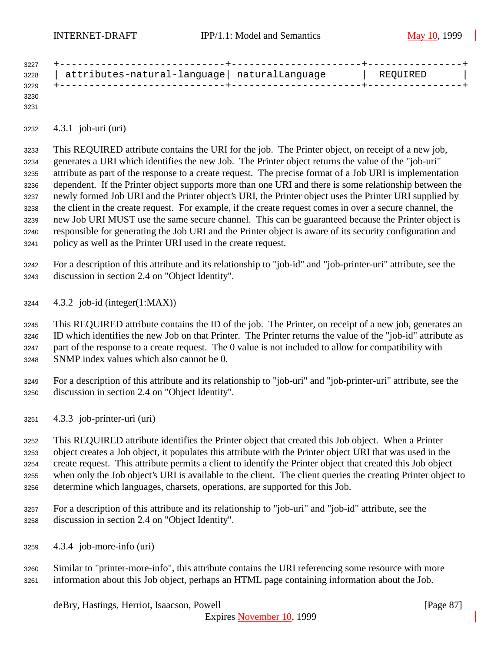| 3227 |                                              |          |  |
|------|----------------------------------------------|----------|--|
| 3228 | attributes-natural-language  naturalLanguage | REQUIRED |  |
| 3229 |                                              |          |  |
| 3230 |                                              |          |  |

4.3.1 job-uri (uri)

 This REQUIRED attribute contains the URI for the job. The Printer object, on receipt of a new job, generates a URI which identifies the new Job. The Printer object returns the value of the "job-uri" attribute as part of the response to a create request. The precise format of a Job URI is implementation dependent. If the Printer object supports more than one URI and there is some relationship between the newly formed Job URI and the Printer object's URI, the Printer object uses the Printer URI supplied by the client in the create request. For example, if the create request comes in over a secure channel, the new Job URI MUST use the same secure channel. This can be guaranteed because the Printer object is responsible for generating the Job URI and the Printer object is aware of its security configuration and policy as well as the Printer URI used in the create request.

 For a description of this attribute and its relationship to "job-id" and "job-printer-uri" attribute, see the discussion in section 2.4 on "Object Identity".

4.3.2 job-id (integer(1:MAX))

 This REQUIRED attribute contains the ID of the job. The Printer, on receipt of a new job, generates an ID which identifies the new Job on that Printer. The Printer returns the value of the "job-id" attribute as part of the response to a create request. The 0 value is not included to allow for compatibility with SNMP index values which also cannot be 0.

 For a description of this attribute and its relationship to "job-uri" and "job-printer-uri" attribute, see the discussion in section 2.4 on "Object Identity".

4.3.3 job-printer-uri (uri)

 This REQUIRED attribute identifies the Printer object that created this Job object. When a Printer object creates a Job object, it populates this attribute with the Printer object URI that was used in the create request. This attribute permits a client to identify the Printer object that created this Job object when only the Job object's URI is available to the client. The client queries the creating Printer object to determine which languages, charsets, operations, are supported for this Job.

- For a description of this attribute and its relationship to "job-uri" and "job-id" attribute, see the discussion in section 2.4 on "Object Identity".
- 4.3.4 job-more-info (uri)
- Similar to "printer-more-info", this attribute contains the URI referencing some resource with more information about this Job object, perhaps an HTML page containing information about the Job.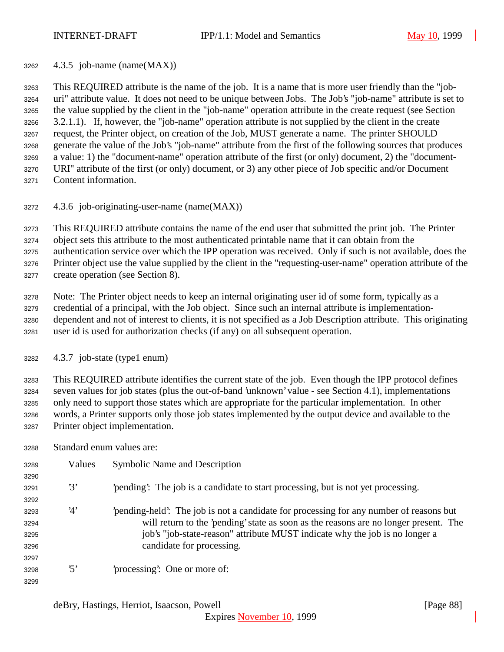4.3.5 job-name (name(MAX))

 This REQUIRED attribute is the name of the job. It is a name that is more user friendly than the "job- uri" attribute value. It does not need to be unique between Jobs. The Job's "job-name" attribute is set to the value supplied by the client in the "job-name" operation attribute in the create request (see Section 3.2.1.1). If, however, the "job-name" operation attribute is not supplied by the client in the create request, the Printer object, on creation of the Job, MUST generate a name. The printer SHOULD generate the value of the Job's "job-name" attribute from the first of the following sources that produces a value: 1) the "document-name" operation attribute of the first (or only) document, 2) the "document- URI" attribute of the first (or only) document, or 3) any other piece of Job specific and/or Document Content information.

4.3.6 job-originating-user-name (name(MAX))

This REQUIRED attribute contains the name of the end user that submitted the print job. The Printer

object sets this attribute to the most authenticated printable name that it can obtain from the

 authentication service over which the IPP operation was received. Only if such is not available, does the Printer object use the value supplied by the client in the "requesting-user-name" operation attribute of the

create operation (see Section 8).

 Note: The Printer object needs to keep an internal originating user id of some form, typically as a credential of a principal, with the Job object. Since such an internal attribute is implementation- dependent and not of interest to clients, it is not specified as a Job Description attribute. This originating user id is used for authorization checks (if any) on all subsequent operation.

4.3.7 job-state (type1 enum)

 This REQUIRED attribute identifies the current state of the job. Even though the IPP protocol defines seven values for job states (plus the out-of-band 'unknown' value - see Section 4.1), implementations only need to support those states which are appropriate for the particular implementation. In other words, a Printer supports only those job states implemented by the output device and available to the Printer object implementation.

Standard enum values are:

| 3289 | Values                  | Symbolic Name and Description                                                         |
|------|-------------------------|---------------------------------------------------------------------------------------|
| 3290 |                         |                                                                                       |
| 3291 | $\mathfrak{B}^{\prime}$ | pending. The job is a candidate to start processing, but is not yet processing.       |
| 3292 |                         |                                                                                       |
| 3293 | '4'                     | pending-held. The job is not a candidate for processing for any number of reasons but |
| 3294 |                         | will return to the 'pending' state as soon as the reasons are no longer present. The  |
| 3295 |                         | job's "job-state-reason" attribute MUST indicate why the job is no longer a           |
| 3296 |                         | candidate for processing.                                                             |
| 3297 |                         |                                                                                       |
| 3298 | $\mathfrak{B}'$         | processing: One or more of:                                                           |
| 3299 |                         |                                                                                       |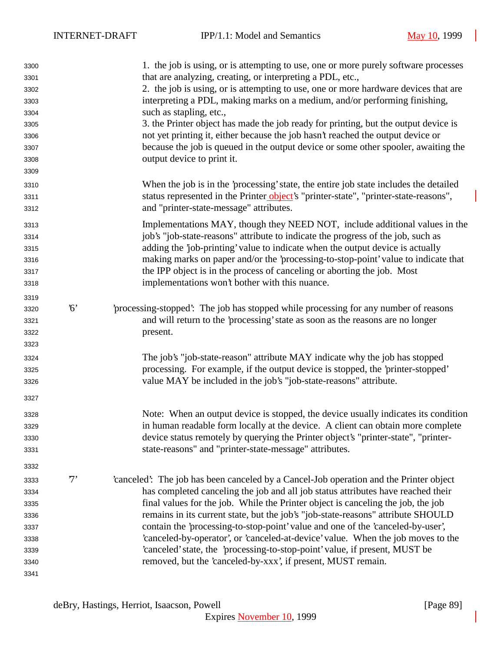| 3300 |             | 1. the job is using, or is attempting to use, one or more purely software processes    |
|------|-------------|----------------------------------------------------------------------------------------|
| 3301 |             | that are analyzing, creating, or interpreting a PDL, etc.,                             |
| 3302 |             | 2. the job is using, or is attempting to use, one or more hardware devices that are    |
| 3303 |             | interpreting a PDL, making marks on a medium, and/or performing finishing,             |
| 3304 |             | such as stapling, etc.,                                                                |
| 3305 |             | 3. the Printer object has made the job ready for printing, but the output device is    |
| 3306 |             | not yet printing it, either because the job hasn't reached the output device or        |
| 3307 |             | because the job is queued in the output device or some other spooler, awaiting the     |
| 3308 |             | output device to print it.                                                             |
| 3309 |             |                                                                                        |
| 3310 |             | When the job is in the 'processing' state, the entire job state includes the detailed  |
| 3311 |             | status represented in the Printer object's "printer-state", "printer-state-reasons",   |
| 3312 |             | and "printer-state-message" attributes.                                                |
| 3313 |             | Implementations MAY, though they NEED NOT, include additional values in the            |
| 3314 |             | job's "job-state-reasons" attribute to indicate the progress of the job, such as       |
| 3315 |             | adding the 'job-printing' value to indicate when the output device is actually         |
| 3316 |             | making marks on paper and/or the 'processing-to-stop-point' value to indicate that     |
| 3317 |             | the IPP object is in the process of canceling or aborting the job. Most                |
| 3318 |             | implementations won't bother with this nuance.                                         |
| 3319 |             |                                                                                        |
| 3320 | $6^{\circ}$ | processing-stopped: The job has stopped while processing for any number of reasons     |
| 3321 |             | and will return to the 'processing' state as soon as the reasons are no longer         |
| 3322 |             | present.                                                                               |
| 3323 |             |                                                                                        |
| 3324 |             | The job's "job-state-reason" attribute MAY indicate why the job has stopped            |
| 3325 |             | processing. For example, if the output device is stopped, the 'printer-stopped'        |
| 3326 |             | value MAY be included in the job's "job-state-reasons" attribute.                      |
| 3327 |             |                                                                                        |
| 3328 |             | Note: When an output device is stopped, the device usually indicates its condition     |
| 3329 |             | in human readable form locally at the device. A client can obtain more complete        |
| 3330 |             | device status remotely by querying the Printer object's "printer-state", "printer-     |
| 3331 |             | state-reasons" and "printer-state-message" attributes.                                 |
| 3332 |             |                                                                                        |
| 3333 | $7^,$       | 'canceled': The job has been canceled by a Cancel-Job operation and the Printer object |
| 3334 |             | has completed canceling the job and all job status attributes have reached their       |
| 3335 |             | final values for the job. While the Printer object is canceling the job, the job       |
| 3336 |             | remains in its current state, but the job's "job-state-reasons" attribute SHOULD       |
| 3337 |             | contain the 'processing-to-stop-point' value and one of the 'canceled-by-user',        |
| 3338 |             | 'canceled-by-operator', or 'canceled-at-device' value. When the job moves to the       |
| 3339 |             | 'canceled' state, the 'processing-to-stop-point' value, if present, MUST be            |
| 3340 |             | removed, but the 'canceled-by-xxx', if present, MUST remain.                           |
| 3341 |             |                                                                                        |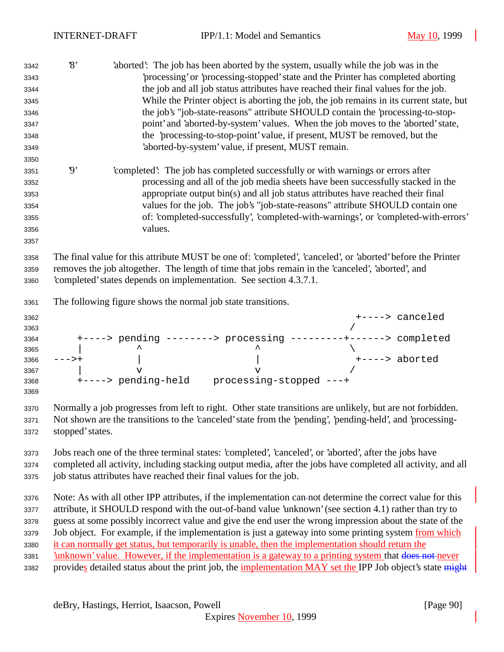| 'completed': The job has completed successfully or with warnings or errors after<br>processing and all of the job media sheets have been successfully stacked in the<br>appropriate output bin(s) and all job status attributes have reached their final<br>values for the job. The job's "job-state-reasons" attribute SHOULD contain one |
|--------------------------------------------------------------------------------------------------------------------------------------------------------------------------------------------------------------------------------------------------------------------------------------------------------------------------------------------|
| of: 'completed-successfully', 'completed-with-warnings', or 'completed-with-errors'                                                                                                                                                                                                                                                        |
| The final value for this attribute MUST be one of: 'completed', 'canceled', or 'aborted' before the Printer                                                                                                                                                                                                                                |
| removes the job altogether. The length of time that jobs remain in the 'canceled', 'aborted', and                                                                                                                                                                                                                                          |
|                                                                                                                                                                                                                                                                                                                                            |
|                                                                                                                                                                                                                                                                                                                                            |
| +----> canceled                                                                                                                                                                                                                                                                                                                            |
| +----> pending --------> processing ---------+------> completed                                                                                                                                                                                                                                                                            |
|                                                                                                                                                                                                                                                                                                                                            |
| +----> aborted                                                                                                                                                                                                                                                                                                                             |
|                                                                                                                                                                                                                                                                                                                                            |
|                                                                                                                                                                                                                                                                                                                                            |
|                                                                                                                                                                                                                                                                                                                                            |
| Normally a job progresses from left to right. Other state transitions are unlikely, but are not forbidden.                                                                                                                                                                                                                                 |
|                                                                                                                                                                                                                                                                                                                                            |
| Not shown are the transitions to the 'canceled' state from the 'pending', 'pending-held', and 'processing-                                                                                                                                                                                                                                 |
|                                                                                                                                                                                                                                                                                                                                            |
| Jobs reach one of the three terminal states: 'completed', 'canceled', or 'aborted', after the jobs have                                                                                                                                                                                                                                    |
| completed all activity, including stacking output media, after the jobs have completed all activity, and all                                                                                                                                                                                                                               |
|                                                                                                                                                                                                                                                                                                                                            |
|                                                                                                                                                                                                                                                                                                                                            |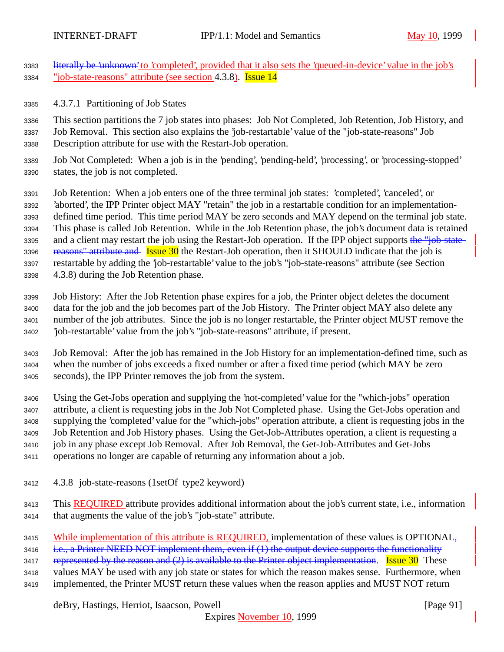- 3383 literally be 'unknown' to 'completed', provided that it also sets the 'queued-in-device' value in the job's "job-state-reasons" attribute (see section 4.3.8). Issue 14
- 4.3.7.1 Partitioning of Job States

 This section partitions the 7 job states into phases: Job Not Completed, Job Retention, Job History, and Job Removal. This section also explains the 'job-restartable' value of the "job-state-reasons" Job Description attribute for use with the Restart-Job operation.

 Job Not Completed: When a job is in the 'pending', 'pending-held', 'processing', or 'processing-stopped' states, the job is not completed.

 Job Retention: When a job enters one of the three terminal job states: 'completed', 'canceled', or 'aborted', the IPP Printer object MAY "retain" the job in a restartable condition for an implementation- defined time period. This time period MAY be zero seconds and MAY depend on the terminal job state. This phase is called Job Retention. While in the Job Retention phase, the job's document data is retained 3395 and a client may restart the job using the Restart-Job operation. If the IPP object supports the "job-state-3396 reasons" attribute and Issue 30 the Restart-Job operation, then it SHOULD indicate that the job is restartable by adding the 'job-restartable' value to the job's "job-state-reasons" attribute (see Section 4.3.8) during the Job Retention phase.

 Job History: After the Job Retention phase expires for a job, the Printer object deletes the document data for the job and the job becomes part of the Job History. The Printer object MAY also delete any number of the job attributes. Since the job is no longer restartable, the Printer object MUST remove the 'job-restartable' value from the job's "job-state-reasons" attribute, if present.

 Job Removal: After the job has remained in the Job History for an implementation-defined time, such as when the number of jobs exceeds a fixed number or after a fixed time period (which MAY be zero seconds), the IPP Printer removes the job from the system.

 Using the Get-Jobs operation and supplying the 'not-completed' value for the "which-jobs" operation attribute, a client is requesting jobs in the Job Not Completed phase. Using the Get-Jobs operation and supplying the 'completed' value for the "which-jobs" operation attribute, a client is requesting jobs in the Job Retention and Job History phases. Using the Get-Job-Attributes operation, a client is requesting a job in any phase except Job Removal. After Job Removal, the Get-Job-Attributes and Get-Jobs operations no longer are capable of returning any information about a job.

- 4.3.8 job-state-reasons (1setOf type2 keyword)
- This REQUIRED attribute provides additional information about the job's current state, i.e., information that augments the value of the job's "job-state" attribute.
- 3415 While implementation of this attribute is REQUIRED, implementation of these values is OPTIONAL,

3416 i.e., a Printer NEED NOT implement them, even if (1) the output device supports the functionality

3417 represented by the reason and  $(2)$  is available to the Printer object implementation. Issue 30 These

- values MAY be used with any job state or states for which the reason makes sense. Furthermore, when
- implemented, the Printer MUST return these values when the reason applies and MUST NOT return

deBry, Hastings, Herriot, Isaacson, Powell **Example 2014** [Page 91]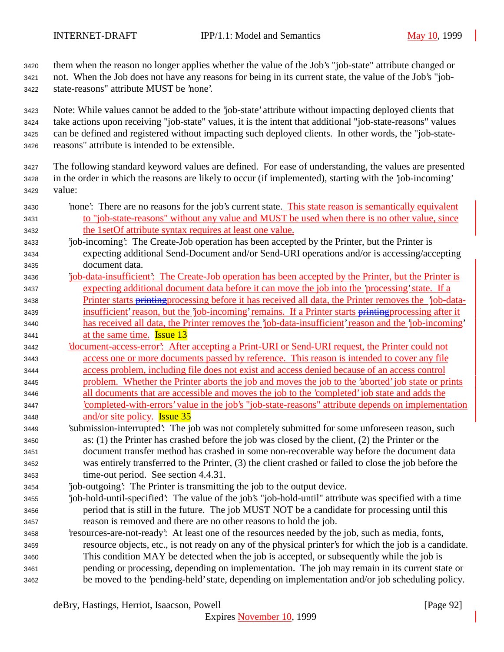them when the reason no longer applies whether the value of the Job's "job-state" attribute changed or not. When the Job does not have any reasons for being in its current state, the value of the Job's "job-

state-reasons" attribute MUST be 'none'.

 Note: While values cannot be added to the 'job-state' attribute without impacting deployed clients that take actions upon receiving "job-state" values, it is the intent that additional "job-state-reasons" values can be defined and registered without impacting such deployed clients. In other words, the "job-state-reasons" attribute is intended to be extensible.

- The following standard keyword values are defined. For ease of understanding, the values are presented in the order in which the reasons are likely to occur (if implemented), starting with the 'job-incoming' value:
- 3430 'none': There are no reasons for the job's current state. This state reason is semantically equivalent to "job-state-reasons" without any value and MUST be used when there is no other value, since the 1setOf attribute syntax requires at least one value.
- 'job-incoming': The Create-Job operation has been accepted by the Printer, but the Printer is expecting additional Send-Document and/or Send-URI operations and/or is accessing/accepting document data.
- 'job-data-insufficient': The Create-Job operation has been accepted by the Printer, but the Printer is expecting additional document data before it can move the job into the 'processing' state. If a 3438 Printer starts printing processing before it has received all data, the Printer removes the 'job-data-3439 insufficient' reason, but the 'job-incoming' remains. If a Printer starts printing processing after it has received all data, the Printer removes the 'job-data-insufficient' reason and the 'job-incoming'
- at the same time. Issue 13
- 'document-access-error': After accepting a Print-URI or Send-URI request, the Printer could not access one or more documents passed by reference. This reason is intended to cover any file access problem, including file does not exist and access denied because of an access control problem. Whether the Printer aborts the job and moves the job to the 'aborted' job state or prints all documents that are accessible and moves the job to the 'completed' job state and adds the 'completed-with-errors' value in the job's "job-state-reasons" attribute depends on implementation
- and/or site policy. Issue 35 'submission-interrupted': The job was not completely submitted for some unforeseen reason, such as: (1) the Printer has crashed before the job was closed by the client, (2) the Printer or the document transfer method has crashed in some non-recoverable way before the document data was entirely transferred to the Printer, (3) the client crashed or failed to close the job before the time-out period. See section 4.4.31.
- 'job-outgoing': The Printer is transmitting the job to the output device.
- 'job-hold-until-specified': The value of the job's "job-hold-until" attribute was specified with a time period that is still in the future. The job MUST NOT be a candidate for processing until this reason is removed and there are no other reasons to hold the job.
- 'resources-are-not-ready': At least one of the resources needed by the job, such as media, fonts, resource objects, etc., is not ready on any of the physical printer's for which the job is a candidate. This condition MAY be detected when the job is accepted, or subsequently while the job is pending or processing, depending on implementation. The job may remain in its current state or be moved to the 'pending-held' state, depending on implementation and/or job scheduling policy.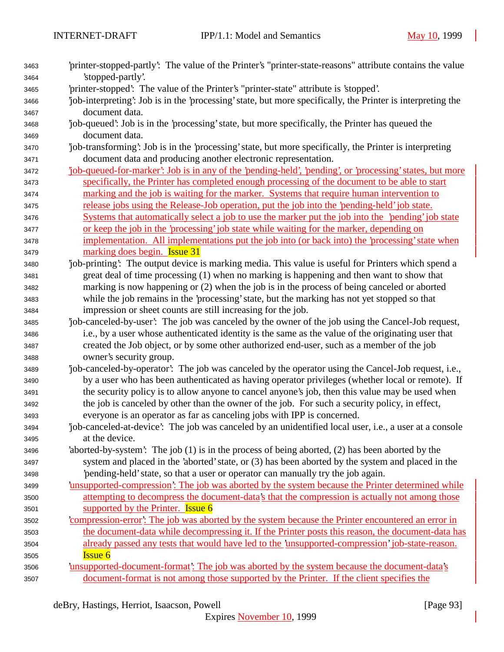| 3463 | 'printer-stopped-partly': The value of the Printer's "printer-state-reasons" attribute contains the value  |
|------|------------------------------------------------------------------------------------------------------------|
| 3464 | 'stopped-partly'.                                                                                          |
| 3465 | 'printer-stopped': The value of the Printer's "printer-state" attribute is 'stopped'.                      |
| 3466 | job-interpreting: Job is in the 'processing' state, but more specifically, the Printer is interpreting the |
| 3467 | document data.                                                                                             |
| 3468 | job-queued: Job is in the 'processing' state, but more specifically, the Printer has queued the            |
| 3469 | document data.                                                                                             |
| 3470 | job-transforming: Job is in the 'processing' state, but more specifically, the Printer is interpreting     |
| 3471 | document data and producing another electronic representation.                                             |
| 3472 | job-queued-for-marker': Job is in any of the 'pending-held', 'pending', or 'processing' states, but more   |
| 3473 | specifically, the Printer has completed enough processing of the document to be able to start              |
| 3474 | marking and the job is waiting for the marker. Systems that require human intervention to                  |
| 3475 | release jobs using the Release-Job operation, put the job into the 'pending-held' job state.               |
| 3476 | Systems that automatically select a job to use the marker put the job into the 'pending' job state         |
| 3477 | or keep the job in the 'processing' job state while waiting for the marker, depending on                   |
| 3478 | implementation. All implementations put the job into (or back into) the 'processing' state when            |
| 3479 | marking does begin. <b>Issue 31</b>                                                                        |
| 3480 | job-printing? The output device is marking media. This value is useful for Printers which spend a          |
| 3481 | great deal of time processing (1) when no marking is happening and then want to show that                  |
| 3482 | marking is now happening or (2) when the job is in the process of being canceled or aborted                |
| 3483 | while the job remains in the 'processing' state, but the marking has not yet stopped so that               |
| 3484 | impression or sheet counts are still increasing for the job.                                               |
| 3485 | job-canceled-by-user': The job was canceled by the owner of the job using the Cancel-Job request,          |
| 3486 | i.e., by a user whose authenticated identity is the same as the value of the originating user that         |
| 3487 | created the Job object, or by some other authorized end-user, such as a member of the job                  |
| 3488 | owner's security group.                                                                                    |
| 3489 | job-canceled-by-operator: The job was canceled by the operator using the Cancel-Job request, i.e.,         |
| 3490 | by a user who has been authenticated as having operator privileges (whether local or remote). If           |
| 3491 | the security policy is to allow anyone to cancel anyone's job, then this value may be used when            |
| 3492 | the job is canceled by other than the owner of the job. For such a security policy, in effect,             |
| 3493 | everyone is an operator as far as canceling jobs with IPP is concerned.                                    |
| 3494 | job-canceled-at-device': The job was canceled by an unidentified local user, i.e., a user at a console     |
| 3495 | at the device.                                                                                             |
| 3496 | 'aborted-by-system': The job (1) is in the process of being aborted, (2) has been aborted by the           |
| 3497 | system and placed in the 'aborted' state, or (3) has been aborted by the system and placed in the          |
| 3498 | pending-held' state, so that a user or operator can manually try the job again.                            |
| 3499 | 'unsupported-compression': The job was aborted by the system because the Printer determined while          |
| 3500 | attempting to decompress the document-data's that the compression is actually not among those              |
| 3501 | supported by the Printer. Issue 6                                                                          |
| 3502 | compression-error. The job was aborted by the system because the Printer encountered an error in           |
| 3503 | the document-data while decompressing it. If the Printer posts this reason, the document-data has          |
| 3504 | already passed any tests that would have led to the 'unsupported-compression' job-state-reason.            |
| 3505 | <b>Issue 6</b>                                                                                             |
| 3506 | <u>insupported-document-format: The job was aborted by the system because the document-data's</u>          |
| 3507 | document-format is not among those supported by the Printer. If the client specifies the                   |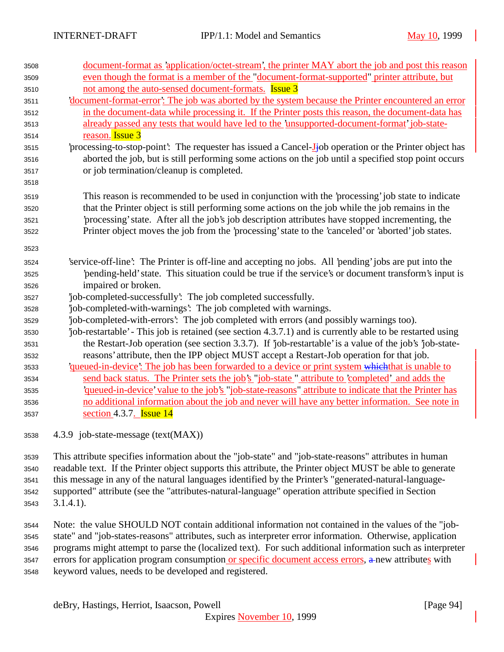| 3508 | document-format as 'application/octet-stream', the printer MAY abort the job and post this reason                                                                                                                                          |
|------|--------------------------------------------------------------------------------------------------------------------------------------------------------------------------------------------------------------------------------------------|
| 3509 | even though the format is a member of the "document-format-supported" printer attribute, but                                                                                                                                               |
| 3510 | not among the auto-sensed document-formats. <b>Issue 3</b>                                                                                                                                                                                 |
| 3511 | document-format-error': The job was aborted by the system because the Printer encountered an error                                                                                                                                         |
| 3512 | in the document-data while processing it. If the Printer posts this reason, the document-data has                                                                                                                                          |
| 3513 | already passed any tests that would have led to the 'unsupported-document-format' job-state-                                                                                                                                               |
| 3514 | reason. Issue 3                                                                                                                                                                                                                            |
| 3515 | processing-to-stop-point? The requester has issued a Cancel-Ljob operation or the Printer object has                                                                                                                                       |
| 3516 | aborted the job, but is still performing some actions on the job until a specified stop point occurs                                                                                                                                       |
| 3517 | or job termination/cleanup is completed.                                                                                                                                                                                                   |
| 3518 |                                                                                                                                                                                                                                            |
| 3519 | This reason is recommended to be used in conjunction with the 'processing' job state to indicate                                                                                                                                           |
| 3520 | that the Printer object is still performing some actions on the job while the job remains in the                                                                                                                                           |
| 3521 | processing' state. After all the job's job description attributes have stopped incrementing, the                                                                                                                                           |
| 3522 | Printer object moves the job from the 'processing' state to the 'canceled' or 'aborted' job states.                                                                                                                                        |
| 3523 |                                                                                                                                                                                                                                            |
| 3524 | 'service-off-line': The Printer is off-line and accepting no jobs. All 'pending' jobs are put into the                                                                                                                                     |
| 3525 | 'pending-held' state. This situation could be true if the service's or document transform's input is                                                                                                                                       |
| 3526 | impaired or broken.                                                                                                                                                                                                                        |
| 3527 | job-completed-successfully: The job completed successfully.                                                                                                                                                                                |
| 3528 | 'job-completed-with-warnings': The job completed with warnings.                                                                                                                                                                            |
| 3529 | job-completed-with-errors': The job completed with errors (and possibly warnings too).                                                                                                                                                     |
| 3530 | job-restartable' - This job is retained (see section 4.3.7.1) and is currently able to be restarted using                                                                                                                                  |
| 3531 | the Restart-Job operation (see section 3.3.7). If job-restartable is a value of the job's job-state-                                                                                                                                       |
| 3532 | reasons' attribute, then the IPP object MUST accept a Restart-Job operation for that job.                                                                                                                                                  |
| 3533 | <i><u>diacom-device': The job has been forwarded to a device or print system which that is unable to diacom-device to diacom-device to diacom-device to diacom-device to diacom-device to diacom-device to diacom-device to diacom</u></i> |
| 3534 | send back status. The Printer sets the job's "job-state " attribute to 'completed' and adds the                                                                                                                                            |
| 3535 | <u>diam-device</u> value to the job's "job-state-reasons" attribute to indicate that the Printer has                                                                                                                                       |
|      |                                                                                                                                                                                                                                            |
| 3536 | no additional information about the job and never will have any better information. See note in                                                                                                                                            |
| 3537 | section 4.3.7. <b>Issue 14</b>                                                                                                                                                                                                             |

4.3.9 job-state-message (text(MAX))

 This attribute specifies information about the "job-state" and "job-state-reasons" attributes in human readable text. If the Printer object supports this attribute, the Printer object MUST be able to generate this message in any of the natural languages identified by the Printer's "generated-natural-language- supported" attribute (see the "attributes-natural-language" operation attribute specified in Section 3.1.4.1).

 Note: the value SHOULD NOT contain additional information not contained in the values of the "job- state" and "job-states-reasons" attributes, such as interpreter error information. Otherwise, application programs might attempt to parse the (localized text). For such additional information such as interpreter errors for application program consumption or specific document access errors,  $\alpha$ -new attributes with keyword values, needs to be developed and registered.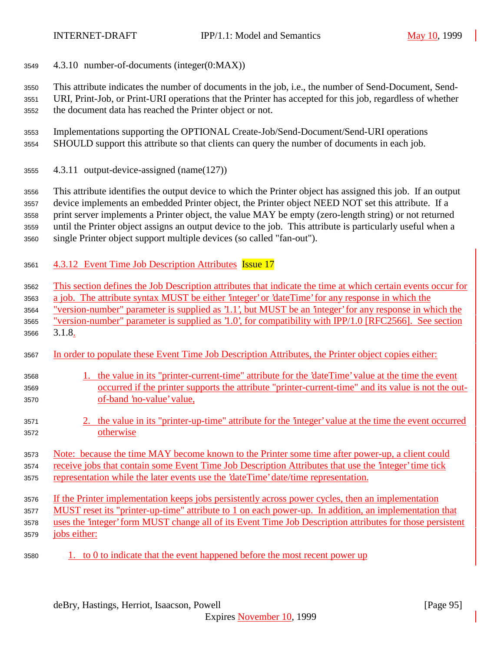4.3.10 number-of-documents (integer(0:MAX))

 This attribute indicates the number of documents in the job, i.e., the number of Send-Document, Send- URI, Print-Job, or Print-URI operations that the Printer has accepted for this job, regardless of whether the document data has reached the Printer object or not.

- Implementations supporting the OPTIONAL Create-Job/Send-Document/Send-URI operations SHOULD support this attribute so that clients can query the number of documents in each job.
- 4.3.11 output-device-assigned (name(127))

This attribute identifies the output device to which the Printer object has assigned this job. If an output

device implements an embedded Printer object, the Printer object NEED NOT set this attribute. If a

 print server implements a Printer object, the value MAY be empty (zero-length string) or not returned until the Printer object assigns an output device to the job. This attribute is particularly useful when a

single Printer object support multiple devices (so called "fan-out").

4.3.12 Event Time Job Description Attributes Issue 17

This section defines the Job Description attributes that indicate the time at which certain events occur for

a job. The attribute syntax MUST be either 'integer' or 'dateTime' for any response in which the

"version-number" parameter is supplied as '1.1', but MUST be an 'integer' for any response in which the

- "version-number" parameter is supplied as '1.0', for compatibility with IPP/1.0 [RFC2566]. See section
- 3.1.8.
- In order to populate these Event Time Job Description Attributes, the Printer object copies either:

## 1. the value in its "printer-current-time" attribute for the 'dateTime' value at the time the event occurred if the printer supports the attribute "printer-current-time" and its value is not the out-of-band 'no-value' value,

 2. the value in its "printer-up-time" attribute for the 'integer' value at the time the event occurred otherwise

## Note: because the time MAY become known to the Printer some time after power-up, a client could 3574 receive jobs that contain some Event Time Job Description Attributes that use the 'integer' time tick representation while the later events use the 'dateTime' date/time representation.

If the Printer implementation keeps jobs persistently across power cycles, then an implementation

- MUST reset its "printer-up-time" attribute to 1 on each power-up. In addition, an implementation that
- uses the 'integer' form MUST change all of its Event Time Job Description attributes for those persistent
- jobs either:
- 1. to 0 to indicate that the event happened before the most recent power up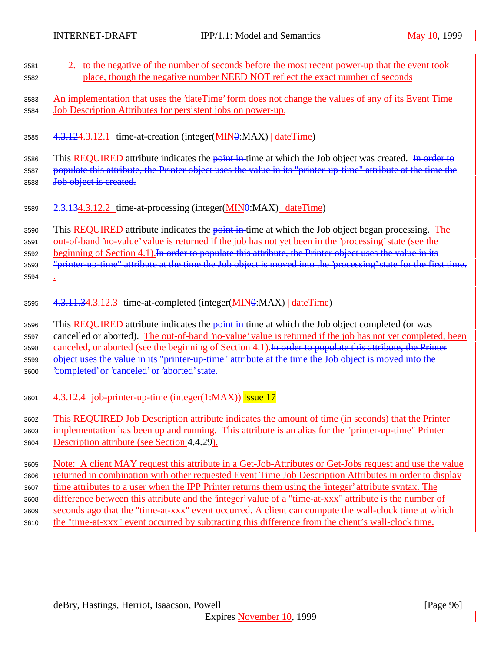| 3581         | 2. to the negative of the number of seconds before the most recent power-up that the event took                  |
|--------------|------------------------------------------------------------------------------------------------------------------|
| 3582         | place, though the negative number NEED NOT reflect the exact number of seconds                                   |
|              |                                                                                                                  |
| 3583         | An implementation that uses the 'dateTime' form does not change the values of any of its Event Time              |
| 3584         | Job Description Attributes for persistent jobs on power-up.                                                      |
|              |                                                                                                                  |
| 3585         | 4.3.124.3.12.1 time-at-creation (integer(MIN0:MAX)   dateTime)                                                   |
|              |                                                                                                                  |
| 3586         | This REQUIRED attribute indicates the point in time at which the Job object was created. In order to             |
| 3587         | populate this attribute, the Printer object uses the value in its "printer-up-time" attribute at the time the    |
| 3588         | Job object is created.                                                                                           |
|              |                                                                                                                  |
| 3589         | $2.3.134.3.12.2$ time-at-processing (integer( $MIN\theta$ :MAX) $\ldots$ date Time)                              |
|              |                                                                                                                  |
| 3590         | This <b>REQUIRED</b> attribute indicates the <b>point in</b> -time at which the Job object began processing. The |
| 3591         | out-of-band 'no-value' value is returned if the job has not yet been in the 'processing' state (see the          |
| 3592         | beginning of Section 4.1). In order to populate this attribute, the Printer object uses the value in its         |
| 3593         | "printer up time" attribute at the time the Job object is moved into the 'processing' state for the first time.  |
| 3594         |                                                                                                                  |
|              |                                                                                                                  |
|              | 4.3.11.34.3.12.3 time-at-completed (integer(MIN0:MAX) dateTime)                                                  |
| 3595         |                                                                                                                  |
| 3596         | This <b>REQUIRED</b> attribute indicates the <b>point in</b> -time at which the Job object completed (or was     |
| 3597         | cancelled or aborted). The out-of-band 'no-value' value is returned if the job has not yet completed, been       |
| 3598         | canceled, or aborted (see the beginning of Section 4.1). In order to populate this attribute, the Printer        |
| 3599         | object uses the value in its "printer-up-time" attribute at the time the Job object is moved into the            |
| 3600         | 'completed' or 'canceled' or 'aborted' state.                                                                    |
|              |                                                                                                                  |
|              |                                                                                                                  |
| 3601         | 4.3.12.4 job-printer-up-time (integer(1:MAX)) Issue 17                                                           |
| 3602         | This REQUIRED Job Description attribute indicates the amount of time (in seconds) that the Printer               |
|              | implementation has been up and running. This attribute is an alias for the "printer-up-time" Printer             |
| 3603<br>3604 | Description attribute (see Section 4.4.29).                                                                      |
|              |                                                                                                                  |
| 3605         | Note: A client MAY request this attribute in a Get-Job-Attributes or Get-Jobs request and use the value          |
| 3606         | returned in combination with other requested Event Time Job Description Attributes in order to display           |
| 3607         | time attributes to a user when the IPP Printer returns them using the "integer" attribute syntax. The            |
| 3608         | difference between this attribute and the 'integer' value of a "time-at-xxx" attribute is the number of          |
| 3609         | seconds ago that the "time-at-xxx" event occurred. A client can compute the wall-clock time at which             |
| 3610         | the "time-at-xxx" event occurred by subtracting this difference from the client's wall-clock time.               |
|              |                                                                                                                  |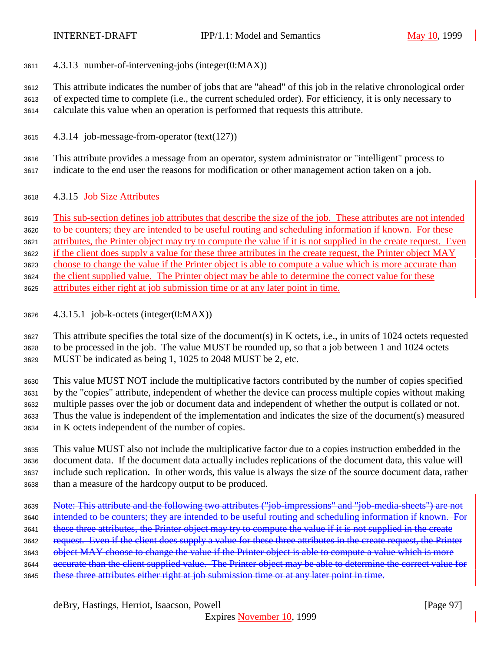4.3.13 number-of-intervening-jobs (integer(0:MAX))

 This attribute indicates the number of jobs that are "ahead" of this job in the relative chronological order of expected time to complete (i.e., the current scheduled order). For efficiency, it is only necessary to calculate this value when an operation is performed that requests this attribute.

4.3.14 job-message-from-operator (text(127))

 This attribute provides a message from an operator, system administrator or "intelligent" process to indicate to the end user the reasons for modification or other management action taken on a job.

4.3.15 Job Size Attributes

This sub-section defines job attributes that describe the size of the job. These attributes are not intended

to be counters; they are intended to be useful routing and scheduling information if known. For these

attributes, the Printer object may try to compute the value if it is not supplied in the create request. Even

if the client does supply a value for these three attributes in the create request, the Printer object MAY

choose to change the value if the Printer object is able to compute a value which is more accurate than

the client supplied value. The Printer object may be able to determine the correct value for these

attributes either right at job submission time or at any later point in time.

4.3.15.1 job-k-octets (integer(0:MAX))

 This attribute specifies the total size of the document(s) in K octets, i.e., in units of 1024 octets requested to be processed in the job. The value MUST be rounded up, so that a job between 1 and 1024 octets MUST be indicated as being 1, 1025 to 2048 MUST be 2, etc.

 This value MUST NOT include the multiplicative factors contributed by the number of copies specified by the "copies" attribute, independent of whether the device can process multiple copies without making multiple passes over the job or document data and independent of whether the output is collated or not. Thus the value is independent of the implementation and indicates the size of the document(s) measured in K octets independent of the number of copies.

 This value MUST also not include the multiplicative factor due to a copies instruction embedded in the document data. If the document data actually includes replications of the document data, this value will include such replication. In other words, this value is always the size of the source document data, rather than a measure of the hardcopy output to be produced.

- Note: This attribute and the following two attributes ("job-impressions" and "job-media-sheets") are not
- intended to be counters; they are intended to be useful routing and scheduling information if known. For
- 3641 these three attributes, the Printer object may try to compute the value if it is not supplied in the create
- 3642 request. Even if the client does supply a value for these three attributes in the create request, the Printer
- 3643 object MAY choose to change the value if the Printer object is able to compute a value which is more
- 3644 accurate than the client supplied value. The Printer object may be able to determine the correct value for
- 3645 these three attributes either right at job submission time or at any later point in time.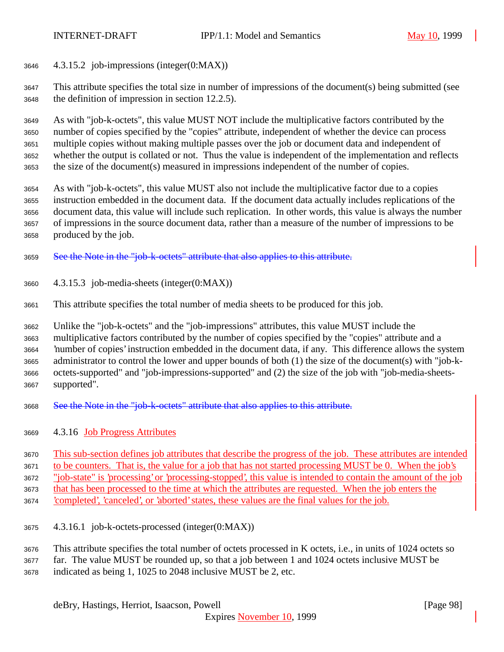4.3.15.2 job-impressions (integer(0:MAX))

 This attribute specifies the total size in number of impressions of the document(s) being submitted (see the definition of impression in section 12.2.5).

 As with "job-k-octets", this value MUST NOT include the multiplicative factors contributed by the number of copies specified by the "copies" attribute, independent of whether the device can process multiple copies without making multiple passes over the job or document data and independent of whether the output is collated or not. Thus the value is independent of the implementation and reflects the size of the document(s) measured in impressions independent of the number of copies.

 As with "job-k-octets", this value MUST also not include the multiplicative factor due to a copies instruction embedded in the document data. If the document data actually includes replications of the document data, this value will include such replication. In other words, this value is always the number of impressions in the source document data, rather than a measure of the number of impressions to be produced by the job.

- See the Note in the "job-k-octets" attribute that also applies to this attribute.
- 4.3.15.3 job-media-sheets (integer(0:MAX))
- This attribute specifies the total number of media sheets to be produced for this job.

Unlike the "job-k-octets" and the "job-impressions" attributes, this value MUST include the

 multiplicative factors contributed by the number of copies specified by the "copies" attribute and a 'number of copies' instruction embedded in the document data, if any. This difference allows the system administrator to control the lower and upper bounds of both (1) the size of the document(s) with "job-k- octets-supported" and "job-impressions-supported" and (2) the size of the job with "job-media-sheets-supported".

- See the Note in the "job-k-octets" attribute that also applies to this attribute.
- 4.3.16 Job Progress Attributes

 This sub-section defines job attributes that describe the progress of the job. These attributes are intended to be counters. That is, the value for a job that has not started processing MUST be 0. When the job's

"job-state" is 'processing' or 'processing-stopped', this value is intended to contain the amount of the job

that has been processed to the time at which the attributes are requested. When the job enters the

'completed', 'canceled', or 'aborted' states, these values are the final values for the job.

- 4.3.16.1 job-k-octets-processed (integer(0:MAX))
- This attribute specifies the total number of octets processed in K octets, i.e., in units of 1024 octets so
- far. The value MUST be rounded up, so that a job between 1 and 1024 octets inclusive MUST be
- indicated as being 1, 1025 to 2048 inclusive MUST be 2, etc.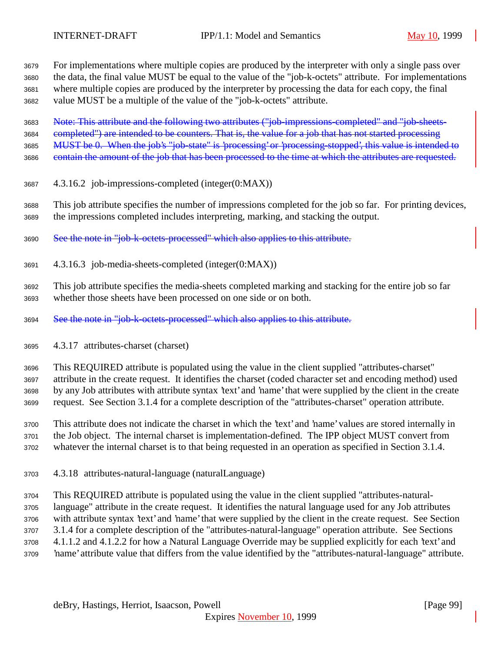For implementations where multiple copies are produced by the interpreter with only a single pass over the data, the final value MUST be equal to the value of the "job-k-octets" attribute. For implementations where multiple copies are produced by the interpreter by processing the data for each copy, the final value MUST be a multiple of the value of the "job-k-octets" attribute.

Note: This attribute and the following two attributes ("job-impressions-completed" and "job-sheets-

3684 completed") are intended to be counters. That is, the value for a job that has not started processing

MUST be 0. When the job's "job-state" is 'processing' or 'processing-stopped', this value is intended to

3686 contain the amount of the job that has been processed to the time at which the attributes are requested.

- 4.3.16.2 job-impressions-completed (integer(0:MAX))
- This job attribute specifies the number of impressions completed for the job so far. For printing devices, the impressions completed includes interpreting, marking, and stacking the output.

See the note in "job-k-octets-processed" which also applies to this attribute.

4.3.16.3 job-media-sheets-completed (integer(0:MAX))

 This job attribute specifies the media-sheets completed marking and stacking for the entire job so far whether those sheets have been processed on one side or on both.

See the note in "job-k-octets-processed" which also applies to this attribute.

4.3.17 attributes-charset (charset)

This REQUIRED attribute is populated using the value in the client supplied "attributes-charset"

attribute in the create request. It identifies the charset (coded character set and encoding method) used

 by any Job attributes with attribute syntax 'text' and 'name' that were supplied by the client in the create request. See Section 3.1.4 for a complete description of the "attributes-charset" operation attribute.

 This attribute does not indicate the charset in which the 'text' and 'name' values are stored internally in the Job object. The internal charset is implementation-defined. The IPP object MUST convert from

whatever the internal charset is to that being requested in an operation as specified in Section 3.1.4.

4.3.18 attributes-natural-language (naturalLanguage)

 This REQUIRED attribute is populated using the value in the client supplied "attributes-natural- language" attribute in the create request. It identifies the natural language used for any Job attributes with attribute syntax 'text' and 'name' that were supplied by the client in the create request. See Section 3.1.4 for a complete description of the "attributes-natural-language" operation attribute. See Sections 4.1.1.2 and 4.1.2.2 for how a Natural Language Override may be supplied explicitly for each 'text' and 'name' attribute value that differs from the value identified by the "attributes-natural-language" attribute.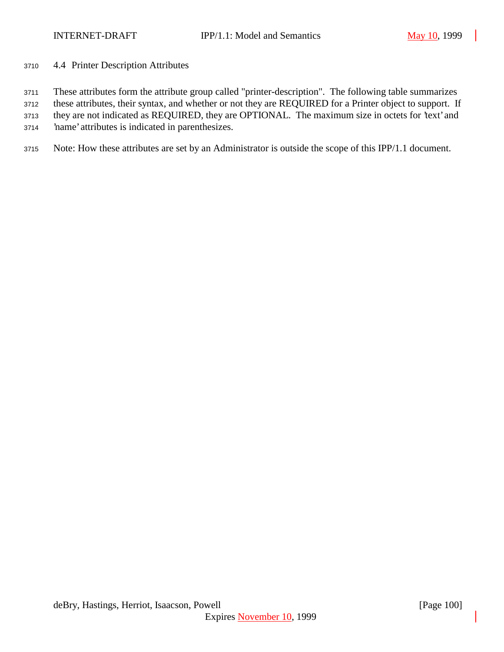4.4 Printer Description Attributes

These attributes form the attribute group called "printer-description". The following table summarizes

these attributes, their syntax, and whether or not they are REQUIRED for a Printer object to support. If

they are not indicated as REQUIRED, they are OPTIONAL. The maximum size in octets for 'text' and

'name' attributes is indicated in parenthesizes.

Note: How these attributes are set by an Administrator is outside the scope of this IPP/1.1 document.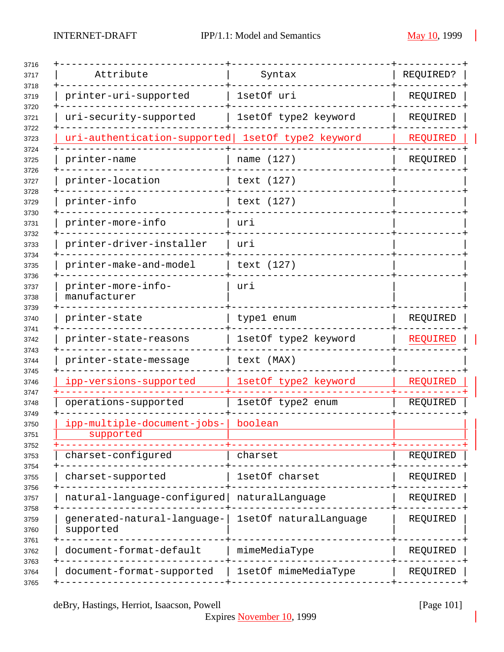| Attribute                                | Syntax                 | REQUIRED?       |
|------------------------------------------|------------------------|-----------------|
| printer-uri-supported                    | 1setOf uri             | REQUIRED        |
| uri-security-supported                   | 1setOf type2 keyword   | REQUIRED        |
| uri-authentication-supported             | 1setOf type2 keyword   | <b>REQUIRED</b> |
| printer-name                             | name (127)             | REQUIRED        |
| printer-location                         | text (127)             |                 |
| printer-info                             | text (127)             |                 |
| printer-more-info                        | uri                    |                 |
| printer-driver-installer                 | uri                    |                 |
| printer-make-and-model                   | text (127)             |                 |
| printer-more-info-<br>manufacturer       | uri                    |                 |
| printer-state                            | type1 enum             | REQUIRED        |
| printer-state-reasons                    | 1setOf type2 keyword   | REQUIRED        |
| printer-state-message                    | text (MAX)             |                 |
| ipp-versions-supported                   | 1setOf type2 keyword   | REQUIRED        |
| operations-supported                     | 1setOf type2 enum      | REQUIRED        |
| ipp-multiple-document-jobs-<br>supported | boolean                |                 |
| charset-configured                       | charset                | REQUIRED        |
| charset-supported                        | 1setOf charset         | REQUIRED        |
| natural-language-configured              | naturalLanguage        | REQUIRED        |
| generated-natural-language-<br>supported | 1setOf naturalLanguage | REQUIRED        |
| document-format-default                  | mimeMediaType          | REQUIRED        |
|                                          |                        |                 |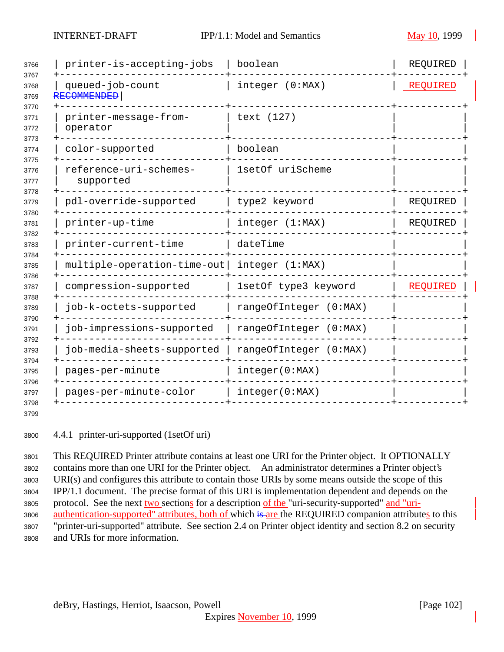| 3766                 | printer-is-accepting-jobs              | boolean                | REQUIRED        |
|----------------------|----------------------------------------|------------------------|-----------------|
| 3767<br>3768<br>3769 | queued-job-count<br><b>RECOMMENDED</b> | integer (0:MAX)        | REQUIRED        |
| 3770<br>3771<br>3772 | printer-message-from-<br>operator      | text (127)             |                 |
| 3773<br>3774         | color-supported                        | boolean                |                 |
| 3775<br>3776<br>3777 | reference-uri-schemes-<br>supported    | 1setOf uriScheme       |                 |
| 3778<br>3779         | pdl-override-supported                 | type2 keyword          | REQUIRED        |
| 3780<br>3781         | printer-up-time                        | integer (1:MAX)        | REQUIRED        |
| 3782<br>3783         | printer-current-time                   | dateTime               |                 |
| 3784<br>3785         | multiple-operation-time-out            | integer (1:MAX)        |                 |
| 3786<br>3787         | compression-supported                  | 1setOf type3 keyword   | <b>REQUIRED</b> |
| 3788<br>3789         | job-k-octets-supported                 | rangeOfInteger (0:MAX) |                 |
| 3790<br>3791         | job-impressions-supported              | rangeOfInteger (0:MAX) |                 |
| 3792<br>3793         | job-media-sheets-supported             | rangeOfInteger (0:MAX) |                 |
| 3794<br>3795         | pages-per-minute                       | integer(0:MAX)         |                 |
| 3796<br>3797         | pages-per-minute-color                 | integer(0:MAX)         |                 |
| 3798                 |                                        |                        |                 |

4.4.1 printer-uri-supported (1setOf uri)

 This REQUIRED Printer attribute contains at least one URI for the Printer object. It OPTIONALLY contains more than one URI for the Printer object. An administrator determines a Printer object's URI(s) and configures this attribute to contain those URIs by some means outside the scope of this IPP/1.1 document. The precise format of this URI is implementation dependent and depends on the protocol. See the next two sections for a description of the "uri-security-supported" and "uri-3806 authentication-supported" attributes, both of which is are the REQUIRED companion attributes to this "printer-uri-supported" attribute. See section 2.4 on Printer object identity and section 8.2 on security and URIs for more information.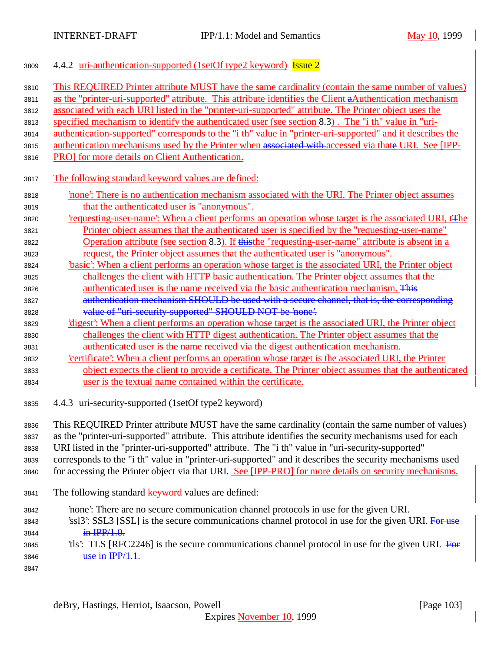## <sup>3809</sup> 4.4.2 uri-authentication-supported (1setOf type2 keyword) Issue 2

| 3810 | This REQUIRED Printer attribute MUST have the same cardinality (contain the same number of values)             |  |  |
|------|----------------------------------------------------------------------------------------------------------------|--|--|
| 3811 | as the "printer-uri-supported" attribute. This attribute identifies the Client aAuthentication mechanism       |  |  |
| 3812 | associated with each URI listed in the "printer-uri-supported" attribute. The Printer object uses the          |  |  |
| 3813 | specified mechanism to identify the authenticated user (see section 8.3). The "i th" value in "uri-            |  |  |
| 3814 | authentication-supported" corresponds to the "i th" value in "printer-uri-supported" and it describes the      |  |  |
| 3815 | authentication mechanisms used by the Printer when associated with accessed via thate URI. See [IPP-           |  |  |
| 3816 | PRO] for more details on Client Authentication.                                                                |  |  |
|      |                                                                                                                |  |  |
| 3817 | The following standard keyword values are defined:                                                             |  |  |
| 3818 | none': There is no authentication mechanism associated with the URI. The Printer object assumes                |  |  |
| 3819 | that the authenticated user is "anonymous".                                                                    |  |  |
| 3820 | requesting-user-name? When a client performs an operation whose target is the associated URI, t <del>The</del> |  |  |
| 3821 | Printer object assumes that the authenticated user is specified by the "requesting-user-name"                  |  |  |
| 3822 | Operation attribute (see section 8.3). If this the "requesting-user-name" attribute is absent in a             |  |  |
| 3823 | request, the Printer object assumes that the authenticated user is "anonymous".                                |  |  |
| 3824 | basic': When a client performs an operation whose target is the associated URI, the Printer object             |  |  |
| 3825 | challenges the client with HTTP basic authentication. The Printer object assumes that the                      |  |  |
| 3826 | authenticated user is the name received via the basic authentication mechanism. This                           |  |  |
| 3827 | authentication mechanism SHOULD be used with a secure channel, that is, the corresponding                      |  |  |
| 3828 | value of "uri-security-supported" SHOULD NOT be 'none'.                                                        |  |  |
| 3829 | 'digest': When a client performs an operation whose target is the associated URI, the Printer object           |  |  |
| 3830 | challenges the client with HTTP digest authentication. The Printer object assumes that the                     |  |  |
| 3831 | authenticated user is the name received via the digest authentication mechanism.                               |  |  |
| 3832 | certificate': When a client performs an operation whose target is the associated URI, the Printer              |  |  |
| 3833 | object expects the client to provide a certificate. The Printer object assumes that the authenticated          |  |  |
| 3834 | user is the textual name contained within the certificate.                                                     |  |  |
|      |                                                                                                                |  |  |
| 3835 | 4.4.3 uri-security-supported (1setOf type2 keyword)                                                            |  |  |
| 3836 | This REQUIRED Printer attribute MUST have the same cardinality (contain the same number of values)             |  |  |
| 3837 | as the "printer-uri-supported" attribute. This attribute identifies the security mechanisms used for each      |  |  |
| 3838 | URI listed in the "printer-uri-supported" attribute. The "i th" value in "uri-security-supported"              |  |  |
| 3839 | corresponds to the "i th" value in "printer-uri-supported" and it describes the security mechanisms used       |  |  |
| 3840 | for accessing the Printer object via that URI. See [IPP-PRO] for more details on security mechanisms.          |  |  |
|      |                                                                                                                |  |  |
| 3841 | The following standard keyword values are defined:                                                             |  |  |
| 3842 | none': There are no secure communication channel protocols in use for the given URI.                           |  |  |
| 3843 | 'ssl3': SSL3 [SSL] is the secure communications channel protocol in use for the given URI. For use             |  |  |
| 3844 | $\frac{\text{in } \text{IPP}/1.0}{\text{in } \text{IPP}/1.0}$ .                                                |  |  |
| 3845 | tls: TLS [RFC2246] is the secure communications channel protocol in use for the given URI. For                 |  |  |
| 3846 | use in IPP/1.1.                                                                                                |  |  |

3847

deBry, Hastings, Herriot, Isaacson, Powell [Page 103]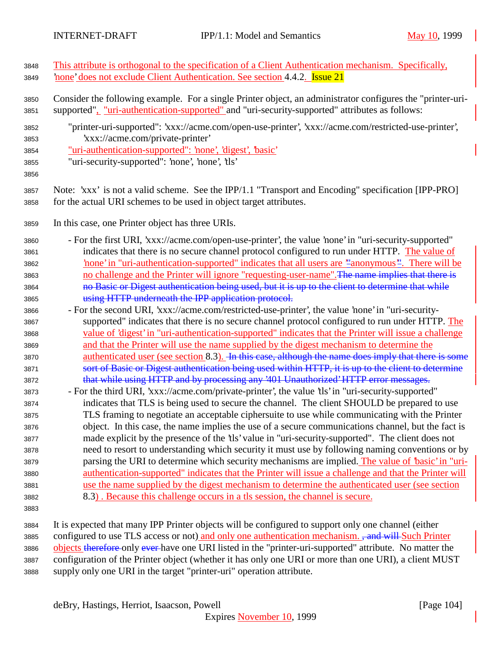This attribute is orthogonal to the specification of a Client Authentication mechanism. Specifically,

'none' does not exclude Client Authentication. See section 4.4.2. Issue 21

| 3850<br>3851                 | Consider the following example. For a single Printer object, an administrator configures the "printer-uri-<br>supported", "uri-authentication-supported" and "uri-security-supported" attributes as follows:                                             |
|------------------------------|----------------------------------------------------------------------------------------------------------------------------------------------------------------------------------------------------------------------------------------------------------|
| 3852<br>3853<br>3854<br>3855 | "printer-uri-supported": 'xxx://acme.com/open-use-printer', 'xxx://acme.com/restricted-use-printer',<br>'xxx://acme.com/private-printer'<br>"uri-authentication-supported": 'none', 'digest', 'basic'<br>"uri-security-supported": 'none', 'none', 'tls' |
| 3856<br>3857<br>3858         | Note: 'xxx' is not a valid scheme. See the IPP/1.1 "Transport and Encoding" specification [IPP-PRO]<br>for the actual URI schemes to be used in object target attributes.                                                                                |
| 3859                         | In this case, one Printer object has three URIs.                                                                                                                                                                                                         |
| 3860                         | - For the first URI, 'xxx://acme.com/open-use-printer', the value 'none' in "uri-security-supported"                                                                                                                                                     |
| 3861                         | indicates that there is no secure channel protocol configured to run under HTTP. The value of                                                                                                                                                            |
| 3862                         | none' in "uri-authentication-supported" indicates that all users are "anonymous". There will be                                                                                                                                                          |
| 3863                         | no challenge and the Printer will ignore "requesting-user-name". The name implies that there is                                                                                                                                                          |
| 3864                         | no Basic or Digest authentication being used, but it is up to the client to determine that while                                                                                                                                                         |
| 3865                         | using HTTP underneath the IPP application protocol.                                                                                                                                                                                                      |
| 3866                         | - For the second URI, 'xxx://acme.com/restricted-use-printer', the value 'none' in "uri-security-                                                                                                                                                        |
| 3867                         | supported" indicates that there is no secure channel protocol configured to run under HTTP. The                                                                                                                                                          |
| 3868                         | value of 'digest' in "uri-authentication-supported" indicates that the Printer will issue a challenge                                                                                                                                                    |
| 3869                         | and that the Printer will use the name supplied by the digest mechanism to determine the                                                                                                                                                                 |
| 3870                         | authenticated user (see section 8.3). In this case, although the name does imply that there is some                                                                                                                                                      |
| 3871                         | sort of Basic or Digest authentication being used within HTTP, it is up to the client to determine                                                                                                                                                       |
| 3872                         | that while using HTTP and by processing any '401 Unauthorized' HTTP error messages.                                                                                                                                                                      |
| 3873                         | - For the third URI, 'xxx://acme.com/private-printer', the value 'tls' in "uri-security-supported"                                                                                                                                                       |
| 3874                         | indicates that TLS is being used to secure the channel. The client SHOULD be prepared to use                                                                                                                                                             |
| 3875                         | TLS framing to negotiate an acceptable ciphersuite to use while communicating with the Printer                                                                                                                                                           |
| 3876                         | object. In this case, the name implies the use of a secure communications channel, but the fact is                                                                                                                                                       |
| 3877                         | made explicit by the presence of the 'tls' value in "uri-security-supported". The client does not                                                                                                                                                        |
| 3878                         | need to resort to understanding which security it must use by following naming conventions or by                                                                                                                                                         |
| 3879                         | parsing the URI to determine which security mechanisms are implied. The value of 'basic' in "uri-                                                                                                                                                        |
| 3880                         | authentication-supported" indicates that the Printer will issue a challenge and that the Printer will                                                                                                                                                    |
| 3881                         | use the name supplied by the digest mechanism to determine the authenticated user (see section                                                                                                                                                           |
| 3882                         | 8.3). Because this challenge occurs in a tls session, the channel is secure.                                                                                                                                                                             |
| 3883                         |                                                                                                                                                                                                                                                          |

 It is expected that many IPP Printer objects will be configured to support only one channel (either 3885 configured to use TLS access or not) and only one authentication mechanism. , and will Such Printer 3886 objects therefore only ever have one URI listed in the "printer-uri-supported" attribute. No matter the configuration of the Printer object (whether it has only one URI or more than one URI), a client MUST supply only one URI in the target "printer-uri" operation attribute.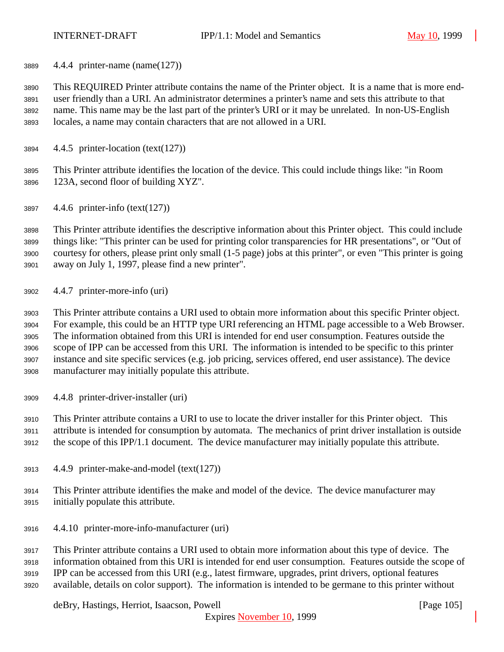4.4.4 printer-name (name(127))

 This REQUIRED Printer attribute contains the name of the Printer object. It is a name that is more end- user friendly than a URI. An administrator determines a printer's name and sets this attribute to that name. This name may be the last part of the printer's URI or it may be unrelated. In non-US-English locales, a name may contain characters that are not allowed in a URI.

4.4.5 printer-location (text(127))

 This Printer attribute identifies the location of the device. This could include things like: "in Room 123A, second floor of building XYZ".

4.4.6 printer-info (text(127))

 This Printer attribute identifies the descriptive information about this Printer object. This could include things like: "This printer can be used for printing color transparencies for HR presentations", or "Out of courtesy for others, please print only small (1-5 page) jobs at this printer", or even "This printer is going away on July 1, 1997, please find a new printer".

4.4.7 printer-more-info (uri)

 This Printer attribute contains a URI used to obtain more information about this specific Printer object. For example, this could be an HTTP type URI referencing an HTML page accessible to a Web Browser. The information obtained from this URI is intended for end user consumption. Features outside the scope of IPP can be accessed from this URI. The information is intended to be specific to this printer instance and site specific services (e.g. job pricing, services offered, end user assistance). The device manufacturer may initially populate this attribute.

4.4.8 printer-driver-installer (uri)

 This Printer attribute contains a URI to use to locate the driver installer for this Printer object. This attribute is intended for consumption by automata. The mechanics of print driver installation is outside

the scope of this IPP/1.1 document. The device manufacturer may initially populate this attribute.

- 4.4.9 printer-make-and-model (text(127))
- This Printer attribute identifies the make and model of the device. The device manufacturer may initially populate this attribute.
- 4.4.10 printer-more-info-manufacturer (uri)

 This Printer attribute contains a URI used to obtain more information about this type of device. The information obtained from this URI is intended for end user consumption. Features outside the scope of IPP can be accessed from this URI (e.g., latest firmware, upgrades, print drivers, optional features available, details on color support). The information is intended to be germane to this printer without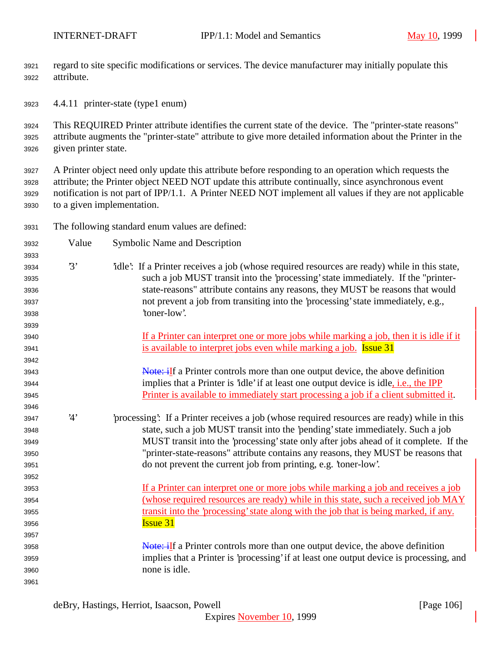regard to site specific modifications or services. The device manufacturer may initially populate this attribute.

4.4.11 printer-state (type1 enum)

 This REQUIRED Printer attribute identifies the current state of the device. The "printer-state reasons" attribute augments the "printer-state" attribute to give more detailed information about the Printer in the given printer state.

 A Printer object need only update this attribute before responding to an operation which requests the attribute; the Printer object NEED NOT update this attribute continually, since asynchronous event notification is not part of IPP/1.1. A Printer NEED NOT implement all values if they are not applicable to a given implementation.

The following standard enum values are defined:

| 3932 | Value | Symbolic Name and Description                                                                 |
|------|-------|-----------------------------------------------------------------------------------------------|
| 3933 |       |                                                                                               |
| 3934 | 3'    | idle: If a Printer receives a job (whose required resources are ready) while in this state,   |
| 3935 |       | such a job MUST transit into the 'processing' state immediately. If the "printer-             |
| 3936 |       | state-reasons" attribute contains any reasons, they MUST be reasons that would                |
| 3937 |       | not prevent a job from transiting into the 'processing' state immediately, e.g.,              |
| 3938 |       | 'toner-low'.                                                                                  |
| 3939 |       |                                                                                               |
| 3940 |       | If a Printer can interpret one or more jobs while marking a job, then it is idle if it        |
| 3941 |       | is available to interpret jobs even while marking a job. <b>Issue 31</b>                      |
| 3942 |       |                                                                                               |
| 3943 |       | <b>Note: iIf a Printer controls more than one output device, the above definition</b>         |
| 3944 |       | implies that a Printer is 'idle' if at least one output device is idle, <i>i.e.</i> , the IPP |
| 3945 |       | Printer is available to immediately start processing a job if a client submitted it.          |
| 3946 |       |                                                                                               |
| 3947 | 4'    | processing: If a Printer receives a job (whose required resources are ready) while in this    |
| 3948 |       | state, such a job MUST transit into the 'pending' state immediately. Such a job               |
| 3949 |       | MUST transit into the 'processing' state only after jobs ahead of it complete. If the         |
| 3950 |       | "printer-state-reasons" attribute contains any reasons, they MUST be reasons that             |
| 3951 |       | do not prevent the current job from printing, e.g. 'toner-low'.                               |
| 3952 |       |                                                                                               |
| 3953 |       | If a Printer can interpret one or more jobs while marking a job and receives a job            |
| 3954 |       | (whose required resources are ready) while in this state, such a received job MAY             |
| 3955 |       | transit into the 'processing' state along with the job that is being marked, if any.          |
| 3956 |       | <b>Issue 31</b>                                                                               |
| 3957 |       |                                                                                               |
| 3958 |       | Note: iIf a Printer controls more than one output device, the above definition                |
| 3959 |       | implies that a Printer is 'processing' if at least one output device is processing, and       |
| 3960 |       | none is idle.                                                                                 |
| 3961 |       |                                                                                               |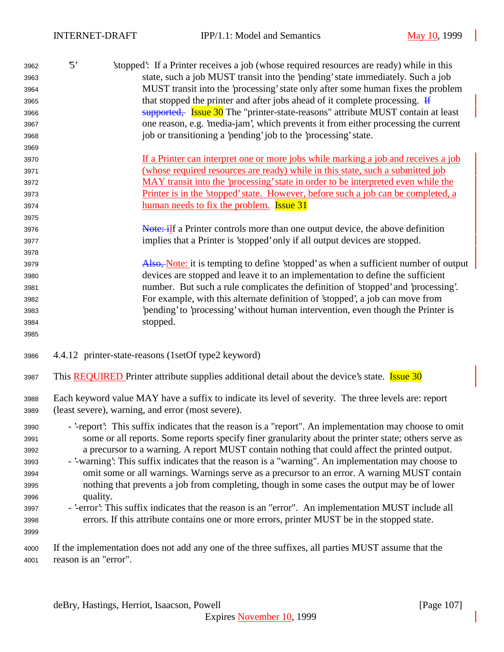| 3962 | $\mathcal{L}$ | stopped: If a Printer receives a job (whose required resources are ready) while in this |
|------|---------------|-----------------------------------------------------------------------------------------|
| 3963 |               | state, such a job MUST transit into the 'pending' state immediately. Such a job         |
| 3964 |               | MUST transit into the 'processing' state only after some human fixes the problem        |
| 3965 |               | that stopped the printer and after jobs ahead of it complete processing. $\frac{1}{2}$  |
| 3966 |               | supported. Issue 30 The "printer-state-reasons" attribute MUST contain at least         |
| 3967 |               | one reason, e.g. 'media-jam', which prevents it from either processing the current      |
| 3968 |               | job or transitioning a 'pending' job to the 'processing' state.                         |
| 3969 |               |                                                                                         |

- If a Printer can interpret one or more jobs while marking a job and receives a job (whose required resources are ready) while in this state, such a submitted job MAY transit into the 'processing' state in order to be interpreted even while the Printer is in the 'stopped' state. However, before such a job can be completed, a 3974 human needs to fix the problem. **Issue 31**
- 3976 Note: if a Printer controls more than one output device, the above definition implies that a Printer is 'stopped' only if all output devices are stopped.

3979 Also, Note: it is tempting to define 'stopped' as when a sufficient number of output devices are stopped and leave it to an implementation to define the sufficient number. But such a rule complicates the definition of 'stopped' and 'processing'. For example, with this alternate definition of 'stopped', a job can move from 'pending' to 'processing' without human intervention, even though the Printer is stopped.

- 4.4.12 printer-state-reasons (1setOf type2 keyword)
- 3987 This **REQUIRED** Printer attribute supplies additional detail about the device's state. **Issue 30**
- Each keyword value MAY have a suffix to indicate its level of severity. The three levels are: report (least severe), warning, and error (most severe).
- '-report': This suffix indicates that the reason is a "report". An implementation may choose to omit some or all reports. Some reports specify finer granularity about the printer state; others serve as a precursor to a warning. A report MUST contain nothing that could affect the printed output.
- '-warning': This suffix indicates that the reason is a "warning". An implementation may choose to omit some or all warnings. Warnings serve as a precursor to an error. A warning MUST contain nothing that prevents a job from completing, though in some cases the output may be of lower quality.
- '-error': This suffix indicates that the reason is an "error". An implementation MUST include all errors. If this attribute contains one or more errors, printer MUST be in the stopped state.

 If the implementation does not add any one of the three suffixes, all parties MUST assume that the reason is an "error".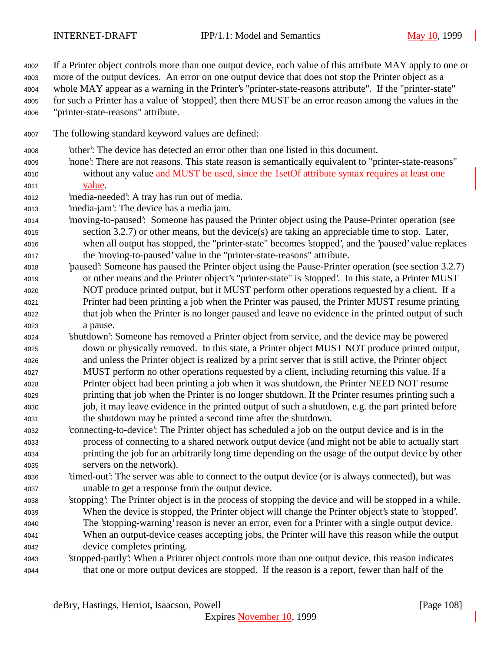If a Printer object controls more than one output device, each value of this attribute MAY apply to one or more of the output devices. An error on one output device that does not stop the Printer object as a whole MAY appear as a warning in the Printer's "printer-state-reasons attribute". If the "printer-state" for such a Printer has a value of 'stopped', then there MUST be an error reason among the values in the "printer-state-reasons" attribute.

- The following standard keyword values are defined:
- 'other': The device has detected an error other than one listed in this document.
- 'none': There are not reasons. This state reason is semantically equivalent to "printer-state-reasons" without any value and MUST be used, since the 1setOf attribute syntax requires at least one value.
- 'media-needed': A tray has run out of media.
- 'media-jam': The device has a media jam.
- 'moving-to-paused': Someone has paused the Printer object using the Pause-Printer operation (see section 3.2.7) or other means, but the device(s) are taking an appreciable time to stop. Later, when all output has stopped, the "printer-state" becomes 'stopped', and the 'paused' value replaces the 'moving-to-paused' value in the "printer-state-reasons" attribute.
- 'paused': Someone has paused the Printer object using the Pause-Printer operation (see section 3.2.7) or other means and the Printer object's "printer-state" is 'stopped'. In this state, a Printer MUST NOT produce printed output, but it MUST perform other operations requested by a client. If a Printer had been printing a job when the Printer was paused, the Printer MUST resume printing that job when the Printer is no longer paused and leave no evidence in the printed output of such a pause.
- 'shutdown': Someone has removed a Printer object from service, and the device may be powered down or physically removed. In this state, a Printer object MUST NOT produce printed output, and unless the Printer object is realized by a print server that is still active, the Printer object MUST perform no other operations requested by a client, including returning this value. If a Printer object had been printing a job when it was shutdown, the Printer NEED NOT resume printing that job when the Printer is no longer shutdown. If the Printer resumes printing such a job, it may leave evidence in the printed output of such a shutdown, e.g. the part printed before the shutdown may be printed a second time after the shutdown.
- 'connecting-to-device': The Printer object has scheduled a job on the output device and is in the process of connecting to a shared network output device (and might not be able to actually start printing the job for an arbitrarily long time depending on the usage of the output device by other servers on the network).
- 'timed-out': The server was able to connect to the output device (or is always connected), but was unable to get a response from the output device.
- 'stopping': The Printer object is in the process of stopping the device and will be stopped in a while. When the device is stopped, the Printer object will change the Printer object's state to 'stopped'. The 'stopping-warning' reason is never an error, even for a Printer with a single output device. When an output-device ceases accepting jobs, the Printer will have this reason while the output device completes printing.
- 'stopped-partly': When a Printer object controls more than one output device, this reason indicates that one or more output devices are stopped. If the reason is a report, fewer than half of the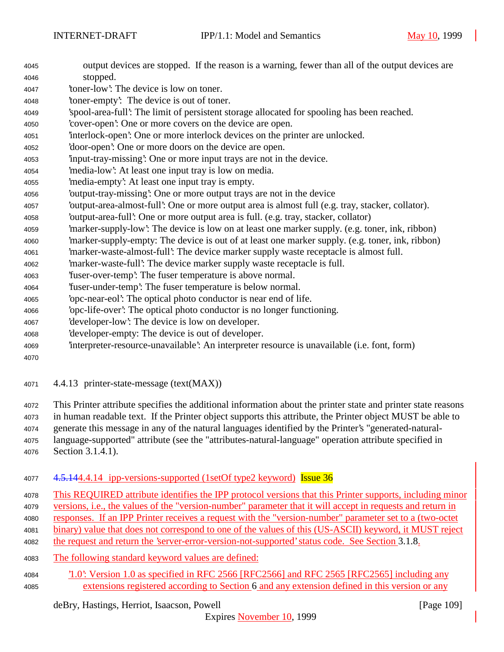| 4045 | output devices are stopped. If the reason is a warning, fewer than all of the output devices are  |
|------|---------------------------------------------------------------------------------------------------|
| 4046 | stopped.                                                                                          |
| 4047 | 'toner-low': The device is low on toner.                                                          |
| 4048 | 'toner-empty': The device is out of toner.                                                        |
| 4049 | 'spool-area-full': The limit of persistent storage allocated for spooling has been reached.       |
| 4050 | 'cover-open': One or more covers on the device are open.                                          |
| 4051 | interlock-open': One or more interlock devices on the printer are unlocked.                       |
| 4052 | 'door-open': One or more doors on the device are open.                                            |
| 4053 | input-tray-missing: One or more input trays are not in the device.                                |
| 4054 | 'media-low': At least one input tray is low on media.                                             |
| 4055 | 'media-empty': At least one input tray is empty.                                                  |
| 4056 | 'output-tray-missing': One or more output trays are not in the device                             |
| 4057 | 'output-area-almost-full': One or more output area is almost full (e.g. tray, stacker, collator). |
| 4058 | 'output-area-full': One or more output area is full. (e.g. tray, stacker, collator)               |
| 4059 | 'marker-supply-low': The device is low on at least one marker supply. (e.g. toner, ink, ribbon)   |
| 4060 | marker-supply-empty: The device is out of at least one marker supply. (e.g. toner, ink, ribbon)   |
| 4061 | 'marker-waste-almost-full': The device marker supply waste receptacle is almost full.             |
| 4062 | 'marker-waste-full': The device marker supply waste receptacle is full.                           |
| 4063 | 'fuser-over-temp': The fuser temperature is above normal.                                         |
| 4064 | 'fuser-under-temp': The fuser temperature is below normal.                                        |
| 4065 | 'opc-near-eol': The optical photo conductor is near end of life.                                  |
| 4066 | 'opc-life-over': The optical photo conductor is no longer functioning.                            |
| 4067 | 'developer-low': The device is low on developer.                                                  |
| 4068 | developer-empty: The device is out of developer.                                                  |
| 4069 | 'interpreter-resource-unavailable': An interpreter resource is unavailable (i.e. font, form)      |
| 4070 |                                                                                                   |
|      |                                                                                                   |

4.4.13 printer-state-message (text(MAX))

 This Printer attribute specifies the additional information about the printer state and printer state reasons in human readable text. If the Printer object supports this attribute, the Printer object MUST be able to generate this message in any of the natural languages identified by the Printer's "generated-natural-

 language-supported" attribute (see the "attributes-natural-language" operation attribute specified in Section 3.1.4.1).

4.5.144.4.14 ipp-versions-supported (1setOf type2 keyword) Issue 36

This REQUIRED attribute identifies the IPP protocol versions that this Printer supports, including minor

- versions, i.e., the values of the "version-number" parameter that it will accept in requests and return in
- responses. If an IPP Printer receives a request with the "version-number" parameter set to a (two-octet
- binary) value that does not correspond to one of the values of this (US-ASCII) keyword, it MUST reject
- the request and return the 'server-error-version-not-supported' status code. See Section 3.1.8.
- The following standard keyword values are defined:
- '1.0': Version 1.0 as specified in RFC 2566 [RFC2566] and RFC 2565 [RFC2565] including any extensions registered according to Section 6 and any extension defined in this version or any

deBry, Hastings, Herriot, Isaacson, Powell [Page 109]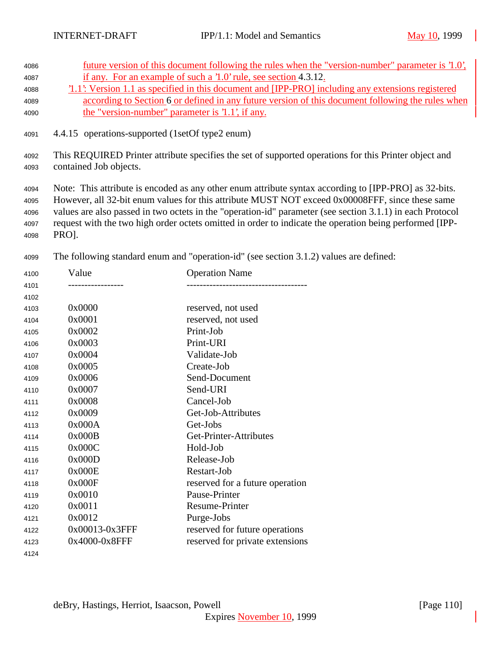| 4086 |                                                                                                 | future version of this document following the rules when the "version-number" parameter is 1.0'.          |  |
|------|-------------------------------------------------------------------------------------------------|-----------------------------------------------------------------------------------------------------------|--|
| 4087 | if any. For an example of such a '1.0' rule, see section 4.3.12.                                |                                                                                                           |  |
| 4088 |                                                                                                 | [1.1]: Version 1.1 as specified in this document and [IPP-PRO] including any extensions registered        |  |
| 4089 |                                                                                                 | according to Section 6 or defined in any future version of this document following the rules when         |  |
| 4090 |                                                                                                 | the "version-number" parameter is '1.1', if any.                                                          |  |
| 4091 |                                                                                                 | 4.4.15 operations-supported (1setOf type2 enum)                                                           |  |
| 4092 |                                                                                                 | This REQUIRED Printer attribute specifies the set of supported operations for this Printer object and     |  |
| 4093 | contained Job objects.                                                                          |                                                                                                           |  |
|      |                                                                                                 |                                                                                                           |  |
| 4094 |                                                                                                 | Note: This attribute is encoded as any other enum attribute syntax according to [IPP-PRO] as 32-bits.     |  |
| 4095 | However, all 32-bit enum values for this attribute MUST NOT exceed 0x00008FFF, since these same |                                                                                                           |  |
| 4096 |                                                                                                 | values are also passed in two octets in the "operation-id" parameter (see section 3.1.1) in each Protocol |  |
| 4097 |                                                                                                 | request with the two high order octets omitted in order to indicate the operation being performed [IPP-   |  |
| 4098 | PROJ.                                                                                           |                                                                                                           |  |
|      |                                                                                                 |                                                                                                           |  |
| 4099 |                                                                                                 | The following standard enum and "operation-id" (see section 3.1.2) values are defined:                    |  |
| 4100 | Value                                                                                           | <b>Operation Name</b>                                                                                     |  |
| 4101 |                                                                                                 | ----------------------------                                                                              |  |
| 4102 |                                                                                                 |                                                                                                           |  |
| 4103 | 0x0000                                                                                          | reserved, not used                                                                                        |  |
| 4104 | 0x0001                                                                                          | reserved, not used                                                                                        |  |
| 4105 | 0x0002                                                                                          | Print-Job                                                                                                 |  |
| 4106 | 0x0003                                                                                          | Print-URI                                                                                                 |  |
| 4107 | 0x0004                                                                                          | Validate-Job                                                                                              |  |
| 4108 | 0x0005                                                                                          | Create-Job                                                                                                |  |

| 4117 | 0x000E         | Restart-Job                     |
|------|----------------|---------------------------------|
| 4118 | 0x000F         | reserved for a future operation |
| 4119 | 0x0010         | Pause-Printer                   |
| 4120 | 0x0011         | Resume-Printer                  |
| 4121 | 0x0012         | Purge-Jobs                      |
| 4122 | 0x00013-0x3FFF | reserved for future operations  |
| 4123 | 0x4000-0x8FFF  | reserved for private extensions |
| 4124 |                |                                 |
|      |                |                                 |
|      |                |                                 |

0x0006 Send-Document

0x0009 Get-Job-Attributes

0x000B Get-Printer-Attributes

 0x0007 Send-URI 0x0008 Cancel-Job

0x000A Get-Jobs

 0x000C Hold-Job 0x000D Release-Job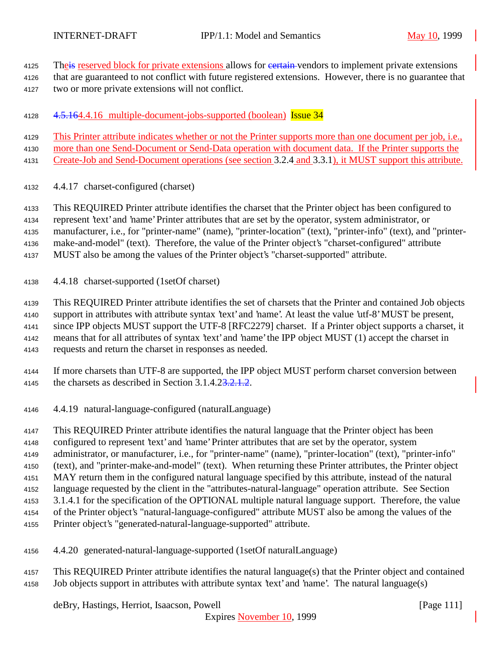4125 The is reserved block for private extensions allows for extension vendors to implement private extensions

that are guaranteed to not conflict with future registered extensions. However, there is no guarantee that

two or more private extensions will not conflict.

4128 4.5.164.4.16 multiple-document-jobs-supported (boolean) Issue 34

This Printer attribute indicates whether or not the Printer supports more than one document per job, i.e.,

more than one Send-Document or Send-Data operation with document data. If the Printer supports the

Create-Job and Send-Document operations (see section 3.2.4 and 3.3.1), it MUST support this attribute.

4.4.17 charset-configured (charset)

This REQUIRED Printer attribute identifies the charset that the Printer object has been configured to

represent 'text' and 'name' Printer attributes that are set by the operator, system administrator, or

manufacturer, i.e., for "printer-name" (name), "printer-location" (text), "printer-info" (text), and "printer-

make-and-model" (text). Therefore, the value of the Printer object's "charset-configured" attribute

MUST also be among the values of the Printer object's "charset-supported" attribute.

4.4.18 charset-supported (1setOf charset)

This REQUIRED Printer attribute identifies the set of charsets that the Printer and contained Job objects

support in attributes with attribute syntax 'text' and 'name'. At least the value 'utf-8' MUST be present,

 since IPP objects MUST support the UTF-8 [RFC2279] charset. If a Printer object supports a charset, it means that for all attributes of syntax 'text' and 'name' the IPP object MUST (1) accept the charset in

requests and return the charset in responses as needed.

- If more charsets than UTF-8 are supported, the IPP object MUST perform charset conversion between 4145 the charsets as described in Section 3.1.4.23.2.1.2.
- 4.4.19 natural-language-configured (naturalLanguage)

This REQUIRED Printer attribute identifies the natural language that the Printer object has been

configured to represent 'text' and 'name' Printer attributes that are set by the operator, system

administrator, or manufacturer, i.e., for "printer-name" (name), "printer-location" (text), "printer-info"

(text), and "printer-make-and-model" (text). When returning these Printer attributes, the Printer object

- MAY return them in the configured natural language specified by this attribute, instead of the natural
- language requested by the client in the "attributes-natural-language" operation attribute. See Section
- 3.1.4.1 for the specification of the OPTIONAL multiple natural language support. Therefore, the value

of the Printer object's "natural-language-configured" attribute MUST also be among the values of the

- Printer object's "generated-natural-language-supported" attribute.
- 4.4.20 generated-natural-language-supported (1setOf naturalLanguage)
- This REQUIRED Printer attribute identifies the natural language(s) that the Printer object and contained Job objects support in attributes with attribute syntax 'text' and 'name'. The natural language(s)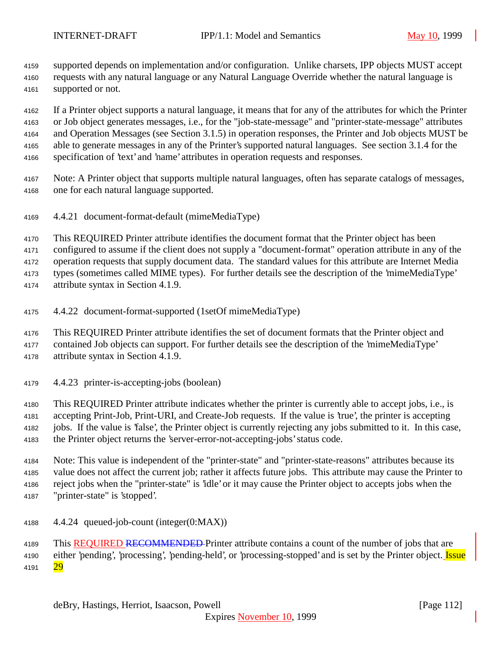supported depends on implementation and/or configuration. Unlike charsets, IPP objects MUST accept

 requests with any natural language or any Natural Language Override whether the natural language is supported or not.

 If a Printer object supports a natural language, it means that for any of the attributes for which the Printer or Job object generates messages, i.e., for the "job-state-message" and "printer-state-message" attributes and Operation Messages (see Section 3.1.5) in operation responses, the Printer and Job objects MUST be able to generate messages in any of the Printer's supported natural languages. See section 3.1.4 for the specification of 'text' and 'name' attributes in operation requests and responses.

- Note: A Printer object that supports multiple natural languages, often has separate catalogs of messages, one for each natural language supported.
- 4.4.21 document-format-default (mimeMediaType)

This REQUIRED Printer attribute identifies the document format that the Printer object has been

configured to assume if the client does not supply a "document-format" operation attribute in any of the

operation requests that supply document data. The standard values for this attribute are Internet Media

types (sometimes called MIME types). For further details see the description of the 'mimeMediaType'

attribute syntax in Section 4.1.9.

- 4.4.22 document-format-supported (1setOf mimeMediaType)
- This REQUIRED Printer attribute identifies the set of document formats that the Printer object and
- contained Job objects can support. For further details see the description of the 'mimeMediaType' attribute syntax in Section 4.1.9.
- 4.4.23 printer-is-accepting-jobs (boolean)

 This REQUIRED Printer attribute indicates whether the printer is currently able to accept jobs, i.e., is accepting Print-Job, Print-URI, and Create-Job requests. If the value is 'true', the printer is accepting jobs. If the value is 'false', the Printer object is currently rejecting any jobs submitted to it. In this case, the Printer object returns the 'server-error-not-accepting-jobs' status code.

 Note: This value is independent of the "printer-state" and "printer-state-reasons" attributes because its value does not affect the current job; rather it affects future jobs. This attribute may cause the Printer to reject jobs when the "printer-state" is 'idle' or it may cause the Printer object to accepts jobs when the "printer-state" is 'stopped'.

4.4.24 queued-job-count (integer(0:MAX))

4189 This REQUIRED RECOMMENDED Printer attribute contains a count of the number of jobs that are 4190 either 'pending', 'processing', 'pending-held', or 'processing-stopped' and is set by the Printer object. Issue 4191 29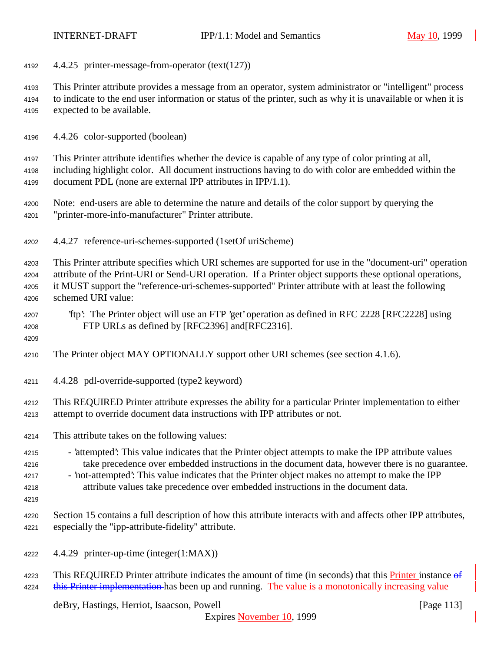4.4.25 printer-message-from-operator (text(127))

 This Printer attribute provides a message from an operator, system administrator or "intelligent" process to indicate to the end user information or status of the printer, such as why it is unavailable or when it is expected to be available.

4.4.26 color-supported (boolean)

 This Printer attribute identifies whether the device is capable of any type of color printing at all, including highlight color. All document instructions having to do with color are embedded within the document PDL (none are external IPP attributes in IPP/1.1).

- Note: end-users are able to determine the nature and details of the color support by querying the "printer-more-info-manufacturer" Printer attribute.
- 4.4.27 reference-uri-schemes-supported (1setOf uriScheme)

 This Printer attribute specifies which URI schemes are supported for use in the "document-uri" operation attribute of the Print-URI or Send-URI operation. If a Printer object supports these optional operations, it MUST support the "reference-uri-schemes-supported" Printer attribute with at least the following schemed URI value:

 'ftp': The Printer object will use an FTP 'get' operation as defined in RFC 2228 [RFC2228] using FTP URLs as defined by [RFC2396] and[RFC2316].

- The Printer object MAY OPTIONALLY support other URI schemes (see section 4.1.6).
- 4.4.28 pdl-override-supported (type2 keyword)

 This REQUIRED Printer attribute expresses the ability for a particular Printer implementation to either attempt to override document data instructions with IPP attributes or not.

- This attribute takes on the following values:
- 'attempted': This value indicates that the Printer object attempts to make the IPP attribute values take precedence over embedded instructions in the document data, however there is no guarantee.
- 'not-attempted': This value indicates that the Printer object makes no attempt to make the IPP attribute values take precedence over embedded instructions in the document data.
- 

 Section 15 contains a full description of how this attribute interacts with and affects other IPP attributes, especially the "ipp-attribute-fidelity" attribute.

- 4.4.29 printer-up-time (integer(1:MAX))
- 4223 This REQUIRED Printer attribute indicates the amount of time (in seconds) that this Printer instance  $\theta$ 4224 this Printer implementation has been up and running. The value is a monotonically increasing value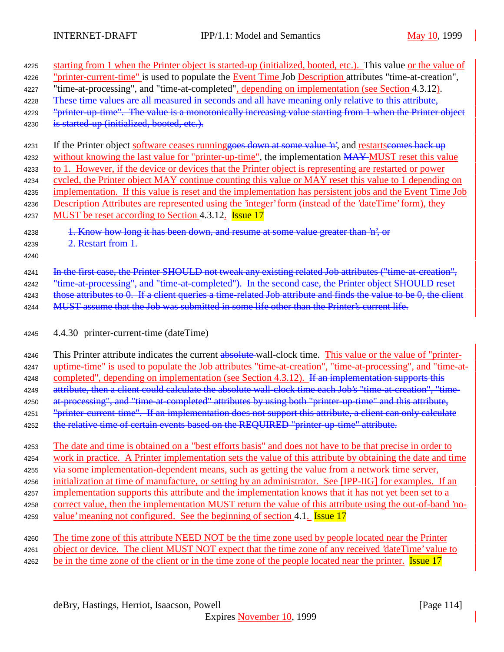| 4225<br>4226<br>4227 | starting from 1 when the Printer object is started-up (initialized, booted, etc.). This value or the value of<br>"printer-current-time" is used to populate the Event Time Job Description attributes "time-at-creation",<br>"time-at-processing", and "time-at-completed", depending on implementation (see Section 4.3.12). |
|----------------------|-------------------------------------------------------------------------------------------------------------------------------------------------------------------------------------------------------------------------------------------------------------------------------------------------------------------------------|
| 4228                 | These time values are all measured in seconds and all have meaning only relative to this attribute,                                                                                                                                                                                                                           |
| 4229                 | "printer up time". The value is a monotonically increasing value starting from 1 when the Printer object                                                                                                                                                                                                                      |
| 4230                 | is started-up (initialized, booted, etc.).                                                                                                                                                                                                                                                                                    |
| 4231                 | If the Printer object software ceases running goes down at some value 'n', and restarts comes back up                                                                                                                                                                                                                         |
| 4232                 | without knowing the last value for "printer-up-time", the implementation MAY-MUST reset this value                                                                                                                                                                                                                            |
| 4233                 | to 1. However, if the device or devices that the Printer object is representing are restarted or power                                                                                                                                                                                                                        |
| 4234                 | cycled, the Printer object MAY continue counting this value or MAY reset this value to 1 depending on                                                                                                                                                                                                                         |
| 4235                 | implementation. If this value is reset and the implementation has persistent jobs and the Event Time Job                                                                                                                                                                                                                      |
| 4236                 | Description Attributes are represented using the 'integer' form (instead of the 'dateTime' form), they                                                                                                                                                                                                                        |
| 4237                 | MUST be reset according to Section 4.3.12. Issue 17                                                                                                                                                                                                                                                                           |
| 4238                 | 1. Know how long it has been down, and resume at some value greater than 'n', or                                                                                                                                                                                                                                              |
| 4239<br>4240         | 2. Restart from 1.                                                                                                                                                                                                                                                                                                            |
| 4241                 | In the first case, the Printer SHOULD not tweak any existing related Job attributes ("time at creation",                                                                                                                                                                                                                      |
| 4242                 | "time-at-processing", and "time-at-completed"). In the second case, the Printer object SHOULD reset                                                                                                                                                                                                                           |
| 4243                 | those attributes to 0. If a client queries a time-related Job attribute and finds the value to be 0, the client                                                                                                                                                                                                               |
| 4244                 | MUST assume that the Job was submitted in some life other than the Printer's current life.                                                                                                                                                                                                                                    |
|                      |                                                                                                                                                                                                                                                                                                                               |
| 4245                 | 4.4.30 printer-current-time (dateTime)                                                                                                                                                                                                                                                                                        |
| 4246                 | This Printer attribute indicates the current absolute wall-clock time. This value or the value of "printer-                                                                                                                                                                                                                   |
| 4247                 | uptime-time" is used to populate the Job attributes "time-at-creation", "time-at-processing", and "time-at-                                                                                                                                                                                                                   |
| 4248                 | completed", depending on implementation (see Section 4.3.12). If an implementation supports this                                                                                                                                                                                                                              |
| 4249                 | attribute, then a client could calculate the absolute wall-clock time each Job's "time-at-creation", "time-                                                                                                                                                                                                                   |
| 4250                 | at-processing", and "time-at-completed" attributes by using both "printer-up-time" and this attribute,                                                                                                                                                                                                                        |
| 4251                 | "printer-current-time". If an implementation does not support this attribute, a client can only calculate                                                                                                                                                                                                                     |
| 4252                 | the relative time of certain events based on the REQUIRED "printer-up-time" attribute.                                                                                                                                                                                                                                        |
| 4253                 | The date and time is obtained on a "best efforts basis" and does not have to be that precise in order to                                                                                                                                                                                                                      |
| 4254                 | work in practice. A Printer implementation sets the value of this attribute by obtaining the date and time                                                                                                                                                                                                                    |
| 4255                 | via some implementation-dependent means, such as getting the value from a network time server,                                                                                                                                                                                                                                |
| 4256                 | initialization at time of manufacture, or setting by an administrator. See [IPP-IIG] for examples. If an                                                                                                                                                                                                                      |
| 4257                 | implementation supports this attribute and the implementation knows that it has not yet been set to a                                                                                                                                                                                                                         |
| 4258                 | correct value, then the implementation MUST return the value of this attribute using the out-of-band 'no-                                                                                                                                                                                                                     |
| 4259                 | value' meaning not configured. See the beginning of section 4.1. <b>Issue 17</b>                                                                                                                                                                                                                                              |
| 4260                 | The time zone of this attribute NEED NOT be the time zone used by people located near the Printer                                                                                                                                                                                                                             |
| 4261<br>4262         | object or device. The client MUST NOT expect that the time zone of any received 'dateTime' value to<br>be in the time zone of the client or in the time zone of the people located near the printer. Issue 17                                                                                                                 |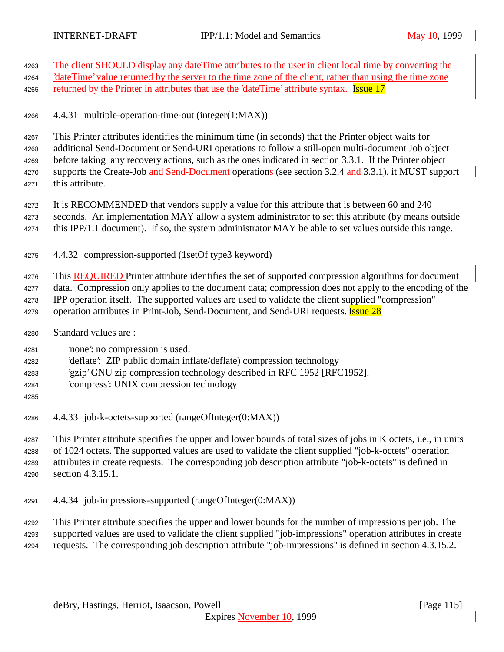- The client SHOULD display any dateTime attributes to the user in client local time by converting the <sup>2</sup>dateTime' value returned by the server to the time zone of the client, rather than using the time zone 4265 returned by the Printer in attributes that use the 'dateTime' attribute syntax. **Issue 17**  4.4.31 multiple-operation-time-out (integer(1:MAX)) This Printer attributes identifies the minimum time (in seconds) that the Printer object waits for additional Send-Document or Send-URI operations to follow a still-open multi-document Job object before taking any recovery actions, such as the ones indicated in section 3.3.1. If the Printer object 4270 supports the Create-Job and Send-Document operations (see section 3.2.4 and 3.3.1), it MUST support this attribute. 4272 It is RECOMMENDED that vendors supply a value for this attribute that is between 60 and 240 seconds. An implementation MAY allow a system administrator to set this attribute (by means outside this IPP/1.1 document). If so, the system administrator MAY be able to set values outside this range. 4.4.32 compression-supported (1setOf type3 keyword) 4276 This REQUIRED Printer attribute identifies the set of supported compression algorithms for document data. Compression only applies to the document data; compression does not apply to the encoding of the IPP operation itself. The supported values are used to validate the client supplied "compression" 4279 operation attributes in Print-Job, Send-Document, and Send-URI requests. **Issue 28**  Standard values are : 'none': no compression is used. 'deflate': ZIP public domain inflate/deflate) compression technology 'gzip' GNU zip compression technology described in RFC 1952 [RFC1952]. 'compress': UNIX compression technology 4.4.33 job-k-octets-supported (rangeOfInteger(0:MAX)) This Printer attribute specifies the upper and lower bounds of total sizes of jobs in K octets, i.e., in units of 1024 octets. The supported values are used to validate the client supplied "job-k-octets" operation attributes in create requests. The corresponding job description attribute "job-k-octets" is defined in section 4.3.15.1.
- 4.4.34 job-impressions-supported (rangeOfInteger(0:MAX))

 This Printer attribute specifies the upper and lower bounds for the number of impressions per job. The supported values are used to validate the client supplied "job-impressions" operation attributes in create requests. The corresponding job description attribute "job-impressions" is defined in section 4.3.15.2.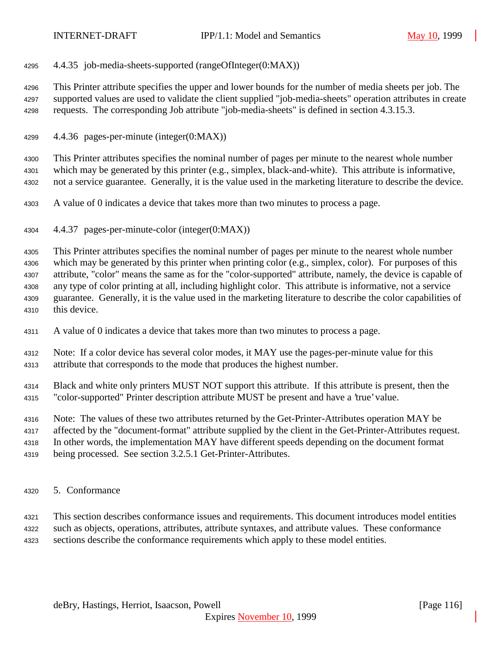4.4.35 job-media-sheets-supported (rangeOfInteger(0:MAX))

 This Printer attribute specifies the upper and lower bounds for the number of media sheets per job. The supported values are used to validate the client supplied "job-media-sheets" operation attributes in create requests. The corresponding Job attribute "job-media-sheets" is defined in section 4.3.15.3.

4.4.36 pages-per-minute (integer(0:MAX))

 This Printer attributes specifies the nominal number of pages per minute to the nearest whole number which may be generated by this printer (e.g., simplex, black-and-white). This attribute is informative, not a service guarantee. Generally, it is the value used in the marketing literature to describe the device.

- A value of 0 indicates a device that takes more than two minutes to process a page.
- 4.4.37 pages-per-minute-color (integer(0:MAX))

 This Printer attributes specifies the nominal number of pages per minute to the nearest whole number which may be generated by this printer when printing color (e.g., simplex, color). For purposes of this attribute, "color" means the same as for the "color-supported" attribute, namely, the device is capable of any type of color printing at all, including highlight color. This attribute is informative, not a service guarantee. Generally, it is the value used in the marketing literature to describe the color capabilities of this device.

- A value of 0 indicates a device that takes more than two minutes to process a page.
- Note: If a color device has several color modes, it MAY use the pages-per-minute value for this attribute that corresponds to the mode that produces the highest number.
- Black and white only printers MUST NOT support this attribute. If this attribute is present, then the "color-supported" Printer description attribute MUST be present and have a 'true' value.
- Note: The values of these two attributes returned by the Get-Printer-Attributes operation MAY be
- affected by the "document-format" attribute supplied by the client in the Get-Printer-Attributes request.
- In other words, the implementation MAY have different speeds depending on the document format
- being processed. See section 3.2.5.1 Get-Printer-Attributes.
- 5. Conformance
- This section describes conformance issues and requirements. This document introduces model entities
- such as objects, operations, attributes, attribute syntaxes, and attribute values. These conformance
- sections describe the conformance requirements which apply to these model entities.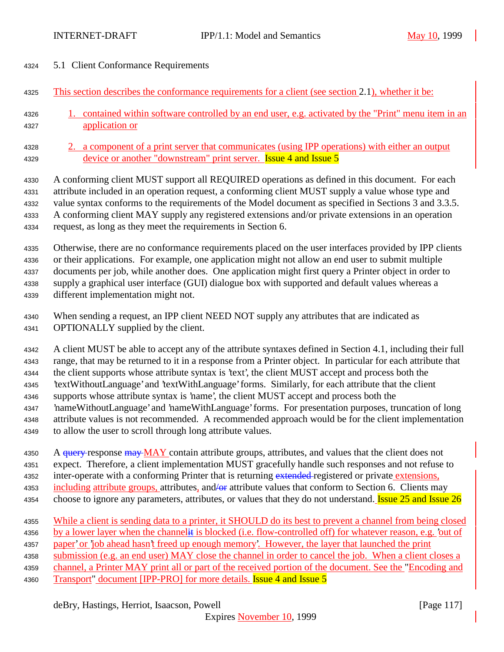- 5.1 Client Conformance Requirements
- This section describes the conformance requirements for a client (see section 2.1), whether it be:
- 1. contained within software controlled by an end user, e.g. activated by the "Print" menu item in an application or
- 2. a component of a print server that communicates (using IPP operations) with either an output 4329 device or another "downstream" print server. **Issue 4 and Issue 5**

 A conforming client MUST support all REQUIRED operations as defined in this document. For each attribute included in an operation request, a conforming client MUST supply a value whose type and value syntax conforms to the requirements of the Model document as specified in Sections 3 and 3.3.5. A conforming client MAY supply any registered extensions and/or private extensions in an operation request, as long as they meet the requirements in Section 6.

 Otherwise, there are no conformance requirements placed on the user interfaces provided by IPP clients or their applications. For example, one application might not allow an end user to submit multiple documents per job, while another does. One application might first query a Printer object in order to supply a graphical user interface (GUI) dialogue box with supported and default values whereas a different implementation might not.

 When sending a request, an IPP client NEED NOT supply any attributes that are indicated as OPTIONALLY supplied by the client.

 A client MUST be able to accept any of the attribute syntaxes defined in Section 4.1, including their full range, that may be returned to it in a response from a Printer object. In particular for each attribute that the client supports whose attribute syntax is 'text', the client MUST accept and process both the 'textWithoutLanguage' and 'textWithLanguage' forms. Similarly, for each attribute that the client supports whose attribute syntax is 'name', the client MUST accept and process both the 'nameWithoutLanguage' and 'nameWithLanguage' forms. For presentation purposes, truncation of long attribute values is not recommended. A recommended approach would be for the client implementation

to allow the user to scroll through long attribute values.

4350 A query response may MAY contain attribute groups, attributes, and values that the client does not expect. Therefore, a client implementation MUST gracefully handle such responses and not refuse to 4352 inter-operate with a conforming Printer that is returning extended registered or private extensions, 4353 including attribute groups, attributes, and/or attribute values that conform to Section 6. Clients may

- 4354 choose to ignore any parameters, attributes, or values that they do not understand. **Issue 25 and Issue 26**
- While a client is sending data to a printer, it SHOULD do its best to prevent a channel from being closed
- 4356 by a lower layer when the channelit is blocked (i.e. flow-controlled off) for whatever reason, e.g. 'out of
- 4357 paper' or 'job ahead hasn't freed up enough memory'. However, the layer that launched the print
- submission (e.g. an end user) MAY close the channel in order to cancel the job. When a client closes a

 channel, a Printer MAY print all or part of the received portion of the document. See the "Encoding and 4360 Transport" document [IPP-PRO] for more details. **Issue 4 and Issue 5**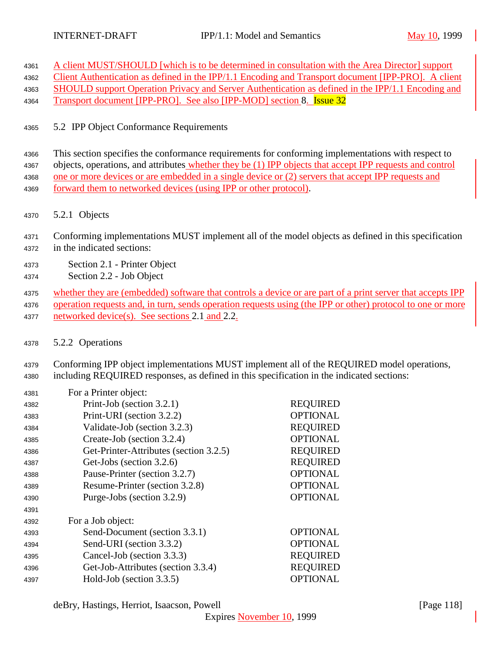|  | 4361 A client MUST/SHOULD [which is to be determined in consultation with the Area Director] support |  |
|--|------------------------------------------------------------------------------------------------------|--|
|  |                                                                                                      |  |

Client Authentication as defined in the IPP/1.1 Encoding and Transport document [IPP-PRO]. A client

- SHOULD support Operation Privacy and Server Authentication as defined in the IPP/1.1 Encoding and
- 4364 Transport document [IPP-PRO]. See also [IPP-MOD] section 8. **Issue 32**
- 5.2 IPP Object Conformance Requirements

 This section specifies the conformance requirements for conforming implementations with respect to objects, operations, and attributes whether they be (1) IPP objects that accept IPP requests and control one or more devices or are embedded in a single device or (2) servers that accept IPP requests and forward them to networked devices (using IPP or other protocol).

- 5.2.1 Objects
- Conforming implementations MUST implement all of the model objects as defined in this specification in the indicated sections:
- Section 2.1 Printer Object
- Section 2.2 Job Object
- whether they are (embedded) software that controls a device or are part of a print server that accepts IPP 4376 operation requests and, in turn, sends operation requests using (the IPP or other) protocol to one or more
- 4377 networked device(s). See sections 2.1 and 2.2.
- 5.2.2 Operations
- Conforming IPP object implementations MUST implement all of the REQUIRED model operations, including REQUIRED responses, as defined in this specification in the indicated sections:

| 4381 | For a Printer object:                  |                 |
|------|----------------------------------------|-----------------|
| 4382 | Print-Job (section 3.2.1)              | <b>REQUIRED</b> |
| 4383 | Print-URI (section 3.2.2)              | <b>OPTIONAL</b> |
| 4384 | Validate-Job (section 3.2.3)           | <b>REQUIRED</b> |
| 4385 | Create-Job (section 3.2.4)             | <b>OPTIONAL</b> |
| 4386 | Get-Printer-Attributes (section 3.2.5) | <b>REQUIRED</b> |
| 4387 | Get-Jobs (section 3.2.6)               | <b>REQUIRED</b> |
| 4388 | Pause-Printer (section 3.2.7)          | <b>OPTIONAL</b> |
| 4389 | Resume-Printer (section 3.2.8)         | <b>OPTIONAL</b> |
| 4390 | Purge-Jobs (section 3.2.9)             | <b>OPTIONAL</b> |
| 4391 |                                        |                 |
| 4392 | For a Job object:                      |                 |
| 4393 | Send-Document (section 3.3.1)          | <b>OPTIONAL</b> |
| 4394 | Send-URI (section 3.3.2)               | <b>OPTIONAL</b> |
| 4395 | Cancel-Job (section 3.3.3)             | <b>REQUIRED</b> |
| 4396 | Get-Job-Attributes (section 3.3.4)     | <b>REQUIRED</b> |
| 4397 | Hold-Job (section 3.3.5)               | <b>OPTIONAL</b> |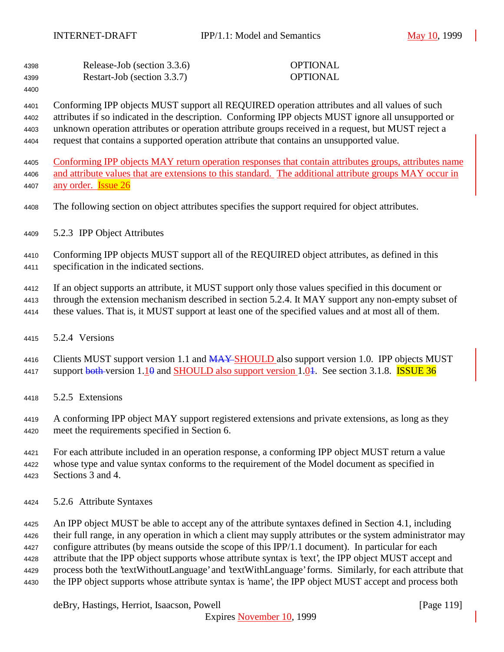| 4398 | Release-Job (section 3.3.6) | <b>OPTIONAL</b> |
|------|-----------------------------|-----------------|
| 4399 | Restart-Job (section 3.3.7) | <b>OPTIONAL</b> |

 Conforming IPP objects MUST support all REQUIRED operation attributes and all values of such attributes if so indicated in the description. Conforming IPP objects MUST ignore all unsupported or unknown operation attributes or operation attribute groups received in a request, but MUST reject a request that contains a supported operation attribute that contains an unsupported value.

 Conforming IPP objects MAY return operation responses that contain attributes groups, attributes name and attribute values that are extensions to this standard. The additional attribute groups MAY occur in 4407 any order. **Issue 26** 

- The following section on object attributes specifies the support required for object attributes.
- 5.2.3 IPP Object Attributes

 Conforming IPP objects MUST support all of the REQUIRED object attributes, as defined in this specification in the indicated sections.

If an object supports an attribute, it MUST support only those values specified in this document or

- through the extension mechanism described in section 5.2.4. It MAY support any non-empty subset of
- these values. That is, it MUST support at least one of the specified values and at most all of them.
- 5.2.4 Versions

4416 Clients MUST support version 1.1 and MAY-SHOULD also support version 1.0. IPP objects MUST 4417 support  $\frac{1}{9}$  support version 1.10 and SHOULD also support version 1.04. See section 3.1.8. **ISSUE 36** 

5.2.5 Extensions

 A conforming IPP object MAY support registered extensions and private extensions, as long as they meet the requirements specified in Section 6.

 For each attribute included in an operation response, a conforming IPP object MUST return a value whose type and value syntax conforms to the requirement of the Model document as specified in Sections 3 and 4.

5.2.6 Attribute Syntaxes

 An IPP object MUST be able to accept any of the attribute syntaxes defined in Section 4.1, including their full range, in any operation in which a client may supply attributes or the system administrator may configure attributes (by means outside the scope of this IPP/1.1 document). In particular for each attribute that the IPP object supports whose attribute syntax is 'text', the IPP object MUST accept and process both the 'textWithoutLanguage' and 'textWithLanguage' forms. Similarly, for each attribute that the IPP object supports whose attribute syntax is 'name', the IPP object MUST accept and process both

deBry, Hastings, Herriot, Isaacson, Powell **company** and the company of the company in the company of the company of the company of the company of the company of the company of the company of the company of the company of

Expires November 10, 1999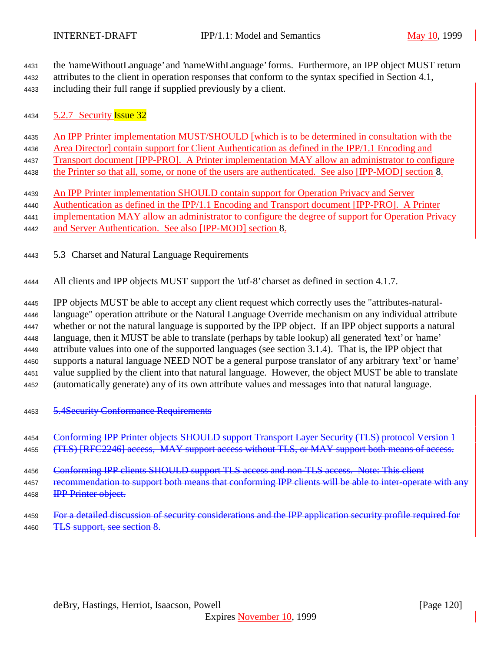the 'nameWithoutLanguage' and 'nameWithLanguage' forms. Furthermore, an IPP object MUST return attributes to the client in operation responses that conform to the syntax specified in Section 4.1,

including their full range if supplied previously by a client.

4434 5.2.7 Security **Issue 32** 

An IPP Printer implementation MUST/SHOULD [which is to be determined in consultation with the

Area Director] contain support for Client Authentication as defined in the IPP/1.1 Encoding and

Transport document [IPP-PRO]. A Printer implementation MAY allow an administrator to configure

the Printer so that all, some, or none of the users are authenticated. See also [IPP-MOD] section 8.

An IPP Printer implementation SHOULD contain support for Operation Privacy and Server

 Authentication as defined in the IPP/1.1 Encoding and Transport document [IPP-PRO]. A Printer implementation MAY allow an administrator to configure the degree of support for Operation Privacy

and Server Authentication. See also [IPP-MOD] section 8.

5.3 Charset and Natural Language Requirements

All clients and IPP objects MUST support the 'utf-8' charset as defined in section 4.1.7.

 IPP objects MUST be able to accept any client request which correctly uses the "attributes-natural- language" operation attribute or the Natural Language Override mechanism on any individual attribute whether or not the natural language is supported by the IPP object. If an IPP object supports a natural language, then it MUST be able to translate (perhaps by table lookup) all generated 'text' or 'name' attribute values into one of the supported languages (see section 3.1.4). That is, the IPP object that supports a natural language NEED NOT be a general purpose translator of any arbitrary 'text' or 'name'

value supplied by the client into that natural language. However, the object MUST be able to translate

(automatically generate) any of its own attribute values and messages into that natural language.

5.4Security Conformance Requirements

4454 Conforming IPP Printer objects SHOULD support Transport Layer Security (TLS) protocol Version 1 4455 (TLS) [RFC2246] access, MAY support access without TLS, or MAY support both means of access.

4456 Conforming IPP clients SHOULD support TLS access and non-TLS access. Note: This client 4457 recommendation to support both means that conforming IPP clients will be able to inter-operate with any

**IPP Printer object.** 

4459 For a detailed discussion of security considerations and the IPP application security profile required for 4460 TLS support, see section 8.

deBry, Hastings, Herriot, Isaacson, Powell [Page 120]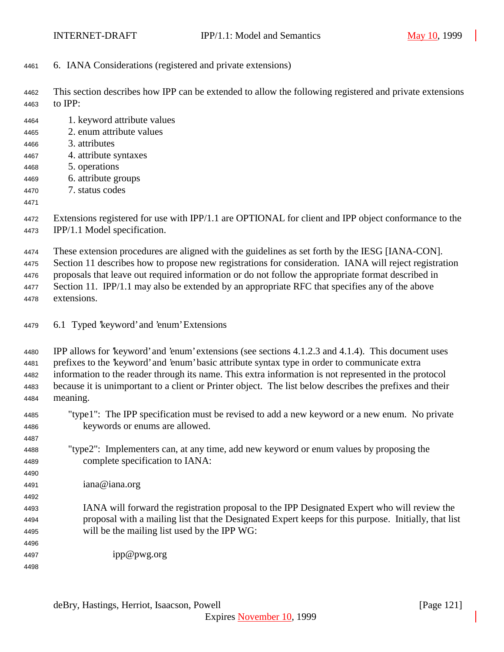- 6. IANA Considerations (registered and private extensions)
- This section describes how IPP can be extended to allow the following registered and private extensions to IPP:
- 1. keyword attribute values
- 2. enum attribute values
- 3. attributes
- 4. attribute syntaxes
- 5. operations
- 6. attribute groups
- 7. status codes
- 

 Extensions registered for use with IPP/1.1 are OPTIONAL for client and IPP object conformance to the IPP/1.1 Model specification.

These extension procedures are aligned with the guidelines as set forth by the IESG [IANA-CON].

Section 11 describes how to propose new registrations for consideration. IANA will reject registration

proposals that leave out required information or do not follow the appropriate format described in

 Section 11. IPP/1.1 may also be extended by an appropriate RFC that specifies any of the above extensions.

6.1 Typed 'keyword' and 'enum' Extensions

 IPP allows for 'keyword' and 'enum' extensions (see sections 4.1.2.3 and 4.1.4). This document uses prefixes to the 'keyword' and 'enum' basic attribute syntax type in order to communicate extra information to the reader through its name. This extra information is not represented in the protocol because it is unimportant to a client or Printer object. The list below describes the prefixes and their meaning.

- "type1": The IPP specification must be revised to add a new keyword or a new enum. No private keywords or enums are allowed.
- "type2": Implementers can, at any time, add new keyword or enum values by proposing the complete specification to IANA:
- iana@iana.org
- IANA will forward the registration proposal to the IPP Designated Expert who will review the proposal with a mailing list that the Designated Expert keeps for this purpose. Initially, that list will be the mailing list used by the IPP WG:
- ipp@pwg.org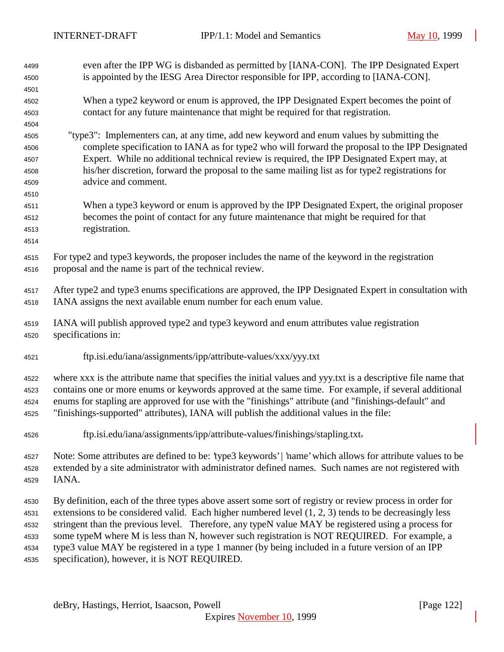| 4499         | even after the IPP WG is disbanded as permitted by [IANA-CON]. The IPP Designated Expert                                                                                                          |
|--------------|---------------------------------------------------------------------------------------------------------------------------------------------------------------------------------------------------|
| 4500         | is appointed by the IESG Area Director responsible for IPP, according to [IANA-CON].                                                                                                              |
| 4501         |                                                                                                                                                                                                   |
| 4502         | When a type2 keyword or enum is approved, the IPP Designated Expert becomes the point of                                                                                                          |
| 4503         | contact for any future maintenance that might be required for that registration.                                                                                                                  |
| 4504<br>4505 | "type3": Implementers can, at any time, add new keyword and enum values by submitting the                                                                                                         |
| 4506         | complete specification to IANA as for type2 who will forward the proposal to the IPP Designated                                                                                                   |
| 4507         | Expert. While no additional technical review is required, the IPP Designated Expert may, at                                                                                                       |
| 4508         | his/her discretion, forward the proposal to the same mailing list as for type2 registrations for                                                                                                  |
| 4509         | advice and comment.                                                                                                                                                                               |
| 4510         |                                                                                                                                                                                                   |
| 4511         | When a type3 keyword or enum is approved by the IPP Designated Expert, the original proposer                                                                                                      |
| 4512         | becomes the point of contact for any future maintenance that might be required for that                                                                                                           |
| 4513         | registration.                                                                                                                                                                                     |
| 4514         |                                                                                                                                                                                                   |
|              |                                                                                                                                                                                                   |
| 4515         | For type2 and type3 keywords, the proposer includes the name of the keyword in the registration                                                                                                   |
| 4516         | proposal and the name is part of the technical review.                                                                                                                                            |
| 4517         | After type2 and type3 enums specifications are approved, the IPP Designated Expert in consultation with                                                                                           |
| 4518         | IANA assigns the next available enum number for each enum value.                                                                                                                                  |
|              |                                                                                                                                                                                                   |
| 4519         | IANA will publish approved type2 and type3 keyword and enum attributes value registration                                                                                                         |
| 4520         | specifications in:                                                                                                                                                                                |
|              |                                                                                                                                                                                                   |
| 4521         | ftp.isi.edu/iana/assignments/ipp/attribute-values/xxx/yyy.txt                                                                                                                                     |
| 4522         |                                                                                                                                                                                                   |
|              | where xxx is the attribute name that specifies the initial values and yyy.txt is a descriptive file name that                                                                                     |
| 4523         | contains one or more enums or keywords approved at the same time. For example, if several additional                                                                                              |
| 4524         |                                                                                                                                                                                                   |
| 4525         | enums for stapling are approved for use with the "finishings" attribute (and "finishings-default" and<br>"finishings-supported" attributes), IANA will publish the additional values in the file: |
|              |                                                                                                                                                                                                   |
| 4526         | ftp.isi.edu/iana/assignments/ipp/attribute-values/finishings/stapling.txt-                                                                                                                        |
|              |                                                                                                                                                                                                   |
| 4527         | Note: Some attributes are defined to be: 'type3 keywords'   'name' which allows for attribute values to be                                                                                        |
| 4528         | extended by a site administrator with administrator defined names. Such names are not registered with                                                                                             |
| 4529         | IANA.                                                                                                                                                                                             |
| 4530         | By definition, each of the three types above assert some sort of registry or review process in order for                                                                                          |
| 4531         | extensions to be considered valid. Each higher numbered level $(1, 2, 3)$ tends to be decreasingly less                                                                                           |
| 4532         | stringent than the previous level. Therefore, any typeN value MAY be registered using a process for                                                                                               |
| 4533         | some typeM where M is less than N, however such registration is NOT REQUIRED. For example, a                                                                                                      |
| 4534         | type3 value MAY be registered in a type 1 manner (by being included in a future version of an IPP                                                                                                 |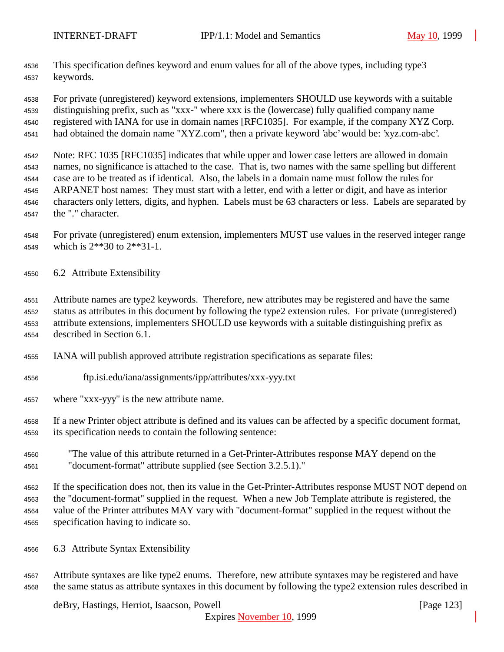This specification defines keyword and enum values for all of the above types, including type3 keywords.

 For private (unregistered) keyword extensions, implementers SHOULD use keywords with a suitable distinguishing prefix, such as "xxx-" where xxx is the (lowercase) fully qualified company name registered with IANA for use in domain names [RFC1035]. For example, if the company XYZ Corp. had obtained the domain name "XYZ.com", then a private keyword 'abc' would be: 'xyz.com-abc'.

 Note: RFC 1035 [RFC1035] indicates that while upper and lower case letters are allowed in domain names, no significance is attached to the case. That is, two names with the same spelling but different case are to be treated as if identical. Also, the labels in a domain name must follow the rules for ARPANET host names: They must start with a letter, end with a letter or digit, and have as interior characters only letters, digits, and hyphen. Labels must be 63 characters or less. Labels are separated by the "." character.

 For private (unregistered) enum extension, implementers MUST use values in the reserved integer range which is 2\*\*30 to 2\*\*31-1.

6.2 Attribute Extensibility

 Attribute names are type2 keywords. Therefore, new attributes may be registered and have the same status as attributes in this document by following the type2 extension rules. For private (unregistered) attribute extensions, implementers SHOULD use keywords with a suitable distinguishing prefix as described in Section 6.1.

- IANA will publish approved attribute registration specifications as separate files:
- ftp.isi.edu/iana/assignments/ipp/attributes/xxx-yyy.txt
- where "xxx-yyy" is the new attribute name.

 If a new Printer object attribute is defined and its values can be affected by a specific document format, its specification needs to contain the following sentence:

 "The value of this attribute returned in a Get-Printer-Attributes response MAY depend on the "document-format" attribute supplied (see Section 3.2.5.1)."

 If the specification does not, then its value in the Get-Printer-Attributes response MUST NOT depend on the "document-format" supplied in the request. When a new Job Template attribute is registered, the value of the Printer attributes MAY vary with "document-format" supplied in the request without the specification having to indicate so.

- 6.3 Attribute Syntax Extensibility
- Attribute syntaxes are like type2 enums. Therefore, new attribute syntaxes may be registered and have the same status as attribute syntaxes in this document by following the type2 extension rules described in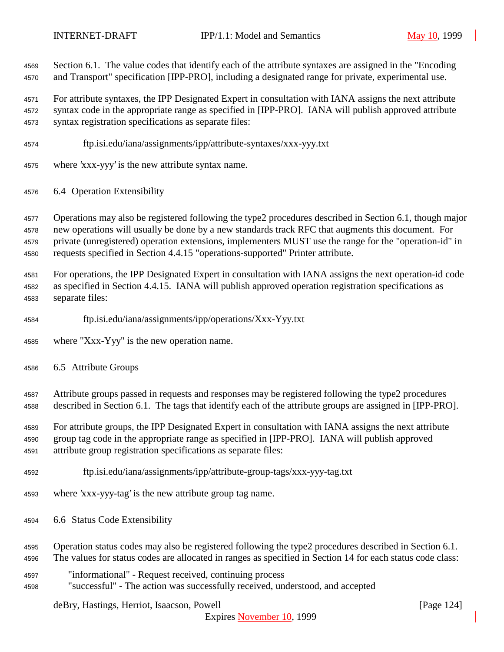Section 6.1. The value codes that identify each of the attribute syntaxes are assigned in the "Encoding and Transport" specification [IPP-PRO], including a designated range for private, experimental use.

 For attribute syntaxes, the IPP Designated Expert in consultation with IANA assigns the next attribute syntax code in the appropriate range as specified in [IPP-PRO]. IANA will publish approved attribute syntax registration specifications as separate files:

- ftp.isi.edu/iana/assignments/ipp/attribute-syntaxes/xxx-yyy.txt
- where 'xxx-yyy' is the new attribute syntax name.
- 6.4 Operation Extensibility

 Operations may also be registered following the type2 procedures described in Section 6.1, though major new operations will usually be done by a new standards track RFC that augments this document. For private (unregistered) operation extensions, implementers MUST use the range for the "operation-id" in requests specified in Section 4.4.15 "operations-supported" Printer attribute.

 For operations, the IPP Designated Expert in consultation with IANA assigns the next operation-id code as specified in Section 4.4.15. IANA will publish approved operation registration specifications as separate files:

- ftp.isi.edu/iana/assignments/ipp/operations/Xxx-Yyy.txt
- where "Xxx-Yyy" is the new operation name.
- 6.5 Attribute Groups

 Attribute groups passed in requests and responses may be registered following the type2 procedures described in Section 6.1. The tags that identify each of the attribute groups are assigned in [IPP-PRO].

 For attribute groups, the IPP Designated Expert in consultation with IANA assigns the next attribute group tag code in the appropriate range as specified in [IPP-PRO]. IANA will publish approved attribute group registration specifications as separate files:

- ftp.isi.edu/iana/assignments/ipp/attribute-group-tags/xxx-yyy-tag.txt
- where 'xxx-yyy-tag' is the new attribute group tag name.
- 6.6 Status Code Extensibility
- Operation status codes may also be registered following the type2 procedures described in Section 6.1.
- The values for status codes are allocated in ranges as specified in Section 14 for each status code class:
- "informational" Request received, continuing process
- "successful" The action was successfully received, understood, and accepted

deBry, Hastings, Herriot, Isaacson, Powell [Page 124]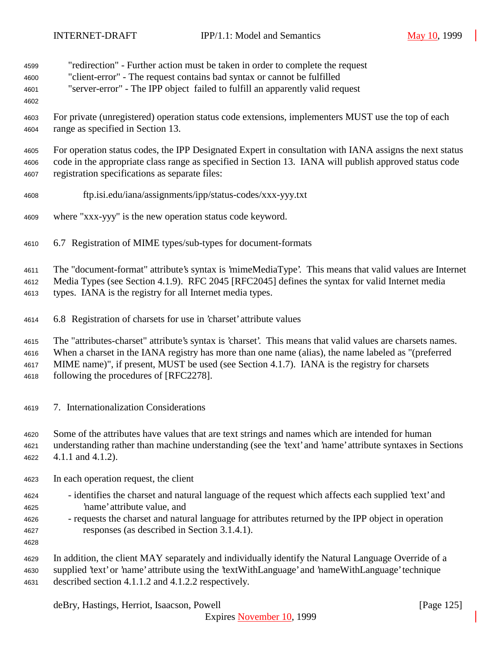- "redirection" Further action must be taken in order to complete the request
- "client-error" The request contains bad syntax or cannot be fulfilled
- "server-error" The IPP object failed to fulfill an apparently valid request
- 
- For private (unregistered) operation status code extensions, implementers MUST use the top of each range as specified in Section 13.

 For operation status codes, the IPP Designated Expert in consultation with IANA assigns the next status code in the appropriate class range as specified in Section 13. IANA will publish approved status code registration specifications as separate files:

- ftp.isi.edu/iana/assignments/ipp/status-codes/xxx-yyy.txt
- where "xxx-yyy" is the new operation status code keyword.
- 6.7 Registration of MIME types/sub-types for document-formats

The "document-format" attribute's syntax is 'mimeMediaType'. This means that valid values are Internet

Media Types (see Section 4.1.9). RFC 2045 [RFC2045] defines the syntax for valid Internet media

types. IANA is the registry for all Internet media types.

6.8 Registration of charsets for use in 'charset' attribute values

The "attributes-charset" attribute's syntax is 'charset'. This means that valid values are charsets names.

When a charset in the IANA registry has more than one name (alias), the name labeled as "(preferred

MIME name)", if present, MUST be used (see Section 4.1.7). IANA is the registry for charsets

following the procedures of [RFC2278].

- 7. Internationalization Considerations
- Some of the attributes have values that are text strings and names which are intended for human
- understanding rather than machine understanding (see the 'text' and 'name' attribute syntaxes in Sections 4.1.1 and 4.1.2).
- In each operation request, the client
- identifies the charset and natural language of the request which affects each supplied 'text' and 'name' attribute value, and
- requests the charset and natural language for attributes returned by the IPP object in operation responses (as described in Section 3.1.4.1).
- 

 In addition, the client MAY separately and individually identify the Natural Language Override of a supplied 'text' or 'name' attribute using the 'textWithLanguage' and 'nameWithLanguage' technique described section 4.1.1.2 and 4.1.2.2 respectively.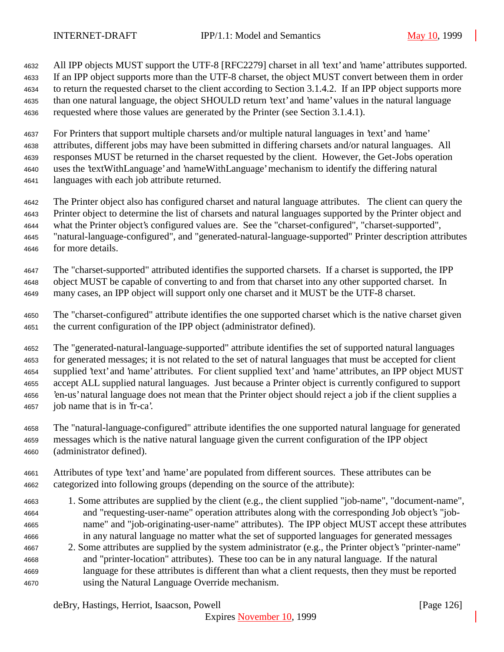All IPP objects MUST support the UTF-8 [RFC2279] charset in all 'text' and 'name' attributes supported. If an IPP object supports more than the UTF-8 charset, the object MUST convert between them in order to return the requested charset to the client according to Section 3.1.4.2. If an IPP object supports more than one natural language, the object SHOULD return 'text' and 'name' values in the natural language requested where those values are generated by the Printer (see Section 3.1.4.1).

 For Printers that support multiple charsets and/or multiple natural languages in 'text' and 'name' attributes, different jobs may have been submitted in differing charsets and/or natural languages. All responses MUST be returned in the charset requested by the client. However, the Get-Jobs operation uses the 'textWithLanguage' and 'nameWithLanguage' mechanism to identify the differing natural languages with each job attribute returned.

 The Printer object also has configured charset and natural language attributes. The client can query the Printer object to determine the list of charsets and natural languages supported by the Printer object and what the Printer object's configured values are. See the "charset-configured", "charset-supported", "natural-language-configured", and "generated-natural-language-supported" Printer description attributes for more details.

 The "charset-supported" attributed identifies the supported charsets. If a charset is supported, the IPP object MUST be capable of converting to and from that charset into any other supported charset. In many cases, an IPP object will support only one charset and it MUST be the UTF-8 charset.

 The "charset-configured" attribute identifies the one supported charset which is the native charset given the current configuration of the IPP object (administrator defined).

 The "generated-natural-language-supported" attribute identifies the set of supported natural languages for generated messages; it is not related to the set of natural languages that must be accepted for client supplied 'text' and 'name' attributes. For client supplied 'text' and 'name' attributes, an IPP object MUST accept ALL supplied natural languages. Just because a Printer object is currently configured to support 'en-us' natural language does not mean that the Printer object should reject a job if the client supplies a job name that is in 'fr-ca'.

 The "natural-language-configured" attribute identifies the one supported natural language for generated messages which is the native natural language given the current configuration of the IPP object (administrator defined).

- Attributes of type 'text' and 'name' are populated from different sources. These attributes can be categorized into following groups (depending on the source of the attribute):
- 1. Some attributes are supplied by the client (e.g., the client supplied "job-name", "document-name", and "requesting-user-name" operation attributes along with the corresponding Job object's "job- name" and "job-originating-user-name" attributes). The IPP object MUST accept these attributes in any natural language no matter what the set of supported languages for generated messages
- 2. Some attributes are supplied by the system administrator (e.g., the Printer object's "printer-name" and "printer-location" attributes). These too can be in any natural language. If the natural language for these attributes is different than what a client requests, then they must be reported using the Natural Language Override mechanism.

deBry, Hastings, Herriot, Isaacson, Powell **company** and the company of the company in the company of the company of the company of the company of the company of the company of the company of the company of the company of

Expires November 10, 1999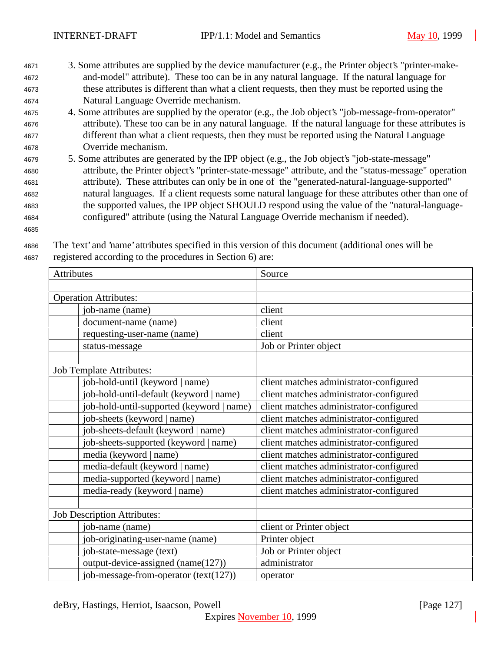- <sup>4671</sup> 3. Some attributes are supplied by the device manufacturer (e.g., the Printer object's "printer-make-<sup>4672</sup> and-model" attribute). These too can be in any natural language. If the natural language for <sup>4673</sup> these attributes is different than what a client requests, then they must be reported using the <sup>4674</sup> Natural Language Override mechanism.
- <sup>4675</sup> 4. Some attributes are supplied by the operator (e.g., the Job object's "job-message-from-operator" <sup>4676</sup> attribute). These too can be in any natural language. If the natural language for these attributes is <sup>4677</sup> different than what a client requests, then they must be reported using the Natural Language <sup>4678</sup> Override mechanism.
- <sup>4679</sup> 5. Some attributes are generated by the IPP object (e.g., the Job object's "job-state-message" <sup>4680</sup> attribute, the Printer object's "printer-state-message" attribute, and the "status-message" operation <sup>4681</sup> attribute). These attributes can only be in one of the "generated-natural-language-supported" <sup>4682</sup> natural languages. If a client requests some natural language for these attributes other than one of <sup>4683</sup> the supported values, the IPP object SHOULD respond using the value of the "natural-language-<sup>4684</sup> configured" attribute (using the Natural Language Override mechanism if needed).
- 4685

| <b>Attributes</b>                         | Source                                  |
|-------------------------------------------|-----------------------------------------|
|                                           |                                         |
| <b>Operation Attributes:</b>              |                                         |
| job-name (name)                           | client                                  |
| document-name (name)                      | client                                  |
| requesting-user-name (name)               | client                                  |
| status-message                            | Job or Printer object                   |
| <b>Job Template Attributes:</b>           |                                         |
| job-hold-until (keyword   name)           | client matches administrator-configured |
| job-hold-until-default (keyword   name)   | client matches administrator-configured |
| job-hold-until-supported (keyword   name) | client matches administrator-configured |
| job-sheets (keyword   name)               | client matches administrator-configured |
| job-sheets-default (keyword   name)       | client matches administrator-configured |
| job-sheets-supported (keyword   name)     | client matches administrator-configured |
| media (keyword   name)                    | client matches administrator-configured |
| media-default (keyword   name)            | client matches administrator-configured |
| media-supported (keyword   name)          | client matches administrator-configured |
| media-ready (keyword   name)              | client matches administrator-configured |
| <b>Job Description Attributes:</b>        |                                         |
| job-name (name)                           | client or Printer object                |
| job-originating-user-name (name)          | Printer object                          |
| job-state-message (text)                  | Job or Printer object                   |
| output-device-assigned (name(127))        | administrator                           |
| job-message-from-operator (text(127))     | operator                                |

<sup>4686</sup> The 'text' and 'name' attributes specified in this version of this document (additional ones will be <sup>4687</sup> registered according to the procedures in Section 6) are:

deBry, Hastings, Herriot, Isaacson, Powell [Page 127]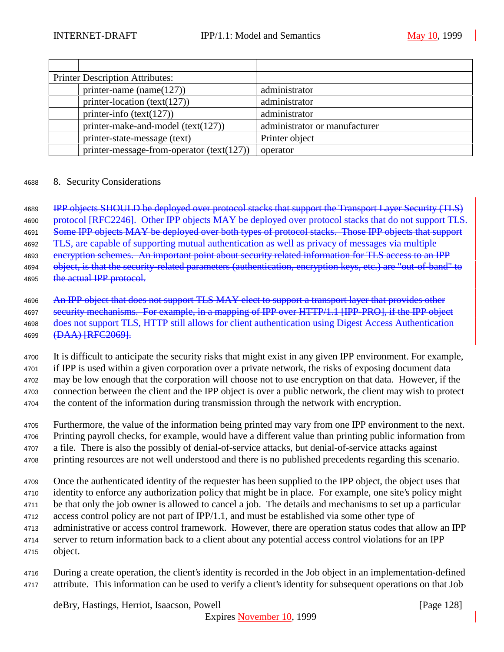| <b>Printer Description Attributes:</b> |                                           |                               |
|----------------------------------------|-------------------------------------------|-------------------------------|
|                                        | printer-name (name $(127)$ )              | administrator                 |
|                                        | printer-location (text(127))              | administrator                 |
|                                        | printer-info $(text(127))$                | administrator                 |
|                                        | printer-make-and-model $(text(127))$      | administrator or manufacturer |
|                                        | printer-state-message (text)              | Printer object                |
|                                        | printer-message-from-operator (text(127)) | operator                      |

#### <sup>4688</sup> 8. Security Considerations

<sup>4689</sup> IPP objects SHOULD be deployed over protocol stacks that support the Transport Layer Security (TLS) 4690 protocol [RFC2246]. Other IPP objects MAY be deployed over protocol stacks that do not support TLS. 4691 Some IPP objects MAY be deployed over both types of protocol stacks. Those IPP objects that support 4692 TLS, are capable of supporting mutual authentication as well as privacy of messages via multiple 4693 encryption schemes. An important point about security related information for TLS access to an IPP 4694 object, is that the security-related parameters (authentication, encryption keys, etc.) are "out-of-band" to 4695 the actual IPP protocol.

<sup>4700</sup> It is difficult to anticipate the security risks that might exist in any given IPP environment. For example, <sup>4701</sup> if IPP is used within a given corporation over a private network, the risks of exposing document data <sup>4702</sup> may be low enough that the corporation will choose not to use encryption on that data. However, if the

<sup>4703</sup> connection between the client and the IPP object is over a public network, the client may wish to protect

<sup>4704</sup> the content of the information during transmission through the network with encryption.

- <sup>4705</sup> Furthermore, the value of the information being printed may vary from one IPP environment to the next. <sup>4706</sup> Printing payroll checks, for example, would have a different value than printing public information from
- <sup>4707</sup> a file. There is also the possibly of denial-of-service attacks, but denial-of-service attacks against

<sup>4708</sup> printing resources are not well understood and there is no published precedents regarding this scenario.

- <sup>4709</sup> Once the authenticated identity of the requester has been supplied to the IPP object, the object uses that <sup>4710</sup> identity to enforce any authorization policy that might be in place. For example, one site's policy might <sup>4711</sup> be that only the job owner is allowed to cancel a job. The details and mechanisms to set up a particular <sup>4712</sup> access control policy are not part of IPP/1.1, and must be established via some other type of <sup>4713</sup> administrative or access control framework. However, there are operation status codes that allow an IPP <sup>4714</sup> server to return information back to a client about any potential access control violations for an IPP
- <sup>4715</sup> object.
- <sup>4716</sup> During a create operation, the client's identity is recorded in the Job object in an implementation-defined <sup>4717</sup> attribute. This information can be used to verify a client's identity for subsequent operations on that Job

<sup>4696</sup> An IPP object that does not support TLS MAY elect to support a transport layer that provides other 4697 security mechanisms. For example, in a mapping of IPP over HTTP/1.1 [IPP-PRO], if the IPP object <sup>4698</sup> does not support TLS, HTTP still allows for client authentication using Digest Access Authentication 4699 (DAA) [RFC2069].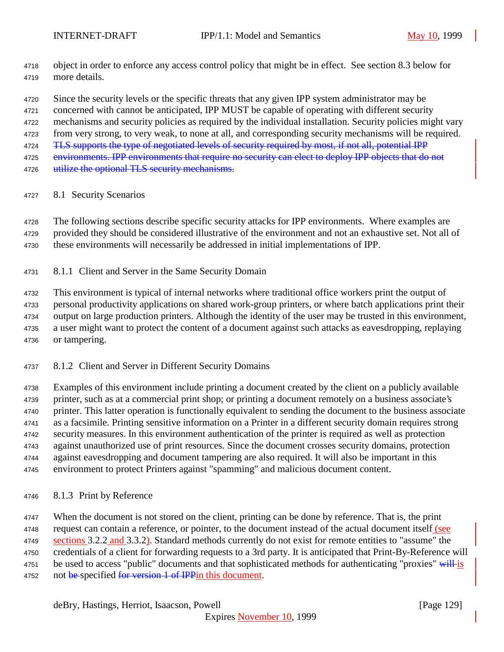- object in order to enforce any access control policy that might be in effect. See section 8.3 below for more details.
- Since the security levels or the specific threats that any given IPP system administrator may be

concerned with cannot be anticipated, IPP MUST be capable of operating with different security

mechanisms and security policies as required by the individual installation. Security policies might vary

from very strong, to very weak, to none at all, and corresponding security mechanisms will be required.

4724 TLS supports the type of negotiated levels of security required by most, if not all, potential IPP

4725 environments. IPP environments that require no security can elect to deploy IPP objects that do not 4726 utilize the optional TLS security mechanisms.

- 
- 8.1 Security Scenarios

 The following sections describe specific security attacks for IPP environments. Where examples are provided they should be considered illustrative of the environment and not an exhaustive set. Not all of

these environments will necessarily be addressed in initial implementations of IPP.

8.1.1 Client and Server in the Same Security Domain

 This environment is typical of internal networks where traditional office workers print the output of personal productivity applications on shared work-group printers, or where batch applications print their output on large production printers. Although the identity of the user may be trusted in this environment, a user might want to protect the content of a document against such attacks as eavesdropping, replaying or tampering.

8.1.2 Client and Server in Different Security Domains

 Examples of this environment include printing a document created by the client on a publicly available printer, such as at a commercial print shop; or printing a document remotely on a business associate's printer. This latter operation is functionally equivalent to sending the document to the business associate as a facsimile. Printing sensitive information on a Printer in a different security domain requires strong security measures. In this environment authentication of the printer is required as well as protection against unauthorized use of print resources. Since the document crosses security domains, protection against eavesdropping and document tampering are also required. It will also be important in this environment to protect Printers against "spamming" and malicious document content.

8.1.3 Print by Reference

 When the document is not stored on the client, printing can be done by reference. That is, the print request can contain a reference, or pointer, to the document instead of the actual document itself (see 4749 sections 3.2.2 and 3.3.2). Standard methods currently do not exist for remote entities to "assume" the credentials of a client for forwarding requests to a 3rd party. It is anticipated that Print-By-Reference will 4751 be used to access "public" documents and that sophisticated methods for authenticating "proxies" will is 4752 not be specified for version 1 of IPP in this document.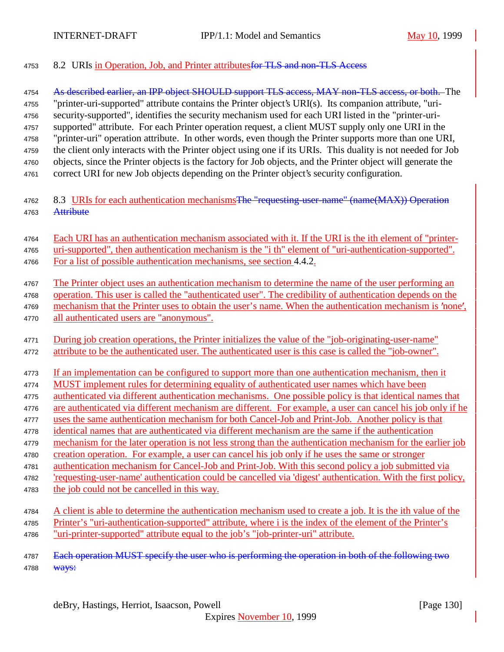4753 8.2 URIs in Operation, Job, and Printer attributes for TLS and non-TLS Access 4754 As described earlier, an IPP object SHOULD support TLS access, MAY non-TLS access, or both. The "printer-uri-supported" attribute contains the Printer object's URI(s). Its companion attribute, "uri- security-supported", identifies the security mechanism used for each URI listed in the "printer-uri- supported" attribute. For each Printer operation request, a client MUST supply only one URI in the "printer-uri" operation attribute. In other words, even though the Printer supports more than one URI, the client only interacts with the Printer object using one if its URIs. This duality is not needed for Job objects, since the Printer objects is the factory for Job objects, and the Printer object will generate the correct URI for new Job objects depending on the Printer object's security configuration. 4762 8.3 URIs for each authentication mechanisms The "requesting-user-name" (name(MAX)) Operation 4763 Attribute Each URI has an authentication mechanism associated with it. If the URI is the ith element of "printer- uri-supported", then authentication mechanism is the "i th" element of "uri-authentication-supported". For a list of possible authentication mechanisms, see section 4.4.2. The Printer object uses an authentication mechanism to determine the name of the user performing an operation. This user is called the "authenticated user". The credibility of authentication depends on the 4769 mechanism that the Printer uses to obtain the user's name. When the authentication mechanism is 'none', all authenticated users are "anonymous". During job creation operations, the Printer initializes the value of the "job-originating-user-name" 4772 attribute to be the authenticated user. The authenticated user is this case is called the "job-owner". If an implementation can be configured to support more than one authentication mechanism, then it MUST implement rules for determining equality of authenticated user names which have been authenticated via different authentication mechanisms. One possible policy is that identical names that are authenticated via different mechanism are different. For example, a user can cancel his job only if he uses the same authentication mechanism for both Cancel-Job and Print-Job. Another policy is that identical names that are authenticated via different mechanism are the same if the authentication mechanism for the later operation is not less strong than the authentication mechanism for the earlier job creation operation. For example, a user can cancel his job only if he uses the same or stronger authentication mechanism for Cancel-Job and Print-Job. With this second policy a job submitted via 'requesting-user-name' authentication could be cancelled via 'digest' authentication. With the first policy, the job could not be cancelled in this way. A client is able to determine the authentication mechanism used to create a job. It is the ith value of the Printer's "uri-authentication-supported" attribute, where i is the index of the element of the Printer's "uri-printer-supported" attribute equal to the job's "job-printer-uri" attribute. 4787 Each operation MUST specify the user who is performing the operation in both of the following two 4788 <del>Ways:</del>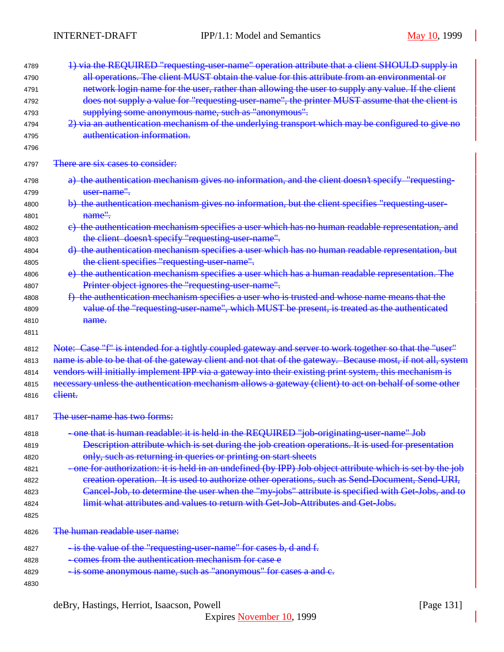| 4789 | 1) via the REQUIRED "requesting-user-name" operation attribute that a client SHOULD supply in               |
|------|-------------------------------------------------------------------------------------------------------------|
| 4790 | all operations. The client MUST obtain the value for this attribute from an environmental or                |
| 4791 | network login name for the user, rather than allowing the user to supply any value. If the client           |
| 4792 | does not supply a value for "requesting-user-name", the printer MUST assume that the client is              |
| 4793 | supplying some anonymous name, such as "anonymous".                                                         |
| 4794 | 2) via an authentication mechanism of the underlying transport which may be configured to give no           |
| 4795 | authentication information.                                                                                 |
| 4796 |                                                                                                             |
| 4797 | There are six cases to consider:                                                                            |
| 4798 | a) the authentication mechanism gives no information, and the client doesn't specify "requesting-           |
| 4799 | user-name".                                                                                                 |
| 4800 | b) the authentication mechanism gives no information, but the client specifies "requesting-user-            |
| 4801 | name".                                                                                                      |
| 4802 | e) the authentication mechanism specifies a user which has no human readable representation, and            |
| 4803 | the client doesn't specify "requesting-user-name".                                                          |
| 4804 | d) the authentication mechanism specifies a user which has no human readable representation, but            |
| 4805 | the client specifies "requesting user name".                                                                |
| 4806 | e) the authentication mechanism specifies a user which has a human readable representation. The             |
| 4807 | Printer object ignores the "requesting-user-name".                                                          |
| 4808 | f) the authentication mechanism specifies a user who is trusted and whose name means that the               |
| 4809 | value of the "requesting-user-name", which MUST be present, is treated as the authenticated                 |
| 4810 | name.                                                                                                       |
| 4811 |                                                                                                             |
| 4812 | Note: Case "f" is intended for a tightly coupled gateway and server to work together so that the "user"     |
| 4813 | name is able to be that of the gateway client and not that of the gateway. Because most, if not all, system |
| 4814 | vendors will initially implement IPP via a gateway into their existing print system, this mechanism is      |
| 4815 | necessary unless the authentication mechanism allows a gateway (client) to act on behalf of some other      |
| 4816 | elient.                                                                                                     |
|      |                                                                                                             |
| 4817 | The user-name has two forms:                                                                                |
| 4818 | -one that is human readable: it is held in the REQUIRED "job-originating-user-name" Job                     |
| 4819 | Description attribute which is set during the job creation operations. It is used for presentation          |
| 4820 | only, such as returning in queries or printing on start sheets                                              |
| 4821 | -one for authorization: it is held in an undefined (by IPP) Job object attribute which is set by the job    |
| 4822 | creation operation. It is used to authorize other operations, such as Send-Document, Send-URI,              |
| 4823 | Cancel-Job, to determine the user when the "my-jobs" attribute is specified with Get-Jobs, and to           |
| 4824 | limit what attributes and values to return with Get-Job-Attributes and Get-Jobs.                            |
| 4825 |                                                                                                             |
| 4826 | The human readable user name:                                                                               |
| 4827 | - is the value of the "requesting-user-name" for cases b, d and f.                                          |
| 4828 |                                                                                                             |
|      | - comes from the authentication mechanism for case e                                                        |
| 4829 | - is some anonymous name, such as "anonymous" for cases a and c.                                            |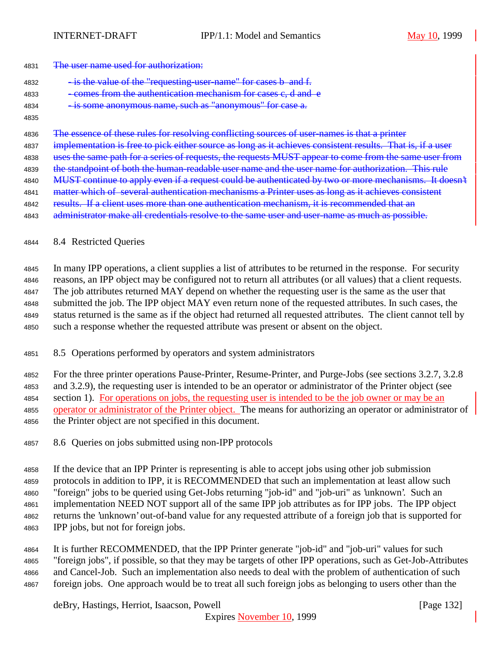#### 4831 The user name used for authorization:

4832 - is the value of the "requesting-user-name" for cases b and f.

- 4833 comes from the authentication mechanism for cases c, d and e
- is some anonymous name, such as "anonymous" for case a.
- 

The essence of these rules for resolving conflicting sources of user-names is that a printer

4837 implementation is free to pick either source as long as it achieves consistent results. That is, if a user

4838 uses the same path for a series of requests, the requests MUST appear to come from the same user from

4839 the standpoint of both the human-readable user name and the user name for authorization. This rule 4840 MUST continue to apply even if a request could be authenticated by two or more mechanisms. It doesn't

4841 matter which of several authentication mechanisms a Printer uses as long as it achieves consistent

4842 results. If a client uses more than one authentication mechanism, it is recommended that an

4843 administrator make all credentials resolve to the same user and user-name as much as possible.

# 8.4 Restricted Queries

 In many IPP operations, a client supplies a list of attributes to be returned in the response. For security reasons, an IPP object may be configured not to return all attributes (or all values) that a client requests. The job attributes returned MAY depend on whether the requesting user is the same as the user that submitted the job. The IPP object MAY even return none of the requested attributes. In such cases, the status returned is the same as if the object had returned all requested attributes. The client cannot tell by such a response whether the requested attribute was present or absent on the object.

8.5 Operations performed by operators and system administrators

 For the three printer operations Pause-Printer, Resume-Printer, and Purge-Jobs (see sections 3.2.7, 3.2.8 and 3.2.9), the requesting user is intended to be an operator or administrator of the Printer object (see section 1). For operations on jobs, the requesting user is intended to be the job owner or may be an operator or administrator of the Printer object. The means for authorizing an operator or administrator of the Printer object are not specified in this document.

8.6 Queries on jobs submitted using non-IPP protocols

 If the device that an IPP Printer is representing is able to accept jobs using other job submission protocols in addition to IPP, it is RECOMMENDED that such an implementation at least allow such "foreign" jobs to be queried using Get-Jobs returning "job-id" and "job-uri" as 'unknown'. Such an implementation NEED NOT support all of the same IPP job attributes as for IPP jobs. The IPP object returns the 'unknown' out-of-band value for any requested attribute of a foreign job that is supported for IPP jobs, but not for foreign jobs.

 It is further RECOMMENDED, that the IPP Printer generate "job-id" and "job-uri" values for such "foreign jobs", if possible, so that they may be targets of other IPP operations, such as Get-Job-Attributes and Cancel-Job. Such an implementation also needs to deal with the problem of authentication of such foreign jobs. One approach would be to treat all such foreign jobs as belonging to users other than the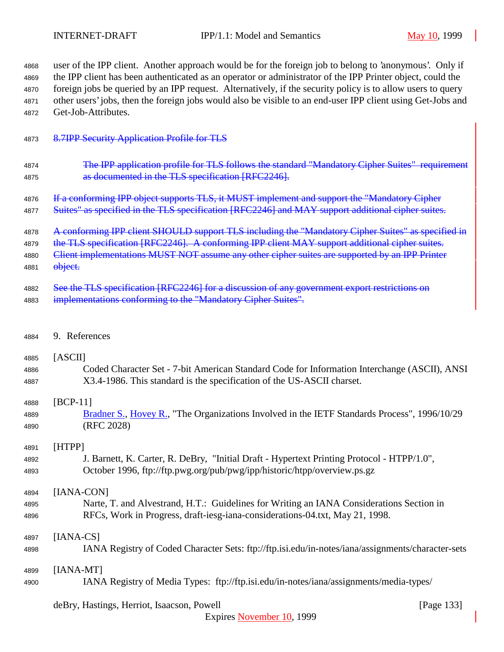user of the IPP client. Another approach would be for the foreign job to belong to 'anonymous'. Only if the IPP client has been authenticated as an operator or administrator of the IPP Printer object, could the foreign jobs be queried by an IPP request. Alternatively, if the security policy is to allow users to query other users' jobs, then the foreign jobs would also be visible to an end-user IPP client using Get-Jobs and Get-Job-Attributes.

#### 8.7IPP Security Application Profile for TLS

- 4874 The IPP application profile for TLS follows the standard "Mandatory Cipher Suites" requirement **as documented in the TLS specification [RFC2246].**
- 4876 If a conforming IPP object supports TLS, it MUST implement and support the "Mandatory Cipher
- 4877 Suites" as specified in the TLS specification [RFC2246] and MAY support additional cipher suites.
- 4878 A conforming IPP client SHOULD support TLS including the "Mandatory Cipher Suites" as specified in
- 4879 the TLS specification [RFC2246]. A conforming IPP client MAY support additional cipher suites.
- 4880 Client implementations MUST NOT assume any other cipher suites are supported by an IPP Printer
- **object.**
- 4882 See the TLS specification [RFC2246] for a discussion of any government export restrictions on 4883 implementations conforming to the "Mandatory Cipher Suites".
- 9. References

#### [ASCII]

 Coded Character Set - 7-bit American Standard Code for Information Interchange (ASCII), ANSI X3.4-1986. This standard is the specification of the US-ASCII charset.

# [BCP-11]

4889 Bradner S., Hovey R., "The Organizations Involved in the IETF Standards Process", 1996/10/29 (RFC 2028)

#### [HTPP]

 J. Barnett, K. Carter, R. DeBry, "Initial Draft - Hypertext Printing Protocol - HTPP/1.0", October 1996, ftp://ftp.pwg.org/pub/pwg/ipp/historic/htpp/overview.ps.gz

# [IANA-CON]

 Narte, T. and Alvestrand, H.T.: Guidelines for Writing an IANA Considerations Section in RFCs, Work in Progress, draft-iesg-iana-considerations-04.txt, May 21, 1998.

# [IANA-CS]

IANA Registry of Coded Character Sets: ftp://ftp.isi.edu/in-notes/iana/assignments/character-sets

# [IANA-MT]

IANA Registry of Media Types: ftp://ftp.isi.edu/in-notes/iana/assignments/media-types/

# deBry, Hastings, Herriot, Isaacson, Powell [Page 133]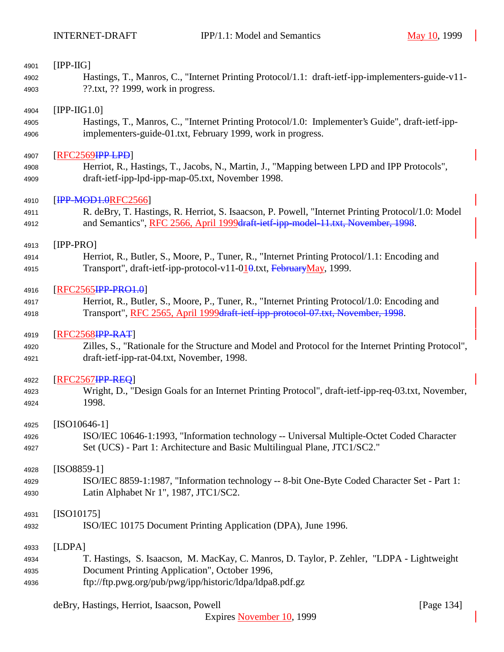| 4901 | $[IPP-HG]$                                                                                           |
|------|------------------------------------------------------------------------------------------------------|
| 4902 | Hastings, T., Manros, C., "Internet Printing Protocol/1.1: draft-ietf-ipp-implementers-guide-v11-    |
| 4903 | ??.txt, ?? 1999, work in progress.                                                                   |
| 4904 | $[IPP-HG1.0]$                                                                                        |
| 4905 | Hastings, T., Manros, C., "Internet Printing Protocol/1.0: Implementer's Guide", draft-ietf-ipp-     |
| 4906 | implementers-guide-01.txt, February 1999, work in progress.                                          |
| 4907 | [RFC2569HP1.PD]                                                                                      |
| 4908 | Herriot, R., Hastings, T., Jacobs, N., Martin, J., "Mapping between LPD and IPP Protocols",          |
| 4909 | draft-ietf-ipp-lpd-ipp-map-05.txt, November 1998.                                                    |
| 4910 | [IPP-MOD1.0RFC2566]                                                                                  |
| 4911 | R. deBry, T. Hastings, R. Herriot, S. Isaacson, P. Powell, "Internet Printing Protocol/1.0: Model    |
| 4912 | and Semantics", RFC 2566, April 1999draft-ietf-ipp-model-11.txt, November, 1998.                     |
| 4913 | $[IPP-PRO]$                                                                                          |
| 4914 | Herriot, R., Butler, S., Moore, P., Tuner, R., "Internet Printing Protocol/1.1: Encoding and         |
| 4915 | Transport", draft-ietf-ipp-protocol-v11-010.txt, FebruaryMay, 1999.                                  |
| 4916 | [RFC2565 <del>IPP-PRO1.0</del> ]                                                                     |
| 4917 | Herriot, R., Butler, S., Moore, P., Tuner, R., "Internet Printing Protocol/1.0: Encoding and         |
| 4918 | Transport", RFC 2565, April 1999draft-ietf-ipp-protocol-07.txt, November, 1998.                      |
| 4919 | $[RFC2568$ <b>IPP-RAT</b>                                                                            |
| 4920 | Zilles, S., "Rationale for the Structure and Model and Protocol for the Internet Printing Protocol", |
| 4921 | draft-ietf-ipp-rat-04.txt, November, 1998.                                                           |
| 4922 | [RFC2567 <del>IPP-REQ</del> ]                                                                        |
| 4923 | Wright, D., "Design Goals for an Internet Printing Protocol", draft-ietf-ipp-req-03.txt, November,   |
| 4924 | 1998.                                                                                                |
| 4925 | $[ISO10646-1]$                                                                                       |
| 4926 | ISO/IEC 10646-1:1993, "Information technology -- Universal Multiple-Octet Coded Character            |
| 4927 | Set (UCS) - Part 1: Architecture and Basic Multilingual Plane, JTC1/SC2."                            |
| 4928 | $[ISO8859-1]$                                                                                        |
| 4929 | ISO/IEC 8859-1:1987, "Information technology -- 8-bit One-Byte Coded Character Set - Part 1:         |
| 4930 | Latin Alphabet Nr 1", 1987, JTC1/SC2.                                                                |
| 4931 | $[ISO10175]$                                                                                         |
| 4932 | ISO/IEC 10175 Document Printing Application (DPA), June 1996.                                        |
| 4933 | [LDPA]                                                                                               |
| 4934 | T. Hastings, S. Isaacson, M. MacKay, C. Manros, D. Taylor, P. Zehler, "LDPA - Lightweight            |
| 4935 | Document Printing Application", October 1996,                                                        |
| 4936 | ftp://ftp.pwg.org/pub/pwg/ipp/historic/ldpa/ldpa8.pdf.gz                                             |

deBry, Hastings, Herriot, Isaacson, Powell [Page 134]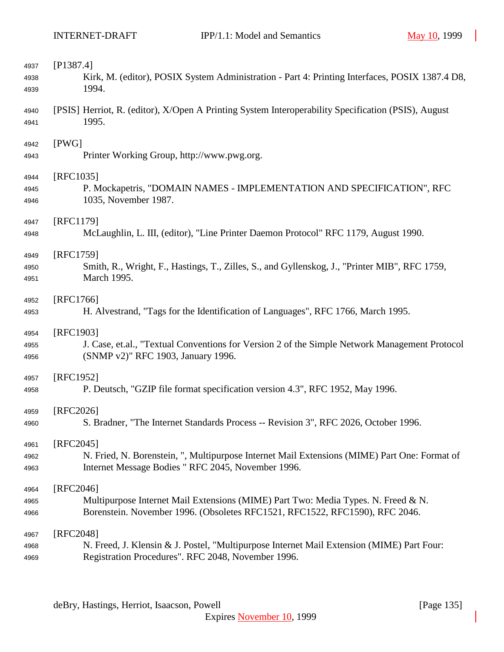| 4937 | [P1387.4]                                                                                           |
|------|-----------------------------------------------------------------------------------------------------|
| 4938 | Kirk, M. (editor), POSIX System Administration - Part 4: Printing Interfaces, POSIX 1387.4 D8,      |
| 4939 | 1994.                                                                                               |
| 4940 | [PSIS] Herriot, R. (editor), X/Open A Printing System Interoperability Specification (PSIS), August |
| 4941 | 1995.                                                                                               |
| 4942 | [PWG]                                                                                               |
| 4943 | Printer Working Group, http://www.pwg.org.                                                          |
| 4944 | [RFC1035]                                                                                           |
| 4945 | P. Mockapetris, "DOMAIN NAMES - IMPLEMENTATION AND SPECIFICATION", RFC                              |
| 4946 | 1035, November 1987.                                                                                |
| 4947 | [RFC1179]                                                                                           |
| 4948 | McLaughlin, L. III, (editor), "Line Printer Daemon Protocol" RFC 1179, August 1990.                 |
| 4949 | [RFC1759]                                                                                           |
| 4950 | Smith, R., Wright, F., Hastings, T., Zilles, S., and Gyllenskog, J., "Printer MIB", RFC 1759,       |
| 4951 | March 1995.                                                                                         |
| 4952 | [RFC1766]                                                                                           |
| 4953 | H. Alvestrand, "Tags for the Identification of Languages", RFC 1766, March 1995.                    |
| 4954 | [RFC1903]                                                                                           |
| 4955 | J. Case, et.al., "Textual Conventions for Version 2 of the Simple Network Management Protocol       |
| 4956 | (SNMP v2)" RFC 1903, January 1996.                                                                  |
| 4957 | [RFC1952]                                                                                           |
| 4958 | P. Deutsch, "GZIP file format specification version 4.3", RFC 1952, May 1996.                       |
| 4959 | [RFC2026]                                                                                           |
| 4960 | S. Bradner, "The Internet Standards Process -- Revision 3", RFC 2026, October 1996.                 |
| 4961 | $[RFC2045]$                                                                                         |
| 4962 | N. Fried, N. Borenstein, ", Multipurpose Internet Mail Extensions (MIME) Part One: Format of        |
| 4963 | Internet Message Bodies " RFC 2045, November 1996.                                                  |
| 4964 | [RFC2046]                                                                                           |
| 4965 | Multipurpose Internet Mail Extensions (MIME) Part Two: Media Types. N. Freed & N.                   |
| 4966 | Borenstein. November 1996. (Obsoletes RFC1521, RFC1522, RFC1590), RFC 2046.                         |
| 4967 | [RFC2048]                                                                                           |
| 4968 | N. Freed, J. Klensin & J. Postel, "Multipurpose Internet Mail Extension (MIME) Part Four:           |
| 4969 | Registration Procedures". RFC 2048, November 1996.                                                  |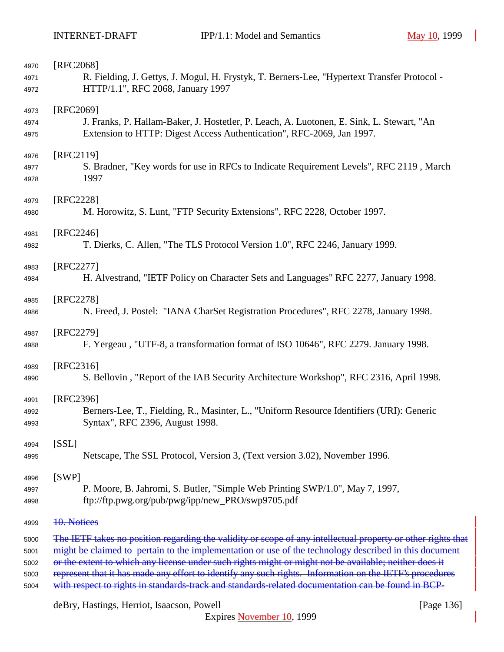| 4970 | [RFC2068]                                                                                                    |
|------|--------------------------------------------------------------------------------------------------------------|
| 4971 | R. Fielding, J. Gettys, J. Mogul, H. Frystyk, T. Berners-Lee, "Hypertext Transfer Protocol -                 |
| 4972 | HTTP/1.1", RFC 2068, January 1997                                                                            |
| 4973 | [RFC2069]                                                                                                    |
| 4974 | J. Franks, P. Hallam-Baker, J. Hostetler, P. Leach, A. Luotonen, E. Sink, L. Stewart, "An                    |
| 4975 | Extension to HTTP: Digest Access Authentication", RFC-2069, Jan 1997.                                        |
| 4976 | [RFC2119]                                                                                                    |
| 4977 | S. Bradner, "Key words for use in RFCs to Indicate Requirement Levels", RFC 2119, March                      |
| 4978 | 1997                                                                                                         |
| 4979 | [RFC2228]                                                                                                    |
| 4980 | M. Horowitz, S. Lunt, "FTP Security Extensions", RFC 2228, October 1997.                                     |
| 4981 | [RFC2246]                                                                                                    |
| 4982 | T. Dierks, C. Allen, "The TLS Protocol Version 1.0", RFC 2246, January 1999.                                 |
| 4983 | [RFC2277]                                                                                                    |
| 4984 | H. Alvestrand, "IETF Policy on Character Sets and Languages" RFC 2277, January 1998.                         |
| 4985 | [RFC2278]                                                                                                    |
| 4986 | N. Freed, J. Postel: "IANA CharSet Registration Procedures", RFC 2278, January 1998.                         |
| 4987 | [RFC2279]                                                                                                    |
| 4988 | F. Yergeau, "UTF-8, a transformation format of ISO 10646", RFC 2279. January 1998.                           |
| 4989 | $[RFC2316]$                                                                                                  |
| 4990 | S. Bellovin, "Report of the IAB Security Architecture Workshop", RFC 2316, April 1998.                       |
| 4991 | [RFC2396]                                                                                                    |
| 4992 | Berners-Lee, T., Fielding, R., Masinter, L., "Uniform Resource Identifiers (URI): Generic                    |
| 4993 | Syntax", RFC 2396, August 1998.                                                                              |
| 4994 | [SSL]                                                                                                        |
| 4995 | Netscape, The SSL Protocol, Version 3, (Text version 3.02), November 1996.                                   |
| 4996 | [SWP]                                                                                                        |
| 4997 | P. Moore, B. Jahromi, S. Butler, "Simple Web Printing SWP/1.0", May 7, 1997,                                 |
| 4998 | ftp://ftp.pwg.org/pub/pwg/ipp/new_PRO/swp9705.pdf                                                            |
| 4999 | 10. Notices                                                                                                  |
| 5000 | The IETF takes no position regarding the validity or scope of any intellectual property or other rights that |
| 5001 | might be claimed to pertain to the implementation or use of the technology described in this document        |
| 5002 | or the extent to which any license under such rights might or might not be available; neither does it        |
| 5003 | represent that it has made any effort to identify any such rights. Information on the IETF's procedures      |
| 5004 | with respect to rights in standards-track and standards-related documentation can be found in BCP-           |

deBry, Hastings, Herriot, Isaacson, Powell [Page 136]

Expires November 10, 1999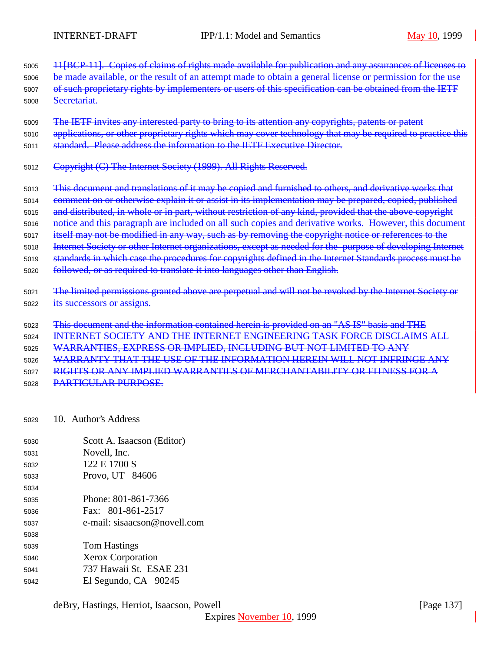11[BCP-11]. Copies of claims of rights made available for publication and any assurances of licenses to 5006 be made available, or the result of an attempt made to obtain a general license or permission for the use

- 5007 of such proprietary rights by implementers or users of this specification can be obtained from the IETF Secretariat.
- The IETF invites any interested party to bring to its attention any copyrights, patents or patent
- 5010 applications, or other proprietary rights which may cover technology that may be required to practice this
- standard. Please address the information to the IETF Executive Director.
- Copyright (C) The Internet Society (1999). All Rights Reserved.
- This document and translations of it may be copied and furnished to others, and derivative works that
- comment on or otherwise explain it or assist in its implementation may be prepared, copied, published
- 5015 and distributed, in whole or in part, without restriction of any kind, provided that the above copyright
- 5016 notice and this paragraph are included on all such copies and derivative works. However, this document
- itself may not be modified in any way, such as by removing the copyright notice or references to the
- Internet Society or other Internet organizations, except as needed for the purpose of developing Internet
- standards in which case the procedures for copyrights defined in the Internet Standards process must be
- followed, or as required to translate it into languages other than English.
- The limited permissions granted above are perpetual and will not be revoked by the Internet Society or its successors or assigns.
- This document and the information contained herein is provided on an "AS IS" basis and THE
- INTERNET SOCIETY AND THE INTERNET ENGINEERING TASK FORCE DISCLAIMS ALL
- WARRANTIES, EXPRESS OR IMPLIED, INCLUDING BUT NOT LIMITED TO ANY
- WARRANTY THAT THE USE OF THE INFORMATION HEREIN WILL NOT INFRINGE ANY

RIGHTS OR ANY IMPLIED WARRANTIES OF MERCHANTABILITY OR FITNESS FOR A

- PARTICULAR PURPOSE.
- 10. Author's Address
- Scott A. Isaacson (Editor)
- Novell, Inc.
- 122 E 1700 S
- Provo, UT 84606
- Phone: 801-861-7366
- Fax: 801-861-2517
- e-mail: sisaacson@novell.com
- Tom Hastings Xerox Corporation 737 Hawaii St. ESAE 231
- El Segundo, CA 90245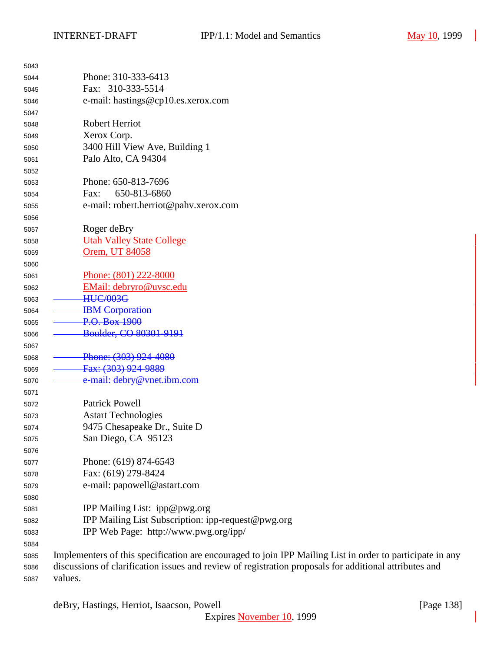| 5043 |                                                                                                           |
|------|-----------------------------------------------------------------------------------------------------------|
| 5044 | Phone: 310-333-6413                                                                                       |
| 5045 | Fax: 310-333-5514                                                                                         |
| 5046 | e-mail: hastings@cp10.es.xerox.com                                                                        |
| 5047 |                                                                                                           |
| 5048 | <b>Robert Herriot</b>                                                                                     |
| 5049 | Xerox Corp.                                                                                               |
| 5050 | 3400 Hill View Ave, Building 1                                                                            |
| 5051 | Palo Alto, CA 94304                                                                                       |
| 5052 |                                                                                                           |
| 5053 | Phone: 650-813-7696                                                                                       |
| 5054 | 650-813-6860<br>Fax:                                                                                      |
| 5055 | e-mail: robert.herriot@pahv.xerox.com                                                                     |
| 5056 |                                                                                                           |
| 5057 | Roger deBry                                                                                               |
| 5058 | <b>Utah Valley State College</b>                                                                          |
| 5059 | Orem, UT 84058                                                                                            |
| 5060 |                                                                                                           |
| 5061 | Phone: (801) 222-8000                                                                                     |
| 5062 | EMail: debryro@uvsc.edu                                                                                   |
| 5063 | <b>HUC/003G</b>                                                                                           |
| 5064 | <b>IBM</b> Corporation                                                                                    |
| 5065 | P.O. Box 1900                                                                                             |
| 5066 | Boulder, CO 80301-9191                                                                                    |
| 5067 |                                                                                                           |
| 5068 | Phone: (303) 924-4080                                                                                     |
| 5069 | Fax: (303) 924-9889                                                                                       |
| 5070 | e-mail: debry@vnet.ibm.com                                                                                |
| 5071 |                                                                                                           |
| 5072 | <b>Patrick Powell</b>                                                                                     |
| 5073 | <b>Astart Technologies</b>                                                                                |
| 5074 | 9475 Chesapeake Dr., Suite D                                                                              |
| 5075 | San Diego, CA 95123                                                                                       |
| 5076 |                                                                                                           |
| 5077 | Phone: (619) 874-6543                                                                                     |
| 5078 | Fax: (619) 279-8424                                                                                       |
| 5079 | e-mail: papowell@astart.com                                                                               |
| 5080 |                                                                                                           |
| 5081 | IPP Mailing List: ipp@pwg.org                                                                             |
| 5082 | IPP Mailing List Subscription: ipp-request@pwg.org                                                        |
| 5083 | IPP Web Page: http://www.pwg.org/ipp/                                                                     |
| 5084 |                                                                                                           |
| 5085 | Implementers of this specification are encouraged to join IPP Mailing List in order to participate in any |
| 5086 | discussions of clarification issues and review of registration proposals for additional attributes and    |
| 5087 | values.                                                                                                   |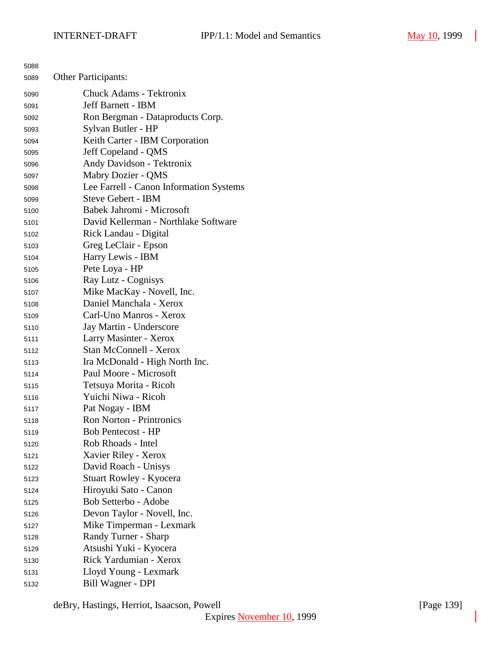| 5088 |                                         |
|------|-----------------------------------------|
| 5089 | <b>Other Participants:</b>              |
| 5090 | <b>Chuck Adams - Tektronix</b>          |
| 5091 | <b>Jeff Barnett - IBM</b>               |
| 5092 | Ron Bergman - Dataproducts Corp.        |
| 5093 | Sylvan Butler - HP                      |
| 5094 | Keith Carter - IBM Corporation          |
| 5095 | Jeff Copeland - QMS                     |
| 5096 | Andy Davidson - Tektronix               |
| 5097 | Mabry Dozier - QMS                      |
| 5098 | Lee Farrell - Canon Information Systems |
| 5099 | <b>Steve Gebert - IBM</b>               |
| 5100 | Babek Jahromi - Microsoft               |
| 5101 | David Kellerman - Northlake Software    |
| 5102 | Rick Landau - Digital                   |
| 5103 | Greg LeClair - Epson                    |
| 5104 | Harry Lewis - IBM                       |
| 5105 | Pete Loya - HP                          |
| 5106 | Ray Lutz - Cognisys                     |
| 5107 | Mike MacKay - Novell, Inc.              |
| 5108 | Daniel Manchala - Xerox                 |
| 5109 | Carl-Uno Manros - Xerox                 |
| 5110 | Jay Martin - Underscore                 |
| 5111 | Larry Masinter - Xerox                  |
| 5112 | <b>Stan McConnell - Xerox</b>           |
| 5113 | Ira McDonald - High North Inc.          |
| 5114 | Paul Moore - Microsoft                  |
| 5115 | Tetsuya Morita - Ricoh                  |
| 5116 | Yuichi Niwa - Ricoh                     |
| 5117 | Pat Nogay - IBM                         |
| 5118 | <b>Ron Norton - Printronics</b>         |
| 5119 | <b>Bob Pentecost - HP</b>               |
| 5120 | Rob Rhoads - Intel                      |
| 5121 | Xavier Riley - Xerox                    |
| 5122 | David Roach - Unisys                    |
| 5123 | Stuart Rowley - Kyocera                 |
| 5124 | Hiroyuki Sato - Canon                   |
| 5125 | Bob Setterbo - Adobe                    |
| 5126 | Devon Taylor - Novell, Inc.             |
| 5127 | Mike Timperman - Lexmark                |
| 5128 | Randy Turner - Sharp                    |
| 5129 | Atsushi Yuki - Kyocera                  |
| 5130 | Rick Yardumian - Xerox                  |
| 5131 | Lloyd Young - Lexmark                   |
| 5132 | Bill Wagner - DPI                       |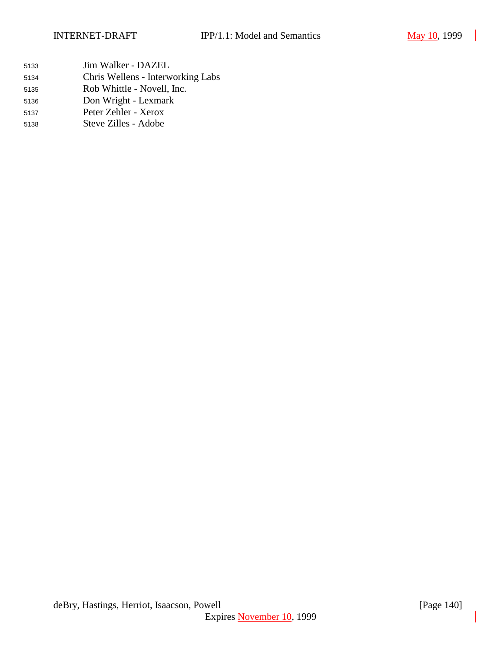- Jim Walker DAZEL
- Chris Wellens Interworking Labs
- Rob Whittle Novell, Inc.
- Don Wright Lexmark
- Peter Zehler Xerox
- Steve Zilles Adobe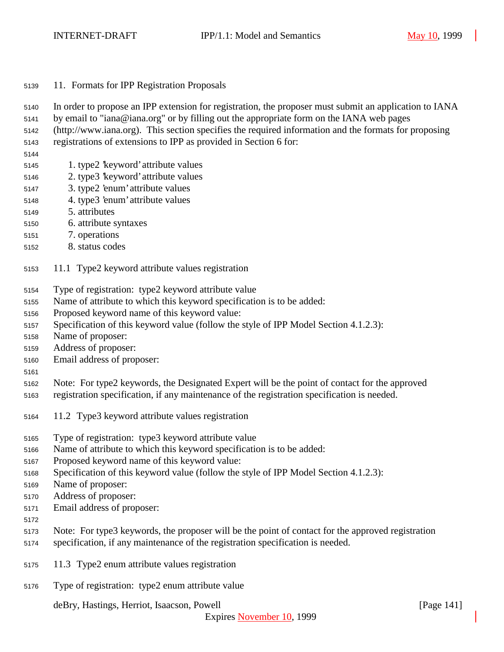- 11. Formats for IPP Registration Proposals
- In order to propose an IPP extension for registration, the proposer must submit an application to IANA
- by email to "iana@iana.org" or by filling out the appropriate form on the IANA web pages
- (http://www.iana.org). This section specifies the required information and the formats for proposing
- registrations of extensions to IPP as provided in Section 6 for:
- 
- 1. type2 'keyword' attribute values
- 2. type3 'keyword' attribute values
- 3. type2 'enum' attribute values
- 4. type3 'enum' attribute values
- 5. attributes
- 6. attribute syntaxes
- 7. operations
- 8. status codes
- 11.1 Type2 keyword attribute values registration
- Type of registration: type2 keyword attribute value
- Name of attribute to which this keyword specification is to be added:
- Proposed keyword name of this keyword value:
- Specification of this keyword value (follow the style of IPP Model Section 4.1.2.3):
- Name of proposer:
- Address of proposer:
- Email address of proposer:
- 
- Note: For type2 keywords, the Designated Expert will be the point of contact for the approved
- registration specification, if any maintenance of the registration specification is needed.
- 11.2 Type3 keyword attribute values registration
- Type of registration: type3 keyword attribute value
- Name of attribute to which this keyword specification is to be added:
- Proposed keyword name of this keyword value:
- Specification of this keyword value (follow the style of IPP Model Section 4.1.2.3):
- Name of proposer:
- Address of proposer:
- Email address of proposer:
- 
- Note: For type3 keywords, the proposer will be the point of contact for the approved registration
- specification, if any maintenance of the registration specification is needed.
- 11.3 Type2 enum attribute values registration
- Type of registration: type2 enum attribute value

deBry, Hastings, Herriot, Isaacson, Powell [Page 141]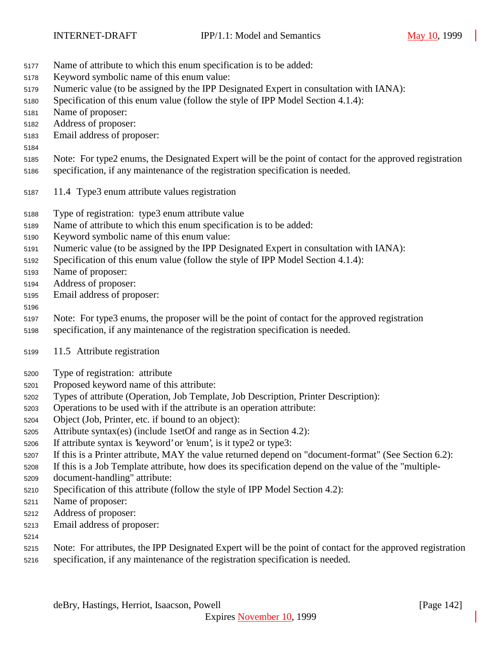- Name of attribute to which this enum specification is to be added:
- Keyword symbolic name of this enum value:
- Numeric value (to be assigned by the IPP Designated Expert in consultation with IANA):
- Specification of this enum value (follow the style of IPP Model Section 4.1.4):
- Name of proposer:
- Address of proposer:
- Email address of proposer:
- Note: For type2 enums, the Designated Expert will be the point of contact for the approved registration
	- specification, if any maintenance of the registration specification is needed.
	- 11.4 Type3 enum attribute values registration
	- Type of registration: type3 enum attribute value
	- Name of attribute to which this enum specification is to be added:
	- Keyword symbolic name of this enum value:
	- Numeric value (to be assigned by the IPP Designated Expert in consultation with IANA):
	- Specification of this enum value (follow the style of IPP Model Section 4.1.4):
	- Name of proposer:
	- Address of proposer:
	- Email address of proposer:

### 

- Note: For type3 enums, the proposer will be the point of contact for the approved registration
- specification, if any maintenance of the registration specification is needed.
- 11.5 Attribute registration
- Type of registration: attribute
- Proposed keyword name of this attribute:
- Types of attribute (Operation, Job Template, Job Description, Printer Description):
- Operations to be used with if the attribute is an operation attribute:
- Object (Job, Printer, etc. if bound to an object):
- Attribute syntax(es) (include 1setOf and range as in Section 4.2):
- If attribute syntax is 'keyword' or 'enum', is it type2 or type3:
- If this is a Printer attribute, MAY the value returned depend on "document-format" (See Section 6.2):

If this is a Job Template attribute, how does its specification depend on the value of the "multiple-

- document-handling" attribute:
- Specification of this attribute (follow the style of IPP Model Section 4.2):
- Name of proposer:
- Address of proposer:
- Email address of proposer:
- 
- Note: For attributes, the IPP Designated Expert will be the point of contact for the approved registration
- specification, if any maintenance of the registration specification is needed.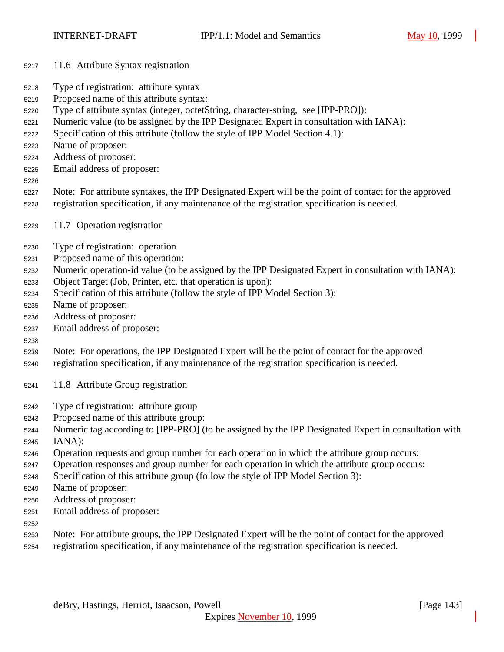- 11.6 Attribute Syntax registration
- Type of registration: attribute syntax
- Proposed name of this attribute syntax:
- Type of attribute syntax (integer, octetString, character-string, see [IPP-PRO]):
- Numeric value (to be assigned by the IPP Designated Expert in consultation with IANA):
- Specification of this attribute (follow the style of IPP Model Section 4.1):
- Name of proposer:
- Address of proposer:
- Email address of proposer:
- 
- Note: For attribute syntaxes, the IPP Designated Expert will be the point of contact for the approved registration specification, if any maintenance of the registration specification is needed.
- 11.7 Operation registration
- Type of registration: operation
- Proposed name of this operation:
- Numeric operation-id value (to be assigned by the IPP Designated Expert in consultation with IANA):
- Object Target (Job, Printer, etc. that operation is upon):
- Specification of this attribute (follow the style of IPP Model Section 3):
- Name of proposer:
- Address of proposer:
- Email address of proposer:
- 
- Note: For operations, the IPP Designated Expert will be the point of contact for the approved
- registration specification, if any maintenance of the registration specification is needed.
- 11.8 Attribute Group registration
- Type of registration: attribute group
- Proposed name of this attribute group:
- Numeric tag according to [IPP-PRO] (to be assigned by the IPP Designated Expert in consultation with IANA):
- Operation requests and group number for each operation in which the attribute group occurs:
- Operation responses and group number for each operation in which the attribute group occurs:
- Specification of this attribute group (follow the style of IPP Model Section 3):
- Name of proposer:
- Address of proposer:
- Email address of proposer:
- 
- Note: For attribute groups, the IPP Designated Expert will be the point of contact for the approved
- registration specification, if any maintenance of the registration specification is needed.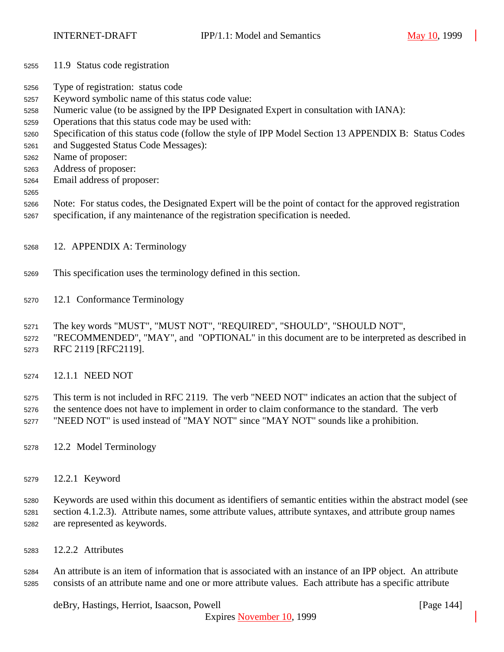- 11.9 Status code registration
- Type of registration: status code
- Keyword symbolic name of this status code value:
- Numeric value (to be assigned by the IPP Designated Expert in consultation with IANA):
- Operations that this status code may be used with:
- Specification of this status code (follow the style of IPP Model Section 13 APPENDIX B: Status Codes
- and Suggested Status Code Messages):
- Name of proposer:
- Address of proposer:
- Email address of proposer:
- 
- Note: For status codes, the Designated Expert will be the point of contact for the approved registration specification, if any maintenance of the registration specification is needed.
- 12. APPENDIX A: Terminology
- This specification uses the terminology defined in this section.
- 12.1 Conformance Terminology
- The key words "MUST", "MUST NOT", "REQUIRED", "SHOULD", "SHOULD NOT",
- "RECOMMENDED", "MAY", and "OPTIONAL" in this document are to be interpreted as described in RFC 2119 [RFC2119].
- 12.1.1 NEED NOT
- This term is not included in RFC 2119. The verb "NEED NOT" indicates an action that the subject of the sentence does not have to implement in order to claim conformance to the standard. The verb
- "NEED NOT" is used instead of "MAY NOT" since "MAY NOT" sounds like a prohibition.
- 12.2 Model Terminology
- 12.2.1 Keyword

 Keywords are used within this document as identifiers of semantic entities within the abstract model (see section 4.1.2.3). Attribute names, some attribute values, attribute syntaxes, and attribute group names are represented as keywords.

12.2.2 Attributes

 An attribute is an item of information that is associated with an instance of an IPP object. An attribute consists of an attribute name and one or more attribute values. Each attribute has a specific attribute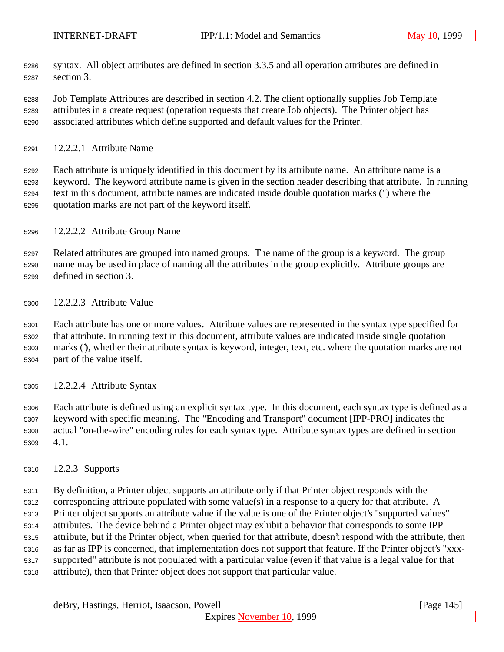- syntax. All object attributes are defined in section 3.3.5 and all operation attributes are defined in section 3.
- Job Template Attributes are described in section 4.2. The client optionally supplies Job Template attributes in a create request (operation requests that create Job objects). The Printer object has associated attributes which define supported and default values for the Printer.
- 12.2.2.1 Attribute Name

 Each attribute is uniquely identified in this document by its attribute name. An attribute name is a keyword. The keyword attribute name is given in the section header describing that attribute. In running text in this document, attribute names are indicated inside double quotation marks (") where the quotation marks are not part of the keyword itself.

12.2.2.2 Attribute Group Name

 Related attributes are grouped into named groups. The name of the group is a keyword. The group name may be used in place of naming all the attributes in the group explicitly. Attribute groups are defined in section 3.

12.2.2.3 Attribute Value

 Each attribute has one or more values. Attribute values are represented in the syntax type specified for that attribute. In running text in this document, attribute values are indicated inside single quotation marks ('), whether their attribute syntax is keyword, integer, text, etc. where the quotation marks are not part of the value itself.

12.2.2.4 Attribute Syntax

 Each attribute is defined using an explicit syntax type. In this document, each syntax type is defined as a keyword with specific meaning. The "Encoding and Transport" document [IPP-PRO] indicates the actual "on-the-wire" encoding rules for each syntax type. Attribute syntax types are defined in section 4.1.

12.2.3 Supports

 By definition, a Printer object supports an attribute only if that Printer object responds with the corresponding attribute populated with some value(s) in a response to a query for that attribute. A Printer object supports an attribute value if the value is one of the Printer object's "supported values" attributes. The device behind a Printer object may exhibit a behavior that corresponds to some IPP attribute, but if the Printer object, when queried for that attribute, doesn't respond with the attribute, then as far as IPP is concerned, that implementation does not support that feature. If the Printer object's "xxx- supported" attribute is not populated with a particular value (even if that value is a legal value for that attribute), then that Printer object does not support that particular value.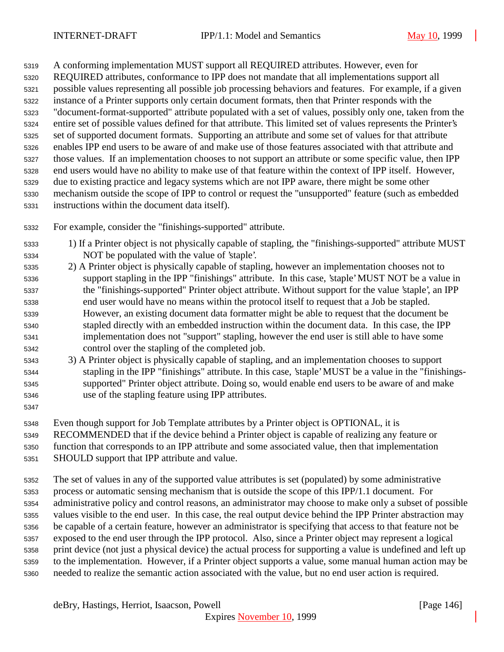A conforming implementation MUST support all REQUIRED attributes. However, even for REQUIRED attributes, conformance to IPP does not mandate that all implementations support all possible values representing all possible job processing behaviors and features. For example, if a given instance of a Printer supports only certain document formats, then that Printer responds with the "document-format-supported" attribute populated with a set of values, possibly only one, taken from the entire set of possible values defined for that attribute. This limited set of values represents the Printer's set of supported document formats. Supporting an attribute and some set of values for that attribute enables IPP end users to be aware of and make use of those features associated with that attribute and those values. If an implementation chooses to not support an attribute or some specific value, then IPP end users would have no ability to make use of that feature within the context of IPP itself. However, due to existing practice and legacy systems which are not IPP aware, there might be some other mechanism outside the scope of IPP to control or request the "unsupported" feature (such as embedded instructions within the document data itself).

- For example, consider the "finishings-supported" attribute.
- 1) If a Printer object is not physically capable of stapling, the "finishings-supported" attribute MUST NOT be populated with the value of 'staple'.
- 2) A Printer object is physically capable of stapling, however an implementation chooses not to support stapling in the IPP "finishings" attribute. In this case, 'staple' MUST NOT be a value in the "finishings-supported" Printer object attribute. Without support for the value 'staple', an IPP end user would have no means within the protocol itself to request that a Job be stapled. However, an existing document data formatter might be able to request that the document be stapled directly with an embedded instruction within the document data. In this case, the IPP implementation does not "support" stapling, however the end user is still able to have some control over the stapling of the completed job.
- 3) A Printer object is physically capable of stapling, and an implementation chooses to support stapling in the IPP "finishings" attribute. In this case, 'staple' MUST be a value in the "finishings- supported" Printer object attribute. Doing so, would enable end users to be aware of and make use of the stapling feature using IPP attributes.
- 

Even though support for Job Template attributes by a Printer object is OPTIONAL, it is

RECOMMENDED that if the device behind a Printer object is capable of realizing any feature or

 function that corresponds to an IPP attribute and some associated value, then that implementation SHOULD support that IPP attribute and value.

 The set of values in any of the supported value attributes is set (populated) by some administrative process or automatic sensing mechanism that is outside the scope of this IPP/1.1 document. For administrative policy and control reasons, an administrator may choose to make only a subset of possible values visible to the end user. In this case, the real output device behind the IPP Printer abstraction may be capable of a certain feature, however an administrator is specifying that access to that feature not be exposed to the end user through the IPP protocol. Also, since a Printer object may represent a logical print device (not just a physical device) the actual process for supporting a value is undefined and left up to the implementation. However, if a Printer object supports a value, some manual human action may be needed to realize the semantic action associated with the value, but no end user action is required.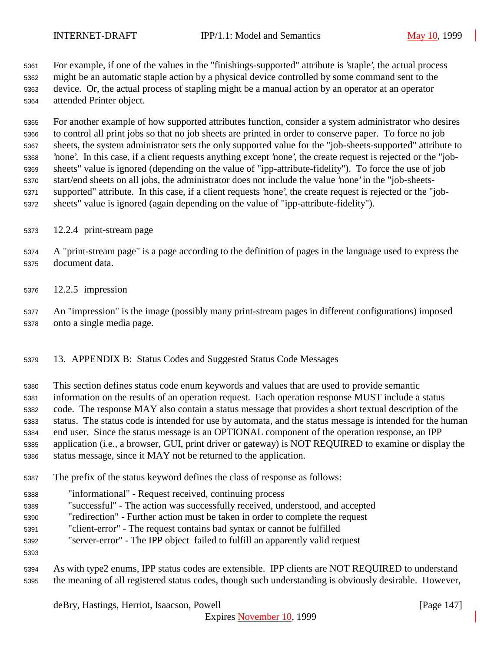For example, if one of the values in the "finishings-supported" attribute is 'staple', the actual process might be an automatic staple action by a physical device controlled by some command sent to the device. Or, the actual process of stapling might be a manual action by an operator at an operator attended Printer object.

 For another example of how supported attributes function, consider a system administrator who desires to control all print jobs so that no job sheets are printed in order to conserve paper. To force no job sheets, the system administrator sets the only supported value for the "job-sheets-supported" attribute to 'none'. In this case, if a client requests anything except 'none', the create request is rejected or the "job- sheets" value is ignored (depending on the value of "ipp-attribute-fidelity"). To force the use of job start/end sheets on all jobs, the administrator does not include the value 'none' in the "job-sheets- supported" attribute. In this case, if a client requests 'none', the create request is rejected or the "job-sheets" value is ignored (again depending on the value of "ipp-attribute-fidelity").

- 12.2.4 print-stream page
- A "print-stream page" is a page according to the definition of pages in the language used to express the document data.
- 12.2.5 impression

 An "impression" is the image (possibly many print-stream pages in different configurations) imposed onto a single media page.

13. APPENDIX B: Status Codes and Suggested Status Code Messages

This section defines status code enum keywords and values that are used to provide semantic

information on the results of an operation request. Each operation response MUST include a status

code. The response MAY also contain a status message that provides a short textual description of the

status. The status code is intended for use by automata, and the status message is intended for the human

end user. Since the status message is an OPTIONAL component of the operation response, an IPP

 application (i.e., a browser, GUI, print driver or gateway) is NOT REQUIRED to examine or display the status message, since it MAY not be returned to the application.

- The prefix of the status keyword defines the class of response as follows:
- "informational" Request received, continuing process
- "successful" The action was successfully received, understood, and accepted
- "redirection" Further action must be taken in order to complete the request
- "client-error" The request contains bad syntax or cannot be fulfilled
- "server-error" The IPP object failed to fulfill an apparently valid request
- 
- As with type2 enums, IPP status codes are extensible. IPP clients are NOT REQUIRED to understand the meaning of all registered status codes, though such understanding is obviously desirable. However,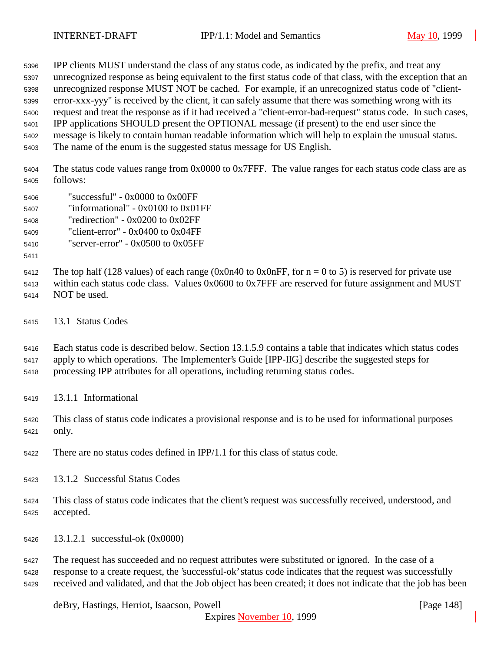IPP clients MUST understand the class of any status code, as indicated by the prefix, and treat any unrecognized response as being equivalent to the first status code of that class, with the exception that an unrecognized response MUST NOT be cached. For example, if an unrecognized status code of "client- error-xxx-yyy" is received by the client, it can safely assume that there was something wrong with its request and treat the response as if it had received a "client-error-bad-request" status code. In such cases, IPP applications SHOULD present the OPTIONAL message (if present) to the end user since the message is likely to contain human readable information which will help to explain the unusual status.

The name of the enum is the suggested status message for US English.

 The status code values range from 0x0000 to 0x7FFF. The value ranges for each status code class are as follows:

- "successful" 0x0000 to 0x00FF
- "informational" 0x0100 to 0x01FF
- "redirection" 0x0200 to 0x02FF
- "client-error" 0x0400 to 0x04FF

"server-error" - 0x0500 to 0x05FF

5412 The top half (128 values) of each range (0x0n40 to 0x0nFF, for  $n = 0$  to 5) is reserved for private use within each status code class. Values 0x0600 to 0x7FFF are reserved for future assignment and MUST

- NOT be used.
- 13.1 Status Codes

 Each status code is described below. Section 13.1.5.9 contains a table that indicates which status codes apply to which operations. The Implementer's Guide [IPP-IIG] describe the suggested steps for

- processing IPP attributes for all operations, including returning status codes.
- 13.1.1 Informational
- This class of status code indicates a provisional response and is to be used for informational purposes only.
- There are no status codes defined in IPP/1.1 for this class of status code.
- 13.1.2 Successful Status Codes
- This class of status code indicates that the client's request was successfully received, understood, and accepted.
- 13.1.2.1 successful-ok (0x0000)

 The request has succeeded and no request attributes were substituted or ignored. In the case of a response to a create request, the 'successful-ok' status code indicates that the request was successfully received and validated, and that the Job object has been created; it does not indicate that the job has been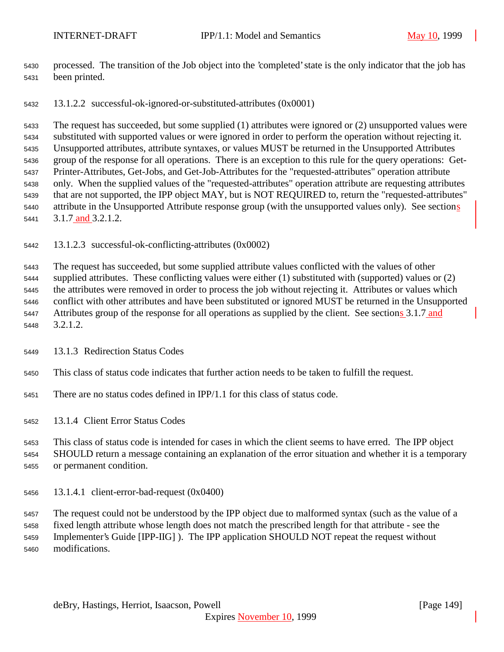- processed. The transition of the Job object into the 'completed' state is the only indicator that the job has been printed.
- 13.1.2.2 successful-ok-ignored-or-substituted-attributes (0x0001)

 The request has succeeded, but some supplied (1) attributes were ignored or (2) unsupported values were substituted with supported values or were ignored in order to perform the operation without rejecting it. Unsupported attributes, attribute syntaxes, or values MUST be returned in the Unsupported Attributes group of the response for all operations. There is an exception to this rule for the query operations: Get- Printer-Attributes, Get-Jobs, and Get-Job-Attributes for the "requested-attributes" operation attribute only. When the supplied values of the "requested-attributes" operation attribute are requesting attributes that are not supported, the IPP object MAY, but is NOT REQUIRED to, return the "requested-attributes" attribute in the Unsupported Attribute response group (with the unsupported values only). See sections 3.1.7 and 3.2.1.2.

13.1.2.3 successful-ok-conflicting-attributes (0x0002)

 The request has succeeded, but some supplied attribute values conflicted with the values of other supplied attributes. These conflicting values were either (1) substituted with (supported) values or (2) the attributes were removed in order to process the job without rejecting it. Attributes or values which conflict with other attributes and have been substituted or ignored MUST be returned in the Unsupported 5447 Attributes group of the response for all operations as supplied by the client. See sections 3.1.7 and 3.2.1.2.

- 13.1.3 Redirection Status Codes
- This class of status code indicates that further action needs to be taken to fulfill the request.
- There are no status codes defined in IPP/1.1 for this class of status code.

13.1.4 Client Error Status Codes

 This class of status code is intended for cases in which the client seems to have erred. The IPP object SHOULD return a message containing an explanation of the error situation and whether it is a temporary or permanent condition.

13.1.4.1 client-error-bad-request (0x0400)

The request could not be understood by the IPP object due to malformed syntax (such as the value of a

 fixed length attribute whose length does not match the prescribed length for that attribute - see the Implementer's Guide [IPP-IIG] ). The IPP application SHOULD NOT repeat the request without modifications.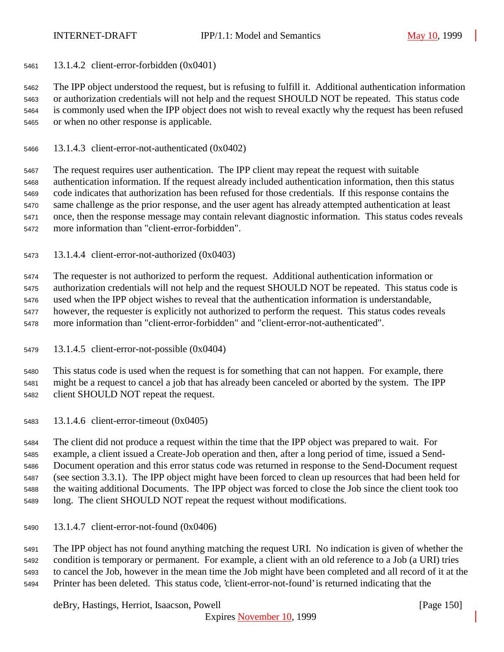13.1.4.2 client-error-forbidden (0x0401)

 The IPP object understood the request, but is refusing to fulfill it. Additional authentication information or authorization credentials will not help and the request SHOULD NOT be repeated. This status code is commonly used when the IPP object does not wish to reveal exactly why the request has been refused or when no other response is applicable.

13.1.4.3 client-error-not-authenticated (0x0402)

 The request requires user authentication. The IPP client may repeat the request with suitable authentication information. If the request already included authentication information, then this status code indicates that authorization has been refused for those credentials. If this response contains the same challenge as the prior response, and the user agent has already attempted authentication at least once, then the response message may contain relevant diagnostic information. This status codes reveals more information than "client-error-forbidden".

13.1.4.4 client-error-not-authorized (0x0403)

 The requester is not authorized to perform the request. Additional authentication information or authorization credentials will not help and the request SHOULD NOT be repeated. This status code is used when the IPP object wishes to reveal that the authentication information is understandable, however, the requester is explicitly not authorized to perform the request. This status codes reveals more information than "client-error-forbidden" and "client-error-not-authenticated".

13.1.4.5 client-error-not-possible (0x0404)

 This status code is used when the request is for something that can not happen. For example, there might be a request to cancel a job that has already been canceled or aborted by the system. The IPP client SHOULD NOT repeat the request.

13.1.4.6 client-error-timeout (0x0405)

 The client did not produce a request within the time that the IPP object was prepared to wait. For example, a client issued a Create-Job operation and then, after a long period of time, issued a Send- Document operation and this error status code was returned in response to the Send-Document request (see section 3.3.1). The IPP object might have been forced to clean up resources that had been held for the waiting additional Documents. The IPP object was forced to close the Job since the client took too long. The client SHOULD NOT repeat the request without modifications.

13.1.4.7 client-error-not-found (0x0406)

 The IPP object has not found anything matching the request URI. No indication is given of whether the condition is temporary or permanent. For example, a client with an old reference to a Job (a URI) tries to cancel the Job, however in the mean time the Job might have been completed and all record of it at the Printer has been deleted. This status code, 'client-error-not-found' is returned indicating that the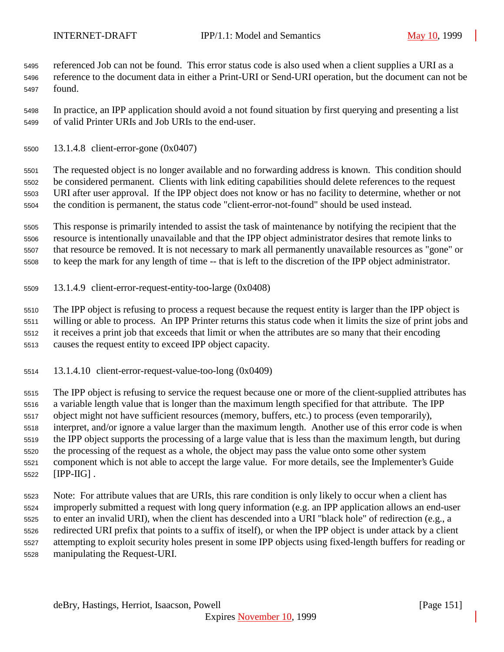referenced Job can not be found. This error status code is also used when a client supplies a URI as a reference to the document data in either a Print-URI or Send-URI operation, but the document can not be found.

 In practice, an IPP application should avoid a not found situation by first querying and presenting a list of valid Printer URIs and Job URIs to the end-user.

13.1.4.8 client-error-gone (0x0407)

 The requested object is no longer available and no forwarding address is known. This condition should be considered permanent. Clients with link editing capabilities should delete references to the request URI after user approval. If the IPP object does not know or has no facility to determine, whether or not the condition is permanent, the status code "client-error-not-found" should be used instead.

 This response is primarily intended to assist the task of maintenance by notifying the recipient that the resource is intentionally unavailable and that the IPP object administrator desires that remote links to that resource be removed. It is not necessary to mark all permanently unavailable resources as "gone" or to keep the mark for any length of time -- that is left to the discretion of the IPP object administrator.

13.1.4.9 client-error-request-entity-too-large (0x0408)

 The IPP object is refusing to process a request because the request entity is larger than the IPP object is willing or able to process. An IPP Printer returns this status code when it limits the size of print jobs and it receives a print job that exceeds that limit or when the attributes are so many that their encoding causes the request entity to exceed IPP object capacity.

13.1.4.10 client-error-request-value-too-long (0x0409)

 The IPP object is refusing to service the request because one or more of the client-supplied attributes has a variable length value that is longer than the maximum length specified for that attribute. The IPP object might not have sufficient resources (memory, buffers, etc.) to process (even temporarily), interpret, and/or ignore a value larger than the maximum length. Another use of this error code is when the IPP object supports the processing of a large value that is less than the maximum length, but during the processing of the request as a whole, the object may pass the value onto some other system component which is not able to accept the large value. For more details, see the Implementer's Guide [IPP-IIG] .

 Note: For attribute values that are URIs, this rare condition is only likely to occur when a client has improperly submitted a request with long query information (e.g. an IPP application allows an end-user to enter an invalid URI), when the client has descended into a URI "black hole" of redirection (e.g., a redirected URI prefix that points to a suffix of itself), or when the IPP object is under attack by a client attempting to exploit security holes present in some IPP objects using fixed-length buffers for reading or manipulating the Request-URI.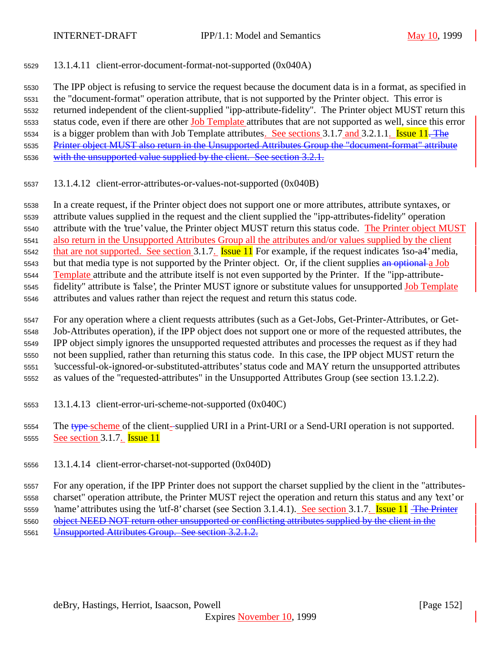13.1.4.11 client-error-document-format-not-supported (0x040A)

 The IPP object is refusing to service the request because the document data is in a format, as specified in the "document-format" operation attribute, that is not supported by the Printer object. This error is returned independent of the client-supplied "ipp-attribute-fidelity". The Printer object MUST return this 5533 status code, even if there are other Job Template attributes that are not supported as well, since this error 5534 is a bigger problem than with Job Template attributes. See sections 3.1.7 and 3.2.1.1. Issue . The Printer object MUST also return in the Unsupported Attributes Group the "document-format" attribute with the unsupported value supplied by the client. See section 3.2.1.

13.1.4.12 client-error-attributes-or-values-not-supported (0x040B)

 In a create request, if the Printer object does not support one or more attributes, attribute syntaxes, or attribute values supplied in the request and the client supplied the "ipp-attributes-fidelity" operation attribute with the 'true' value, the Printer object MUST return this status code. The Printer object MUST also return in the Unsupported Attributes Group all the attributes and/or values supplied by the client 5542 that are not supported. See section 3.1.7. **Issue 11** For example, if the request indicates 'iso-a4' media, 5543 but that media type is not supported by the Printer object. Or, if the client supplies an optional a Job Template attribute and the attribute itself is not even supported by the Printer. If the "ipp-attribute- fidelity" attribute is 'false', the Printer MUST ignore or substitute values for unsupported Job Template attributes and values rather than reject the request and return this status code.

 For any operation where a client requests attributes (such as a Get-Jobs, Get-Printer-Attributes, or Get- Job-Attributes operation), if the IPP object does not support one or more of the requested attributes, the IPP object simply ignores the unsupported requested attributes and processes the request as if they had not been supplied, rather than returning this status code. In this case, the IPP object MUST return the 'successful-ok-ignored-or-substituted-attributes' status code and MAY return the unsupported attributes

- as values of the "requested-attributes" in the Unsupported Attributes Group (see section 13.1.2.2).
- 13.1.4.13 client-error-uri-scheme-not-supported (0x040C)

5554 The type-scheme of the client--supplied URI in a Print-URI or a Send-URI operation is not supported. 5555 See section 3.1.7. **Issue 11** 

13.1.4.14 client-error-charset-not-supported (0x040D)

 For any operation, if the IPP Printer does not support the charset supplied by the client in the "attributes- charset" operation attribute, the Printer MUST reject the operation and return this status and any 'text' or 5559 hame' attributes using the 'utf-8' charset (see Section 3.1.4.1). See section 3.1.7. Issue 11 The Printer

5560 object NEED NOT return other unsupported or conflicting attributes supplied by the client in the

Unsupported Attributes Group. See section 3.2.1.2.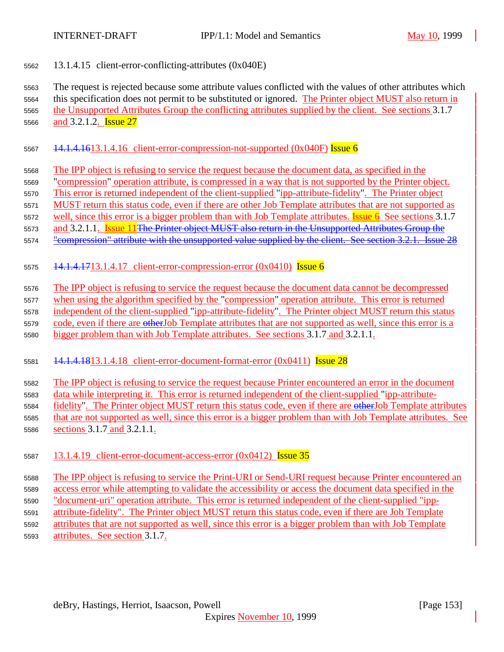### 13.1.4.15 client-error-conflicting-attributes (0x040E)

 The request is rejected because some attribute values conflicted with the values of other attributes which this specification does not permit to be substituted or ignored. The Printer object MUST also return in the Unsupported Attributes Group the conflicting attributes supplied by the client. See sections 3.1.7 5566 and 3.2.1.2. **Issue 27** 

## 5567  $14.1.4.1613.1.4.16$  client-error-compression-not-supported (0x040F) Issue 6

- The IPP object is refusing to service the request because the document data, as specified in the
- "compression" operation attribute, is compressed in a way that is not supported by the Printer object.
- This error is returned independent of the client-supplied "ipp-attribute-fidelity". The Printer object
- MUST return this status code, even if there are other Job Template attributes that are not supported as
- 5572 well, since this error is a bigger problem than with Job Template attributes. **Issue 6** See sections 3.1.7
- and 3.2.1.1. Issue 11The Printer object MUST also return in the Unsupported Attributes Group the
- 5574 "compression" attribute with the unsupported value supplied by the client. See section 3.2.1. Issue 28
- 5575  $14.1.4.1713.1.4.17$  client-error-compression-error  $(0x0410)$  Issue 6
- The IPP object is refusing to service the request because the document data cannot be decompressed
- when using the algorithm specified by the "compression" operation attribute. This error is returned
- independent of the client-supplied "ipp-attribute-fidelity". The Printer object MUST return this status
- 5579 code, even if there are otherJob Template attributes that are not supported as well, since this error is a
- bigger problem than with Job Template attributes. See sections 3.1.7 and 3.2.1.1.
- 14.1.4.1813.1.4.18 client-error-document-format-error (0x0411) Issue 28

# The IPP object is refusing to service the request because Printer encountered an error in the document

- data while interpreting it. This error is returned independent of the client-supplied "ipp-attribute-
- 5584 fidelity". The Printer object MUST return this status code, even if there are other Job Template attributes
- that are not supported as well, since this error is a bigger problem than with Job Template attributes. See sections 3.1.7 and 3.2.1.1.
- 5587 13.1.4.19 client-error-document-access-error  $(0x0412)$  Issue 35
- The IPP object is refusing to service the Print-URI or Send-URI request because Printer encountered an access error while attempting to validate the accessibility or access the document data specified in the "document-uri" operation attribute. This error is returned independent of the client-supplied "ipp- attribute-fidelity". The Printer object MUST return this status code, even if there are Job Template attributes that are not supported as well, since this error is a bigger problem than with Job Template attributes. See section 3.1.7.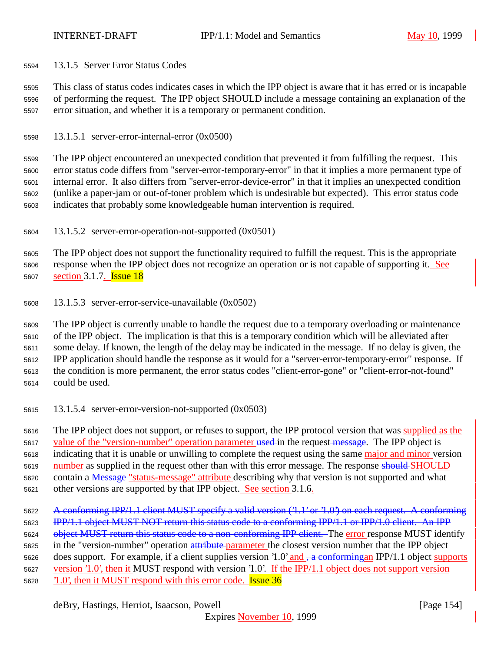13.1.5 Server Error Status Codes

 This class of status codes indicates cases in which the IPP object is aware that it has erred or is incapable of performing the request. The IPP object SHOULD include a message containing an explanation of the error situation, and whether it is a temporary or permanent condition.

13.1.5.1 server-error-internal-error (0x0500)

 The IPP object encountered an unexpected condition that prevented it from fulfilling the request. This error status code differs from "server-error-temporary-error" in that it implies a more permanent type of internal error. It also differs from "server-error-device-error" in that it implies an unexpected condition (unlike a paper-jam or out-of-toner problem which is undesirable but expected). This error status code indicates that probably some knowledgeable human intervention is required.

13.1.5.2 server-error-operation-not-supported (0x0501)

 The IPP object does not support the functionality required to fulfill the request. This is the appropriate response when the IPP object does not recognize an operation or is not capable of supporting it. See 5607 section 3.1.7. **Issue 18** 

13.1.5.3 server-error-service-unavailable (0x0502)

 The IPP object is currently unable to handle the request due to a temporary overloading or maintenance of the IPP object. The implication is that this is a temporary condition which will be alleviated after some delay. If known, the length of the delay may be indicated in the message. If no delay is given, the IPP application should handle the response as it would for a "server-error-temporary-error" response. If the condition is more permanent, the error status codes "client-error-gone" or "client-error-not-found" could be used.

13.1.5.4 server-error-version-not-supported (0x0503)

 The IPP object does not support, or refuses to support, the IPP protocol version that was supplied as the 5617 value of the "version-number" operation parameter used in the request message. The IPP object is indicating that it is unable or unwilling to complete the request using the same major and minor version 5619 number as supplied in the request other than with this error message. The response should SHOULD contain a Message "status-message" attribute describing why that version is not supported and what 5621 other versions are supported by that IPP object. See section 3.1.6.

 A conforming IPP/1.1 client MUST specify a valid version ('1.1' or '1.0') on each request. A conforming **IPP/1.1 object MUST NOT return this status code to a conforming IPP/1.1 or IPP/1.0 client. An IPP** 

5624 object MUST return this status code to a non-conforming IPP client. The error response MUST identify

5625 in the "version-number" operation attribute parameter the closest version number that the IPP object

5626 does support. For example, if a client supplies version '1.0' and  $\frac{1}{2}$  a conformingan IPP/1.1 object supports

version '1.0', then it MUST respond with version '1.0'. If the IPP/1.1 object does not support version

'1.0', then it MUST respond with this error code. Issue 36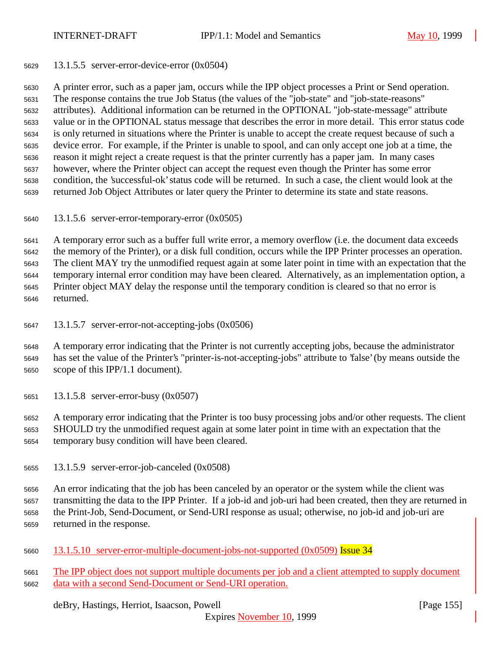13.1.5.5 server-error-device-error (0x0504)

 A printer error, such as a paper jam, occurs while the IPP object processes a Print or Send operation. The response contains the true Job Status (the values of the "job-state" and "job-state-reasons" attributes). Additional information can be returned in the OPTIONAL "job-state-message" attribute value or in the OPTIONAL status message that describes the error in more detail. This error status code is only returned in situations where the Printer is unable to accept the create request because of such a device error. For example, if the Printer is unable to spool, and can only accept one job at a time, the reason it might reject a create request is that the printer currently has a paper jam. In many cases however, where the Printer object can accept the request even though the Printer has some error condition, the 'successful-ok' status code will be returned. In such a case, the client would look at the returned Job Object Attributes or later query the Printer to determine its state and state reasons.

13.1.5.6 server-error-temporary-error (0x0505)

A temporary error such as a buffer full write error, a memory overflow (i.e. the document data exceeds

the memory of the Printer), or a disk full condition, occurs while the IPP Printer processes an operation.

 The client MAY try the unmodified request again at some later point in time with an expectation that the temporary internal error condition may have been cleared. Alternatively, as an implementation option, a Printer object MAY delay the response until the temporary condition is cleared so that no error is

- returned.
- 13.1.5.7 server-error-not-accepting-jobs (0x0506)

 A temporary error indicating that the Printer is not currently accepting jobs, because the administrator has set the value of the Printer's "printer-is-not-accepting-jobs" attribute to 'false' (by means outside the scope of this IPP/1.1 document).

13.1.5.8 server-error-busy (0x0507)

 A temporary error indicating that the Printer is too busy processing jobs and/or other requests. The client SHOULD try the unmodified request again at some later point in time with an expectation that the temporary busy condition will have been cleared.

13.1.5.9 server-error-job-canceled (0x0508)

 An error indicating that the job has been canceled by an operator or the system while the client was transmitting the data to the IPP Printer. If a job-id and job-uri had been created, then they are returned in the Print-Job, Send-Document, or Send-URI response as usual; otherwise, no job-id and job-uri are returned in the response.

13.1.5.10 server-error-multiple-document-jobs-not-supported (0x0509) Issue 34

 The IPP object does not support multiple documents per job and a client attempted to supply document data with a second Send-Document or Send-URI operation.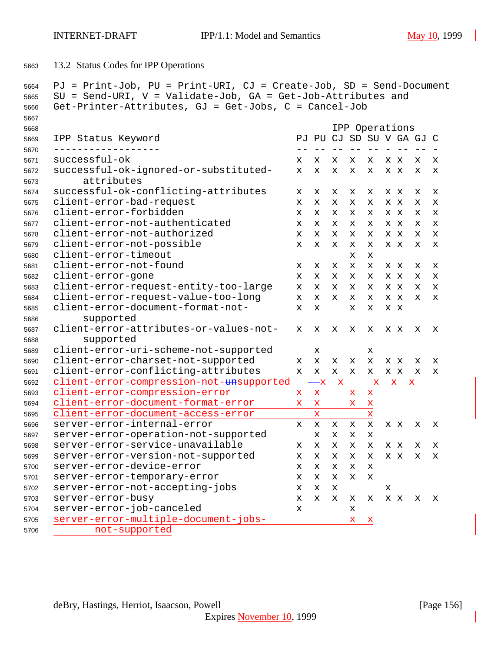13.2 Status Codes for IPP Operations

```
5664 PJ = Print-Job, PU = Print-URI, CJ = Create-Job, SD = Send-Document
5665 SU = Send-URI, V = Validate-Job, GA = Get-Job-Attributes and
5666 Get-Printer-Attributes, GJ = Get-Jobs, C = Cancel-Job
5667
5668 IPP Operations
5669 IPP Status Keyword PJ PU CJ SD SU V GA GJ C
5670 ------------------ -- -- -- -- -- - -- -- -
5671 successful-ok x x x x x x x x x
5672 successful-ok-ignored-or-substituted- x x x x x x x x x
5673 attributes
5674 successful-ok-conflicting-attributes x x x x x x x x x
5675 client-error-bad-request x x x x x x x x x
5676 client-error-forbidden x x x x x x x x x
5677 client-error-not-authenticated x x x x x x x x x
5678 client-error-not-authorized x x x x x x x x x
5679 client-error-not-possible x x x x x x x x x
5680 client-error-timeout x x
5681 client-error-not-found x x x x x x x x x
5682 client-error-gone x x x x x x x x x
5683 client-error-request-entity-too-large x x x x x x x x x
5684 client-error-request-value-too-long x x x x x x x x x
5685 client-error-document-format-not- x x x x x x
5686 supported
5687 client-error-attributes-or-values-not- x x x x x x x x x
5688 supported
5689 client-error-uri-scheme-not-supported x x
5690 client-error-charset-not-supported x x x x x x x x x
5691 client-error-conflicting-attributes x x x x x x x x x
5692 client-error-compression-not-unsupported -x x x x x
5693 client-error-compression-error x x x x
5694 client-error-document-format-error x x x x
5695 client-error-document-access-error x x
5696 server-error-internal-error x x x x x x x x x
5697 server-error-operation-not-supported x x x x
5698 server-error-service-unavailable x x x x x x x x x
5699 server-error-version-not-supported x x x x x x x x x
5700 server-error-device-error x x x x x
5701 server-error-temporary-error x x x x x
5702 server-error-not-accepting-jobs x x x x
5703 server-error-busy x x x x x x x x x
5704 server-error-job-canceled x x
5705 server-error-multiple-document-jobs- x x
5706 not-supported
```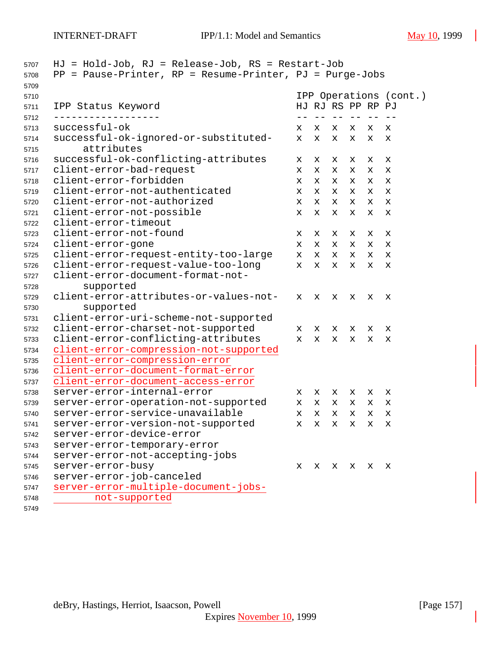| 5707 | $HJ = Hold-Job$ , $RJ = Release-Job$ , $RS = Restart-Job$  |             |             |                        |       |   |             |
|------|------------------------------------------------------------|-------------|-------------|------------------------|-------|---|-------------|
| 5708 | $PP = Pause-Printer, RP = Resume-Printer, PJ = Purge-Jobs$ |             |             |                        |       |   |             |
| 5709 |                                                            |             |             |                        |       |   |             |
| 5710 |                                                            |             |             | IPP Operations (cont.) |       |   |             |
| 5711 | IPP Status Keyword                                         |             |             | HJ RJ RS PP RP PJ      |       |   |             |
| 5712 |                                                            |             |             |                        | $- -$ |   |             |
| 5713 | successful-ok                                              | X           | x           | х                      | х     | x | x           |
| 5714 | successful-ok-ignored-or-substituted-                      | x           | X           | x                      | x     | x | х           |
| 5715 | attributes                                                 |             |             |                        |       |   |             |
| 5716 | successful-ok-conflicting-attributes                       | x           | х           | х                      | x     | х | х           |
| 5717 | client-error-bad-request                                   | x           | X           | x                      | X     | х | x           |
| 5718 | client-error-forbidden                                     | x           | x           | x                      | х     | х | х           |
| 5719 | client-error-not-authenticated                             | х           | X           | x                      | x     | x | x           |
| 5720 | client-error-not-authorized                                | x           | $\mathbf x$ | $\mathbf x$            | X     | x | $\mathbf x$ |
| 5721 | client-error-not-possible                                  | X           | x           | х                      | x     | x | $\mathbf x$ |
| 5722 | client-error-timeout                                       |             |             |                        |       |   |             |
| 5723 | client-error-not-found                                     | х           | х           | х                      | x     | х | х           |
| 5724 | client-error-gone                                          | x           | X           | x                      | x     | х | х           |
| 5725 | client-error-request-entity-too-large                      | x           | x           | x                      | x     | х | х           |
| 5726 | client-error-request-value-too-long                        | x           | X           | x                      | x     | х | x           |
| 5727 | client-error-document-format-not-                          |             |             |                        |       |   |             |
| 5728 | supported                                                  |             |             |                        |       |   |             |
| 5729 | client-error-attributes-or-values-not-                     | x           | x           | x                      | х     | x | x           |
| 5730 | supported                                                  |             |             |                        |       |   |             |
| 5731 | client-error-uri-scheme-not-supported                      |             |             |                        |       |   |             |
| 5732 | client-error-charset-not-supported                         | x           | x           | x                      | x     | х | х           |
| 5733 | client-error-conflicting-attributes                        | $\mathbf x$ | X           | x                      | X     | x | х           |
| 5734 | client-error-compression-not-supported                     |             |             |                        |       |   |             |
| 5735 | client-error-compression-error                             |             |             |                        |       |   |             |
| 5736 | client-error-document-format-error                         |             |             |                        |       |   |             |
| 5737 | client-error-document-access-error                         |             |             |                        |       |   |             |
| 5738 | server-error-internal-error                                | x           | x           | x                      | x     | х | х           |
| 5739 | server-error-operation-not-supported                       | x           | x           | x                      | x     | х | х           |
| 5740 | server-error-service-unavailable                           | $\mathbf x$ | X           | x                      | x     | x | х           |
| 5741 | server-error-version-not-supported                         | X           | x           | x                      | X     | x | х           |
| 5742 | server-error-device-error                                  |             |             |                        |       |   |             |
| 5743 | server-error-temporary-error                               |             |             |                        |       |   |             |
| 5744 | server-error-not-accepting-jobs                            |             |             |                        |       |   |             |
| 5745 | server-error-busy                                          | x           |             | X X X                  |       | x | х           |
| 5746 | server-error-job-canceled                                  |             |             |                        |       |   |             |
| 5747 | server-error-multiple-document-jobs-                       |             |             |                        |       |   |             |
| 5748 | not-supported                                              |             |             |                        |       |   |             |
|      |                                                            |             |             |                        |       |   |             |

deBry, Hastings, Herriot, Isaacson, Powell [Page 157]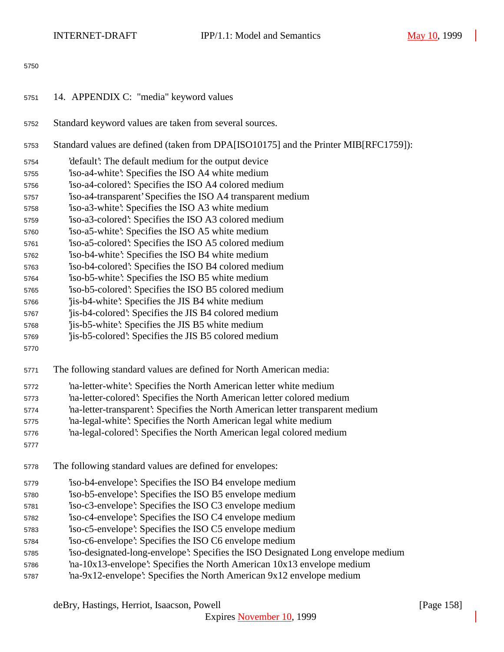- 14. APPENDIX C: "media" keyword values
- Standard keyword values are taken from several sources.
- Standard values are defined (taken from DPA[ISO10175] and the Printer MIB[RFC1759]):
- 'default': The default medium for the output device
- 'iso-a4-white': Specifies the ISO A4 white medium
- 'iso-a4-colored': Specifies the ISO A4 colored medium
- 'iso-a4-transparent' Specifies the ISO A4 transparent medium
- 'iso-a3-white': Specifies the ISO A3 white medium
- 'iso-a3-colored': Specifies the ISO A3 colored medium
- 'iso-a5-white': Specifies the ISO A5 white medium
- 'iso-a5-colored': Specifies the ISO A5 colored medium
- 'iso-b4-white': Specifies the ISO B4 white medium
- 'iso-b4-colored': Specifies the ISO B4 colored medium
- 'iso-b5-white': Specifies the ISO B5 white medium
- 'iso-b5-colored': Specifies the ISO B5 colored medium
- 'jis-b4-white': Specifies the JIS B4 white medium
- 'jis-b4-colored': Specifies the JIS B4 colored medium
- 'jis-b5-white': Specifies the JIS B5 white medium
- 'jis-b5-colored': Specifies the JIS B5 colored medium
- 
- The following standard values are defined for North American media:
- 'na-letter-white': Specifies the North American letter white medium
- 'na-letter-colored': Specifies the North American letter colored medium
- 'na-letter-transparent': Specifies the North American letter transparent medium
- 'na-legal-white': Specifies the North American legal white medium
- 'na-legal-colored': Specifies the North American legal colored medium
- 
- The following standard values are defined for envelopes:
- 'iso-b4-envelope': Specifies the ISO B4 envelope medium
- 'iso-b5-envelope': Specifies the ISO B5 envelope medium
- 'iso-c3-envelope': Specifies the ISO C3 envelope medium
- 'iso-c4-envelope': Specifies the ISO C4 envelope medium
- 'iso-c5-envelope': Specifies the ISO C5 envelope medium
- 'iso-c6-envelope': Specifies the ISO C6 envelope medium
- 'iso-designated-long-envelope': Specifies the ISO Designated Long envelope medium
- 'na-10x13-envelope': Specifies the North American 10x13 envelope medium
- 'na-9x12-envelope': Specifies the North American 9x12 envelope medium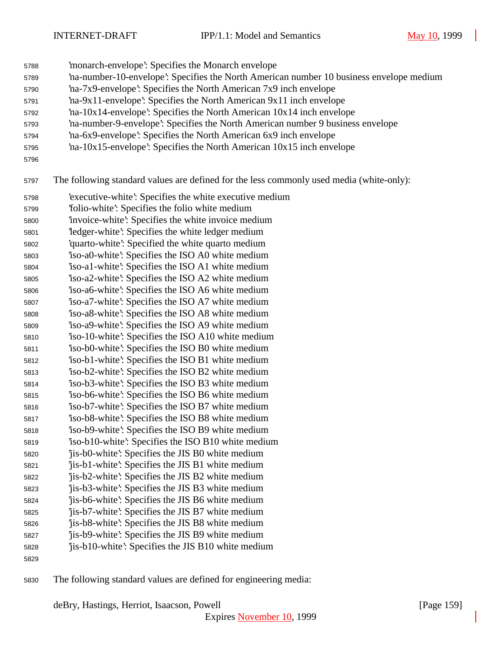- 'monarch-envelope': Specifies the Monarch envelope
- 'na-number-10-envelope': Specifies the North American number 10 business envelope medium
- 'na-7x9-envelope': Specifies the North American 7x9 inch envelope
- 'na-9x11-envelope': Specifies the North American 9x11 inch envelope
- 'na-10x14-envelope': Specifies the North American 10x14 inch envelope
- 'na-number-9-envelope': Specifies the North American number 9 business envelope
- 'na-6x9-envelope': Specifies the North American 6x9 inch envelope
- 'na-10x15-envelope': Specifies the North American 10x15 inch envelope
- 

The following standard values are defined for the less commonly used media (white-only):

- 'executive-white': Specifies the white executive medium
- 'folio-white': Specifies the folio white medium
- 'invoice-white': Specifies the white invoice medium
- 'ledger-white': Specifies the white ledger medium
- 'quarto-white': Specified the white quarto medium
- 'iso-a0-white': Specifies the ISO A0 white medium
- 'iso-a1-white': Specifies the ISO A1 white medium
- 'iso-a2-white': Specifies the ISO A2 white medium 'iso-a6-white': Specifies the ISO A6 white medium
- 'iso-a7-white': Specifies the ISO A7 white medium
- 'iso-a8-white': Specifies the ISO A8 white medium
- 'iso-a9-white': Specifies the ISO A9 white medium
- 'iso-10-white': Specifies the ISO A10 white medium
- 'iso-b0-white': Specifies the ISO B0 white medium
- 'iso-b1-white': Specifies the ISO B1 white medium
- 'iso-b2-white': Specifies the ISO B2 white medium 'iso-b3-white': Specifies the ISO B3 white medium
- 'iso-b6-white': Specifies the ISO B6 white medium
- 'iso-b7-white': Specifies the ISO B7 white medium
- 'iso-b8-white': Specifies the ISO B8 white medium
- 'iso-b9-white': Specifies the ISO B9 white medium
- 'iso-b10-white': Specifies the ISO B10 white medium
- 'jis-b0-white': Specifies the JIS B0 white medium
- 'jis-b1-white': Specifies the JIS B1 white medium
- 'jis-b2-white': Specifies the JIS B2 white medium
- 'jis-b3-white': Specifies the JIS B3 white medium 'jis-b6-white': Specifies the JIS B6 white medium
- 'jis-b7-white': Specifies the JIS B7 white medium
- 'jis-b8-white': Specifies the JIS B8 white medium
- 'jis-b9-white': Specifies the JIS B9 white medium
- 'jis-b10-white': Specifies the JIS B10 white medium
- 

The following standard values are defined for engineering media: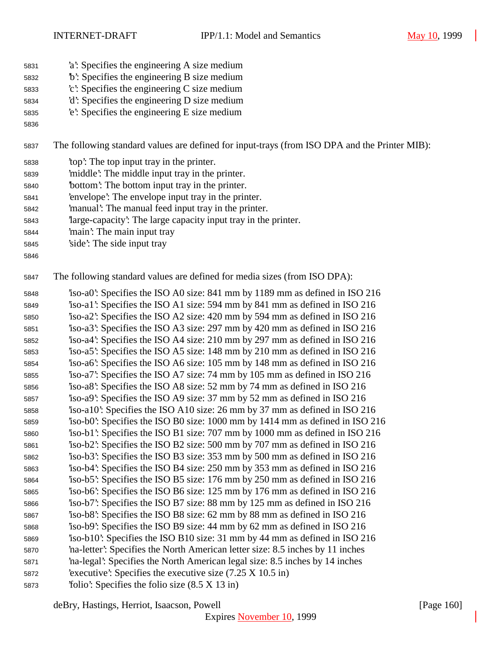- 'a': Specifies the engineering A size medium
- 'b': Specifies the engineering B size medium
- 'c': Specifies the engineering C size medium
- 'd': Specifies the engineering D size medium
- 'e': Specifies the engineering E size medium
- 

The following standard values are defined for input-trays (from ISO DPA and the Printer MIB):

- 'top': The top input tray in the printer.
- 'middle': The middle input tray in the printer.
- 'bottom': The bottom input tray in the printer.
- 'envelope': The envelope input tray in the printer.
- 'manual': The manual feed input tray in the printer.
- 'large-capacity': The large capacity input tray in the printer.
- 'main': The main input tray
- 'side': The side input tray
- 

The following standard values are defined for media sizes (from ISO DPA):

 'iso-a0': Specifies the ISO A0 size: 841 mm by 1189 mm as defined in ISO 216 'iso-a1': Specifies the ISO A1 size: 594 mm by 841 mm as defined in ISO 216 'iso-a2': Specifies the ISO A2 size: 420 mm by 594 mm as defined in ISO 216 'iso-a3': Specifies the ISO A3 size: 297 mm by 420 mm as defined in ISO 216 'iso-a4': Specifies the ISO A4 size: 210 mm by 297 mm as defined in ISO 216 'iso-a5': Specifies the ISO A5 size: 148 mm by 210 mm as defined in ISO 216 'iso-a6': Specifies the ISO A6 size: 105 mm by 148 mm as defined in ISO 216 'iso-a7': Specifies the ISO A7 size: 74 mm by 105 mm as defined in ISO 216 'iso-a8': Specifies the ISO A8 size: 52 mm by 74 mm as defined in ISO 216 'iso-a9': Specifies the ISO A9 size: 37 mm by 52 mm as defined in ISO 216 'iso-a10': Specifies the ISO A10 size: 26 mm by 37 mm as defined in ISO 216 'iso-b0': Specifies the ISO B0 size: 1000 mm by 1414 mm as defined in ISO 216 'iso-b1': Specifies the ISO B1 size: 707 mm by 1000 mm as defined in ISO 216 'iso-b2': Specifies the ISO B2 size: 500 mm by 707 mm as defined in ISO 216 'iso-b3': Specifies the ISO B3 size: 353 mm by 500 mm as defined in ISO 216 'iso-b4': Specifies the ISO B4 size: 250 mm by 353 mm as defined in ISO 216 'iso-b5': Specifies the ISO B5 size: 176 mm by 250 mm as defined in ISO 216 'iso-b6': Specifies the ISO B6 size: 125 mm by 176 mm as defined in ISO 216 'iso-b7': Specifies the ISO B7 size: 88 mm by 125 mm as defined in ISO 216 'iso-b8': Specifies the ISO B8 size: 62 mm by 88 mm as defined in ISO 216 'iso-b9': Specifies the ISO B9 size: 44 mm by 62 mm as defined in ISO 216 'iso-b10': Specifies the ISO B10 size: 31 mm by 44 mm as defined in ISO 216 'na-letter': Specifies the North American letter size: 8.5 inches by 11 inches 'na-legal': Specifies the North American legal size: 8.5 inches by 14 inches 'executive': Specifies the executive size (7.25 X 10.5 in) 'folio': Specifies the folio size (8.5 X 13 in)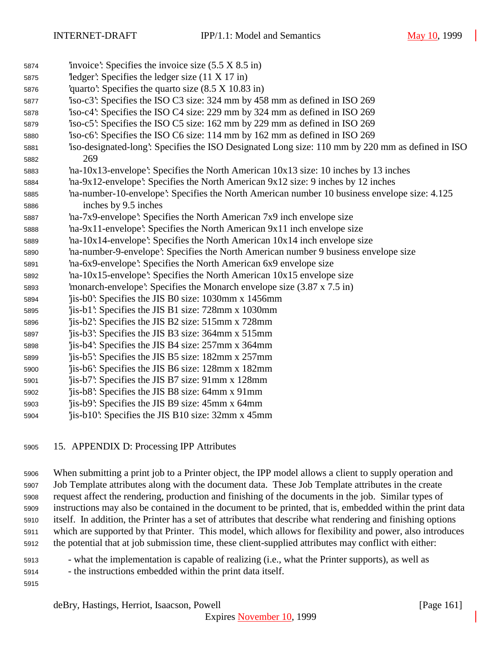- 'invoice': Specifies the invoice size (5.5 X 8.5 in) 'ledger': Specifies the ledger size (11 X 17 in) 'quarto': Specifies the quarto size (8.5 X 10.83 in) 'iso-c3': Specifies the ISO C3 size: 324 mm by 458 mm as defined in ISO 269 'iso-c4': Specifies the ISO C4 size: 229 mm by 324 mm as defined in ISO 269 'iso-c5': Specifies the ISO C5 size: 162 mm by 229 mm as defined in ISO 269 'iso-c6': Specifies the ISO C6 size: 114 mm by 162 mm as defined in ISO 269 'iso-designated-long': Specifies the ISO Designated Long size: 110 mm by 220 mm as defined in ISO 269 'na-10x13-envelope': Specifies the North American 10x13 size: 10 inches by 13 inches 'na-9x12-envelope': Specifies the North American 9x12 size: 9 inches by 12 inches 'na-number-10-envelope': Specifies the North American number 10 business envelope size: 4.125 inches by 9.5 inches 'na-7x9-envelope': Specifies the North American 7x9 inch envelope size 'na-9x11-envelope': Specifies the North American 9x11 inch envelope size 'na-10x14-envelope': Specifies the North American 10x14 inch envelope size 'na-number-9-envelope': Specifies the North American number 9 business envelope size 'na-6x9-envelope': Specifies the North American 6x9 envelope size 'na-10x15-envelope': Specifies the North American 10x15 envelope size 'monarch-envelope': Specifies the Monarch envelope size (3.87 x 7.5 in) 'jis-b0': Specifies the JIS B0 size: 1030mm x 1456mm 'jis-b1': Specifies the JIS B1 size: 728mm x 1030mm 'jis-b2': Specifies the JIS B2 size: 515mm x 728mm 'jis-b3': Specifies the JIS B3 size: 364mm x 515mm 'jis-b4': Specifies the JIS B4 size: 257mm x 364mm 'jis-b5': Specifies the JIS B5 size: 182mm x 257mm 'jis-b6': Specifies the JIS B6 size: 128mm x 182mm 'jis-b7': Specifies the JIS B7 size: 91mm x 128mm 'jis-b8': Specifies the JIS B8 size: 64mm x 91mm 'jis-b9': Specifies the JIS B9 size: 45mm x 64mm 'jis-b10': Specifies the JIS B10 size: 32mm x 45mm
- 15. APPENDIX D: Processing IPP Attributes

 When submitting a print job to a Printer object, the IPP model allows a client to supply operation and Job Template attributes along with the document data. These Job Template attributes in the create request affect the rendering, production and finishing of the documents in the job. Similar types of instructions may also be contained in the document to be printed, that is, embedded within the print data itself. In addition, the Printer has a set of attributes that describe what rendering and finishing options which are supported by that Printer. This model, which allows for flexibility and power, also introduces the potential that at job submission time, these client-supplied attributes may conflict with either:

- what the implementation is capable of realizing (i.e., what the Printer supports), as well as
- the instructions embedded within the print data itself.
-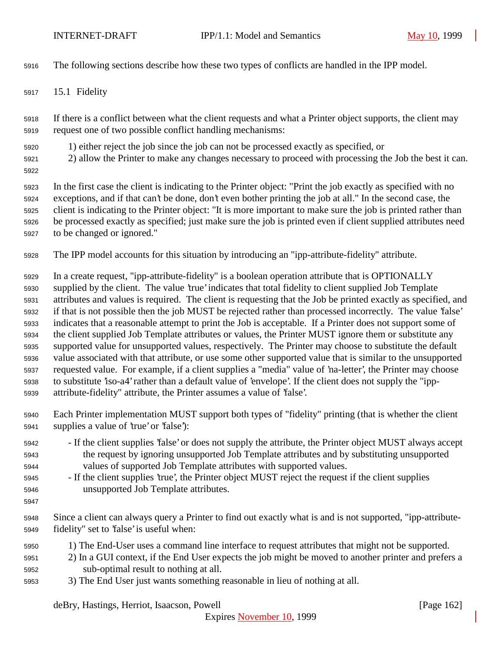The following sections describe how these two types of conflicts are handled in the IPP model.

15.1 Fidelity

 If there is a conflict between what the client requests and what a Printer object supports, the client may request one of two possible conflict handling mechanisms:

- 1) either reject the job since the job can not be processed exactly as specified, or
- 2) allow the Printer to make any changes necessary to proceed with processing the Job the best it can.
- 

 In the first case the client is indicating to the Printer object: "Print the job exactly as specified with no exceptions, and if that can't be done, don't even bother printing the job at all." In the second case, the client is indicating to the Printer object: "It is more important to make sure the job is printed rather than be processed exactly as specified; just make sure the job is printed even if client supplied attributes need to be changed or ignored."

The IPP model accounts for this situation by introducing an "ipp-attribute-fidelity" attribute.

 In a create request, "ipp-attribute-fidelity" is a boolean operation attribute that is OPTIONALLY supplied by the client. The value 'true' indicates that total fidelity to client supplied Job Template attributes and values is required. The client is requesting that the Job be printed exactly as specified, and if that is not possible then the job MUST be rejected rather than processed incorrectly. The value 'false' indicates that a reasonable attempt to print the Job is acceptable. If a Printer does not support some of the client supplied Job Template attributes or values, the Printer MUST ignore them or substitute any supported value for unsupported values, respectively. The Printer may choose to substitute the default value associated with that attribute, or use some other supported value that is similar to the unsupported requested value. For example, if a client supplies a "media" value of 'na-letter', the Printer may choose to substitute 'iso-a4' rather than a default value of 'envelope'. If the client does not supply the "ipp-attribute-fidelity" attribute, the Printer assumes a value of 'false'.

- Each Printer implementation MUST support both types of "fidelity" printing (that is whether the client supplies a value of 'true' or 'false'):
- If the client supplies 'false' or does not supply the attribute, the Printer object MUST always accept the request by ignoring unsupported Job Template attributes and by substituting unsupported values of supported Job Template attributes with supported values.
- If the client supplies 'true', the Printer object MUST reject the request if the client supplies unsupported Job Template attributes.
- 

 Since a client can always query a Printer to find out exactly what is and is not supported, "ipp-attribute-fidelity" set to 'false' is useful when:

- 1) The End-User uses a command line interface to request attributes that might not be supported.
- 2) In a GUI context, if the End User expects the job might be moved to another printer and prefers a sub-optimal result to nothing at all.
- 3) The End User just wants something reasonable in lieu of nothing at all.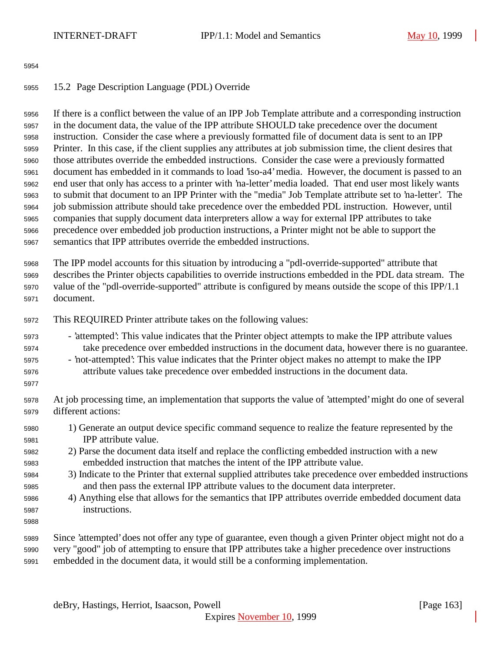## 15.2 Page Description Language (PDL) Override

 If there is a conflict between the value of an IPP Job Template attribute and a corresponding instruction in the document data, the value of the IPP attribute SHOULD take precedence over the document instruction. Consider the case where a previously formatted file of document data is sent to an IPP Printer. In this case, if the client supplies any attributes at job submission time, the client desires that those attributes override the embedded instructions. Consider the case were a previously formatted document has embedded in it commands to load 'iso-a4' media. However, the document is passed to an end user that only has access to a printer with 'na-letter' media loaded. That end user most likely wants to submit that document to an IPP Printer with the "media" Job Template attribute set to 'na-letter'. The job submission attribute should take precedence over the embedded PDL instruction. However, until companies that supply document data interpreters allow a way for external IPP attributes to take precedence over embedded job production instructions, a Printer might not be able to support the semantics that IPP attributes override the embedded instructions.

 The IPP model accounts for this situation by introducing a "pdl-override-supported" attribute that describes the Printer objects capabilities to override instructions embedded in the PDL data stream. The value of the "pdl-override-supported" attribute is configured by means outside the scope of this IPP/1.1 document.

- This REQUIRED Printer attribute takes on the following values:
- 'attempted': This value indicates that the Printer object attempts to make the IPP attribute values take precedence over embedded instructions in the document data, however there is no guarantee.
- 'not-attempted': This value indicates that the Printer object makes no attempt to make the IPP attribute values take precedence over embedded instructions in the document data.
- 

 At job processing time, an implementation that supports the value of 'attempted' might do one of several different actions:

- 1) Generate an output device specific command sequence to realize the feature represented by the IPP attribute value.
- 2) Parse the document data itself and replace the conflicting embedded instruction with a new embedded instruction that matches the intent of the IPP attribute value.
- 3) Indicate to the Printer that external supplied attributes take precedence over embedded instructions and then pass the external IPP attribute values to the document data interpreter.
- 4) Anything else that allows for the semantics that IPP attributes override embedded document data instructions.
- 
- Since 'attempted' does not offer any type of guarantee, even though a given Printer object might not do a very "good" job of attempting to ensure that IPP attributes take a higher precedence over instructions embedded in the document data, it would still be a conforming implementation.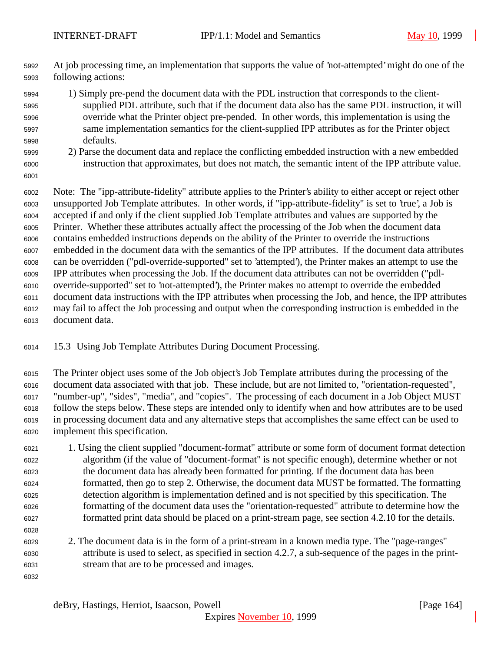At job processing time, an implementation that supports the value of 'not-attempted' might do one of the following actions:

- 1) Simply pre-pend the document data with the PDL instruction that corresponds to the client- supplied PDL attribute, such that if the document data also has the same PDL instruction, it will override what the Printer object pre-pended. In other words, this implementation is using the same implementation semantics for the client-supplied IPP attributes as for the Printer object defaults.
- 2) Parse the document data and replace the conflicting embedded instruction with a new embedded instruction that approximates, but does not match, the semantic intent of the IPP attribute value.
- 

 Note: The "ipp-attribute-fidelity" attribute applies to the Printer's ability to either accept or reject other unsupported Job Template attributes. In other words, if "ipp-attribute-fidelity" is set to 'true', a Job is accepted if and only if the client supplied Job Template attributes and values are supported by the Printer. Whether these attributes actually affect the processing of the Job when the document data contains embedded instructions depends on the ability of the Printer to override the instructions embedded in the document data with the semantics of the IPP attributes. If the document data attributes can be overridden ("pdl-override-supported" set to 'attempted'), the Printer makes an attempt to use the IPP attributes when processing the Job. If the document data attributes can not be overridden ("pdl- override-supported" set to 'not-attempted'), the Printer makes no attempt to override the embedded document data instructions with the IPP attributes when processing the Job, and hence, the IPP attributes may fail to affect the Job processing and output when the corresponding instruction is embedded in the document data.

15.3 Using Job Template Attributes During Document Processing.

 The Printer object uses some of the Job object's Job Template attributes during the processing of the document data associated with that job. These include, but are not limited to, "orientation-requested", "number-up", "sides", "media", and "copies". The processing of each document in a Job Object MUST follow the steps below. These steps are intended only to identify when and how attributes are to be used in processing document data and any alternative steps that accomplishes the same effect can be used to implement this specification.

- 1. Using the client supplied "document-format" attribute or some form of document format detection algorithm (if the value of "document-format" is not specific enough), determine whether or not the document data has already been formatted for printing. If the document data has been formatted, then go to step 2. Otherwise, the document data MUST be formatted. The formatting detection algorithm is implementation defined and is not specified by this specification. The formatting of the document data uses the "orientation-requested" attribute to determine how the formatted print data should be placed on a print-stream page, see section 4.2.10 for the details.
- 2. The document data is in the form of a print-stream in a known media type. The "page-ranges" attribute is used to select, as specified in section 4.2.7, a sub-sequence of the pages in the print-stream that are to be processed and images.
-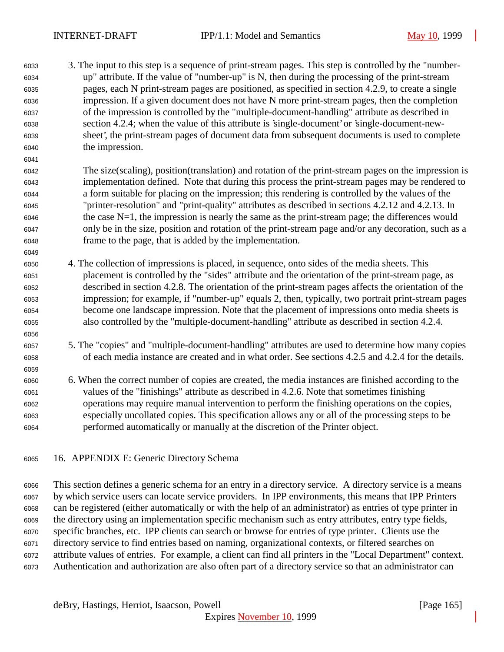3. The input to this step is a sequence of print-stream pages. This step is controlled by the "number- up" attribute. If the value of "number-up" is N, then during the processing of the print-stream pages, each N print-stream pages are positioned, as specified in section 4.2.9, to create a single impression. If a given document does not have N more print-stream pages, then the completion of the impression is controlled by the "multiple-document-handling" attribute as described in section 4.2.4; when the value of this attribute is 'single-document' or 'single-document-new- sheet', the print-stream pages of document data from subsequent documents is used to complete the impression.

 The size(scaling), position(translation) and rotation of the print-stream pages on the impression is implementation defined. Note that during this process the print-stream pages may be rendered to a form suitable for placing on the impression; this rendering is controlled by the values of the "printer-resolution" and "print-quality" attributes as described in sections 4.2.12 and 4.2.13. In the case N=1, the impression is nearly the same as the print-stream page; the differences would only be in the size, position and rotation of the print-stream page and/or any decoration, such as a frame to the page, that is added by the implementation.

- 4. The collection of impressions is placed, in sequence, onto sides of the media sheets. This placement is controlled by the "sides" attribute and the orientation of the print-stream page, as described in section 4.2.8. The orientation of the print-stream pages affects the orientation of the impression; for example, if "number-up" equals 2, then, typically, two portrait print-stream pages become one landscape impression. Note that the placement of impressions onto media sheets is also controlled by the "multiple-document-handling" attribute as described in section 4.2.4.
- 5. The "copies" and "multiple-document-handling" attributes are used to determine how many copies of each media instance are created and in what order. See sections 4.2.5 and 4.2.4 for the details.
- 6. When the correct number of copies are created, the media instances are finished according to the values of the "finishings" attribute as described in 4.2.6. Note that sometimes finishing operations may require manual intervention to perform the finishing operations on the copies, especially uncollated copies. This specification allows any or all of the processing steps to be performed automatically or manually at the discretion of the Printer object.
- 16. APPENDIX E: Generic Directory Schema

 This section defines a generic schema for an entry in a directory service. A directory service is a means by which service users can locate service providers. In IPP environments, this means that IPP Printers can be registered (either automatically or with the help of an administrator) as entries of type printer in the directory using an implementation specific mechanism such as entry attributes, entry type fields, specific branches, etc. IPP clients can search or browse for entries of type printer. Clients use the directory service to find entries based on naming, organizational contexts, or filtered searches on attribute values of entries. For example, a client can find all printers in the "Local Department" context. Authentication and authorization are also often part of a directory service so that an administrator can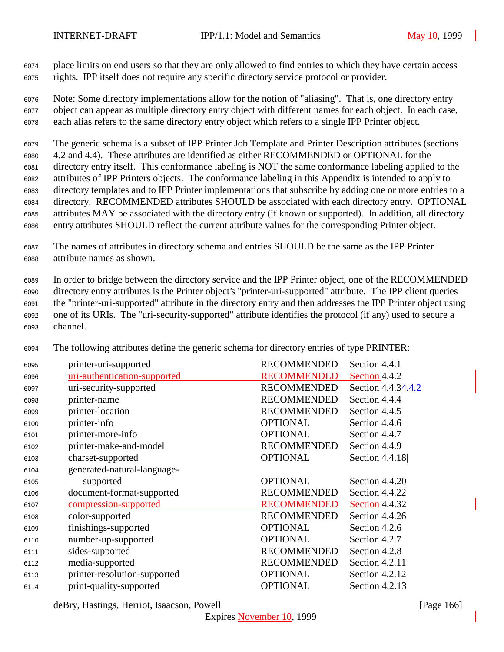place limits on end users so that they are only allowed to find entries to which they have certain access rights. IPP itself does not require any specific directory service protocol or provider.

 Note: Some directory implementations allow for the notion of "aliasing". That is, one directory entry object can appear as multiple directory entry object with different names for each object. In each case, each alias refers to the same directory entry object which refers to a single IPP Printer object.

 The generic schema is a subset of IPP Printer Job Template and Printer Description attributes (sections 4.2 and 4.4). These attributes are identified as either RECOMMENDED or OPTIONAL for the directory entry itself. This conformance labeling is NOT the same conformance labeling applied to the attributes of IPP Printers objects. The conformance labeling in this Appendix is intended to apply to directory templates and to IPP Printer implementations that subscribe by adding one or more entries to a directory. RECOMMENDED attributes SHOULD be associated with each directory entry. OPTIONAL attributes MAY be associated with the directory entry (if known or supported). In addition, all directory entry attributes SHOULD reflect the current attribute values for the corresponding Printer object.

 The names of attributes in directory schema and entries SHOULD be the same as the IPP Printer attribute names as shown.

 In order to bridge between the directory service and the IPP Printer object, one of the RECOMMENDED directory entry attributes is the Printer object's "printer-uri-supported" attribute. The IPP client queries the "printer-uri-supported" attribute in the directory entry and then addresses the IPP Printer object using one of its URIs. The "uri-security-supported" attribute identifies the protocol (if any) used to secure a channel.

| 6095 | printer-uri-supported        | <b>RECOMMENDED</b> | Section 4.4.1      |
|------|------------------------------|--------------------|--------------------|
| 6096 | uri-authentication-supported | <b>RECOMMENDED</b> | Section 4.4.2      |
| 6097 | uri-security-supported       | <b>RECOMMENDED</b> | Section 4.4.34.4.2 |
| 6098 | printer-name                 | <b>RECOMMENDED</b> | Section 4.4.4      |
| 6099 | printer-location             | <b>RECOMMENDED</b> | Section 4.4.5      |
| 6100 | printer-info                 | <b>OPTIONAL</b>    | Section 4.4.6      |
| 6101 | printer-more-info            | <b>OPTIONAL</b>    | Section 4.4.7      |
| 6102 | printer-make-and-model       | <b>RECOMMENDED</b> | Section 4.4.9      |
| 6103 | charset-supported            | <b>OPTIONAL</b>    | Section 4.4.18     |
| 6104 | generated-natural-language-  |                    |                    |
| 6105 | supported                    | <b>OPTIONAL</b>    | Section 4.4.20     |
| 6106 | document-format-supported    | <b>RECOMMENDED</b> | Section 4.4.22     |
| 6107 | compression-supported        | <b>RECOMMENDED</b> | Section 4.4.32     |
| 6108 | color-supported              | <b>RECOMMENDED</b> | Section 4.4.26     |
| 6109 | finishings-supported         | <b>OPTIONAL</b>    | Section 4.2.6      |
| 6110 | number-up-supported          | <b>OPTIONAL</b>    | Section 4.2.7      |
| 6111 | sides-supported              | <b>RECOMMENDED</b> | Section 4.2.8      |
| 6112 | media-supported              | <b>RECOMMENDED</b> | Section 4.2.11     |
| 6113 | printer-resolution-supported | <b>OPTIONAL</b>    | Section 4.2.12     |
| 6114 | print-quality-supported      | <b>OPTIONAL</b>    | Section 4.2.13     |

The following attributes define the generic schema for directory entries of type PRINTER:

deBry, Hastings, Herriot, Isaacson, Powell **company** and the company of the company in the company of the company of the company of the company of the company of the company of the company of the company of the company of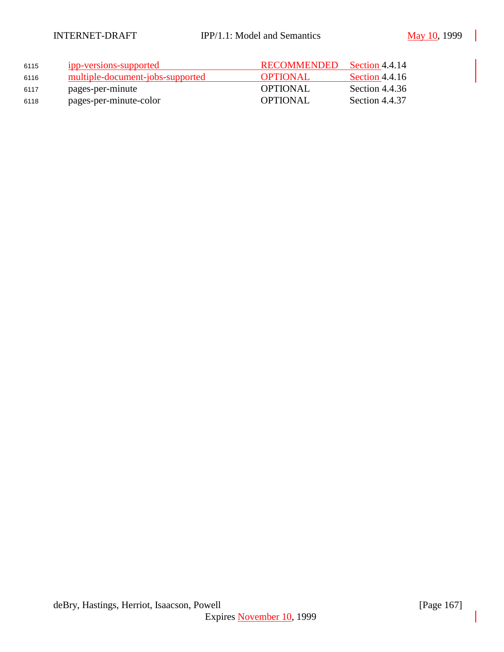| 6115 | ipp-versions-supported           | RECOMMENDED     | Section 4.4.14 |
|------|----------------------------------|-----------------|----------------|
| 6116 | multiple-document-jobs-supported | <b>OPTIONAL</b> | Section 4.4.16 |
| 6117 | pages-per-minute                 | <b>OPTIONAL</b> | Section 4.4.36 |
| 6118 | pages-per-minute-color           | <b>OPTIONAL</b> | Section 4.4.37 |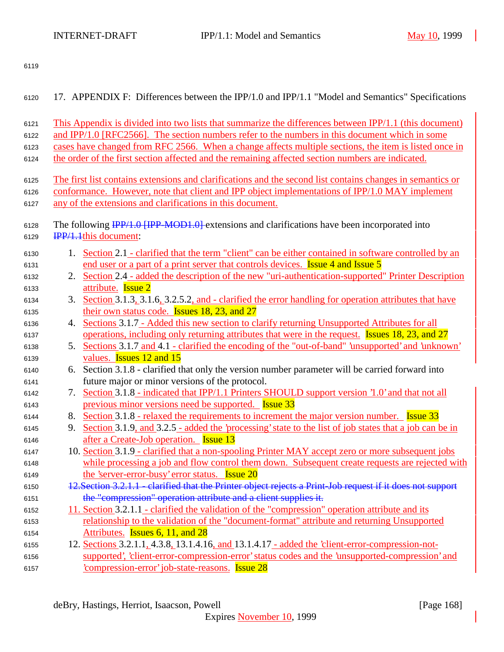| 6120         | 17. APPENDIX F: Differences between the IPP/1.0 and IPP/1.1 "Model and Semantics" Specifications                                    |
|--------------|-------------------------------------------------------------------------------------------------------------------------------------|
| 6121         | This Appendix is divided into two lists that summarize the differences between IPP/1.1 (this document)                              |
| 6122         | and IPP/1.0 [RFC2566]. The section numbers refer to the numbers in this document which in some                                      |
| 6123         | cases have changed from RFC 2566. When a change affects multiple sections, the item is listed once in                               |
| 6124         | the order of the first section affected and the remaining affected section numbers are indicated.                                   |
| 6125         | The first list contains extensions and clarifications and the second list contains changes in semantics or                          |
| 6126         | conformance. However, note that client and IPP object implementations of IPP/1.0 MAY implement                                      |
| 6127         | any of the extensions and clarifications in this document.                                                                          |
| 6128<br>6129 | The following <b>IPP/1.0 [IPP-MOD1.0]</b> extensions and clarifications have been incorporated into<br><b>IPP/1.1this document:</b> |
|              |                                                                                                                                     |
| 6130         | 1. Section 2.1 - clarified that the term "client" can be either contained in software controlled by an                              |
| 6131         | end user or a part of a print server that controls devices. <b>Issue 4 and Issue 5</b>                                              |
| 6132         | 2. Section 2.4 - added the description of the new "uri-authentication-supported" Printer Description<br>attribute. <b>Issue 2</b>   |
| 6133<br>6134 | 3. Section 3.1.3, 3.1.6, 3.2.5.2, and - clarified the error handling for operation attributes that have                             |
| 6135         | their own status code. <b>Issues 18, 23, and 27</b>                                                                                 |
| 6136         | Sections 3.1.7 - Added this new section to clarify returning Unsupported Attributes for all<br>4.                                   |
| 6137         | operations, including only returning attributes that were in the request. Issues 18, 23, and 27                                     |
| 6138         | 5. Sections 3.1.7 and 4.1 - clarified the encoding of the "out-of-band" 'unsupported' and 'unknown'                                 |
| 6139         | values. <b>Issues 12 and 15</b>                                                                                                     |
| 6140         | Section 3.1.8 - clarified that only the version number parameter will be carried forward into<br>6.                                 |
| 6141         | future major or minor versions of the protocol.                                                                                     |
| 6142         | 7. Section 3.1.8 - indicated that IPP/1.1 Printers SHOULD support version '1.0' and that not all                                    |
| 6143         | previous minor versions need be supported. Issue 33                                                                                 |
| 6144         | 8. Section 3.1.8 - relaxed the requirements to increment the major version number. Issue 33                                         |
| 6145         | Section 3.1.9, and 3.2.5 - added the 'processing' state to the list of job states that a job can be in<br>9.                        |
| 6146         | after a Create-Job operation. <b>Issue 13</b>                                                                                       |
| 6147         | 10. Section 3.1.9 - clarified that a non-spooling Printer MAY accept zero or more subsequent jobs                                   |
| 6148         | while processing a job and flow control them down. Subsequent create requests are rejected with                                     |
| 6149         | the 'server-error-busy' error status. Issue 20                                                                                      |
| 6150         | 12. Section 3.2.1.1 - clarified that the Printer object rejects a Print-Job request if it does not support                          |
| 6151         | the "compression" operation attribute and a client supplies it.                                                                     |
| 6152         | 11. Section 3.2.1.1 - clarified the validation of the "compression" operation attribute and its                                     |
| 6153         | relationship to the validation of the "document-format" attribute and returning Unsupported                                         |
| 6154         | Attributes. <b>Issues 6, 11, and 28</b>                                                                                             |
| 6155         | 12. Sections 3.2.1.1, 4.3.8, 13.1.4.16, and 13.1.4.17 - added the 'client-error-compression-not-                                    |
| 6156         | supported', 'client-error-compression-error' status codes and the 'unsupported-compression' and                                     |
| 6157         | <u>compression-error' job-state-reasons.</u> Issue 28                                                                               |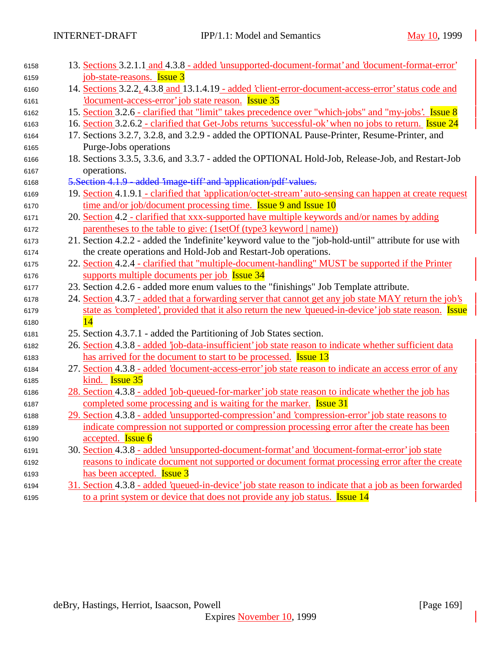| 6158 | 13. Sections 3.2.1.1 and 4.3.8 - added 'unsupported-document-format' and 'document-format-error'          |  |
|------|-----------------------------------------------------------------------------------------------------------|--|
| 6159 | job-state-reasons. <b>Issue 3</b>                                                                         |  |
| 6160 | 14. Sections 3.2.2, 4.3.8 and 13.1.4.19 - added 'client-error-document-access-error' status code and      |  |
| 6161 | document-access-error job state reason. Issue 35                                                          |  |
| 6162 | 15. Section 3.2.6 - clarified that "limit" takes precedence over "which-jobs" and "my-jobs'. Issue 8      |  |
| 6163 | 16. Section 3.2.6.2 - clarified that Get-Jobs returns 'successful-ok' when no jobs to return. Issue 24    |  |
| 6164 | 17. Sections 3.2.7, 3.2.8, and 3.2.9 - added the OPTIONAL Pause-Printer, Resume-Printer, and              |  |
| 6165 | Purge-Jobs operations                                                                                     |  |
| 6166 | 18. Sections 3.3.5, 3.3.6, and 3.3.7 - added the OPTIONAL Hold-Job, Release-Job, and Restart-Job          |  |
| 6167 | operations.                                                                                               |  |
| 6168 | 5. Section 4.1.9 - added 'image-tiff' and 'application/pdf' values.                                       |  |
| 6169 | 19. Section 4.1.9.1 - clarified that 'application/octet-stream' auto-sensing can happen at create request |  |
| 6170 | time and/or job/document processing time. Issue 9 and Issue 10                                            |  |
| 6171 | 20. Section 4.2 - clarified that xxx-supported have multiple keywords and/or names by adding              |  |
| 6172 | parentheses to the table to give: (1setOf (type3 keyword   name))                                         |  |
| 6173 | 21. Section 4.2.2 - added the 'indefinite' keyword value to the "job-hold-until" attribute for use with   |  |
| 6174 | the create operations and Hold-Job and Restart-Job operations.                                            |  |
| 6175 | 22. Section 4.2.4 - clarified that "multiple-document-handling" MUST be supported if the Printer          |  |
| 6176 | supports multiple documents per job Issue 34                                                              |  |
| 6177 | 23. Section 4.2.6 - added more enum values to the "finishings" Job Template attribute.                    |  |
| 6178 | 24. Section 4.3.7 - added that a forwarding server that cannot get any job state MAY return the job's     |  |
| 6179 | state as 'completed', provided that it also return the new 'queued-in-device' job state reason. Issue     |  |
| 6180 | $\overline{14}$                                                                                           |  |
| 6181 | 25. Section 4.3.7.1 - added the Partitioning of Job States section.                                       |  |
| 6182 | 26. Section 4.3.8 - added 'job-data-insufficient' job state reason to indicate whether sufficient data    |  |
| 6183 | has arrived for the document to start to be processed. <b>Issue 13</b>                                    |  |
| 6184 | 27. Section 4.3.8 - added 'document-access-error' job state reason to indicate an access error of any     |  |
| 6185 | kind. <b>Issue 35</b>                                                                                     |  |
| 6186 | 28. Section 4.3.8 - added 'job-queued-for-marker' job state reason to indicate whether the job has        |  |
| 6187 | completed some processing and is waiting for the marker. Issue 31                                         |  |
| 6188 | 29. Section 4.3.8 - added 'unsupported-compression' and 'compression-error' job state reasons to          |  |
| 6189 | indicate compression not supported or compression processing error after the create has been              |  |
| 6190 | accepted. <b>Issue 6</b>                                                                                  |  |
| 6191 | 30. Section 4.3.8 - added 'unsupported-document-format' and 'document-format-error' job state             |  |
| 6192 | reasons to indicate document not supported or document format processing error after the create           |  |
| 6193 | has been accepted. <b>Issue 3</b>                                                                         |  |
| 6194 | 31. Section 4.3.8 - added 'queued-in-device' job state reason to indicate that a job as been forwarded    |  |
| 6195 | to a print system or device that does not provide any job status. <b>Issue 14</b>                         |  |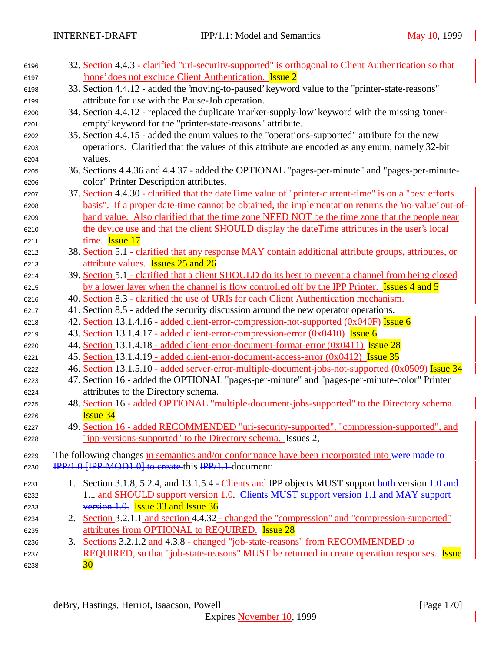| 6196 | 32. Section 4.4.3 - clarified "uri-security-supported" is orthogonal to Client Authentication so that  |
|------|--------------------------------------------------------------------------------------------------------|
| 6197 | none' does not exclude Client Authentication. Issue 2                                                  |
| 6198 | 33. Section 4.4.12 - added the 'moving-to-paused' keyword value to the "printer-state-reasons"         |
| 6199 | attribute for use with the Pause-Job operation.                                                        |
| 6200 | 34. Section 4.4.12 - replaced the duplicate 'marker-supply-low' keyword with the missing 'toner-       |
| 6201 | empty' keyword for the "printer-state-reasons" attribute.                                              |
| 6202 | 35. Section 4.4.15 - added the enum values to the "operations-supported" attribute for the new         |
| 6203 | operations. Clarified that the values of this attribute are encoded as any enum, namely 32-bit         |
| 6204 | values.                                                                                                |
| 6205 | 36. Sections 4.4.36 and 4.4.37 - added the OPTIONAL "pages-per-minute" and "pages-per-minute-          |
| 6206 | color" Printer Description attributes.                                                                 |
| 6207 | 37. Section 4.4.30 - clarified that the dateTime value of "printer-current-time" is on a "best efforts |
| 6208 | basis". If a proper date-time cannot be obtained, the implementation returns the 'no-value' out-of-    |
| 6209 | band value. Also clarified that the time zone NEED NOT be the time zone that the people near           |
| 6210 | the device use and that the client SHOULD display the dateTime attributes in the user's local          |
| 6211 | time. <b>Issue 17</b>                                                                                  |
| 6212 | 38. Section 5.1 - clarified that any response MAY contain additional attribute groups, attributes, or  |
| 6213 | attribute values. <b>Issues 25 and 26</b>                                                              |
| 6214 | 39. Section 5.1 - clarified that a client SHOULD do its best to prevent a channel from being closed    |
| 6215 | by a lower layer when the channel is flow controlled off by the IPP Printer. Issues 4 and 5            |
| 6216 | 40. Section 8.3 - clarified the use of URIs for each Client Authentication mechanism.                  |
| 6217 | 41. Section 8.5 - added the security discussion around the new operator operations.                    |
| 6218 | 42. Section 13.1.4.16 - added client-error-compression-not-supported (0x040F) Issue 6                  |
| 6219 | 43. Section 13.1.4.17 - added client-error-compression-error (0x0410) Issue 6                          |
| 6220 | 44. Section 13.1.4.18 - added client-error-document-format-error (0x0411) <b>Issue 28</b>              |
| 6221 | 45. Section 13.1.4.19 - added client-error-document-access-error (0x0412) Issue 35                     |
| 6222 | 46. Section 13.1.5.10 - added server-error-multiple-document-jobs-not-supported (0x0509) Issue 34      |
| 6223 | 47. Section 16 - added the OPTIONAL "pages-per-minute" and "pages-per-minute-color" Printer            |
| 6224 | attributes to the Directory schema.                                                                    |
| 6225 | 48. Section 16 - added OPTIONAL "multiple-document-jobs-supported" to the Directory schema.            |
| 6226 | <b>Issue 34</b>                                                                                        |
| 6227 | 49. Section 16 - added RECOMMENDED "uri-security-supported", "compression-supported", and              |
| 6228 | "ipp-versions-supported" to the Directory schema. Issues 2,                                            |
| 6229 | The following changes in semantics and/or conformance have been incorporated into were made to         |
|      | IPP/1.0 [IPP-MOD1.0] to create this IPP/1.1-document:                                                  |
| 6230 |                                                                                                        |
| 6231 | 1. Section 3.1.8, 5.2.4, and 13.1.5.4 - Clients and IPP objects MUST support both-version 1.0 and      |
| 6232 | 1.1 and SHOULD support version 1.0. Clients MUST support version 1.1 and MAY support                   |
| 6233 | version 1.0. Issue 33 and Issue 36                                                                     |
| 6234 | 2. Section 3.2.1.1 and section 4.4.32 - changed the "compression" and "compression-supported"          |
| 6235 | attributes from OPTIONAL to REQUIRED. Issue 28                                                         |
| 6236 | 3. Sections 3.2.1.2 and 4.3.8 - changed "job-state-reasons" from RECOMMENDED to                        |
| 6237 | REQUIRED, so that "job-state-reasons" MUST be returned in create operation responses. Issue            |
| 6238 | 30                                                                                                     |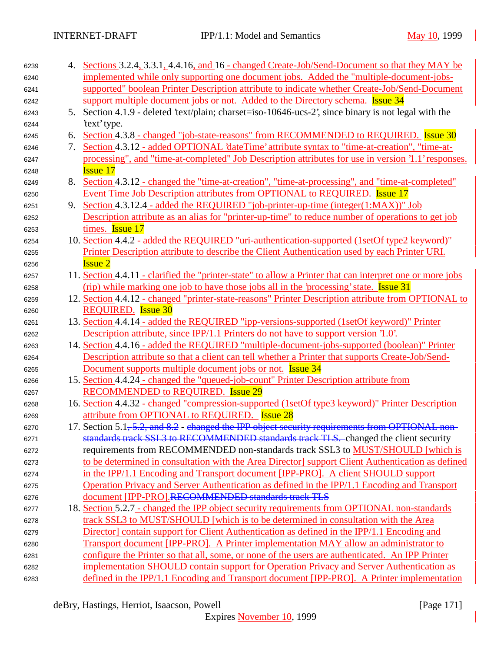| 6239 |    | 4. Sections 3.2.4, 3.3.1, 4.4.16, and 16 - changed Create-Job/Send-Document so that they MAY be             |
|------|----|-------------------------------------------------------------------------------------------------------------|
| 6240 |    | implemented while only supporting one document jobs. Added the "multiple-document-jobs-                     |
| 6241 |    | supported" boolean Printer Description attribute to indicate whether Create-Job/Send-Document               |
| 6242 |    | support multiple document jobs or not. Added to the Directory schema. <b>Issue 34</b>                       |
| 6243 |    | 5. Section 4.1.9 - deleted 'text/plain; charset=iso-10646-ucs-2', since binary is not legal with the        |
| 6244 |    | 'text' type.                                                                                                |
| 6245 | 6. | Section 4.3.8 - changed "job-state-reasons" from RECOMMENDED to REQUIRED. Issue 30                          |
| 6246 | 7. | Section 4.3.12 - added OPTIONAL 'dateTime' attribute syntax to "time-at-creation", "time-at-                |
| 6247 |    | processing", and "time-at-completed" Job Description attributes for use in version '1.1' responses.         |
| 6248 |    | <b>Issue 17</b>                                                                                             |
| 6249 | 8. | Section 4.3.12 - changed the "time-at-creation", "time-at-processing", and "time-at-completed"              |
| 6250 |    | Event Time Job Description attributes from OPTIONAL to REQUIRED. Issue 17                                   |
| 6251 |    | 9. Section 4.3.12.4 - added the REQUIRED "job-printer-up-time (integer(1:MAX))" Job                         |
| 6252 |    | Description attribute as an alias for "printer-up-time" to reduce number of operations to get job           |
| 6253 |    | times. Issue 17                                                                                             |
| 6254 |    | 10. Section 4.4.2 - added the REQUIRED "uri-authentication-supported (1setOf type2 keyword)"                |
| 6255 |    | Printer Description attribute to describe the Client Authentication used by each Printer URI.               |
| 6256 |    | <b>Issue 2</b>                                                                                              |
| 6257 |    | 11. Section 4.4.11 - clarified the "printer-state" to allow a Printer that can interpret one or more jobs   |
| 6258 |    | (rip) while marking one job to have those jobs all in the 'processing' state. <b>Issue 31</b>               |
| 6259 |    | 12. Section 4.4.12 - changed "printer-state-reasons" Printer Description attribute from OPTIONAL to         |
| 6260 |    | <b>REQUIRED.</b> Issue 30                                                                                   |
| 6261 |    | 13. Section 4.4.14 - added the REQUIRED "ipp-versions-supported (1setOf keyword)" Printer                   |
| 6262 |    | Description attribute, since IPP/1.1 Printers do not have to support version '1.0'.                         |
| 6263 |    | 14. Section 4.4.16 - added the REQUIRED "multiple-document-jobs-supported (boolean)" Printer                |
| 6264 |    | Description attribute so that a client can tell whether a Printer that supports Create-Job/Send-            |
| 6265 |    | Document supports multiple document jobs or not. <b>Issue 34</b>                                            |
| 6266 |    | 15. Section 4.4.24 - changed the "queued-job-count" Printer Description attribute from                      |
| 6267 |    | <b>RECOMMENDED to REQUIRED.</b> Issue 29                                                                    |
| 6268 |    | 16. Section 4.4.32 - changed "compression-supported (1setOf type3 keyword)" Printer Description             |
| 6269 |    | attribute from OPTIONAL to REQUIRED. Issue 28                                                               |
| 6270 |    | 17. Section 5.1 <del>, 5.2, and 8.2</del> - changed the IPP object security requirements from OPTIONAL non- |
| 6271 |    | standards track SSL3 to RECOMMENDED standards track TLS. changed the client security                        |
| 6272 |    | requirements from RECOMMENDED non-standards track SSL3 to MUST/SHOULD [which is                             |
| 6273 |    | to be determined in consultation with the Area Director] support Client Authentication as defined           |
| 6274 |    | in the IPP/1.1 Encoding and Transport document [IPP-PRO]. A client SHOULD support                           |
| 6275 |    | Operation Privacy and Server Authentication as defined in the IPP/1.1 Encoding and Transport                |
| 6276 |    | document [IPP-PRO].RECOMMENDED standards track TLS                                                          |
| 6277 |    | 18. Section 5.2.7 - changed the IPP object security requirements from OPTIONAL non-standards                |
| 6278 |    | track SSL3 to MUST/SHOULD [which is to be determined in consultation with the Area                          |
| 6279 |    | Director] contain support for Client Authentication as defined in the IPP/1.1 Encoding and                  |
| 6280 |    | Transport document [IPP-PRO]. A Printer implementation MAY allow an administrator to                        |
| 6281 |    | configure the Printer so that all, some, or none of the users are authenticated. An IPP Printer             |
| 6282 |    | implementation SHOULD contain support for Operation Privacy and Server Authentication as                    |
| 6283 |    | defined in the IPP/1.1 Encoding and Transport document [IPP-PRO]. A Printer implementation                  |